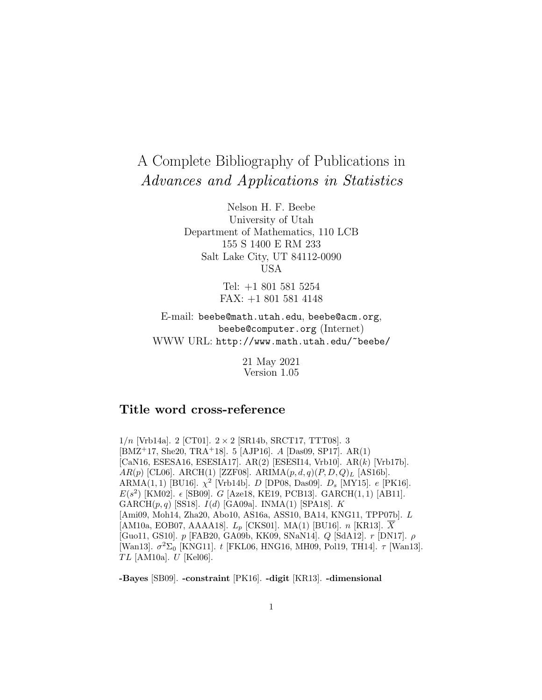# A Complete Bibliography of Publications in Advances and Applications in Statistics

Nelson H. F. Beebe University of Utah Department of Mathematics, 110 LCB 155 S 1400 E RM 233 Salt Lake City, UT 84112-0090 USA

> Tel: +1 801 581 5254 FAX: +1 801 581 4148

E-mail: beebe@math.utah.edu, beebe@acm.org, beebe@computer.org (Internet) WWW URL: http://www.math.utah.edu/~beebe/

> 21 May 2021 Version 1.05

# **Title word cross-reference**

 $1/n$  [Vrb14a]. 2 [CT01].  $2 \times 2$  [SR14b, SRCT17, TTT08]. 3 [BMZ<sup>+</sup>17, She20, TRA<sup>+</sup>18]. 5 [AJP16]. A [Das09, SP17]. AR(1) [CaN16, ESESA16, ESESIA17]. AR(2) [ESESI14, Vrb10]. AR(k) [Vrb17b].  $AR(p)$  [CL06]. ARCH(1) [ZZF08]. ARIMA $(p, d, q)$  $(P, D, Q)$ <sub>L</sub> [AS16b]. ARMA(1, 1) [BU16].  $\chi^2$  [Vrb14b]. *D* [DP08, Das09].  $D_s$  [MY15]. *e* [PK16].  $E(s^2)$  [KM02].  $\epsilon$  [SB09]. G [Aze18, KE19, PCB13]. GARCH(1,1) [AB11]. GARCH $(p, q)$  [SS18].  $I(d)$  [GA09a]. INMA(1) [SPA18]. K [Ami09, Moh14, Zha20, Abo10, AS16a, ASS10, BA14, KNG11, TPP07b]. L [AM10a, EOB07, AAAA18].  $L_p$  [CKS01]. MA(1) [BU16].  $n$  [KR13].  $\overline{X}$ [Guo11, GS10]. p [FAB20, GA09b, KK09, SNaN14]. Q [SdA12]. r [DN17]. ρ [Wan13].  $\sigma^2\Sigma_0$  [KNG11]. t [FKL06, HNG16, MH09, Pol19, TH14].  $\tau$  [Wan13].  $TL$  [AM10a].  $U$  [Kel06].

**-Bayes** [SB09]. **-constraint** [PK16]. **-digit** [KR13]. **-dimensional**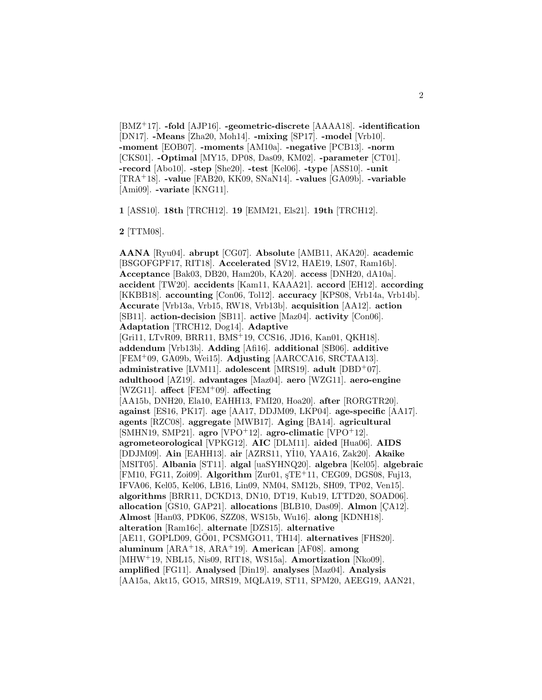[BMZ<sup>+</sup>17]. **-fold** [AJP16]. **-geometric-discrete** [AAAA18]. **-identification** [DN17]. **-Means** [Zha20, Moh14]. **-mixing** [SP17]. **-model** [Vrb10]. **-moment** [EOB07]. **-moments** [AM10a]. **-negative** [PCB13]. **-norm** [CKS01]. **-Optimal** [MY15, DP08, Das09, KM02]. **-parameter** [CT01]. **-record** [Abo10]. **-step** [She20]. **-test** [Kel06]. **-type** [ASS10]. **-unit** [TRA<sup>+</sup>18]. **-value** [FAB20, KK09, SNaN14]. **-values** [GA09b]. **-variable** [Ami09]. **-variate** [KNG11].

**1** [ASS10]. **18th** [TRCH12]. **19** [EMM21, Els21]. **19th** [TRCH12].

**2** [TTM08].

**AANA** [Ryu04]. **abrupt** [CG07]. **Absolute** [AMB11, AKA20]. **academic** [BSGOFGPF17, RIT18]. **Accelerated** [SV12, HAE19, LS07, Ram16b]. **Acceptance** [Bak03, DB20, Ham20b, KA20]. **access** [DNH20, dA10a]. **accident** [TW20]. **accidents** [Kam11, KAAA21]. **accord** [EH12]. **according** [KKBB18]. **accounting** [Con06, Tol12]. **accuracy** [KPS08, Vrb14a, Vrb14b]. **Accurate** [Vrb13a, Vrb15, RW18, Vrb13b]. **acquisition** [AA12]. **action** [SB11]. **action-decision** [SB11]. **active** [Maz04]. **activity** [Con06]. **Adaptation** [TRCH12, Dog14]. **Adaptive** [Gri11, LTvR09, BRR11, BMS<sup>+</sup>19, CCS16, JD16, Kan01, QKH18]. **addendum** [Vrb13b]. **Adding** [Afi16]. **additional** [SB06]. **additive** [FEM<sup>+</sup>09, GA09b, Wei15]. **Adjusting** [AARCCA16, SRCTAA13]. **administrative** [LVM11]. **adolescent** [MRS19]. **adult** [DBD<sup>+</sup>07]. **adulthood** [AZ19]. **advantages** [Maz04]. **aero** [WZG11]. **aero-engine** [WZG11]. **affect** [FEM<sup>+</sup>09]. **affecting** [AA15b, DNH20, Ela10, EAHH13, FMI20, Hoa20]. **after** [RORGTR20]. **against** [ES16, PK17]. **age** [AA17, DDJM09, LKP04]. **age-specific** [AA17]. **agents** [RZC08]. **aggregate** [MWB17]. **Aging** [BA14]. **agricultural** [SMHN19, SMP21]. **agro** [VPO<sup>+</sup>12]. **agro-climatic** [VPO<sup>+</sup>12]. **agrometeorological** [VPKG12]. **AIC** [DLM11]. **aided** [Hua06]. **AIDS** [DDJM09]. **Ain** [EAHH13]. **air** [AZRS11, Y˙ I10, YAA16, Zak20]. **Akaike** [MSIT05]. **Albania** [ST11]. **algal** [uaSYHNQ20]. **algebra** [Kel05]. **algebraic** [FM10, FG11, Zoi09]. **Algorithm** [Zur01, ¸sTE<sup>+</sup>11, CEG09, DGS08, Fuj13, IFVA06, Kel05, Kel06, LB16, Lin09, NM04, SM12b, SH09, TP02, Ven15]. **algorithms** [BRR11, DCKD13, DN10, DT19, Kub19, LTTD20, SOAD06]. **allocation** [GS10, GAP21]. **allocations** [BLB10, Das09]. **Almon** [CA12]. **Almost** [Han03, PDK06, SZZ08, WS15b, Wu16]. **along** [KDNH18]. **alteration** [Ram16c]. **alternate** [DZS15]. **alternative** [AE11, GOPLD09, GÖ01, PCSMGO11, TH14]. **alternatives** [FHS20]. **aluminum** [ARA<sup>+</sup>18, ARA<sup>+</sup>19]. **American** [AF08]. **among** [MHW<sup>+</sup>19, NBL15, Nis09, RIT18, WS15a]. **Amortization** [Nko09]. **amplified** [FG11]. **Analysed** [Din19]. **analyses** [Maz04]. **Analysis** [AA15a, Akt15, GO15, MRS19, MQLA19, ST11, SPM20, AEEG19, AAN21,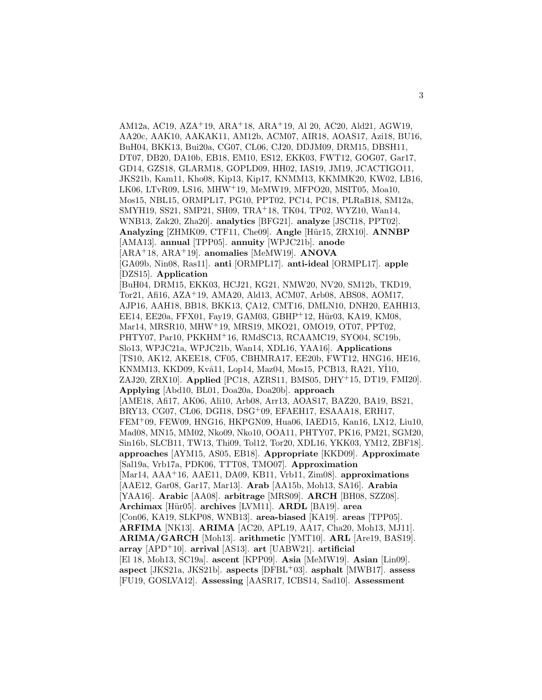AM12a, AC19, AZA<sup>+</sup>19, ARA<sup>+</sup>18, ARA<sup>+</sup>19, Al 20, AC20, Ald21, AGW19, AA20c, AAK10, AAKAK11, AM12b, ACM07, AIR18, AOAS17, Azi18, BU16, BuH04, BKK13, Bui20a, CG07, CL06, CJ20, DDJM09, DRM15, DBSH11, DT07, DB20, DA10b, EB18, EM10, ES12, EKK03, FWT12, GOG07, Gar17, GD14, GZS18, GLARM18, GOPLD09, HH02, IAS19, JM19, JCACTIGO11, JKS21b, Kam11, Kho08, Kip13, Kip17, KNMM13, KKMMK20, KW02, LB16, LK06, LTvR09, LS16, MHW<sup>+</sup>19, MeMW19, MFPO20, MSIT05, Moa10, Mos15, NBL15, ORMPL17, PG10, PPT02, PC14, PC18, PLRaB18, SM12a, SMYH19, SS21, SMP21, SH09, TRA<sup>+</sup>18, TK04, TP02, WYZ10, Wan14, WNB13, Zak20, Zha20]. **analytics** [BFG21]. **analyze** [JSCI18, PPT02]. **Analyzing** [ZHMK09, CTF11, Che09]. **Angle** [H¨ur15, ZRX10]. **ANNBP** [AMA13]. **annual** [TPP05]. **annuity** [WPJC21b]. **anode** [ARA<sup>+</sup>18, ARA<sup>+</sup>19]. **anomalies** [MeMW19]. **ANOVA** [GA09b, Nin08, Ras11]. **anti** [ORMPL17]. **anti-ideal** [ORMPL17]. **apple** [DZS15]. **Application** [BuH04, DRM15, EKK03, HCJ21, KG21, NMW20, NV20, SM12b, TKD19, Tor21, Afi16, AZA<sup>+</sup>19, AMA20, Ald13, ACM07, Arb08, ABS08, AOM17, AJP16, AAH18, BB18, BKK13, CA12, CMT16, DMLN10, DNH20, EAHH13, EE14, EE20a, FFX01, Fay19, GAM03, GBHP+12, Hür03, KA19, KM08, Mar14, MRSR10, MHW<sup>+</sup>19, MRS19, MKO21, OMO19, OT07, PPT02, PHTY07, Par10, PKKHM<sup>+</sup>16, RMdSC13, RCAAMC19, SYO04, SC19b, Slo13, WPJC21a, WPJC21b, Wan14, XDL16, YAA16]. **Applications** [TS10, AK12, AKEE18, CF05, CBHMRA17, EE20b, FWT12, HNG16, HE16, .<br>KNMM13, KKD09, Kvå11, Lop14, Maz04, Mos15, PCB13, RA21, Yİ10, ZAJ20, ZRX10]. **Applied** [PC18, AZRS11, BMS05, DHY<sup>+</sup>15, DT19, FMI20]. **Applying** [Abd10, BL01, Doa20a, Doa20b]. **approach** [AME18, Afi17, AK06, Ali10, Arb08, Arr13, AOAS17, BAZ20, BA19, BS21, BRY13, CG07, CL06, DGI18, DSG<sup>+</sup>09, EFAEH17, ESAAA18, ERH17, FEM<sup>+</sup>09, FEW09, HNG16, HKPGN09, Hua06, IAED15, Kan16, LX12, Liu10, Mad08, MN15, MM02, Nko09, Nko10, OOA11, PHTY07, PK16, PM21, SGM20, Sin16b, SLCB11, TW13, Thi09, Tol12, Tor20, XDL16, YKK03, YM12, ZBF18]. **approaches** [AYM15, AS05, EB18]. **Appropriate** [KKD09]. **Approximate** [Sal19a, Vrb17a, PDK06, TTT08, TMO07]. **Approximation** [Mar14, AAA<sup>+</sup>16, AAE11, DA09, KB11, Vrb11, Zim08]. **approximations** [AAE12, Gar08, Gar17, Mar13]. **Arab** [AA15b, Moh13, SA16]. **Arabia** [YAA16]. **Arabic** [AA08]. **arbitrage** [MRS09]. **ARCH** [BH08, SZZ08]. **Archimax** [H¨ur05]. **archives** [LVM11]. **ARDL** [BA19]. **area** [Con06, KA19, SLKP08, WNB13]. **area-biased** [KA19]. **areas** [TPP05]. **ARFIMA** [NK13]. **ARIMA** [AC20, APL19, AA17, Cha20, Moh13, MJ11]. **ARIMA/GARCH** [Moh13]. **arithmetic** [YMT10]. **ARL** [Are19, BAS19]. **array** [APD<sup>+</sup>10]. **arrival** [AS13]. **art** [UABW21]. **artificial** [El 18, Moh13, SC19a]. **ascent** [KPP09]. **Asia** [MeMW19]. **Asian** [Lin09]. **aspect** [JKS21a, JKS21b]. **aspects** [DFBL<sup>+</sup>03]. **asphalt** [MWB17]. **assess** [FU19, GOSLVA12]. **Assessing** [AASR17, ICBS14, Sad10]. **Assessment**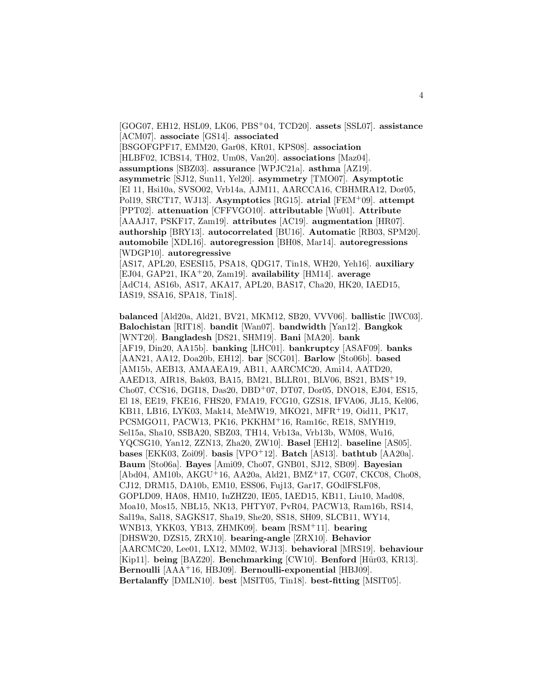[GOG07, EH12, HSL09, LK06, PBS<sup>+</sup>04, TCD20]. **assets** [SSL07]. **assistance** [ACM07]. **associate** [GS14]. **associated** [BSGOFGPF17, EMM20, Gar08, KR01, KPS08]. **association** [HLBF02, ICBS14, TH02, Um08, Van20]. **associations** [Maz04]. **assumptions** [SBZ03]. **assurance** [WPJC21a]. **asthma** [AZ19]. **asymmetric** [SJ12, Sun11, Yel20]. **asymmetry** [TMO07]. **Asymptotic** [El 11, Hsi10a, SVSO02, Vrb14a, AJM11, AARCCA16, CBHMRA12, Dor05, Pol19, SRCT17, WJ13]. **Asymptotics** [RG15]. **atrial** [FEM<sup>+</sup>09]. **attempt** [PPT02]. **attenuation** [CFFVGO10]. **attributable** [Wu01]. **Attribute** [AAAJ17, PSKF17, Zam19]. **attributes** [AC19]. **augmentation** [HR07]. **authorship** [BRY13]. **autocorrelated** [BU16]. **Automatic** [RB03, SPM20]. **automobile** [XDL16]. **autoregression** [BH08, Mar14]. **autoregressions** [WDGP10]. **autoregressive** [AS17, APL20, ESESI15, PSA18, QDG17, Tin18, WH20, Yeh16]. **auxiliary**

[EJ04, GAP21, IKA<sup>+</sup>20, Zam19]. **availability** [HM14]. **average** [AdC14, AS16b, AS17, AKA17, APL20, BAS17, Cha20, HK20, IAED15, IAS19, SSA16, SPA18, Tin18].

**balanced** [Ald20a, Ald21, BV21, MKM12, SB20, VVV06]. **ballistic** [IWC03]. **Balochistan** [RIT18]. **bandit** [Wan07]. **bandwidth** [Yan12]. **Bangkok** [WNT20]. **Bangladesh** [DS21, SHM19]. **Bani** [MA20]. **bank** [AF19, Din20, AA15b]. **banking** [LHC01]. **bankruptcy** [ASAF09]. **banks** [AAN21, AA12, Doa20b, EH12]. **bar** [SCG01]. **Barlow** [Sto06b]. **based** [AM15b, AEB13, AMAAEA19, AB11, AARCMC20, Ami14, AATD20, AAED13, AIR18, Bak03, BA15, BM21, BLLR01, BLV06, BS21, BMS<sup>+</sup>19, Cho07, CCS16, DGI18, Das20, DBD<sup>+</sup>07, DT07, Dor05, DNO18, EJ04, ES15, El 18, EE19, FKE16, FHS20, FMA19, FCG10, GZS18, IFVA06, JL15, Kel06, KB11, LB16, LYK03, Mak14, MeMW19, MKO21, MFR<sup>+</sup>19, Oid11, PK17, PCSMGO11, PACW13, PK16, PKKHM<sup>+</sup>16, Ram16c, RE18, SMYH19, Sel15a, Sha10, SSBA20, SBZ03, TH14, Vrb13a, Vrb13b, WM08, Wu16, YQCSG10, Yan12, ZZN13, Zha20, ZW10]. **Basel** [EH12]. **baseline** [AS05]. **bases** [EKK03, Zoi09]. **basis** [VPO<sup>+</sup>12]. **Batch** [AS13]. **bathtub** [AA20a]. **Baum** [Sto06a]. **Bayes** [Ami09, Cho07, GNB01, SJ12, SB09]. **Bayesian** [Abd04, AM10b, AKGU<sup>+</sup>16, AA20a, Ald21, BMZ<sup>+</sup>17, CG07, CKC08, Cho08, CJ12, DRM15, DA10b, EM10, ESS06, Fuj13, Gar17, GOdlFSLF08, GOPLD09, HA08, HM10, IuZHZ20, IE05, IAED15, KB11, Liu10, Mad08, Moa10, Mos15, NBL15, NK13, PHTY07, PvR04, PACW13, Ram16b, RS14, Sal19a, Sal18, SAGKS17, Sha19, She20, SS18, SH09, SLCB11, WY14, WNB13, YKK03, YB13, ZHMK09]. **beam** [RSM<sup>+</sup>11]. **bearing** [DHSW20, DZS15, ZRX10]. **bearing-angle** [ZRX10]. **Behavior** [AARCMC20, Lee01, LX12, MM02, WJ13]. **behavioral** [MRS19]. **behaviour** [Kip11]. **being** [BAZ20]. **Benchmarking** [CW10]. **Benford** [Hür03, KR13]. **Bernoulli** [AAA<sup>+</sup>16, HBJ09]. **Bernoulli-exponential** [HBJ09]. **Bertalanffy** [DMLN10]. **best** [MSIT05, Tin18]. **best-fitting** [MSIT05].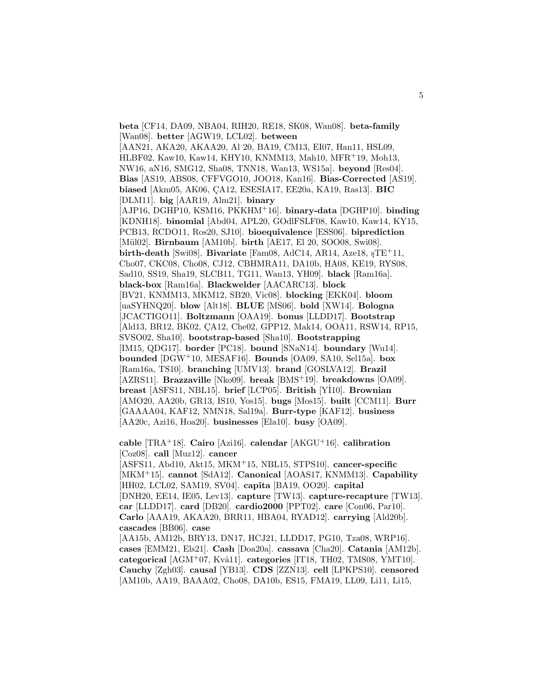**beta** [CF14, DA09, NBA04, RIH20, RE18, SK08, Wan08]. **beta-family** [Wan08]. **better** [AGW19, LCL02]. **between** [AAN21, AKA20, AKAA20, Al 20, BA19, CM13, EI07, Han11, HSL09, HLBF02, Kaw10, Kaw14, KHY10, KNMM13, Mah10, MFR<sup>+</sup>19, Moh13, NW16, aN16, SMG12, Sha08, TNN18, Wan13, WS15a]. **beyond** [Res04]. **Bias** [AS19, ABS08, CFFVGO10, JOO18, Kan16]. **Bias-Corrected** [AS19]. **biased** [Akm05, AK06, ÇA12, ESESIA17, EE20a, KA19, Ras13]. **BIC** [DLM11]. **big** [AAR19, Alm21]. **binary** [AJP16, DGHP10, KSM16, PKKHM<sup>+</sup>16]. **binary-data** [DGHP10]. **binding** [KDNH18]. **binomial** [Abd04, APL20, GOdlFSLF08, Kaw10, Kaw14, KY15, PCB13, RCDO11, Ros20, SJ10]. **bioequivalence** [ESS06]. **biprediction** [Mül02]. **Birnbaum** [AM10b]. **birth** [AE17, El 20, SOO08, Swi08]. **birth-death** [Swi08]. **Bivariate** [Fam08, AdC14, AR14, Aze18,  $STE+11$ , Cho07, CKC08, Cho08, CJ12, CBHMRA11, DA10b, HA08, KE19, RYS08, Sad10, SS19, Sha19, SLCB11, TG11, Wan13, YH09]. **black** [Ram16a]. **black-box** [Ram16a]. **Blackwelder** [AACARC13]. **block** [BV21, KNMM13, MKM12, SB20, Vic08]. **blocking** [EKK04]. **bloom** [uaSYHNQ20]. **blow** [Alt18]. **BLUE** [MS06]. **bold** [XW14]. **Bologna** [JCACTIGO11]. **Boltzmann** [OAA19]. **bonus** [LLDD17]. **Bootstrap** [Ald13, BR12, BK02, CA12, Che02, GPP12, Mak14, OOA11, RSW14, RP15, SVSO02, Sha10]. **bootstrap-based** [Sha10]. **Bootstrapping** [IM15, QDG17]. **border** [PC18]. **bound** [SNaN14]. **boundary** [Wu14]. **bounded** [DGW<sup>+</sup>10, MESAF16]. **Bounds** [OA09, SA10, Sel15a]. **box** [Ram16a, TS10]. **branching** [UMV13]. **brand** [GOSLVA12]. **Brazil** [AZRS11]. **Brazzaville** [Nko09]. **break** [BMS<sup>+</sup>19]. **breakdowns** [OA09]. **breast** [ASFS11, NBL15]. **brief** [LCP05]. **British** [Y˙ I10]. **Brownian** [AMO20, AA20b, GR13, IS10, Yos15]. **bugs** [Mos15]. **built** [CCM11]. **Burr** [GAAAA04, KAF12, NMN18, Sal19a]. **Burr-type** [KAF12]. **business** [AA20c, Azi16, Hoa20]. **businesses** [Ela10]. **busy** [OA09].

**cable** [TRA<sup>+</sup>18]. **Cairo** [Azi16]. **calendar** [AKGU<sup>+</sup>16]. **calibration** [Coz08]. **call** [Muz12]. **cancer**

[ASFS11, Abd10, Akt15, MKM<sup>+</sup>15, NBL15, STPS10]. **cancer-specific** [MKM<sup>+</sup>15]. **cannot** [SdA12]. **Canonical** [AOAS17, KNMM13]. **Capability** [HH02, LCL02, SAM19, SV04]. **capita** [BA19, OO20]. **capital** [DNH20, EE14, IE05, Lev13]. **capture** [TW13]. **capture-recapture** [TW13]. **car** [LLDD17]. **card** [DB20]. **cardio2000** [PPT02]. **care** [Con06, Par10]. **Carlo** [AAA19, AKAA20, BRR11, HBA04, RYAD12]. **carrying** [Ald20b]. **cascades** [BB06]. **case**

[AA15b, AM12b, BRY13, DN17, HCJ21, LLDD17, PG10, Tza08, WRP16]. **cases** [EMM21, Els21]. **Cash** [Doa20a]. **cassava** [Cha20]. **Catania** [AM12b]. categorical [AGM<sup>+</sup>07, Kvå11]. categories [IT18, TH02, TMS08, YMT10]. **Cauchy** [Zgh03]. **causal** [YB13]. **CDS** [ZZN13]. **cell** [LPKPS10]. **censored** [AM10b, AA19, BAAA02, Cho08, DA10b, ES15, FMA19, LL09, Li11, Li15,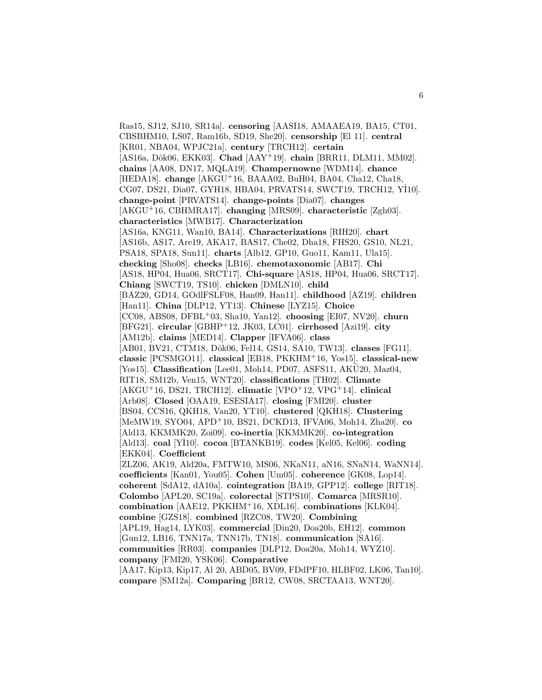Ras15, SJ12, SJ10, SR14a]. **censoring** [AASI18, AMAAEA19, BA15, CT01, CBSBHM10, LS07, Ram16b, SD19, She20]. **censorship** [El 11]. **central** [KR01, NBA04, WPJC21a]. **century** [TRCH12]. **certain** [AS16a, Dôk06, EKK03]. **Chad** [AAY<sup>+</sup>19]. **chain** [BRR11, DLM11, MM02]. **chains** [AA08, DN17, MQLA19]. **Champernowne** [WDM14]. **chance** [HEDA18]. **change** [AKGU<sup>+</sup>16, BAAA02, BuH04, BA04, Cha12, Cha18, CG07, DS21, Dia07, GYH18, HBA04, PRVATS14, SWCT19, TRCH12, YI10]. **change-point** [PRVATS14]. **change-points** [Dia07]. **changes** [AKGU<sup>+</sup>16, CBHMRA17]. **changing** [MRS09]. **characteristic** [Zgh03]. **characteristics** [MWB17]. **Characterization** [AS16a, KNG11, Wan10, BA14]. **Characterizations** [RIH20]. **chart** [AS16b, AS17, Are19, AKA17, BAS17, Che02, Dha18, FHS20, GS10, NL21, PSA18, SPA18, Sun11]. **charts** [Alb12, GP10, Guo11, Kam11, Ula15]. **checking** [Sho08]. **checks** [LB16]. **chemotaxonomic** [AB17]. **Chi** [AS18, HP04, Hua06, SRCT17]. **Chi-square** [AS18, HP04, Hua06, SRCT17]. **Chiang** [SWCT19, TS10]. **chicken** [DMLN10]. **child** [BAZ20, GD14, GOdlFSLF08, Han09, Han11]. **childhood** [AZ19]. **children** [Han11]. **China** [DLP12, YT13]. **Chinese** [LYZ15]. **Choice** [CC08, ABS08, DFBL<sup>+</sup>03, Sha10, Yan12]. **choosing** [EI07, NV20]. **churn** [BFG21]. **circular** [GBHP<sup>+</sup>12, JK03, LC01]. **cirrhosed** [Azi19]. **city** [AM12b]. **claims** [MED14]. **Clapper** [IFVA06]. **class** [AB01, BV21, CTM18, Dôk06, Fel14, GS14, SA10, TW13]. **classes** [FG11]. **classic** [PCSMGO11]. **classical** [EB18, PKKHM<sup>+</sup>16, Yos15]. **classical-new** [Yos15]. **Classification** [Lee01, Moh14, PD07, ASFS11, AKU20, Maz04, RIT18, SM12b, Ven15, WNT20]. **classifications** [TH02]. **Climate** [AKGU<sup>+</sup>16, DS21, TRCH12]. **climatic** [VPO<sup>+</sup>12, VPG<sup>+</sup>14]. **clinical** [Arb08]. **Closed** [OAA19, ESESIA17]. **closing** [FMI20]. **cluster** [BS04, CCS16, QKH18, Van20, YT10]. **clustered** [QKH18]. **Clustering** [MeMW19, SYO04, APD<sup>+</sup>10, BS21, DCKD13, IFVA06, Moh14, Zha20]. **co** [Ald13, KKMMK20, Zoi09]. **co-inertia** [KKMMK20]. **co-integration** [Ald13]. **coal** [Y˙ I10]. **cocoa** [BTANKB19]. **codes** [Kel05, Kel06]. **coding** [EKK04]. **Coefficient** [ZLZ06, AK19, Ald20a, FMTW10, MS06, NKaN11, aN16, SNaN14, WaNN14]. **coefficients** [Kan01, You05]. **Cohen** [Um05]. **coherence** [GK08, Lop14]. **coherent** [SdA12, dA10a]. **cointegration** [BA19, GPP12]. **college** [RIT18]. **Colombo** [APL20, SC19a]. **colorectal** [STPS10]. **Comarca** [MRSR10]. **combination** [AAE12, PKKHM<sup>+</sup>16, XDL16]. **combinations** [KLK04]. **combine** [GZS18]. **combined** [RZC08, TW20]. **Combining** [APL19, Hag14, LYK03]. **commercial** [Din20, Doa20b, EH12]. **common** [Gun12, LB16, TNN17a, TNN17b, TN18]. **communication** [SA16]. **communities** [RR03]. **companies** [DLP12, Doa20a, Moh14, WYZ10]. **company** [FMI20, YSK06]. **Comparative** [AA17, Kip13, Kip17, Al 20, ABD05, BV09, FDdPF10, HLBF02, LK06, Tan10]. **compare** [SM12a]. **Comparing** [BR12, CW08, SRCTAA13, WNT20].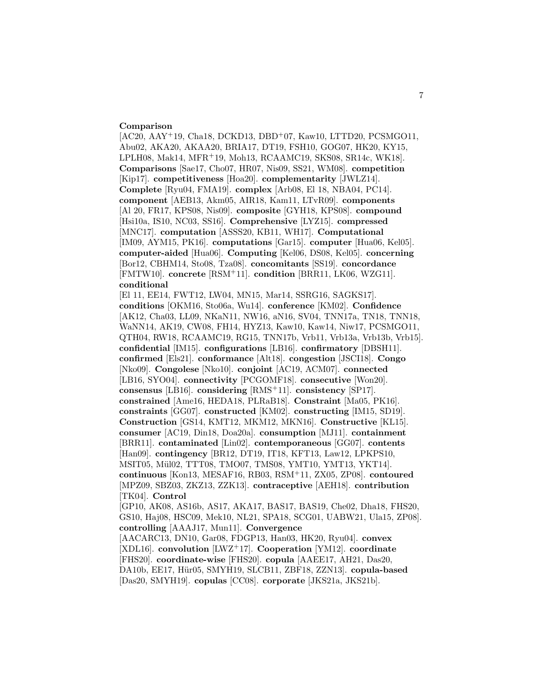#### **Comparison**

[AC20, AAY+19, Cha18, DCKD13, DBD+07, Kaw10, LTTD20, PCSMGO11, Abu02, AKA20, AKAA20, BRIA17, DT19, FSH10, GOG07, HK20, KY15, LPLH08, Mak14, MFR<sup>+</sup>19, Moh13, RCAAMC19, SKS08, SR14c, WK18]. **Comparisons** [Sae17, Cho07, HR07, Nis09, SS21, WM08]. **competition** [Kip17]. **competitiveness** [Hoa20]. **complementarity** [JWLZ14]. **Complete** [Ryu04, FMA19]. **complex** [Arb08, El 18, NBA04, PC14]. **component** [AEB13, Akm05, AIR18, Kam11, LTvR09]. **components** [Al 20, FR17, KPS08, Nis09]. **composite** [GYH18, KPS08]. **compound** [Hsi10a, IS10, NC03, SS16]. **Comprehensive** [LYZ15]. **compressed** [MNC17]. **computation** [ASSS20, KB11, WH17]. **Computational** [IM09, AYM15, PK16]. **computations** [Gar15]. **computer** [Hua06, Kel05]. **computer-aided** [Hua06]. **Computing** [Kel06, DS08, Kel05]. **concerning** [Bor12, CBHM14, Sto08, Tza08]. **concomitants** [SS19]. **concordance** [FMTW10]. **concrete** [RSM<sup>+</sup>11]. **condition** [BRR11, LK06, WZG11]. **conditional**

[El 11, EE14, FWT12, LW04, MN15, Mar14, SSRG16, SAGKS17]. **conditions** [OKM16, Sto06a, Wu14]. **conference** [KM02]. **Confidence** [AK12, Cha03, LL09, NKaN11, NW16, aN16, SV04, TNN17a, TN18, TNN18, WaNN14, AK19, CW08, FH14, HYZ13, Kaw10, Kaw14, Niw17, PCSMGO11, QTH04, RW18, RCAAMC19, RG15, TNN17b, Vrb11, Vrb13a, Vrb13b, Vrb15]. **confidential** [IM15]. **configurations** [LB16]. **confirmatory** [DBSH11]. **confirmed** [Els21]. **conformance** [Alt18]. **congestion** [JSCI18]. **Congo** [Nko09]. **Congolese** [Nko10]. **conjoint** [AC19, ACM07]. **connected** [LB16, SYO04]. **connectivity** [PCGOMF18]. **consecutive** [Won20]. **consensus** [LB16]. **considering** [RMS<sup>+</sup>11]. **consistency** [SP17]. **constrained** [Ame16, HEDA18, PLRaB18]. **Constraint** [Ma05, PK16]. **constraints** [GG07]. **constructed** [KM02]. **constructing** [IM15, SD19]. **Construction** [GS14, KMT12, MKM12, MKN16]. **Constructive** [KL15]. **consumer** [AC19, Din18, Doa20a]. **consumption** [MJ11]. **containment** [BRR11]. **contaminated** [Lin02]. **contemporaneous** [GG07]. **contents** [Han09]. **contingency** [BR12, DT19, IT18, KFT13, Law12, LPKPS10, MSIT05, Mül02, TTT08, TMO07, TMS08, YMT10, YMT13, YKT14. **continuous** [Kon13, MESAF16, RB03, RSM<sup>+</sup>11, ZX05, ZP08]. **contoured** [MPZ09, SBZ03, ZKZ13, ZZK13]. **contraceptive** [AEH18]. **contribution** [TK04]. **Control**

[GP10, AK08, AS16b, AS17, AKA17, BAS17, BAS19, Che02, Dha18, FHS20, GS10, Haj08, HSC09, Mek10, NL21, SPA18, SCG01, UABW21, Ula15, ZP08]. **controlling** [AAAJ17, Mun11]. **Convergence**

[AACARC13, DN10, Gar08, FDGP13, Han03, HK20, Ryu04]. **convex** [XDL16]. **convolution** [LWZ<sup>+</sup>17]. **Cooperation** [YM12]. **coordinate** [FHS20]. **coordinate-wise** [FHS20]. **copula** [AAEE17, AH21, Das20, DA10b, EE17, Hür05, SMYH19, SLCB11, ZBF18, ZZN13<sup>]</sup>. **copula-based** [Das20, SMYH19]. **copulas** [CC08]. **corporate** [JKS21a, JKS21b].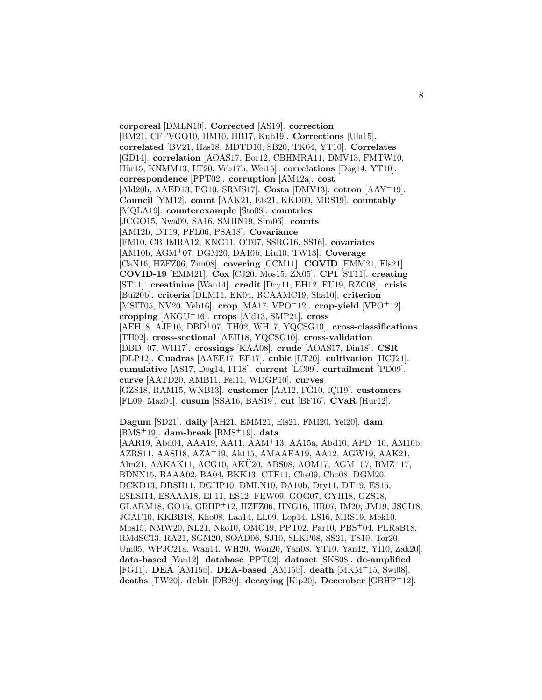**corporeal** [DMLN10]. **Corrected** [AS19]. **correction** [BM21, CFFVGO10, HM10, HB17, Kub19]. **Corrections** [Ula15]. **correlated** [BV21, Has18, MDTD10, SB20, TK04, YT10]. **Correlates** [GD14]. **correlation** [AOAS17, Bor12, CBHMRA11, DMV13, FMTW10, Hür15, KNMM13, LT20, Vrb17b, Wei15]. **correlations** [Dog14, YT10]. **correspondence** [PPT02]. **corruption** [AM12a]. **cost** [Ald20b, AAED13, PG10, SRMS17]. **Costa** [DMV13]. **cotton** [AAY<sup>+</sup>19]. **Council** [YM12]. **count** [AAK21, Els21, KKD09, MRS19]. **countably** [MQLA19]. **counterexample** [Sto08]. **countries** [JCGO15, Nwa09, SA16, SMHN19, Sim06]. **counts** [AM12b, DT19, PFL06, PSA18]. **Covariance** [FM10, CBHMRA12, KNG11, OT07, SSRG16, SS16]. **covariates** [AM10b, AGM<sup>+</sup>07, DGM20, DA10b, Liu10, TW13]. **Coverage** [CaN16, HZFZ06, Zim08]. **covering** [CCM11]. **COVID** [EMM21, Els21]. **COVID-19** [EMM21]. **Cox** [CJ20, Mos15, ZX05]. **CPI** [ST11]. **creating** [ST11]. **creatinine** [Wan14]. **credit** [Dry11, EH12, FU19, RZC08]. **crisis** [Bui20b]. **criteria** [DLM11, EK04, RCAAMC19, Sha10]. **criterion** [MSIT05, NV20, Yeh16]. **crop** [MA17, VPO<sup>+</sup>12]. **crop-yield** [VPO<sup>+</sup>12]. **cropping** [AKGU<sup>+</sup>16]. **crops** [Ald13, SMP21]. **cross** [AEH18, AJP16, DBD<sup>+</sup>07, TH02, WH17, YQCSG10]. **cross-classifications** [TH02]. **cross-sectional** [AEH18, YQCSG10]. **cross-validation** [DBD<sup>+</sup>07, WH17]. **crossings** [KAA08]. **crude** [AOAS17, Din18]. **CSR** [DLP12]. **Cuadras** [AAEE17, EE17]. **cubic** [LT20]. **cultivation** [HCJ21]. **cumulative** [AS17, Dog14, IT18]. **current** [LC09]. **curtailment** [PD09]. **curve** [AATD20, AMB11, Fel11, WDGP10]. **curves** [GZS18, RAM15, WNB13]. **customer** [AA12, FG10, lCl19]. **customers** [FL09, Maz04]. **cusum** [SSA16, BAS19]. **cut** [BF16]. **CVaR** [Hur12].

**Dagum** [SD21]. **daily** [AH21, EMM21, Els21, FMI20, Yel20]. **dam** [BMS<sup>+</sup>19]. **dam-break** [BMS<sup>+</sup>19]. **data**

[AAR19, Abd04, AAA19, AA11, AAM<sup>+</sup>13, AA15a, Abd10, APD<sup>+</sup>10, AM10b, AZRS11, AASI18, AZA<sup>+</sup>19, Akt15, AMAAEA19, AA12, AGW19, AAK21, Alm21, AAKAK11, ACG10, AKU20, ABS08, AOM17, AGM<sup>+</sup>07, BMZ<sup>+</sup>17, BDNN15, BAAA02, BA04, BKK13, CTF11, Che09, Cho08, DGM20, DCKD13, DBSH11, DGHP10, DMLN10, DA10b, Dry11, DT19, ES15, ESESI14, ESAAA18, El 11, ES12, FEW09, GOG07, GYH18, GZS18, GLARM18, GO15, GBHP<sup>+</sup>12, HZFZ06, HNG16, HR07, IM20, JM19, JSCI18, JGAF10, KKBB18, Kho08, Laa14, LL09, Lop14, LS16, MRS19, Mek10, Mos15, NMW20, NL21, Nko10, OMO19, PPT02, Par10, PBS<sup>+</sup>04, PLRaB18, RMdSC13, RA21, SGM20, SOAD06, SJ10, SLKP08, SS21, TS10, Tor20, Um05, WPJC21a, Wan14, WH20, Won20, Yan08, YT10, Yan12, YI10, Zak20]. **data-based** [Yan12]. **database** [PPT02]. **dataset** [SKS08]. **de-amplified** [FG11]. **DEA** [AM15b]. **DEA-based** [AM15b]. **death** [MKM<sup>+</sup>15, Swi08]. **deaths** [TW20]. **debit** [DB20]. **decaying** [Kip20]. **December** [GBHP<sup>+</sup>12].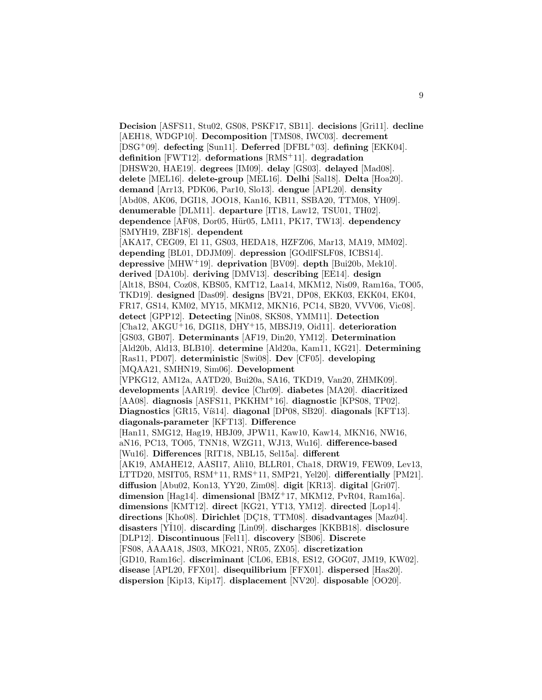**Decision** [ASFS11, Stu02, GS08, PSKF17, SB11]. **decisions** [Gri11]. **decline** [AEH18, WDGP10]. **Decomposition** [TMS08, IWC03]. **decrement** [DSG<sup>+</sup>09]. **defecting** [Sun11]. **Deferred** [DFBL<sup>+</sup>03]. **defining** [EKK04]. **definition** [FWT12]. **deformations** [RMS<sup>+</sup>11]. **degradation** [DHSW20, HAE19]. **degrees** [IM09]. **delay** [GS03]. **delayed** [Mad08]. **delete** [MEL16]. **delete-group** [MEL16]. **Delhi** [Sal18]. **Delta** [Hoa20]. **demand** [Arr13, PDK06, Par10, Slo13]. **dengue** [APL20]. **density** [Abd08, AK06, DGI18, JOO18, Kan16, KB11, SSBA20, TTM08, YH09]. **denumerable** [DLM11]. **departure** [IT18, Law12, TSU01, TH02]. **dependence** [AF08, Dor05, Hür05, LM11, PK17, TW13]. **dependency** [SMYH19, ZBF18]. **dependent** [AKA17, CEG09, El 11, GS03, HEDA18, HZFZ06, Mar13, MA19, MM02]. **depending** [BL01, DDJM09]. **depression** [GOdlFSLF08, ICBS14]. **depressive** [MHW<sup>+</sup>19]. **deprivation** [BV09]. **depth** [Bui20b, Mek10]. **derived** [DA10b]. **deriving** [DMV13]. **describing** [EE14]. **design** [Alt18, BS04, Coz08, KBS05, KMT12, Laa14, MKM12, Nis09, Ram16a, TO05, TKD19]. **designed** [Das09]. **designs** [BV21, DP08, EKK03, EKK04, EK04, FR17, GS14, KM02, MY15, MKM12, MKN16, PC14, SB20, VVV06, Vic08]. **detect** [GPP12]. **Detecting** [Nin08, SKS08, YMM11]. **Detection** [Cha12, AKGU<sup>+</sup>16, DGI18, DHY<sup>+</sup>15, MBSJ19, Oid11]. **deterioration** [GS03, GB07]. **Determinants** [AF19, Din20, YM12]. **Determination** [Ald20b, Ald13, BLB10]. **determine** [Ald20a, Kam11, KG21]. **Determining** [Ras11, PD07]. **deterministic** [Swi08]. **Dev** [CF05]. **developing** [MQAA21, SMHN19, Sim06]. **Development** [VPKG12, AM12a, AATD20, Bui20a, SA16, TKD19, Van20, ZHMK09]. **developments** [AAR19]. **device** [Chr09]. **diabetes** [MA20]. **diacritized** [AA08]. **diagnosis** [ASFS11, PKKHM<sup>+</sup>16]. **diagnostic** [KPS08, TP02]. Diagnostics [GR15, Víš14]. **diagonal** [DP08, SB20]. **diagonals** [KFT13]. **diagonals-parameter** [KFT13]. **Difference** [Han11, SMG12, Hag19, HBJ09, JPW11, Kaw10, Kaw14, MKN16, NW16, aN16, PC13, TO05, TNN18, WZG11, WJ13, Wu16]. **difference-based** [Wu16]. **Differences** [RIT18, NBL15, Sel15a]. **different** [AK19, AMAHE12, AASI17, Ali10, BLLR01, Cha18, DRW19, FEW09, Lev13, LTTD20, MSIT05, RSM<sup>+</sup>11, RMS<sup>+</sup>11, SMP21, Yel20]. **differentially** [PM21]. **diffusion** [Abu02, Kon13, YY20, Zim08]. **digit** [KR13]. **digital** [Gri07]. **dimension** [Hag14]. **dimensional** [BMZ<sup>+</sup>17, MKM12, PvR04, Ram16a]. **dimensions** [KMT12]. **direct** [KG21, YT13, YM12]. **directed** [Lop14]. directions [Kho08]. Dirichlet [DC18, TTM08]. disadvantages [Maz04]. **disasters** [Y˙ I10]. **discarding** [Lin09]. **discharges** [KKBB18]. **disclosure** [DLP12]. **Discontinuous** [Fel11]. **discovery** [SB06]. **Discrete** [FS08, AAAA18, JS03, MKO21, NR05, ZX05]. **discretization** [GD10, Ram16c]. **discriminant** [CL06, EB18, ES12, GOG07, JM19, KW02]. **disease** [APL20, FFX01]. **disequilibrium** [FFX01]. **dispersed** [Has20]. **dispersion** [Kip13, Kip17]. **displacement** [NV20]. **disposable** [OO20].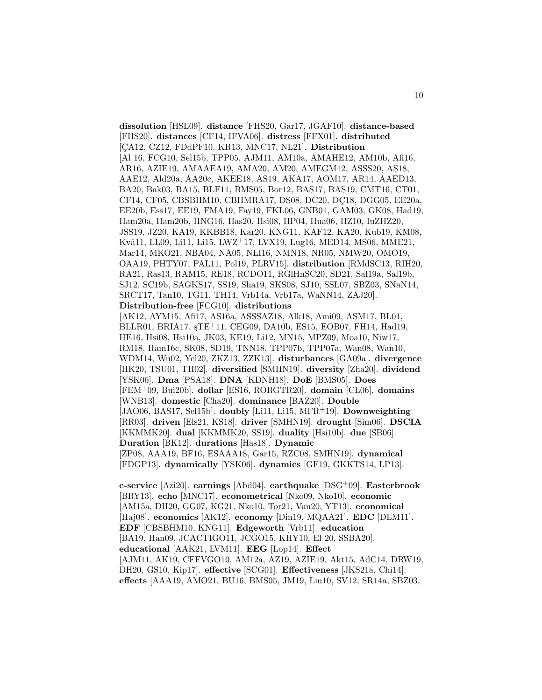**dissolution** [HSL09]. **distance** [FHS20, Gar17, JGAF10]. **distance-based** [FHS20]. **distances** [CF14, IFVA06]. **distress** [FFX01]. **distributed** [CA12, CZ12, FDdPF10, KR13, MNC17, NL21]. **Distribution** [Al 16, FCG10, Sel15b, TPP05, AJM11, AM10a, AMAHE12, AM10b, Afi16, AR16, AZIE19, AMAAEA19, AMA20, AM20, AMEGM12, ASSS20, AS18, AAE12, Ald20a, AA20c, AKEE18, AS19, AKA17, AOM17, AR14, AAED13, BA20, Bak03, BA15, BLF11, BMS05, Bor12, BAS17, BAS19, CMT16, CT01, CF14, CF05, CBSBHM10, CBHMRA17, DS08, DC20, DC18, DGG05, EE20a, EE20b, Ess17, EE19, FMA19, Fay19, FKL06, GNB01, GAM03, GK08, Had19, Ham20a, Ham20b, HNG16, Has20, Hsi08, HP04, Hua06, HZ10, IuZHZ20, JSS19, JZ20, KA19, KKBB18, Kar20, KNG11, KAF12, KA20, Kub19, KM08, Kvå11, LL09, Li11, Li15, LWZ+17, LVX19, Lug16, MED14, MS06, MME21, Mar14, MKO21, NBA04, NA05, NLI16, NMN18, NR05, NMW20, OMO19, OAA19, PHTY07, PAL11, Pol19, PLRV15]. **distribution** [RMdSC13, RIH20, RA21, Ras13, RAM15, RE18, RCDO11, RGlHnSC20, SD21, Sal19a, Sal19b, SJ12, SC19b, SAGKS17, SS19, Sha19, SKS08, SJ10, SSL07, SBZ03, SNaN14, SRCT17, Tan10, TG11, TH14, Vrb14a, Vrb17a, WaNN14, ZAJ20]. **Distribution-free** [FCG10]. **distributions** [AK12, AYM15, Afi17, AS16a, ASSSAZ18, Alk18, Ami09, ASM17, BL01, BLLR01, BRIA17, sTE+11, CEG09, DA10b, ES15, EOB07, FH14, Had19,

HE16, Hsi08, Hsi10a, JK03, KE19, Li12, MN15, MPZ09, Moa10, Niw17, RM18, Ram16c, SK08, SD19, TNN18, TPP07b, TPP07a, Wan08, Wan10, WDM14, Wu02, Yel20, ZKZ13, ZZK13]. **disturbances** [GA09a]. **divergence** [HK20, TSU01, TH02]. **diversified** [SMHN19]. **diversity** [Zha20]. **dividend** [YSK06]. **Dma** [PSA18]. **DNA** [KDNH18]. **DoE** [BMS05]. **Does** [FEM<sup>+</sup>09, Bui20b]. **dollar** [ES16, RORGTR20]. **domain** [CL06]. **domains** [WNB13]. **domestic** [Cha20]. **dominance** [BAZ20]. **Double** [JAO06, BAS17, Sel15b]. **doubly** [Li11, Li15, MFR<sup>+</sup>19]. **Downweighting** [RR03]. **driven** [Els21, KS18]. **driver** [SMHN19]. **drought** [Sim06]. **DSCIA** [KKMMK20]. **dual** [KKMMK20, SS19]. **duality** [Hsi10b]. **due** [SB06]. **Duration** [BK12]. **durations** [Has18]. **Dynamic** [ZP08, AAA19, BF16, ESAAA18, Gar15, RZC08, SMHN19]. **dynamical** [FDGP13]. **dynamically** [YSK06]. **dynamics** [GF19, GKKTS14, LP13].

**e-service** [Azi20]. **earnings** [Abd04]. **earthquake** [DSG<sup>+</sup>09]. **Easterbrook** [BRY13]. **echo** [MNC17]. **econometrical** [Nko09, Nko10]. **economic** [AM15a, DH20, GG07, KG21, Nko10, Tor21, Van20, YT13]. **economical** [Haj08]. **economics** [AK12]. **economy** [Din19, MQAA21]. **EDC** [DLM11]. **EDF** [CBSBHM10, KNG11]. **Edgeworth** [Vrb11]. **education** [BA19, Han09, JCACTIGO11, JCGO15, KHY10, El 20, SSBA20]. **educational** [AAK21, LVM11]. **EEG** [Lop14]. **Effect** [AJM11, AK19, CFFVGO10, AM12a, AZ19, AZIE19, Akt15, AdC14, DRW19, DH20, GS10, Kip17]. **effective** [SCG01]. **Effectiveness** [JKS21a, Chi14]. **effects** [AAA19, AMO21, BU16, BMS05, JM19, Liu10, SV12, SR14a, SBZ03,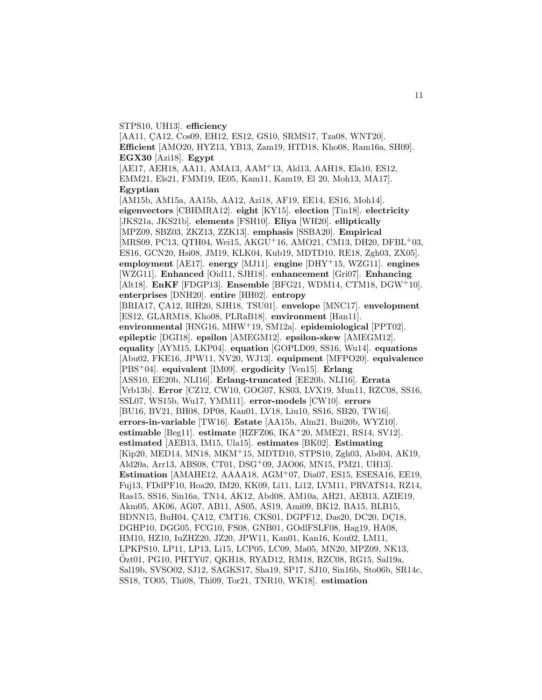#### STPS10, UH13]. **efficiency**

[AA11, ÇA12, Cos09, EH12, ES12, GS10, SRMS17, Tza08, WNT20]. **Efficient** [AMO20, HYZ13, YB13, Zam19, HTD18, Kho08, Ram16a, SH09]. **EGX30** [Azi18]. **Egypt** [AE17, AEH18, AA11, AMA13, AAM<sup>+</sup>13, Ald13, AAH18, Ela10, ES12, EMM21, Els21, FMM19, IE05, Kam11, Kam19, El 20, Moh13, MA17]. **Egyptian** [AM15b, AM15a, AA15b, AA12, Azi18, AF19, EE14, ES16, Moh14]. **eigenvectors** [CBHMRA12]. **eight** [KY15]. **election** [Tin18]. **electricity** [JKS21a, JKS21b]. **elements** [FSH10]. **Eliya** [WH20]. **elliptically** [MPZ09, SBZ03, ZKZ13, ZZK13]. **emphasis** [SSBA20]. **Empirical** [MRS09, PC13, QTH04, Wei15, AKGU<sup>+</sup>16, AMO21, CM13, DH20, DFBL<sup>+</sup>03, ES16, GCN20, Hsi08, JM19, KLK04, Kub19, MDTD10, RE18, Zgh03, ZX05]. **employment** [AE17]. **energy** [MJ11]. **engine** [DHY<sup>+</sup>15, WZG11]. **engines** [WZG11]. **Enhanced** [Oid11, SJH18]. **enhancement** [Gri07]. **Enhancing** [Alt18]. **EnKF** [FDGP13]. **Ensemble** [BFG21, WDM14, CTM18, DGW<sup>+</sup>10]. **enterprises** [DNH20]. **entire** [HH02]. **entropy** [BRIA17, CA12, RIH20, SJH18, TSU01]. **envelope** [MNC17]. **envelopment** [ES12, GLARM18, Kho08, PLRaB18]. **environment** [Han11]. **environmental** [HNG16, MHW<sup>+</sup>19, SM12a]. **epidemiological** [PPT02]. **epileptic** [DGI18]. **epsilon** [AMEGM12]. **epsilon-skew** [AMEGM12]. **equality** [AYM15, LKP04]. **equation** [GOPLD09, SS16, Wu14]. **equations** [Abu02, FKE16, JPW11, NV20, WJ13]. **equipment** [MFPO20]. **equivalence** [PBS<sup>+</sup>04]. **equivalent** [IM09]. **ergodicity** [Ven15]. **Erlang** [ASS10, EE20b, NLI16]. **Erlang-truncated** [EE20b, NLI16]. **Errata** [Vrb13b]. **Error** [CZ12, CW10, GOG07, KS03, LVX19, Mun11, RZC08, SS16, SSL07, WS15b, Wu17, YMM11]. **error-models** [CW10]. **errors** [BU16, BV21, BH08, DP08, Kan01, LV18, Liu10, SS16, SB20, TW16]. **errors-in-variable** [TW16]. **Estate** [AA15b, Alm21, Bui20b, WYZ10]. **estimable** [Beg11]. **estimate** [HZFZ06, IKA<sup>+</sup>20, MME21, RS14, SV12]. **estimated** [AEB13, IM15, Ula15]. **estimates** [BK02]. **Estimating** [Kip20, MED14, MN18, MKM<sup>+</sup>15, MDTD10, STPS10, Zgh03, Abd04, AK19, Ald20a, Arr13, ABS08, CT01, DSG<sup>+</sup>09, JAO06, MN15, PM21, UH13]. **Estimation** [AMAHE12, AAAA18, AGM<sup>+</sup>07, Dia07, ES15, ESESA16, EE19, Fuj13, FDdPF10, Hoa20, IM20, KK09, Li11, Li12, LVM11, PRVATS14, RZ14, Ras15, SS16, Sin16a, TN14, AK12, Abd08, AM10a, AH21, AEB13, AZIE19, Akm05, AK06, AG07, AB11, AS05, AS19, Ami09, BK12, BA15, BLB15, BDNN15, BuH04, ÇA12, CMT16, CKS01, DGPF12, Das20, DC20, DÇ18, DGHP10, DGG05, FCG10, FS08, GNB01, GOdlFSLF08, Hag19, HA08, HM10, HZ10, IuZHZ20, JZ20, JPW11, Kan01, Kan16, Kou02, LM11, LPKPS10, LP11, LP13, Li15, LCP05, LC09, Ma05, MN20, MPZ09, NK13, Ozt01, PG10, PHTY07, QKH18, RYAD12, RM18, RZC08, RG15, Sal19a, ¨ Sal19b, SVSO02, SJ12, SAGKS17, Sha19, SP17, SJ10, Sin16b, Sto06b, SR14c, SS18, TO05, Thi08, Thi09, Tor21, TNR10, WK18]. **estimation**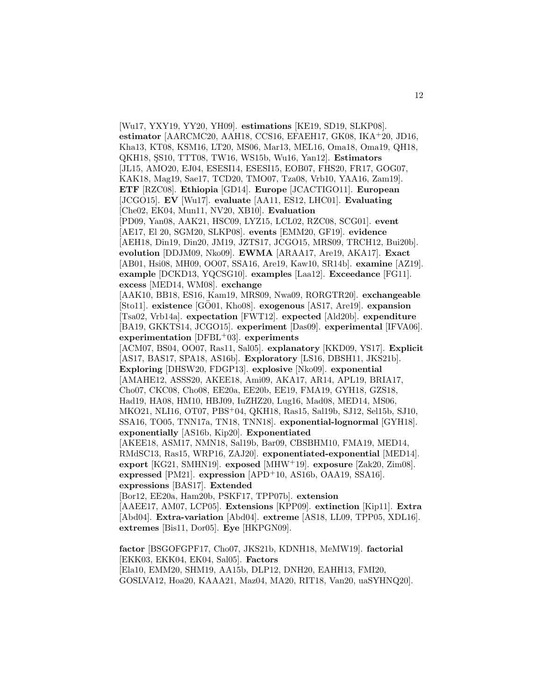[Wu17, YXY19, YY20, YH09]. **estimations** [KE19, SD19, SLKP08]. **estimator** [AARCMC20, AAH18, CCS16, EFAEH17, GK08, IKA<sup>+</sup>20, JD16, Kha13, KT08, KSM16, LT20, MS06, Mar13, MEL16, Oma18, Oma19, QH18, QKH18, ¸SS10, TTT08, TW16, WS15b, Wu16, Yan12]. **Estimators** [JL15, AMO20, EJ04, ESESI14, ESESI15, EOB07, FHS20, FR17, GOG07, KAK18, Mag19, Sae17, TCD20, TMO07, Tza08, Vrb10, YAA16, Zam19]. **ETF** [RZC08]. **Ethiopia** [GD14]. **Europe** [JCACTIGO11]. **European** [JCGO15]. **EV** [Wu17]. **evaluate** [AA11, ES12, LHC01]. **Evaluating** [Che02, EK04, Mun11, NV20, XB10]. **Evaluation** [PD09, Yan08, AAK21, HSC09, LYZ15, LCL02, RZC08, SCG01]. **event** [AE17, El 20, SGM20, SLKP08]. **events** [EMM20, GF19]. **evidence** [AEH18, Din19, Din20, JM19, JZTS17, JCGO15, MRS09, TRCH12, Bui20b]. **evolution** [DDJM09, Nko09]. **EWMA** [ARAA17, Are19, AKA17]. **Exact** [AB01, Hsi08, MH09, OO07, SSA16, Are19, Kaw10, SR14b]. **examine** [AZ19]. **example** [DCKD13, YQCSG10]. **examples** [Laa12]. **Exceedance** [FG11]. **excess** [MED14, WM08]. **exchange** [AAK10, BB18, ES16, Kam19, MRS09, Nwa09, RORGTR20]. **exchangeable** [Sto11]. **existence** [GÖ01, Kho08]. **exogenous** [AS17, Are19]. **expansion** [Tsa02, Vrb14a]. **expectation** [FWT12]. **expected** [Ald20b]. **expenditure** [BA19, GKKTS14, JCGO15]. **experiment** [Das09]. **experimental** [IFVA06]. **experimentation** [DFBL<sup>+</sup>03]. **experiments** [ACM07, BS04, OO07, Ras11, Sal05]. **explanatory** [KKD09, YS17]. **Explicit** [AS17, BAS17, SPA18, AS16b]. **Exploratory** [LS16, DBSH11, JKS21b]. **Exploring** [DHSW20, FDGP13]. **explosive** [Nko09]. **exponential** [AMAHE12, ASSS20, AKEE18, Ami09, AKA17, AR14, APL19, BRIA17, Cho07, CKC08, Cho08, EE20a, EE20b, EE19, FMA19, GYH18, GZS18, Had19, HA08, HM10, HBJ09, IuZHZ20, Lug16, Mad08, MED14, MS06, MKO21, NLI16, OT07, PBS<sup>+</sup>04, QKH18, Ras15, Sal19b, SJ12, Sel15b, SJ10, SSA16, TO05, TNN17a, TN18, TNN18]. **exponential-lognormal** [GYH18]. **exponentially** [AS16b, Kip20]. **Exponentiated** [AKEE18, ASM17, NMN18, Sal19b, Bar09, CBSBHM10, FMA19, MED14, RMdSC13, Ras15, WRP16, ZAJ20]. **exponentiated-exponential** [MED14]. **export** [KG21, SMHN19]. **exposed** [MHW<sup>+</sup>19]. **exposure** [Zak20, Zim08]. **expressed** [PM21]. **expression** [APD<sup>+</sup>10, AS16b, OAA19, SSA16]. **expressions** [BAS17]. **Extended** [Bor12, EE20a, Ham20b, PSKF17, TPP07b]. **extension** [AAEE17, AM07, LCP05]. **Extensions** [KPP09]. **extinction** [Kip11]. **Extra** [Abd04]. **Extra-variation** [Abd04]. **extreme** [AS18, LL09, TPP05, XDL16]. **extremes** [Bis11, Dor05]. **Eye** [HKPGN09].

**factor** [BSGOFGPF17, Cho07, JKS21b, KDNH18, MeMW19]. **factorial** [EKK03, EKK04, EK04, Sal05]. **Factors** [Ela10, EMM20, SHM19, AA15b, DLP12, DNH20, EAHH13, FMI20, GOSLVA12, Hoa20, KAAA21, Maz04, MA20, RIT18, Van20, uaSYHNQ20].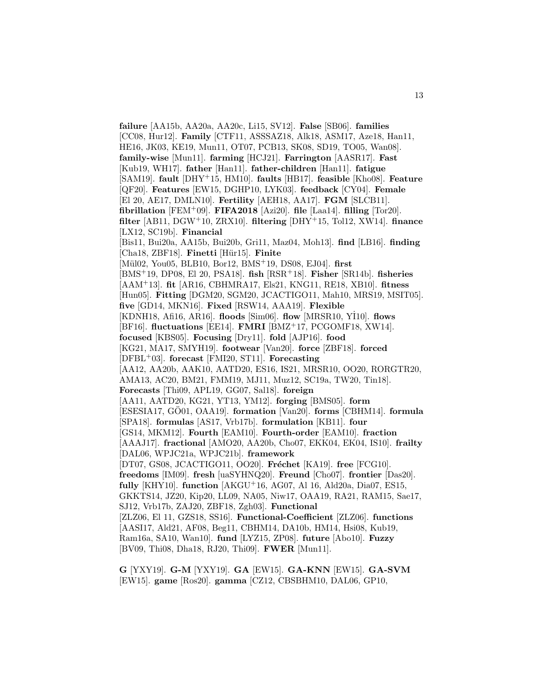**failure** [AA15b, AA20a, AA20c, Li15, SV12]. **False** [SB06]. **families** [CC08, Hur12]. **Family** [CTF11, ASSSAZ18, Alk18, ASM17, Aze18, Han11, HE16, JK03, KE19, Mun11, OT07, PCB13, SK08, SD19, TO05, Wan08]. **family-wise** [Mun11]. **farming** [HCJ21]. **Farrington** [AASR17]. **Fast** [Kub19, WH17]. **father** [Han11]. **father-children** [Han11]. **fatigue** [SAM19]. **fault** [DHY<sup>+</sup>15, HM10]. **faults** [HB17]. **feasible** [Kho08]. **Feature** [QF20]. **Features** [EW15, DGHP10, LYK03]. **feedback** [CY04]. **Female** [El 20, AE17, DMLN10]. **Fertility** [AEH18, AA17]. **FGM** [SLCB11]. **fibrillation** [FEM<sup>+</sup>09]. **FIFA2018** [Azi20]. **file** [Laa14]. **filling** [Tor20]. **filter** [AB11, DGW<sup>+</sup>10, ZRX10]. **filtering** [DHY<sup>+</sup>15, Tol12, XW14]. **finance** [LX12, SC19b]. **Financial** [Bis11, Bui20a, AA15b, Bui20b, Gri11, Maz04, Moh13]. **find** [LB16]. **finding** [Cha18, ZBF18]. **Finetti** [Hür15]. **Finite** [Mül02, You05, BLB10, Bor12, BMS<sup>+</sup>19, DS08, EJ04]. first [BMS<sup>+</sup>19, DP08, El 20, PSA18]. **fish** [RSR<sup>+</sup>18]. **Fisher** [SR14b]. **fisheries** [AAM<sup>+</sup>13]. **fit** [AR16, CBHMRA17, Els21, KNG11, RE18, XB10]. **fitness** [Hun05]. **Fitting** [DGM20, SGM20, JCACTIGO11, Mah10, MRS19, MSIT05]. **five** [GD14, MKN16]. **Fixed** [RSW14, AAA19]. **Flexible** [KDNH18, Afi16, AR16]. **floods** [Sim06]. **flow** [MRSR10, Y˙ I10]. **flows** [BF16]. **fluctuations** [EE14]. **FMRI** [BMZ<sup>+</sup>17, PCGOMF18, XW14]. **focused** [KBS05]. **Focusing** [Dry11]. **fold** [AJP16]. **food** [KG21, MA17, SMYH19]. **footwear** [Van20]. **force** [ZBF18]. **forced** [DFBL<sup>+</sup>03]. **forecast** [FMI20, ST11]. **Forecasting** [AA12, AA20b, AAK10, AATD20, ES16, IS21, MRSR10, OO20, RORGTR20, AMA13, AC20, BM21, FMM19, MJ11, Muz12, SC19a, TW20, Tin18]. **Forecasts** [Thi09, APL19, GG07, Sal18]. **foreign** [AA11, AATD20, KG21, YT13, YM12]. **forging** [BMS05]. **form** [ESESIA17, GÖ01, OAA19]. **formation** [Van20]. **forms** [CBHM14]. **formula** [SPA18]. **formulas** [AS17, Vrb17b]. **formulation** [KB11]. **four** [GS14, MKM12]. **Fourth** [EAM10]. **Fourth-order** [EAM10]. **fraction** [AAAJ17]. **fractional** [AMO20, AA20b, Cho07, EKK04, EK04, IS10]. **frailty** [DAL06, WPJC21a, WPJC21b]. **framework** [DT07, GS08, JCACTIGO11, OO20]. **Fréchet** [KA19]. **free** [FCG10]. **freedoms** [IM09]. **fresh** [uaSYHNQ20]. **Freund** [Cho07]. **frontier** [Das20]. **fully** [KHY10]. **function** [AKGU<sup>+</sup>16, AG07, Al 16, Ald20a, Dia07, ES15, GKKTS14, JZ20, Kip20, LL09, NA05, Niw17, OAA19, RA21, RAM15, Sae17, SJ12, Vrb17b, ZAJ20, ZBF18, Zgh03]. **Functional** [ZLZ06, El 11, GZS18, SS16]. **Functional-Coefficient** [ZLZ06]. **functions** [AASI17, Ald21, AF08, Beg11, CBHM14, DA10b, HM14, Hsi08, Kub19, Ram16a, SA10, Wan10]. **fund** [LYZ15, ZP08]. **future** [Abo10]. **Fuzzy** [BV09, Thi08, Dha18, RJ20, Thi09]. **FWER** [Mun11].

**G** [YXY19]. **G-M** [YXY19]. **GA** [EW15]. **GA-KNN** [EW15]. **GA-SVM** [EW15]. **game** [Ros20]. **gamma** [CZ12, CBSBHM10, DAL06, GP10,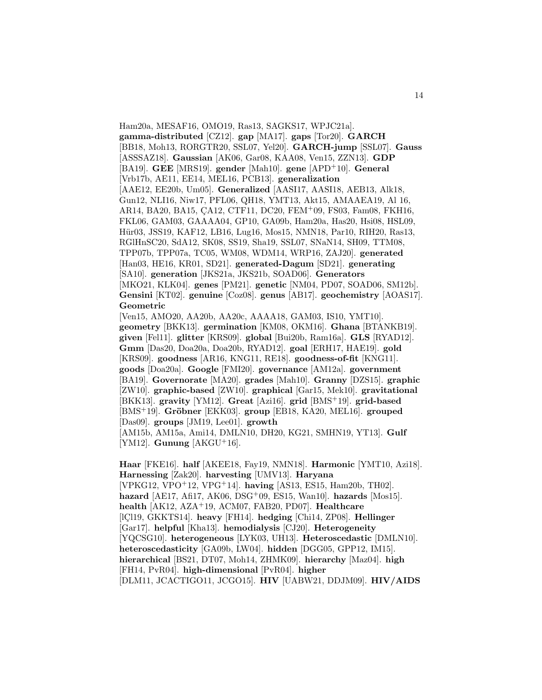Ham20a, MESAF16, OMO19, Ras13, SAGKS17, WPJC21a]. **gamma-distributed** [CZ12]. **gap** [MA17]. **gaps** [Tor20]. **GARCH** [BB18, Moh13, RORGTR20, SSL07, Yel20]. **GARCH-jump** [SSL07]. **Gauss** [ASSSAZ18]. **Gaussian** [AK06, Gar08, KAA08, Ven15, ZZN13]. **GDP** [BA19]. **GEE** [MRS19]. **gender** [Mah10]. **gene** [APD<sup>+</sup>10]. **General** [Vrb17b, AE11, EE14, MEL16, PCB13]. **generalization** [AAE12, EE20b, Um05]. **Generalized** [AASI17, AASI18, AEB13, Alk18, Gun12, NLI16, Niw17, PFL06, QH18, YMT13, Akt15, AMAAEA19, Al 16, AR14, BA20, BA15, CA12, CTF11, DC20, FEM+09, FS03, Fam08, FKH16, FKL06, GAM03, GAAAA04, GP10, GA09b, Ham20a, Has20, Hsi08, HSL09, Hür03, JSS19, KAF12, LB16, Lug16, Mos15, NMN18, Par10, RIH20, Ras13, RGlHnSC20, SdA12, SK08, SS19, Sha19, SSL07, SNaN14, SH09, TTM08, TPP07b, TPP07a, TC05, WM08, WDM14, WRP16, ZAJ20]. **generated** [Han03, HE16, KR01, SD21]. **generated-Dagum** [SD21]. **generating** [SA10]. **generation** [JKS21a, JKS21b, SOAD06]. **Generators** [MKO21, KLK04]. **genes** [PM21]. **genetic** [NM04, PD07, SOAD06, SM12b]. **Gensini** [KT02]. **genuine** [Coz08]. **genus** [AB17]. **geochemistry** [AOAS17]. **Geometric**

[Ven15, AMO20, AA20b, AA20c, AAAA18, GAM03, IS10, YMT10]. **geometry** [BKK13]. **germination** [KM08, OKM16]. **Ghana** [BTANKB19]. **given** [Fel11]. **glitter** [KRS09]. **global** [Bui20b, Ram16a]. **GLS** [RYAD12]. **Gmm** [Das20, Doa20a, Doa20b, RYAD12]. **goal** [ERH17, HAE19]. **gold** [KRS09]. **goodness** [AR16, KNG11, RE18]. **goodness-of-fit** [KNG11]. **goods** [Doa20a]. **Google** [FMI20]. **governance** [AM12a]. **government** [BA19]. **Governorate** [MA20]. **grades** [Mah10]. **Granny** [DZS15]. **graphic** [ZW10]. **graphic-based** [ZW10]. **graphical** [Gar15, Mek10]. **gravitational** [BKK13]. **gravity** [YM12]. **Great** [Azi16]. **grid** [BMS<sup>+</sup>19]. **grid-based** [BMS<sup>+</sup>19]. **Gröbner** [EKK03]. **group** [EB18, KA20, MEL16]. **grouped** [Das09]. **groups** [JM19, Lee01]. **growth** [AM15b, AM15a, Ami14, DMLN10, DH20, KG21, SMHN19, YT13]. **Gulf**

[YM12]. **Gunung** [AKGU<sup>+</sup>16].

**Haar** [FKE16]. **half** [AKEE18, Fay19, NMN18]. **Harmonic** [YMT10, Azi18]. **Harnessing** [Zak20]. **harvesting** [UMV13]. **Haryana** [VPKG12, VPO<sup>+</sup>12, VPG<sup>+</sup>14]. **having** [AS13, ES15, Ham20b, TH02]. **hazard** [AE17, Afi17, AK06, DSG<sup>+</sup>09, ES15, Wan10]. **hazards** [Mos15]. **health** [AK12, AZA<sup>+</sup>19, ACM07, FAB20, PD07]. **Healthcare** [IC<sub>l19</sub>, GKKTS<sub>14</sub>]. **heavy** [FH<sub>14</sub>]. **hedging** [Ch<sub>i14</sub>, ZP<sub>08</sub>]. **Hellinger** [Gar17]. **helpful** [Kha13]. **hemodialysis** [CJ20]. **Heterogeneity** [YQCSG10]. **heterogeneous** [LYK03, UH13]. **Heteroscedastic** [DMLN10]. **heteroscedasticity** [GA09b, LW04]. **hidden** [DGG05, GPP12, IM15]. **hierarchical** [BS21, DT07, Moh14, ZHMK09]. **hierarchy** [Maz04]. **high** [FH14, PvR04]. **high-dimensional** [PvR04]. **higher** [DLM11, JCACTIGO11, JCGO15]. **HIV** [UABW21, DDJM09]. **HIV/AIDS**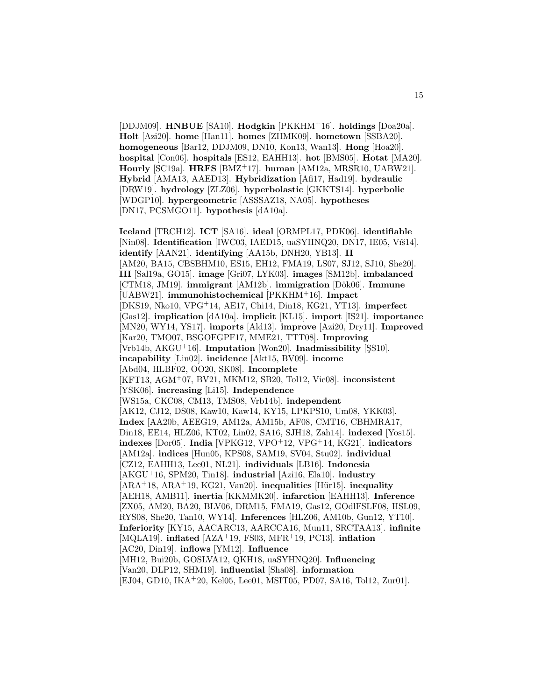[DDJM09]. **HNBUE** [SA10]. **Hodgkin** [PKKHM<sup>+</sup>16]. **holdings** [Doa20a]. **Holt** [Azi20]. **home** [Han11]. **homes** [ZHMK09]. **hometown** [SSBA20]. **homogeneous** [Bar12, DDJM09, DN10, Kon13, Wan13]. **Hong** [Hoa20]. **hospital** [Con06]. **hospitals** [ES12, EAHH13]. **hot** [BMS05]. **Hotat** [MA20]. **Hourly** [SC19a]. **HRFS** [BMZ<sup>+</sup>17]. **human** [AM12a, MRSR10, UABW21]. **Hybrid** [AMA13, AAED13]. **Hybridization** [Afi17, Had19]. **hydraulic** [DRW19]. **hydrology** [ZLZ06]. **hyperbolastic** [GKKTS14]. **hyperbolic** [WDGP10]. **hypergeometric** [ASSSAZ18, NA05]. **hypotheses** [DN17, PCSMGO11]. **hypothesis** [dA10a].

**Iceland** [TRCH12]. **ICT** [SA16]. **ideal** [ORMPL17, PDK06]. **identifiable** [Nin08]. **Identification** [IWC03, IAED15, uaSYHNQ20, DN17, IE05, Viš14]. **identify** [AAN21]. **identifying** [AA15b, DNH20, YB13]. **II** [AM20, BA15, CBSBHM10, ES15, EH12, FMA19, LS07, SJ12, SJ10, She20]. **III** [Sal19a, GO15]. **image** [Gri07, LYK03]. **images** [SM12b]. **imbalanced** [CTM18, JM19]. **immigrant** [AM12b]. **immigration** [Dˆok06]. **Immune** [UABW21]. **immunohistochemical** [PKKHM<sup>+</sup>16]. **Impact** [DKS19, Nko10, VPG<sup>+</sup>14, AE17, Chi14, Din18, KG21, YT13]. **imperfect** [Gas12]. **implication** [dA10a]. **implicit** [KL15]. **import** [IS21]. **importance** [MN20, WY14, YS17]. **imports** [Ald13]. **improve** [Azi20, Dry11]. **Improved** [Kar20, TMO07, BSGOFGPF17, MME21, TTT08]. **Improving** [Vrb14b, AKGU<sup>+</sup>16]. **Imputation** [Won20]. **Inadmissibility** [ŞS10]. **incapability** [Lin02]. **incidence** [Akt15, BV09]. **income** [Abd04, HLBF02, OO20, SK08]. **Incomplete** [KFT13, AGM<sup>+</sup>07, BV21, MKM12, SB20, Tol12, Vic08]. **inconsistent** [YSK06]. **increasing** [Li15]. **Independence** [WS15a, CKC08, CM13, TMS08, Vrb14b]. **independent** [AK12, CJ12, DS08, Kaw10, Kaw14, KY15, LPKPS10, Um08, YKK03]. **Index** [AA20b, AEEG19, AM12a, AM15b, AF08, CMT16, CBHMRA17, Din18, EE14, HLZ06, KT02, Lin02, SA16, SJH18, Zah14]. **indexed** [Yos15]. **indexes** [Dor05]. **India** [VPKG12, VPO<sup>+</sup>12, VPG<sup>+</sup>14, KG21]. **indicators** [AM12a]. **indices** [Hun05, KPS08, SAM19, SV04, Stu02]. **individual** [CZ12, EAHH13, Lee01, NL21]. **individuals** [LB16]. **Indonesia** [AKGU<sup>+</sup>16, SPM20, Tin18]. **industrial** [Azi16, Ela10]. **industry**  $[ARA<sup>+</sup>18, ARA<sup>+</sup>19, KG21, Van20]$ . **inequalities**  $[Hür15]$ . **inequality** [AEH18, AMB11]. **inertia** [KKMMK20]. **infarction** [EAHH13]. **Inference** [ZX05, AM20, BA20, BLV06, DRM15, FMA19, Gas12, GOdlFSLF08, HSL09, RYS08, She20, Tan10, WY14]. **Inferences** [HLZ06, AM10b, Gun12, YT10]. **Inferiority** [KY15, AACARC13, AARCCA16, Mun11, SRCTAA13]. **infinite** [MQLA19]. **inflated** [AZA<sup>+</sup>19, FS03, MFR<sup>+</sup>19, PC13]. **inflation** [AC20, Din19]. **inflows** [YM12]. **Influence** [MH12, Bui20b, GOSLVA12, QKH18, uaSYHNQ20]. **Influencing** [Van20, DLP12, SHM19]. **influential** [Sha08]. **information** [EJ04, GD10, IKA<sup>+</sup>20, Kel05, Lee01, MSIT05, PD07, SA16, Tol12, Zur01].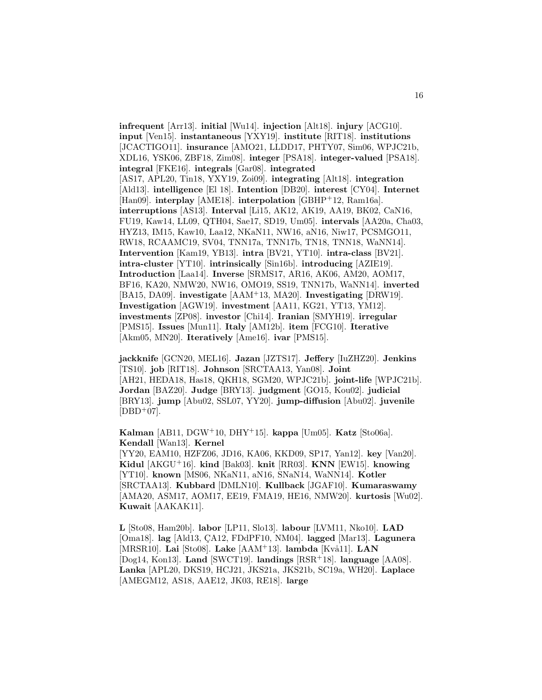**infrequent** [Arr13]. **initial** [Wu14]. **injection** [Alt18]. **injury** [ACG10]. **input** [Ven15]. **instantaneous** [YXY19]. **institute** [RIT18]. **institutions** [JCACTIGO11]. **insurance** [AMO21, LLDD17, PHTY07, Sim06, WPJC21b, XDL16, YSK06, ZBF18, Zim08]. **integer** [PSA18]. **integer-valued** [PSA18]. **integral** [FKE16]. **integrals** [Gar08]. **integrated** [AS17, APL20, Tin18, YXY19, Zoi09]. **integrating** [Alt18]. **integration** [Ald13]. **intelligence** [El 18]. **Intention** [DB20]. **interest** [CY04]. **Internet** [Han09]. **interplay** [AME18]. **interpolation** [GBHP<sup>+</sup>12, Ram16a]. **interruptions** [AS13]. **Interval** [Li15, AK12, AK19, AA19, BK02, CaN16, FU19, Kaw14, LL09, QTH04, Sae17, SD19, Um05]. **intervals** [AA20a, Cha03, HYZ13, IM15, Kaw10, Laa12, NKaN11, NW16, aN16, Niw17, PCSMGO11, RW18, RCAAMC19, SV04, TNN17a, TNN17b, TN18, TNN18, WaNN14]. **Intervention** [Kam19, YB13]. **intra** [BV21, YT10]. **intra-class** [BV21]. **intra-cluster** [YT10]. **intrinsically** [Sin16b]. **introducing** [AZIE19]. **Introduction** [Laa14]. **Inverse** [SRMS17, AR16, AK06, AM20, AOM17, BF16, KA20, NMW20, NW16, OMO19, SS19, TNN17b, WaNN14]. **inverted** [BA15, DA09]. **investigate** [AAM<sup>+</sup>13, MA20]. **Investigating** [DRW19]. **Investigation** [AGW19]. **investment** [AA11, KG21, YT13, YM12]. **investments** [ZP08]. **investor** [Chi14]. **Iranian** [SMYH19]. **irregular** [PMS15]. **Issues** [Mun11]. **Italy** [AM12b]. **item** [FCG10]. **Iterative** [Akm05, MN20]. **Iteratively** [Ame16]. **ivar** [PMS15].

**jackknife** [GCN20, MEL16]. **Jazan** [JZTS17]. **Jeffery** [IuZHZ20]. **Jenkins** [TS10]. **job** [RIT18]. **Johnson** [SRCTAA13, Yan08]. **Joint** [AH21, HEDA18, Has18, QKH18, SGM20, WPJC21b]. **joint-life** [WPJC21b]. **Jordan** [BAZ20]. **Judge** [BRY13]. **judgment** [GO15, Kou02]. **judicial** [BRY13]. **jump** [Abu02, SSL07, YY20]. **jump-diffusion** [Abu02]. **juvenile**  $[DBD+07]$ .

**Kalman** [AB11, DGW<sup>+</sup>10, DHY<sup>+</sup>15]. **kappa** [Um05]. **Katz** [Sto06a]. **Kendall** [Wan13]. **Kernel** [YY20, EAM10, HZFZ06, JD16, KA06, KKD09, SP17, Yan12]. **key** [Van20].

**Kidul** [AKGU<sup>+</sup>16]. **kind** [Bak03]. **knit** [RR03]. **KNN** [EW15]. **knowing** [YT10]. **known** [MS06, NKaN11, aN16, SNaN14, WaNN14]. **Kotler** [SRCTAA13]. **Kubbard** [DMLN10]. **Kullback** [JGAF10]. **Kumaraswamy** [AMA20, ASM17, AOM17, EE19, FMA19, HE16, NMW20]. **kurtosis** [Wu02]. **Kuwait** [AAKAK11].

**L** [Sto08, Ham20b]. **labor** [LP11, Slo13]. **labour** [LVM11, Nko10]. **LAD** [Oma18]. **lag** [Ald13, CA12, FDdPF10, NM04]. **lagged** [Mar13]. **Lagunera** [MRSR10]. **Lai** [Sto08]. **Lake** [AAM<sup>+</sup>13]. **lambda** [Kvå11]. **LAN** [Dog14, Kon13]. **Land** [SWCT19]. **landings** [RSR<sup>+</sup>18]. **language** [AA08]. **Lanka** [APL20, DKS19, HCJ21, JKS21a, JKS21b, SC19a, WH20]. **Laplace** [AMEGM12, AS18, AAE12, JK03, RE18]. **large**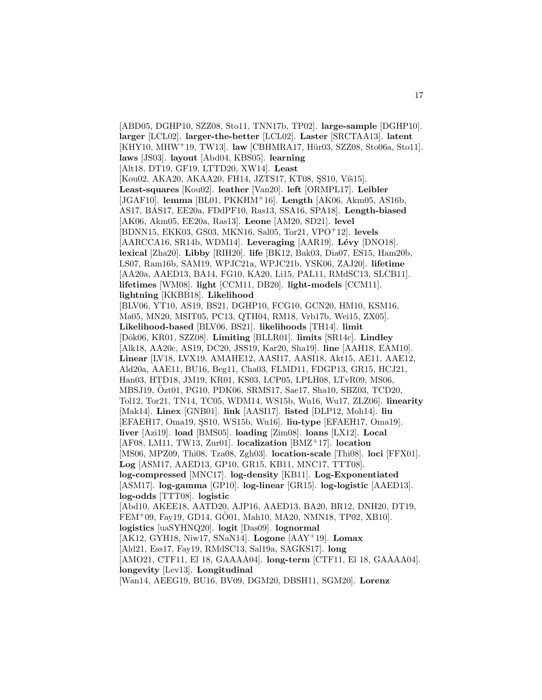[ABD05, DGHP10, SZZ08, Sto11, TNN17b, TP02]. **large-sample** [DGHP10]. **larger** [LCL02]. **larger-the-better** [LCL02]. **Laster** [SRCTAA13]. **latent** [KHY10, MHW<sup>+</sup>19, TW13]. **law** [CBHMRA17, Hür03, SZZ08, Sto06a, Sto11]. **laws** [JS03]. **layout** [Abd04, KBS05]. **learning** [Alt18, DT19, GF19, LTTD20, XW14]. **Least** [Kou02, AKA20, AKAA20, FH14, JZTS17, KT08, SS10, Viš15]. **Least-squares** [Kou02]. **leather** [Van20]. **left** [ORMPL17]. **Leibler** [JGAF10]. **lemma** [BL01, PKKHM<sup>+</sup>16]. **Length** [AK06, Akm05, AS16b, AS17, BAS17, EE20a, FDdPF10, Ras13, SSA16, SPA18]. **Length-biased** [AK06, Akm05, EE20a, Ras13]. **Leone** [AM20, SD21]. **level** [BDNN15, EKK03, GS03, MKN16, Sal05, Tor21, VPO<sup>+</sup>12]. **levels** [AARCCA16, SR14b, WDM14]. Leveraging [AAR19]. Lévy [DNO18]. **lexical** [Zha20]. **Libby** [RIH20]. **life** [BK12, Bak03, Dia07, ES15, Ham20b, LS07, Ram16b, SAM19, WPJC21a, WPJC21b, YSK06, ZAJ20]. **lifetime** [AA20a, AAED13, BA14, FG10, KA20, Li15, PAL11, RMdSC13, SLCB11]. **lifetimes** [WM08]. **light** [CCM11, DB20]. **light-models** [CCM11]. **lightning** [KKBB18]. **Likelihood** [BLV06, YT10, AS19, BS21, DGHP10, FCG10, GCN20, HM10, KSM16, Ma05, MN20, MSIT05, PC13, QTH04, RM18, Vrb17b, Wei15, ZX05]. **Likelihood-based** [BLV06, BS21]. **likelihoods** [TH14]. **limit** [Dˆok06, KR01, SZZ08]. **Limiting** [BLLR01]. **limits** [SR14c]. **Lindley** [Alk18, AA20c, AS19, DC20, JSS19, Kar20, Sha19]. **line** [AAH18, EAM10]. **Linear** [LV18, LVX19, AMAHE12, AASI17, AASI18, Akt15, AE11, AAE12, Ald20a, AAE11, BU16, Beg11, Cha03, FLMD11, FDGP13, GR15, HCJ21, Han03, HTD18, JM19, KR01, KS03, LCP05, LPLH08, LTvR09, MS06, MBSJ19, Ozt01, PG10, PDK06, SRMS17, Sae17, Sha10, SBZ03, TCD20, ¨ Tol12, Tor21, TN14, TC05, WDM14, WS15b, Wu16, Wu17, ZLZ06]. **linearity** [Mak14]. **Linex** [GNB01]. **link** [AASI17]. **listed** [DLP12, Moh14]. **liu** [EFAEH17, Oma19, SS10, WS15b, Wu16]. **liu-type** [EFAEH17, Oma19]. **liver** [Azi19]. **load** [BMS05]. **loading** [Zim08]. **loans** [LX12]. **Local** [AF08, LM11, TW13, Zur01]. **localization** [BMZ<sup>+</sup>17]. **location** [MS06, MPZ09, Thi08, Tza08, Zgh03]. **location-scale** [Thi08]. **loci** [FFX01]. **Log** [ASM17, AAED13, GP10, GR15, KB11, MNC17, TTT08]. **log-compressed** [MNC17]. **log-density** [KB11]. **Log-Exponentiated** [ASM17]. **log-gamma** [GP10]. **log-linear** [GR15]. **log-logistic** [AAED13]. **log-odds** [TTT08]. **logistic** [Abd10, AKEE18, AATD20, AJP16, AAED13, BA20, BR12, DNH20, DT19,  $FEM<sup>+</sup>09, Fay19, GD14, GÖ01, Mah10, MA20, NMN18, TP02, XB10].$ **logistics** [uaSYHNQ20]. **logit** [Das09]. **lognormal** [AK12, GYH18, Niw17, SNaN14]. **Logone** [AAY<sup>+</sup>19]. **Lomax** [Ald21, Ess17, Fay19, RMdSC13, Sal19a, SAGKS17]. **long** [AMO21, CTF11, El 18, GAAAA04]. **long-term** [CTF11, El 18, GAAAA04]. **longevity** [Lev13]. **Longitudinal** [Wan14, AEEG19, BU16, BV09, DGM20, DBSH11, SGM20]. **Lorenz**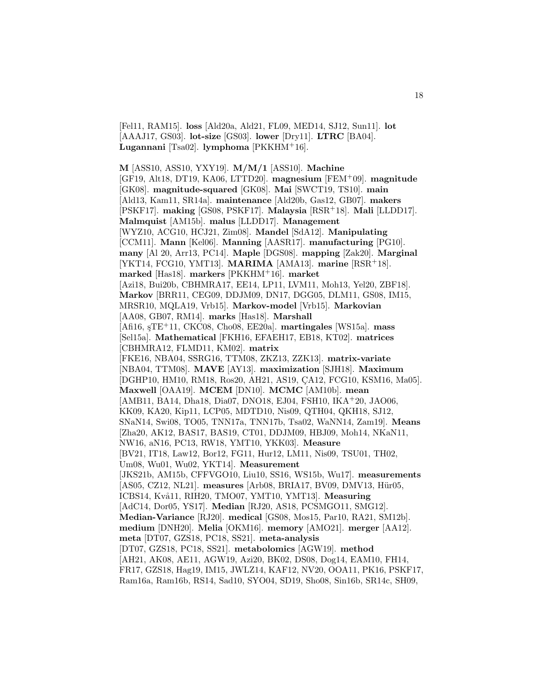[Fel11, RAM15]. **loss** [Ald20a, Ald21, FL09, MED14, SJ12, Sun11]. **lot** [AAAJ17, GS03]. **lot-size** [GS03]. **lower** [Dry11]. **LTRC** [BA04]. **Lugannani** [Tsa02]. **lymphoma** [PKKHM<sup>+</sup>16].

**M** [ASS10, ASS10, YXY19]. **M/M/1** [ASS10]. **Machine** [GF19, Alt18, DT19, KA06, LTTD20]. **magnesium** [FEM<sup>+</sup>09]. **magnitude** [GK08]. **magnitude-squared** [GK08]. **Mai** [SWCT19, TS10]. **main** [Ald13, Kam11, SR14a]. **maintenance** [Ald20b, Gas12, GB07]. **makers** [PSKF17]. **making** [GS08, PSKF17]. **Malaysia** [RSR<sup>+</sup>18]. **Mali** [LLDD17]. **Malmquist** [AM15b]. **malus** [LLDD17]. **Management** [WYZ10, ACG10, HCJ21, Zim08]. **Mandel** [SdA12]. **Manipulating** [CCM11]. **Mann** [Kel06]. **Manning** [AASR17]. **manufacturing** [PG10]. **many** [Al 20, Arr13, PC14]. **Maple** [DGS08]. **mapping** [Zak20]. **Marginal** [YKT14, FCG10, YMT13]. **MARIMA** [AMA13]. **marine** [RSR<sup>+</sup>18]. **marked** [Has18]. **markers** [PKKHM<sup>+</sup>16]. **market** [Azi18, Bui20b, CBHMRA17, EE14, LP11, LVM11, Moh13, Yel20, ZBF18]. **Markov** [BRR11, CEG09, DDJM09, DN17, DGG05, DLM11, GS08, IM15, MRSR10, MQLA19, Vrb15]. **Markov-model** [Vrb15]. **Markovian** [AA08, GB07, RM14]. **marks** [Has18]. **Marshall** [Afi16, ¸sTE<sup>+</sup>11, CKC08, Cho08, EE20a]. **martingales** [WS15a]. **mass** [Sel15a]. **Mathematical** [FKH16, EFAEH17, EB18, KT02]. **matrices** [CBHMRA12, FLMD11, KM02]. **matrix** [FKE16, NBA04, SSRG16, TTM08, ZKZ13, ZZK13]. **matrix-variate** [NBA04, TTM08]. **MAVE** [AY13]. **maximization** [SJH18]. **Maximum** [DGHP10, HM10, RM18, Ros20, AH21, AS19, CA12, FCG10, KSM16, Ma05]. **Maxwell** [OAA19]. **MCEM** [DN10]. **MCMC** [AM10b]. **mean** [AMB11, BA14, Dha18, Dia07, DNO18, EJ04, FSH10, IKA<sup>+</sup>20, JAO06, KK09, KA20, Kip11, LCP05, MDTD10, Nis09, QTH04, QKH18, SJ12, SNaN14, Swi08, TO05, TNN17a, TNN17b, Tsa02, WaNN14, Zam19]. **Means** [Zha20, AK12, BAS17, BAS19, CT01, DDJM09, HBJ09, Moh14, NKaN11, NW16, aN16, PC13, RW18, YMT10, YKK03]. **Measure** [BV21, IT18, Law12, Bor12, FG11, Hur12, LM11, Nis09, TSU01, TH02, Um08, Wu01, Wu02, YKT14]. **Measurement** [JKS21b, AM15b, CFFVGO10, Liu10, SS16, WS15b, Wu17]. **measurements** [AS05, CZ12, NL21]. measures [Arb08, BRIA17, BV09, DMV13, Hür05, ICBS14, Kv˚a11, RIH20, TMO07, YMT10, YMT13]. **Measuring** [AdC14, Dor05, YS17]. **Median** [RJ20, AS18, PCSMGO11, SMG12]. **Median-Variance** [RJ20]. **medical** [GS08, Mos15, Par10, RA21, SM12b]. **medium** [DNH20]. **Melia** [OKM16]. **memory** [AMO21]. **merger** [AA12]. **meta** [DT07, GZS18, PC18, SS21]. **meta-analysis** [DT07, GZS18, PC18, SS21]. **metabolomics** [AGW19]. **method** [AH21, AK08, AE11, AGW19, Azi20, BK02, DS08, Dog14, EAM10, FH14, FR17, GZS18, Hag19, IM15, JWLZ14, KAF12, NV20, OOA11, PK16, PSKF17, Ram16a, Ram16b, RS14, Sad10, SYO04, SD19, Sho08, Sin16b, SR14c, SH09,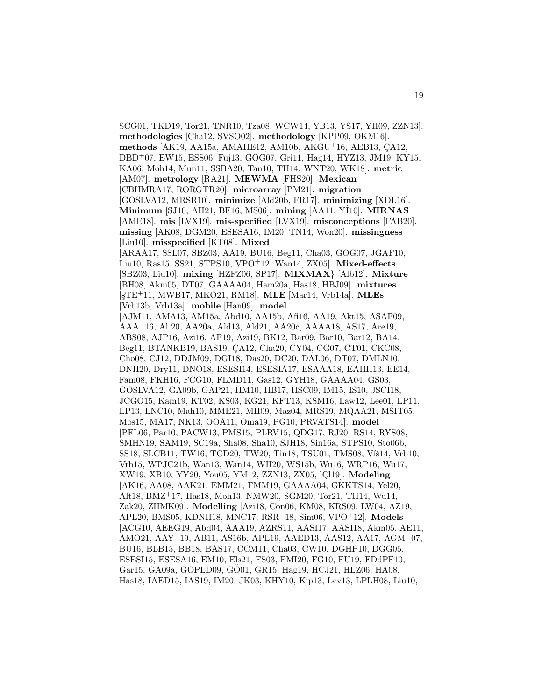SCG01, TKD19, Tor21, TNR10, Tza08, WCW14, YB13, YS17, YH09, ZZN13]. **methodologies** [Cha12, SVSO02]. **methodology** [KPP09, OKM16]. **methods** [AK19, AA15a, AMAHE12, AM10b, AKGU<sup>+</sup>16, AEB13, CA12, DBD<sup>+</sup>07, EW15, ESS06, Fuj13, GOG07, Gri11, Hag14, HYZ13, JM19, KY15, KA06, Moh14, Mun11, SSBA20, Tan10, TH14, WNT20, WK18]. **metric** [AM07]. **metrology** [RA21]. **MEWMA** [FHS20]. **Mexican** [CBHMRA17, RORGTR20]. **microarray** [PM21]. **migration** [GOSLVA12, MRSR10]. **minimize** [Ald20b, FR17]. **minimizing** [XDL16]. **Minimum** [SJ10, AH21, BF16, MS06]. **mining** [AA11, Y˙ I10]. **MIRNAS** [AME18]. **mis** [LVX19]. **mis-specified** [LVX19]. **misconceptions** [FAB20]. **missing** [AK08, DGM20, ESESA16, IM20, TN14, Won20]. **missingness** [Liu10]. **misspecified** [KT08]. **Mixed** [ARAA17, SSL07, SBZ03, AA19, BU16, Beg11, Cha03, GOG07, JGAF10, Liu10, Ras15, SS21, STPS10, VPO<sup>+</sup>12, Wan14, ZX05]. **Mixed-effects** [SBZ03, Liu10]. **mixing** [HZFZ06, SP17]. **MIXMAX**} [Alb12]. **Mixture** [BH08, Akm05, DT07, GAAAA04, Ham20a, Has18, HBJ09]. **mixtures** [¸sTE<sup>+</sup>11, MWB17, MKO21, RM18]. **MLE** [Mar14, Vrb14a]. **MLEs** [Vrb13b, Vrb13a]. **mobile** [Han09]. **model** [AJM11, AMA13, AM15a, Abd10, AA15b, Afi16, AA19, Akt15, ASAF09, AAA<sup>+</sup>16, Al 20, AA20a, Ald13, Ald21, AA20c, AAAA18, AS17, Are19, ABS08, AJP16, Azi16, AF19, Azi19, BK12, Bar09, Bar10, Bar12, BA14, Beg11, BTANKB19, BAS19, CA12, Cha20, CY04, CG07, CT01, CKC08, Cho08, CJ12, DDJM09, DGI18, Das20, DC20, DAL06, DT07, DMLN10, DNH20, Dry11, DNO18, ESESI14, ESESIA17, ESAAA18, EAHH13, EE14, Fam08, FKH16, FCG10, FLMD11, Gas12, GYH18, GAAAA04, GS03, GOSLVA12, GA09b, GAP21, HM10, HB17, HSC09, IM15, IS10, JSCI18, JCGO15, Kam19, KT02, KS03, KG21, KFT13, KSM16, Law12, Lee01, LP11, LP13, LNC10, Mah10, MME21, MH09, Maz04, MRS19, MQAA21, MSIT05, Mos15, MA17, NK13, OOA11, Oma19, PG10, PRVATS14]. **model** [PFL06, Par10, PACW13, PMS15, PLRV15, QDG17, RJ20, RS14, RYS08, SMHN19, SAM19, SC19a, Sha08, Sha10, SJH18, Sin16a, STPS10, Sto06b, SS18, SLCB11, TW16, TCD20, TW20, Tin18, TSU01, TMS08, Víš14, Vrb10, Vrb15, WPJC21b, Wan13, Wan14, WH20, WS15b, Wu16, WRP16, Wu17, XW19, XB10, YY20, You05, YM12, ZZN13, ZX05, lCl19]. **Modeling** [AK16, AA08, AAK21, EMM21, FMM19, GAAAA04, GKKTS14, Yel20, Alt18, BMZ<sup>+</sup>17, Has18, Moh13, NMW20, SGM20, Tor21, TH14, Wu14, Zak20, ZHMK09]. **Modelling** [Azi18, Con06, KM08, KRS09, LW04, AZ19, APL20, BMS05, KDNH18, MNC17, RSR<sup>+</sup>18, Sim06, VPO<sup>+</sup>12]. **Models** [ACG10, AEEG19, Abd04, AAA19, AZRS11, AASI17, AASI18, Akm05, AE11, AMO21, AAY<sup>+</sup>19, AB11, AS16b, APL19, AAED13, AAS12, AA17, AGM<sup>+</sup>07, BU16, BLB15, BB18, BAS17, CCM11, Cha03, CW10, DGHP10, DGG05, ESESI15, ESESA16, EM10, Els21, FS03, FMI20, FG10, FU19, FDdPF10, Gar15, GA09a, GOPLD09, GÖ01, GR15, Hag19, HCJ21, HLZ06, HA08, Has18, IAED15, IAS19, IM20, JK03, KHY10, Kip13, Lev13, LPLH08, Liu10,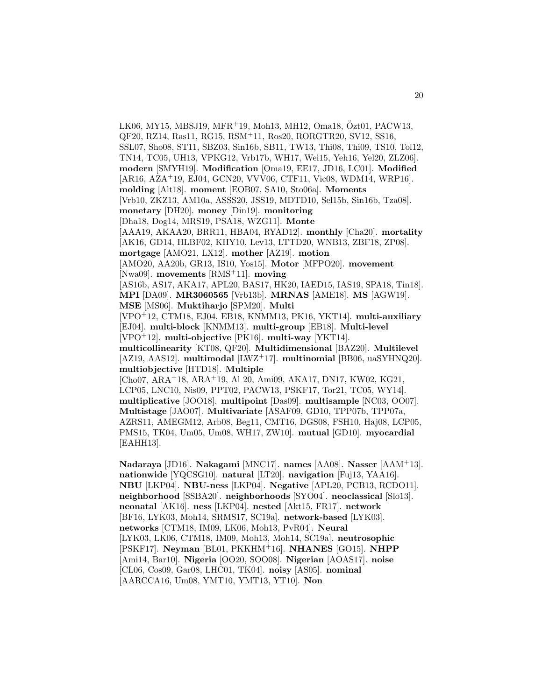LK06, MY15, MBSJ19, MFR<sup>+</sup>19, Moh13, MH12, Oma18, Özt01, PACW13, QF20, RZ14, Ras11, RG15, RSM<sup>+</sup>11, Ros20, RORGTR20, SV12, SS16, SSL07, Sho08, ST11, SBZ03, Sin16b, SB11, TW13, Thi08, Thi09, TS10, Tol12, TN14, TC05, UH13, VPKG12, Vrb17b, WH17, Wei15, Yeh16, Yel20, ZLZ06]. **modern** [SMYH19]. **Modification** [Oma19, EE17, JD16, LC01]. **Modified** [AR16, AZA<sup>+</sup>19, EJ04, GCN20, VVV06, CTF11, Vic08, WDM14, WRP16]. **molding** [Alt18]. **moment** [EOB07, SA10, Sto06a]. **Moments** [Vrb10, ZKZ13, AM10a, ASSS20, JSS19, MDTD10, Sel15b, Sin16b, Tza08]. **monetary** [DH20]. **money** [Din19]. **monitoring** [Dha18, Dog14, MRS19, PSA18, WZG11]. **Monte** [AAA19, AKAA20, BRR11, HBA04, RYAD12]. **monthly** [Cha20]. **mortality** [AK16, GD14, HLBF02, KHY10, Lev13, LTTD20, WNB13, ZBF18, ZP08]. **mortgage** [AMO21, LX12]. **mother** [AZ19]. **motion** [AMO20, AA20b, GR13, IS10, Yos15]. **Motor** [MFPO20]. **movement** [Nwa09]. **movements** [RMS<sup>+</sup>11]. **moving** [AS16b, AS17, AKA17, APL20, BAS17, HK20, IAED15, IAS19, SPA18, Tin18]. **MPI** [DA09]. **MR3060565** [Vrb13b]. **MRNAS** [AME18]. **MS** [AGW19]. **MSE** [MS06]. **Muktiharjo** [SPM20]. **Multi** [VPO<sup>+</sup>12, CTM18, EJ04, EB18, KNMM13, PK16, YKT14]. **multi-auxiliary** [EJ04]. **multi-block** [KNMM13]. **multi-group** [EB18]. **Multi-level** [VPO<sup>+</sup>12]. **multi-objective** [PK16]. **multi-way** [YKT14]. **multicollinearity** [KT08, QF20]. **Multidimensional** [BAZ20]. **Multilevel** [AZ19, AAS12]. **multimodal** [LWZ<sup>+</sup>17]. **multinomial** [BB06, uaSYHNQ20]. **multiobjective** [HTD18]. **Multiple** [Cho07, ARA<sup>+</sup>18, ARA<sup>+</sup>19, Al 20, Ami09, AKA17, DN17, KW02, KG21, LCP05, LNC10, Nis09, PPT02, PACW13, PSKF17, Tor21, TC05, WY14]. **multiplicative** [JOO18]. **multipoint** [Das09]. **multisample** [NC03, OO07]. **Multistage** [JAO07]. **Multivariate** [ASAF09, GD10, TPP07b, TPP07a, AZRS11, AMEGM12, Arb08, Beg11, CMT16, DGS08, FSH10, Haj08, LCP05, PMS15, TK04, Um05, Um08, WH17, ZW10]. **mutual** [GD10]. **myocardial** [EAHH13]. **Nadaraya** [JD16]. **Nakagami** [MNC17]. **names** [AA08]. **Nasser** [AAM<sup>+</sup>13].

**nationwide** [YQCSG10]. **natural** [LT20]. **navigation** [Fuj13, YAA16]. **NBU** [LKP04]. **NBU-ness** [LKP04]. **Negative** [APL20, PCB13, RCDO11]. **neighborhood** [SSBA20]. **neighborhoods** [SYO04]. **neoclassical** [Slo13]. **neonatal** [AK16]. **ness** [LKP04]. **nested** [Akt15, FR17]. **network** [BF16, LYK03, Moh14, SRMS17, SC19a]. **network-based** [LYK03]. **networks** [CTM18, IM09, LK06, Moh13, PvR04]. **Neural** [LYK03, LK06, CTM18, IM09, Moh13, Moh14, SC19a]. **neutrosophic** [PSKF17]. **Neyman** [BL01, PKKHM<sup>+</sup>16]. **NHANES** [GO15]. **NHPP** [Ami14, Bar10]. **Nigeria** [OO20, SOO08]. **Nigerian** [AOAS17]. **noise** [CL06, Cos09, Gar08, LHC01, TK04]. **noisy** [AS05]. **nominal** [AARCCA16, Um08, YMT10, YMT13, YT10]. **Non**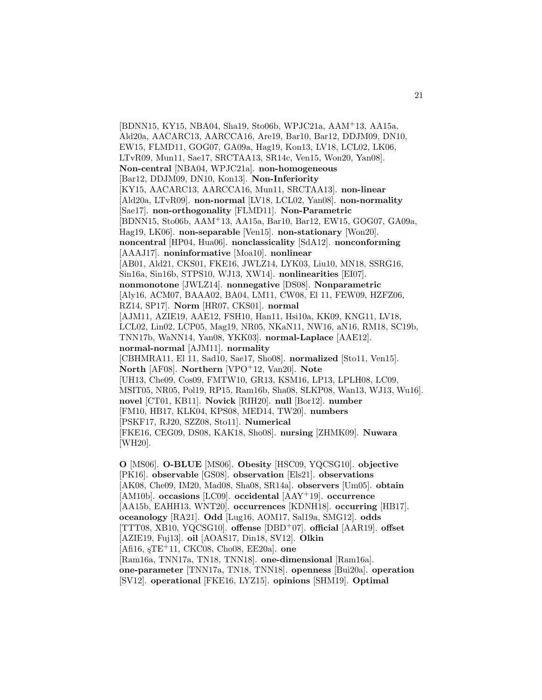[BDNN15, KY15, NBA04, Sha19, Sto06b, WPJC21a, AAM<sup>+</sup>13, AA15a, Ald20a, AACARC13, AARCCA16, Are19, Bar10, Bar12, DDJM09, DN10, EW15, FLMD11, GOG07, GA09a, Hag19, Kon13, LV18, LCL02, LK06, LTvR09, Mun11, Sae17, SRCTAA13, SR14c, Ven15, Won20, Yan08]. **Non-central** [NBA04, WPJC21a]. **non-homogeneous** [Bar12, DDJM09, DN10, Kon13]. **Non-Inferiority** [KY15, AACARC13, AARCCA16, Mun11, SRCTAA13]. **non-linear** [Ald20a, LTvR09]. **non-normal** [LV18, LCL02, Yan08]. **non-normality** [Sae17]. **non-orthogonality** [FLMD11]. **Non-Parametric** [BDNN15, Sto06b, AAM<sup>+</sup>13, AA15a, Bar10, Bar12, EW15, GOG07, GA09a, Hag19, LK06]. **non-separable** [Ven15]. **non-stationary** [Won20]. **noncentral** [HP04, Hua06]. **nonclassicality** [SdA12]. **nonconforming** [AAAJ17]. **noninformative** [Moa10]. **nonlinear** [AB01, Ald21, CKS01, FKE16, JWLZ14, LYK03, Liu10, MN18, SSRG16, Sin16a, Sin16b, STPS10, WJ13, XW14]. **nonlinearities** [EI07]. **nonmonotone** [JWLZ14]. **nonnegative** [DS08]. **Nonparametric** [Aly16, ACM07, BAAA02, BA04, LM11, CW08, El 11, FEW09, HZFZ06, RZ14, SP17]. **Norm** [HR07, CKS01]. **normal** [AJM11, AZIE19, AAE12, FSH10, Han11, Hsi10a, KK09, KNG11, LV18, LCL02, Lin02, LCP05, Mag19, NR05, NKaN11, NW16, aN16, RM18, SC19b, TNN17b, WaNN14, Yan08, YKK03]. **normal-Laplace** [AAE12]. **normal-normal** [AJM11]. **normality** [CBHMRA11, El 11, Sad10, Sae17, Sho08]. **normalized** [Sto11, Ven15]. **North** [AF08]. **Northern** [VPO<sup>+</sup>12, Van20]. **Note** [UH13, Che09, Cos09, FMTW10, GR13, KSM16, LP13, LPLH08, LC09, MSIT05, NR05, Pol19, RP15, Ram16b, Sha08, SLKP08, Wan13, WJ13, Wu16]. **novel** [CT01, KB11]. **Novick** [RIH20]. **null** [Bor12]. **number** [FM10, HB17, KLK04, KPS08, MED14, TW20]. **numbers** [PSKF17, RJ20, SZZ08, Sto11]. **Numerical** [FKE16, CEG09, DS08, KAK18, Sho08]. **nursing** [ZHMK09]. **Nuwara** [WH20].

**O** [MS06]. **O-BLUE** [MS06]. **Obesity** [HSC09, YQCSG10]. **objective** [PK16]. **observable** [GS08]. **observation** [Els21]. **observations** [AK08, Che09, IM20, Mad08, Sha08, SR14a]. **observers** [Um05]. **obtain** [AM10b]. **occasions** [LC09]. **occidental** [AAY<sup>+</sup>19]. **occurrence** [AA15b, EAHH13, WNT20]. **occurrences** [KDNH18]. **occurring** [HB17]. **oceanology** [RA21]. **Odd** [Lug16, AOM17, Sal19a, SMG12]. **odds** [TTT08, XB10, YQCSG10]. **offense** [DBD<sup>+</sup>07]. **official** [AAR19]. **offset** [AZIE19, Fuj13]. **oil** [AOAS17, Din18, SV12]. **Olkin** [Afi16, ¸sTE<sup>+</sup>11, CKC08, Cho08, EE20a]. **one** [Ram16a, TNN17a, TN18, TNN18]. **one-dimensional** [Ram16a]. **one-parameter** [TNN17a, TN18, TNN18]. **openness** [Bui20a]. **operation** [SV12]. **operational** [FKE16, LYZ15]. **opinions** [SHM19]. **Optimal**

21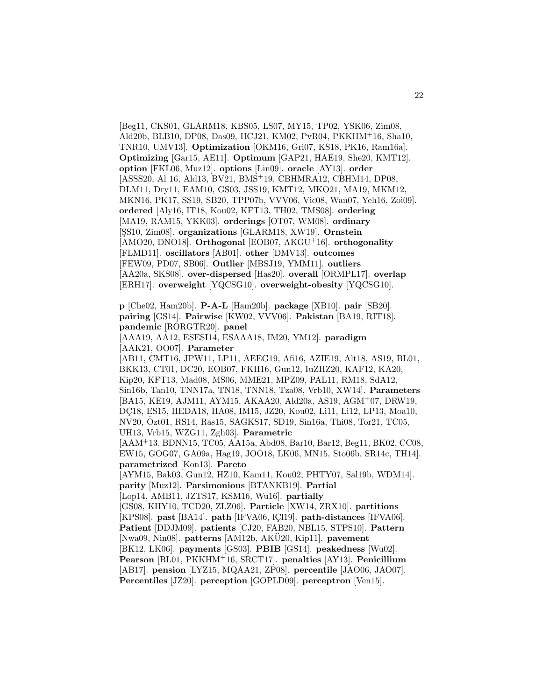[Beg11, CKS01, GLARM18, KBS05, LS07, MY15, TP02, YSK06, Zim08, Ald20b, BLB10, DP08, Das09, HCJ21, KM02, PvR04, PKKHM<sup>+</sup>16, Sha10, TNR10, UMV13]. **Optimization** [OKM16, Gri07, KS18, PK16, Ram16a]. **Optimizing** [Gar15, AE11]. **Optimum** [GAP21, HAE19, She20, KMT12]. **option** [FKL06, Muz12]. **options** [Lin09]. **oracle** [AY13]. **order** [ASSS20, Al 16, Ald13, BV21, BMS<sup>+</sup>19, CBHMRA12, CBHM14, DP08, DLM11, Dry11, EAM10, GS03, JSS19, KMT12, MKO21, MA19, MKM12, MKN16, PK17, SS19, SB20, TPP07b, VVV06, Vic08, Wan07, Yeh16, Zoi09]. **ordered** [Aly16, IT18, Kou02, KFT13, TH02, TMS08]. **ordering** [MA19, RAM15, YKK03]. **orderings** [OT07, WM08]. **ordinary** [¸SS10, Zim08]. **organizations** [GLARM18, XW19]. **Ornstein** [AMO20, DNO18]. **Orthogonal** [EOB07, AKGU<sup>+</sup>16]. **orthogonality** [FLMD11]. **oscillators** [AB01]. **other** [DMV13]. **outcomes** [FEW09, PD07, SB06]. **Outlier** [MBSJ19, YMM11]. **outliers** [AA20a, SKS08]. **over-dispersed** [Has20]. **overall** [ORMPL17]. **overlap** [ERH17]. **overweight** [YQCSG10]. **overweight-obesity** [YQCSG10].

**p** [Che02, Ham20b]. **P-A-L** [Ham20b]. **package** [XB10]. **pair** [SB20]. **pairing** [GS14]. **Pairwise** [KW02, VVV06]. **Pakistan** [BA19, RIT18]. **pandemic** [RORGTR20]. **panel**

[AAA19, AA12, ESESI14, ESAAA18, IM20, YM12]. **paradigm** [AAK21, OO07]. **Parameter**

[AB11, CMT16, JPW11, LP11, AEEG19, Afi16, AZIE19, Alt18, AS19, BL01, BKK13, CT01, DC20, EOB07, FKH16, Gun12, IuZHZ20, KAF12, KA20, Kip20, KFT13, Mad08, MS06, MME21, MPZ09, PAL11, RM18, SdA12, Sin16b, Tan10, TNN17a, TN18, TNN18, Tza08, Vrb10, XW14]. **Parameters** [BA15, KE19, AJM11, AYM15, AKAA20, Ald20a, AS19, AGM<sup>+</sup>07, DRW19, DC18, ES15, HEDA18, HA08, IM15, JZ20, Kou02, Li11, Li12, LP13, Moa10, NV20, Ozt01, RS14, Ras15, SAGKS17, SD19, Sin16a, Thi08, Tor21, TC05, ¨ UH13, Vrb15, WZG11, Zgh03]. **Parametric** [AAM<sup>+</sup>13, BDNN15, TC05, AA15a, Abd08, Bar10, Bar12, Beg11, BK02, CC08, EW15, GOG07, GA09a, Hag19, JOO18, LK06, MN15, Sto06b, SR14c, TH14].

**parametrized** [Kon13]. **Pareto** [AYM15, Bak03, Gun12, HZ10, Kam11, Kou02, PHTY07, Sal19b, WDM14]. **parity** [Muz12]. **Parsimonious** [BTANKB19]. **Partial** [Lop14, AMB11, JZTS17, KSM16, Wu16]. **partially** [GS08, KHY10, TCD20, ZLZ06]. **Particle** [XW14, ZRX10]. **partitions** [KPS08]. **past** [BA14]. **path** [IFVA06, lCl19]. **path-distances** [IFVA06]. **Patient** [DDJM09]. **patients** [CJ20, FAB20, NBL15, STPS10]. **Pattern** [Nwa09, Nin08]. **patterns** [AM12b, AKU20, Kip11]. **pavement** [BK12, LK06]. **payments** [GS03]. **PBIB** [GS14]. **peakedness** [Wu02]. **Pearson** [BL01, PKKHM<sup>+</sup>16, SRCT17]. **penalties** [AY13]. **Penicillium** [AB17]. **pension** [LYZ15, MQAA21, ZP08]. **percentile** [JAO06, JAO07].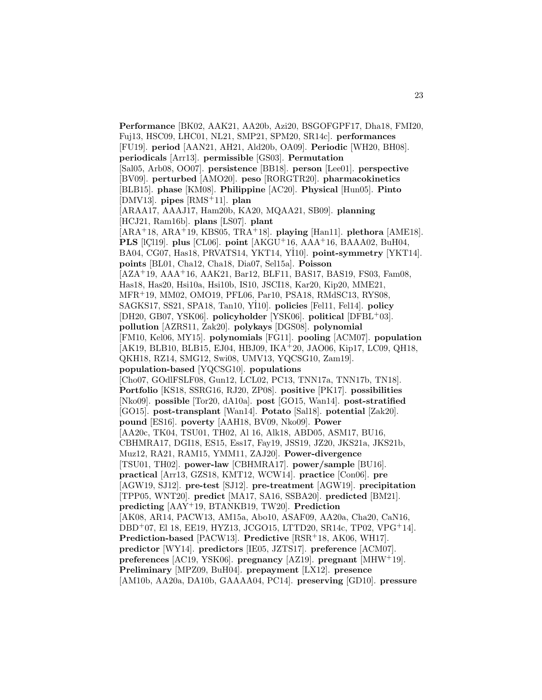**Performance** [BK02, AAK21, AA20b, Azi20, BSGOFGPF17, Dha18, FMI20, Fuj13, HSC09, LHC01, NL21, SMP21, SPM20, SR14c]. **performances** [FU19]. **period** [AAN21, AH21, Ald20b, OA09]. **Periodic** [WH20, BH08]. **periodicals** [Arr13]. **permissible** [GS03]. **Permutation** [Sal05, Arb08, OO07]. **persistence** [BB18]. **person** [Lee01]. **perspective** [BV09]. **perturbed** [AMO20]. **peso** [RORGTR20]. **pharmacokinetics** [BLB15]. **phase** [KM08]. **Philippine** [AC20]. **Physical** [Hun05]. **Pinto** [DMV13]. **pipes** [RMS<sup>+</sup>11]. **plan** [ARAA17, AAAJ17, Ham20b, KA20, MQAA21, SB09]. **planning** [HCJ21, Ram16b]. **plans** [LS07]. **plant** [ARA<sup>+</sup>18, ARA<sup>+</sup>19, KBS05, TRA<sup>+</sup>18]. **playing** [Han11]. **plethora** [AME18]. **PLS** [IÇ119]. **plus** [CL06]. **point**  $AKGU+16$ ,  $AAA+16$ ,  $BAAA02$ ,  $BuH04$ , BA04, CG07, Has18, PRVATS14, YKT14, Y˙ I10]. **point-symmetry** [YKT14]. **points** [BL01, Cha12, Cha18, Dia07, Sel15a]. **Poisson** [AZA<sup>+</sup>19, AAA<sup>+</sup>16, AAK21, Bar12, BLF11, BAS17, BAS19, FS03, Fam08, Has18, Has20, Hsi10a, Hsi10b, IS10, JSCI18, Kar20, Kip20, MME21, MFR<sup>+</sup>19, MM02, OMO19, PFL06, Par10, PSA18, RMdSC13, RYS08, SAGKS17, SS21, SPA18, Tan10, Y˙ I10]. **policies** [Fel11, Fel14]. **policy** [DH20, GB07, YSK06]. **policyholder** [YSK06]. **political** [DFBL<sup>+</sup>03]. **pollution** [AZRS11, Zak20]. **polykays** [DGS08]. **polynomial** [FM10, Kel06, MY15]. **polynomials** [FG11]. **pooling** [ACM07]. **population** [AK19, BLB10, BLB15, EJ04, HBJ09, IKA<sup>+</sup>20, JAO06, Kip17, LC09, QH18, QKH18, RZ14, SMG12, Swi08, UMV13, YQCSG10, Zam19]. **population-based** [YQCSG10]. **populations** [Cho07, GOdlFSLF08, Gun12, LCL02, PC13, TNN17a, TNN17b, TN18]. **Portfolio** [KS18, SSRG16, RJ20, ZP08]. **positive** [PK17]. **possibilities** [Nko09]. **possible** [Tor20, dA10a]. **post** [GO15, Wan14]. **post-stratified** [GO15]. **post-transplant** [Wan14]. **Potato** [Sal18]. **potential** [Zak20]. **pound** [ES16]. **poverty** [AAH18, BV09, Nko09]. **Power** [AA20c, TK04, TSU01, TH02, Al 16, Alk18, ABD05, ASM17, BU16, CBHMRA17, DGI18, ES15, Ess17, Fay19, JSS19, JZ20, JKS21a, JKS21b, Muz12, RA21, RAM15, YMM11, ZAJ20]. **Power-divergence** [TSU01, TH02]. **power-law** [CBHMRA17]. **power/sample** [BU16]. **practical** [Arr13, GZS18, KMT12, WCW14]. **practice** [Con06]. **pre** [AGW19, SJ12]. **pre-test** [SJ12]. **pre-treatment** [AGW19]. **precipitation** [TPP05, WNT20]. **predict** [MA17, SA16, SSBA20]. **predicted** [BM21]. **predicting** [AAY<sup>+</sup>19, BTANKB19, TW20]. **Prediction** [AK08, AR14, PACW13, AM15a, Abo10, ASAF09, AA20a, Cha20, CaN16, DBD<sup>+</sup>07, El 18, EE19, HYZ13, JCGO15, LTTD20, SR14c, TP02, VPG<sup>+</sup>14]. **Prediction-based** [PACW13]. **Predictive** [RSR<sup>+</sup>18, AK06, WH17]. **predictor** [WY14]. **predictors** [IE05, JZTS17]. **preference** [ACM07]. **preferences** [AC19, YSK06]. **pregnancy** [AZ19]. **pregnant** [MHW<sup>+</sup>19]. **Preliminary** [MPZ09, BuH04]. **prepayment** [LX12]. **presence** [AM10b, AA20a, DA10b, GAAAA04, PC14]. **preserving** [GD10]. **pressure**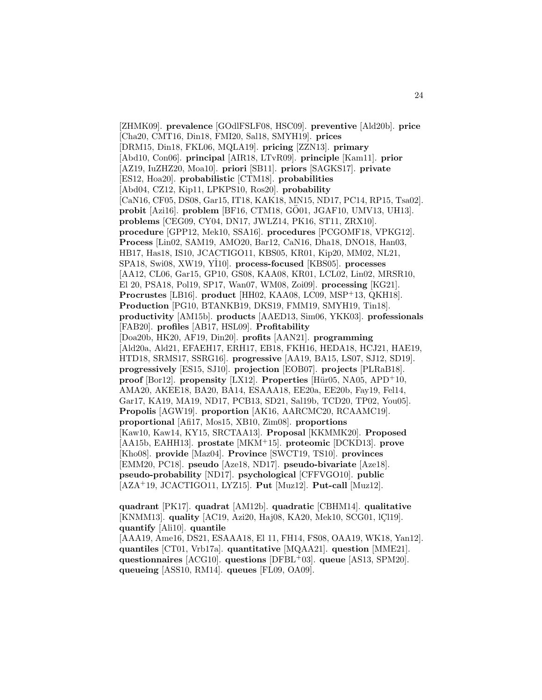[ZHMK09]. **prevalence** [GOdlFSLF08, HSC09]. **preventive** [Ald20b]. **price** [Cha20, CMT16, Din18, FMI20, Sal18, SMYH19]. **prices** [DRM15, Din18, FKL06, MQLA19]. **pricing** [ZZN13]. **primary** [Abd10, Con06]. **principal** [AIR18, LTvR09]. **principle** [Kam11]. **prior** [AZ19, IuZHZ20, Moa10]. **priori** [SB11]. **priors** [SAGKS17]. **private** [ES12, Hoa20]. **probabilistic** [CTM18]. **probabilities** [Abd04, CZ12, Kip11, LPKPS10, Ros20]. **probability** [CaN16, CF05, DS08, Gar15, IT18, KAK18, MN15, ND17, PC14, RP15, Tsa02]. **probit** [Azi16]. **problem** [BF16, CTM18, GÖ01, JGAF10, UMV13, UH13]. **problems** [CEG09, CY04, DN17, JWLZ14, PK16, ST11, ZRX10]. **procedure** [GPP12, Mek10, SSA16]. **procedures** [PCGOMF18, VPKG12]. **Process** [Lin02, SAM19, AMO20, Bar12, CaN16, Dha18, DNO18, Han03, HB17, Has18, IS10, JCACTIGO11, KBS05, KR01, Kip20, MM02, NL21, SPA18, Swi08, XW19, Y˙ I10]. **process-focused** [KBS05]. **processes** [AA12, CL06, Gar15, GP10, GS08, KAA08, KR01, LCL02, Lin02, MRSR10, El 20, PSA18, Pol19, SP17, Wan07, WM08, Zoi09]. **processing** [KG21]. **Procrustes** [LB16]. **product** [HH02, KAA08, LC09, MSP<sup>+</sup>13, QKH18]. **Production** [PG10, BTANKB19, DKS19, FMM19, SMYH19, Tin18]. **productivity** [AM15b]. **products** [AAED13, Sim06, YKK03]. **professionals** [FAB20]. **profiles** [AB17, HSL09]. **Profitability** [Doa20b, HK20, AF19, Din20]. **profits** [AAN21]. **programming** [Ald20a, Ald21, EFAEH17, ERH17, EB18, FKH16, HEDA18, HCJ21, HAE19, HTD18, SRMS17, SSRG16]. **progressive** [AA19, BA15, LS07, SJ12, SD19]. **progressively** [ES15, SJ10]. **projection** [EOB07]. **projects** [PLRaB18]. **proof** [Bor12]. **propensity** [LX12]. **Properties** [Hür05, NA05, APD<sup>+</sup>10, AMA20, AKEE18, BA20, BA14, ESAAA18, EE20a, EE20b, Fay19, Fel14, Gar17, KA19, MA19, ND17, PCB13, SD21, Sal19b, TCD20, TP02, You05]. **Propolis** [AGW19]. **proportion** [AK16, AARCMC20, RCAAMC19]. **proportional** [Afi17, Mos15, XB10, Zim08]. **proportions** [Kaw10, Kaw14, KY15, SRCTAA13]. **Proposal** [KKMMK20]. **Proposed** [AA15b, EAHH13]. **prostate** [MKM<sup>+</sup>15]. **proteomic** [DCKD13]. **prove** [Kho08]. **provide** [Maz04]. **Province** [SWCT19, TS10]. **provinces** [EMM20, PC18]. **pseudo** [Aze18, ND17]. **pseudo-bivariate** [Aze18]. **pseudo-probability** [ND17]. **psychological** [CFFVGO10]. **public** [AZA<sup>+</sup>19, JCACTIGO11, LYZ15]. **Put** [Muz12]. **Put-call** [Muz12].

**quadrant** [PK17]. **quadrat** [AM12b]. **quadratic** [CBHM14]. **qualitative** [KNMM13]. **quality** [AC19, Azi20, Haj08, KA20, Mek10, SCG01, lCl19]. **quantify** [Ali10]. **quantile**

[AAA19, Ame16, DS21, ESAAA18, El 11, FH14, FS08, OAA19, WK18, Yan12]. **quantiles** [CT01, Vrb17a]. **quantitative** [MQAA21]. **question** [MME21]. **questionnaires** [ACG10]. **questions** [DFBL<sup>+</sup>03]. **queue** [AS13, SPM20]. **queueing** [ASS10, RM14]. **queues** [FL09, OA09].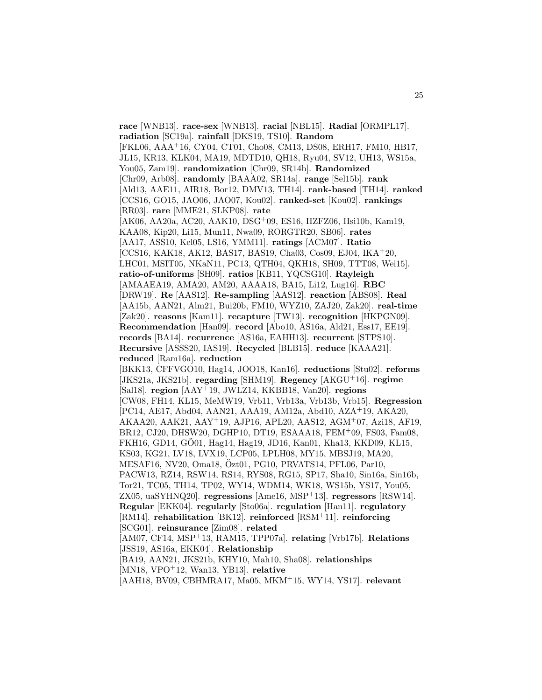**race** [WNB13]. **race-sex** [WNB13]. **racial** [NBL15]. **Radial** [ORMPL17]. **radiation** [SC19a]. **rainfall** [DKS19, TS10]. **Random** [FKL06, AAA<sup>+</sup>16, CY04, CT01, Cho08, CM13, DS08, ERH17, FM10, HB17, JL15, KR13, KLK04, MA19, MDTD10, QH18, Ryu04, SV12, UH13, WS15a, You05, Zam19]. **randomization** [Chr09, SR14b]. **Randomized** [Chr09, Arb08]. **randomly** [BAAA02, SR14a]. **range** [Sel15b]. **rank** [Ald13, AAE11, AIR18, Bor12, DMV13, TH14]. **rank-based** [TH14]. **ranked** [CCS16, GO15, JAO06, JAO07, Kou02]. **ranked-set** [Kou02]. **rankings** [RR03]. **rare** [MME21, SLKP08]. **rate** [AK06, AA20a, AC20, AAK10, DSG<sup>+</sup>09, ES16, HZFZ06, Hsi10b, Kam19, KAA08, Kip20, Li15, Mun11, Nwa09, RORGTR20, SB06]. **rates** [AA17, ASS10, Kel05, LS16, YMM11]. **ratings** [ACM07]. **Ratio** [CCS16, KAK18, AK12, BAS17, BAS19, Cha03, Cos09, EJ04, IKA<sup>+</sup>20, LHC01, MSIT05, NKaN11, PC13, QTH04, QKH18, SH09, TTT08, Wei15]. **ratio-of-uniforms** [SH09]. **ratios** [KB11, YQCSG10]. **Rayleigh** [AMAAEA19, AMA20, AM20, AAAA18, BA15, Li12, Lug16]. **RBC** [DRW19]. **Re** [AAS12]. **Re-sampling** [AAS12]. **reaction** [ABS08]. **Real** [AA15b, AAN21, Alm21, Bui20b, FM10, WYZ10, ZAJ20, Zak20]. **real-time** [Zak20]. **reasons** [Kam11]. **recapture** [TW13]. **recognition** [HKPGN09]. **Recommendation** [Han09]. **record** [Abo10, AS16a, Ald21, Ess17, EE19]. **records** [BA14]. **recurrence** [AS16a, EAHH13]. **recurrent** [STPS10]. **Recursive** [ASSS20, IAS19]. **Recycled** [BLB15]. **reduce** [KAAA21]. **reduced** [Ram16a]. **reduction** [BKK13, CFFVGO10, Hag14, JOO18, Kan16]. **reductions** [Stu02]. **reforms** [JKS21a, JKS21b]. **regarding** [SHM19]. **Regency** [AKGU<sup>+</sup>16]. **regime** [Sal18]. **region** [AAY<sup>+</sup>19, JWLZ14, KKBB18, Van20]. **regions** [CW08, FH14, KL15, MeMW19, Vrb11, Vrb13a, Vrb13b, Vrb15]. **Regression** [PC14, AE17, Abd04, AAN21, AAA19, AM12a, Abd10, AZA<sup>+</sup>19, AKA20, AKAA20, AAK21, AAY<sup>+</sup>19, AJP16, APL20, AAS12, AGM<sup>+</sup>07, Azi18, AF19, BR12, CJ20, DHSW20, DGHP10, DT19, ESAAA18, FEM<sup>+</sup>09, FS03, Fam08, FKH16, GD14, GO01, Hag14, Hag19, JD16, Kan01, Kha13, KKD09, KL15, ¨ KS03, KG21, LV18, LVX19, LCP05, LPLH08, MY15, MBSJ19, MA20, MESAF16, NV20, Oma18, Ozt01, PG10, PRVATS14, PFL06, Par10, PACW13, RZ14, RSW14, RS14, RYS08, RG15, SP17, Sha10, Sin16a, Sin16b, Tor21, TC05, TH14, TP02, WY14, WDM14, WK18, WS15b, YS17, You05, ZX05, uaSYHNQ20]. **regressions** [Ame16, MSP<sup>+</sup>13]. **regressors** [RSW14]. **Regular** [EKK04]. **regularly** [Sto06a]. **regulation** [Han11]. **regulatory** [RM14]. **rehabilitation** [BK12]. **reinforced** [RSM<sup>+</sup>11]. **reinforcing** [SCG01]. **reinsurance** [Zim08]. **related** [AM07, CF14, MSP<sup>+</sup>13, RAM15, TPP07a]. **relating** [Vrb17b]. **Relations** [JSS19, AS16a, EKK04]. **Relationship** [BA19, AAN21, JKS21b, KHY10, Mah10, Sha08]. **relationships** [MN18, VPO<sup>+</sup>12, Wan13, YB13]. **relative** [AAH18, BV09, CBHMRA17, Ma05, MKM<sup>+</sup>15, WY14, YS17]. **relevant**

25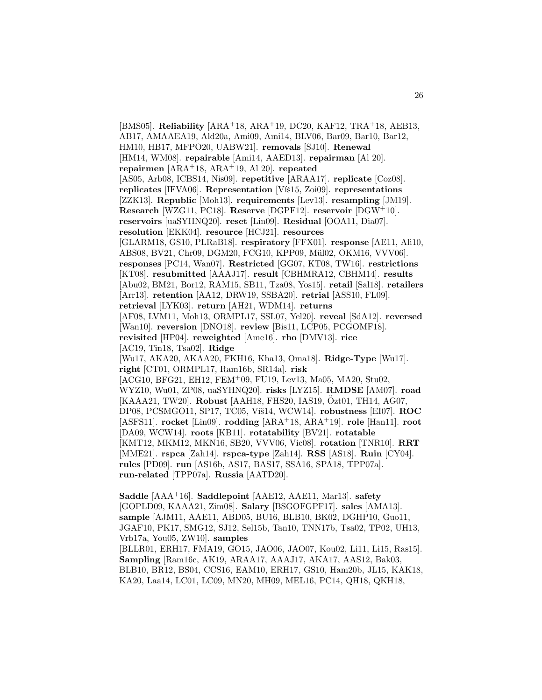[BMS05]. **Reliability** [ARA<sup>+</sup>18, ARA<sup>+</sup>19, DC20, KAF12, TRA<sup>+</sup>18, AEB13, AB17, AMAAEA19, Ald20a, Ami09, Ami14, BLV06, Bar09, Bar10, Bar12, HM10, HB17, MFPO20, UABW21]. **removals** [SJ10]. **Renewal** [HM14, WM08]. **repairable** [Ami14, AAED13]. **repairman** [Al 20]. **repairmen** [ARA<sup>+</sup>18, ARA<sup>+</sup>19, Al 20]. **repeated** [AS05, Arb08, ICBS14, Nis09]. **repetitive** [ARAA17]. **replicate** [Coz08]. **replicates** [IFVA06]. **Representation** [Viš15, Zoi09]. **representations** [ZZK13]. **Republic** [Moh13]. **requirements** [Lev13]. **resampling** [JM19]. **Research** [WZG11, PC18]. **Reserve** [DGPF12]. **reservoir** [DGW<sup>+</sup>10]. **reservoirs** [uaSYHNQ20]. **reset** [Lin09]. **Residual** [OOA11, Dia07]. **resolution** [EKK04]. **resource** [HCJ21]. **resources** [GLARM18, GS10, PLRaB18]. **respiratory** [FFX01]. **response** [AE11, Ali10, ABS08, BV21, Chr09, DGM20, FCG10, KPP09, Mül02, OKM16, VVV06]. **responses** [PC14, Wan07]. **Restricted** [GG07, KT08, TW16]. **restrictions** [KT08]. **resubmitted** [AAAJ17]. **result** [CBHMRA12, CBHM14]. **results** [Abu02, BM21, Bor12, RAM15, SB11, Tza08, Yos15]. **retail** [Sal18]. **retailers** [Arr13]. **retention** [AA12, DRW19, SSBA20]. **retrial** [ASS10, FL09]. **retrieval** [LYK03]. **return** [AH21, WDM14]. **returns** [AF08, LVM11, Moh13, ORMPL17, SSL07, Yel20]. **reveal** [SdA12]. **reversed** [Wan10]. **reversion** [DNO18]. **review** [Bis11, LCP05, PCGOMF18]. **revisited** [HP04]. **reweighted** [Ame16]. **rho** [DMV13]. **rice** [AC19, Tin18, Tsa02]. **Ridge** [Wu17, AKA20, AKAA20, FKH16, Kha13, Oma18]. **Ridge-Type** [Wu17]. **right** [CT01, ORMPL17, Ram16b, SR14a]. **risk** [ACG10, BFG21, EH12, FEM<sup>+</sup>09, FU19, Lev13, Ma05, MA20, Stu02, WYZ10, Wu01, ZP08, uaSYHNQ20]. **risks** [LYZ15]. **RMDSE** [AM07]. **road** [KAAA21, TW20]. **Robust** [AAH18, FHS20, IAS19, Özt01, TH14, AG07, DP08, PCSMGO11, SP17, TC05, Víš14, WCW14]. **robustness** [EI07]. **ROC** [ASFS11]. **rocket** [Lin09]. **rodding** [ARA<sup>+</sup>18, ARA<sup>+</sup>19]. **role** [Han11]. **root** [DA09, WCW14]. **roots** [KB11]. **rotatability** [BV21]. **rotatable** [KMT12, MKM12, MKN16, SB20, VVV06, Vic08]. **rotation** [TNR10]. **RRT** [MME21]. **rspca** [Zah14]. **rspca-type** [Zah14]. **RSS** [AS18]. **Ruin** [CY04]. **rules** [PD09]. **run** [AS16b, AS17, BAS17, SSA16, SPA18, TPP07a]. **run-related** [TPP07a]. **Russia** [AATD20].

**Saddle** [AAA<sup>+</sup>16]. **Saddlepoint** [AAE12, AAE11, Mar13]. **safety** [GOPLD09, KAAA21, Zim08]. **Salary** [BSGOFGPF17]. **sales** [AMA13]. **sample** [AJM11, AAE11, ABD05, BU16, BLB10, BK02, DGHP10, Guo11, JGAF10, PK17, SMG12, SJ12, Sel15b, Tan10, TNN17b, Tsa02, TP02, UH13, Vrb17a, You05, ZW10]. **samples**

[BLLR01, ERH17, FMA19, GO15, JAO06, JAO07, Kou02, Li11, Li15, Ras15]. **Sampling** [Ram16c, AK19, ARAA17, AAAJ17, AKA17, AAS12, Bak03, BLB10, BR12, BS04, CCS16, EAM10, ERH17, GS10, Ham20b, JL15, KAK18, KA20, Laa14, LC01, LC09, MN20, MH09, MEL16, PC14, QH18, QKH18,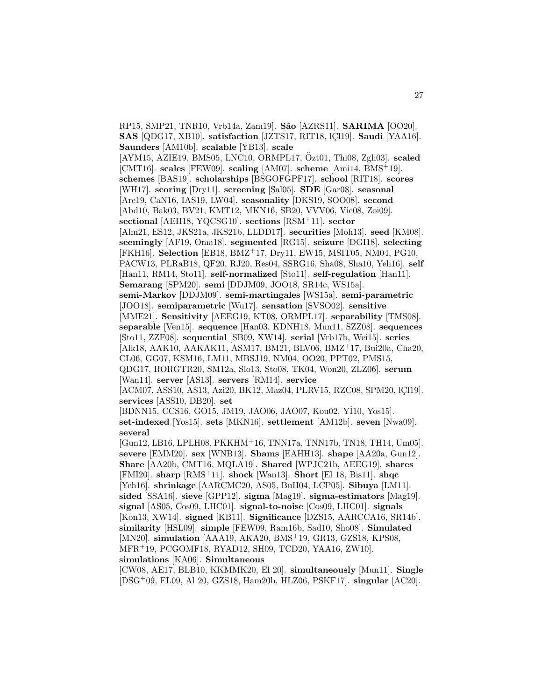RP15, SMP21, TNR10, Vrb14a, Zam19]. **S˜ao** [AZRS11]. **SARIMA** [OO20]. **SAS** [QDG17, XB10]. **satisfaction** [JZTS17, RIT18, lCl19]. **Saudi** [YAA16]. **Saunders** [AM10b]. **scalable** [YB13]. **scale**  $[AYM15, AZIE19, BMS05, LNC10, ORMPL17, Ozt01, Thi08, Zgh03]$ . scaled [CMT16]. **scales** [FEW09]. **scaling** [AM07]. **scheme** [Ami14, BMS<sup>+</sup>19]. **schemes** [BAS19]. **scholarships** [BSGOFGPF17]. **school** [RIT18]. **scores** [WH17]. **scoring** [Dry11]. **screening** [Sal05]. **SDE** [Gar08]. **seasonal** [Are19, CaN16, IAS19, LW04]. **seasonality** [DKS19, SOO08]. **second** [Abd10, Bak03, BV21, KMT12, MKN16, SB20, VVV06, Vic08, Zoi09]. **sectional** [AEH18, YQCSG10]. **sections** [RSM<sup>+</sup>11]. **sector** [Alm21, ES12, JKS21a, JKS21b, LLDD17]. **securities** [Moh13]. **seed** [KM08]. **seemingly** [AF19, Oma18]. **segmented** [RG15]. **seizure** [DGI18]. **selecting** [FKH16]. **Selection** [EB18, BMZ<sup>+</sup>17, Dry11, EW15, MSIT05, NM04, PG10, PACW13, PLRaB18, QF20, RJ20, Res04, SSRG16, Sha08, Sha10, Yeh16]. **self** [Han11, RM14, Sto11]. **self-normalized** [Sto11]. **self-regulation** [Han11]. **Semarang** [SPM20]. **semi** [DDJM09, JOO18, SR14c, WS15a]. **semi-Markov** [DDJM09]. **semi-martingales** [WS15a]. **semi-parametric** [JOO18]. **semiparametric** [Wu17]. **sensation** [SVSO02]. **sensitive** [MME21]. **Sensitivity** [AEEG19, KT08, ORMPL17]. **separability** [TMS08]. **separable** [Ven15]. **sequence** [Han03, KDNH18, Mun11, SZZ08]. **sequences** [Sto11, ZZF08]. **sequential** [SB09, XW14]. **serial** [Vrb17b, Wei15]. **series** [Alk18, AAK10, AAKAK11, ASM17, BM21, BLV06, BMZ<sup>+</sup>17, Bui20a, Cha20, CL06, GG07, KSM16, LM11, MBSJ19, NM04, OO20, PPT02, PMS15, QDG17, RORGTR20, SM12a, Slo13, Sto08, TK04, Won20, ZLZ06]. **serum** [Wan14]. **server** [AS13]. **servers** [RM14]. **service** [ACM07, ASS10, AS13, Azi20, BK12, Maz04, PLRV15, RZC08, SPM20, 1Cl19]. **services** [ASS10, DB20]. **set** [BDNN15, CCS16, GO15, JM19, JAO06, JAO07, Kou02, Yİ10, Yos15]. **set-indexed** [Yos15]. **sets** [MKN16]. **settlement** [AM12b]. **seven** [Nwa09]. **several** [Gun12, LB16, LPLH08, PKKHM<sup>+</sup>16, TNN17a, TNN17b, TN18, TH14, Um05]. **severe** [EMM20]. **sex** [WNB13]. **Shams** [EAHH13]. **shape** [AA20a, Gun12]. **Share** [AA20b, CMT16, MQLA19]. **Shared** [WPJC21b, AEEG19]. **shares** [FMI20]. **sharp** [RMS<sup>+</sup>11]. **shock** [Wan13]. **Short** [El 18, Bis11]. **shqc** [Yeh16]. **shrinkage** [AARCMC20, AS05, BuH04, LCP05]. **Sibuya** [LM11]. **sided** [SSA16]. **sieve** [GPP12]. **sigma** [Mag19]. **sigma-estimators** [Mag19]. **signal** [AS05, Cos09, LHC01]. **signal-to-noise** [Cos09, LHC01]. **signals** [Kon13, XW14]. **signed** [KB11]. **Significance** [DZS15, AARCCA16, SR14b]. **similarity** [HSL09]. **simple** [FEW09, Ram16b, Sad10, Sho08]. **Simulated** [MN20]. **simulation** [AAA19, AKA20, BMS<sup>+</sup>19, GR13, GZS18, KPS08, MFR<sup>+</sup>19, PCGOMF18, RYAD12, SH09, TCD20, YAA16, ZW10]. **simulations** [KA06]. **Simultaneous**

[CW08, AE17, BLB10, KKMMK20, El 20]. **simultaneously** [Mun11]. **Single** [DSG<sup>+</sup>09, FL09, Al 20, GZS18, Ham20b, HLZ06, PSKF17]. **singular** [AC20].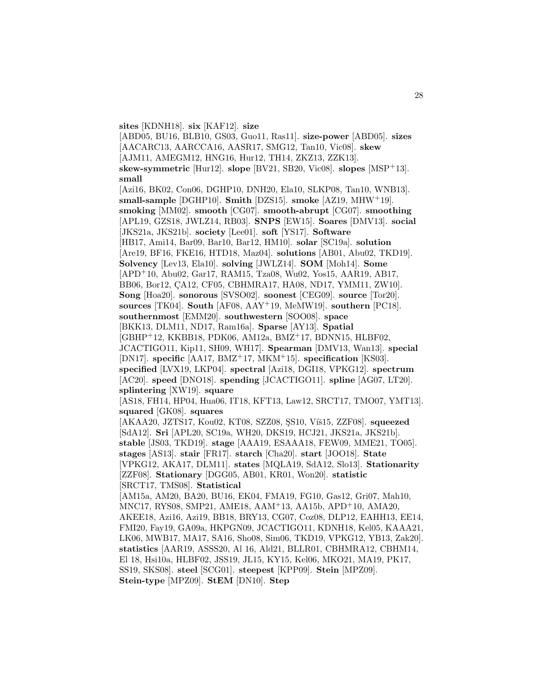**sites** [KDNH18]. **six** [KAF12]. **size**

[ABD05, BU16, BLB10, GS03, Guo11, Ras11]. **size-power** [ABD05]. **sizes** [AACARC13, AARCCA16, AASR17, SMG12, Tan10, Vic08]. **skew** [AJM11, AMEGM12, HNG16, Hur12, TH14, ZKZ13, ZZK13]. **skew-symmetric** [Hur12]. **slope** [BV21, SB20, Vic08]. **slopes** [MSP<sup>+</sup>13]. **small** [Azi16, BK02, Con06, DGHP10, DNH20, Ela10, SLKP08, Tan10, WNB13]. **small-sample** [DGHP10]. **Smith** [DZS15]. **smoke** [AZ19, MHW<sup>+</sup>19]. **smoking** [MM02]. **smooth** [CG07]. **smooth-abrupt** [CG07]. **smoothing** [APL19, GZS18, JWLZ14, RB03]. **SNPS** [EW15]. **Soares** [DMV13]. **social** [JKS21a, JKS21b]. **society** [Lee01]. **soft** [YS17]. **Software** [HB17, Ami14, Bar09, Bar10, Bar12, HM10]. **solar** [SC19a]. **solution** [Are19, BF16, FKE16, HTD18, Maz04]. **solutions** [AB01, Abu02, TKD19]. **Solvency** [Lev13, Ela10]. **solving** [JWLZ14]. **SOM** [Moh14]. **Some** [APD<sup>+</sup>10, Abu02, Gar17, RAM15, Tza08, Wu02, Yos15, AAR19, AB17, BB06, Bor12, CA12, CF05, CBHMRA17, HA08, ND17, YMM11, ZW10]. **Song** [Hoa20]. **sonorous** [SVSO02]. **soonest** [CEG09]. **source** [Tor20]. **sources** [TK04]. **South** [AF08, AAY<sup>+</sup>19, MeMW19]. **southern** [PC18]. **southernmost** [EMM20]. **southwestern** [SOO08]. **space** [BKK13, DLM11, ND17, Ram16a]. **Sparse** [AY13]. **Spatial** [GBHP<sup>+</sup>12, KKBB18, PDK06, AM12a, BMZ<sup>+</sup>17, BDNN15, HLBF02, JCACTIGO11, Kip11, SH09, WH17]. **Spearman** [DMV13, Wan13]. **special** [DN17]. **specific** [AA17, BMZ<sup>+</sup>17, MKM<sup>+</sup>15]. **specification** [KS03]. **specified** [LVX19, LKP04]. **spectral** [Azi18, DGI18, VPKG12]. **spectrum** [AC20]. **speed** [DNO18]. **spending** [JCACTIGO11]. **spline** [AG07, LT20]. **splintering** [XW19]. **square** [AS18, FH14, HP04, Hua06, IT18, KFT13, Law12, SRCT17, TMO07, YMT13]. **squared** [GK08]. **squares** [AKAA20, JZTS17, Kou02, KT08, SZZ08, SS10, Víš15, ZZF08]. **squeezed** [SdA12]. **Sri** [APL20, SC19a, WH20, DKS19, HCJ21, JKS21a, JKS21b]. **stable** [JS03, TKD19]. **stage** [AAA19, ESAAA18, FEW09, MME21, TO05]. **stages** [AS13]. **stair** [FR17]. **starch** [Cha20]. **start** [JOO18]. **State** [VPKG12, AKA17, DLM11]. **states** [MQLA19, SdA12, Slo13]. **Stationarity** [ZZF08]. **Stationary** [DGG05, AB01, KR01, Won20]. **statistic** [SRCT17, TMS08]. **Statistical** [AM15a, AM20, BA20, BU16, EK04, FMA19, FG10, Gas12, Gri07, Mah10, MNC17, RYS08, SMP21, AME18, AAM<sup>+</sup>13, AA15b, APD<sup>+</sup>10, AMA20, AKEE18, Azi16, Azi19, BB18, BRY13, CG07, Coz08, DLP12, EAHH13, EE14, FMI20, Fay19, GA09a, HKPGN09, JCACTIGO11, KDNH18, Kel05, KAAA21, LK06, MWB17, MA17, SA16, Sho08, Sim06, TKD19, VPKG12, YB13, Zak20]. **statistics** [AAR19, ASSS20, Al 16, Ald21, BLLR01, CBHMRA12, CBHM14, El 18, Hsi10a, HLBF02, JSS19, JL15, KY15, Kel06, MKO21, MA19, PK17, SS19, SKS08]. **steel** [SCG01]. **steepest** [KPP09]. **Stein** [MPZ09].

**Stein-type** [MPZ09]. **StEM** [DN10]. **Step**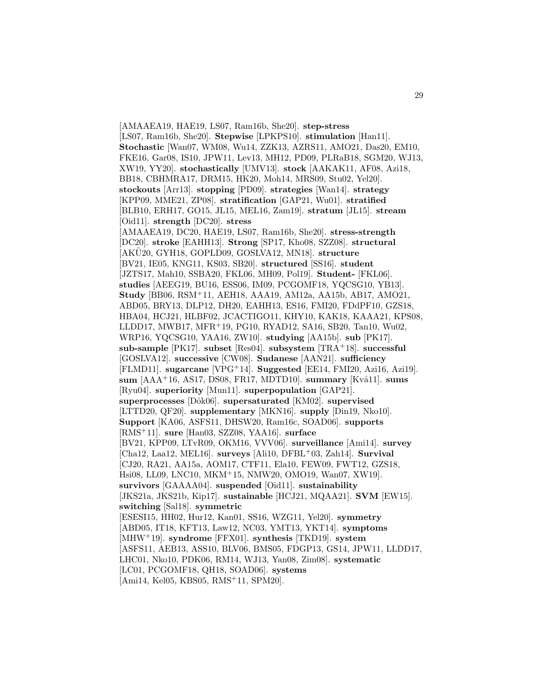[AMAAEA19, HAE19, LS07, Ram16b, She20]. **step-stress** [LS07, Ram16b, She20]. **Stepwise** [LPKPS10]. **stimulation** [Han11]. **Stochastic** [Wan07, WM08, Wu14, ZZK13, AZRS11, AMO21, Das20, EM10, FKE16, Gar08, IS10, JPW11, Lev13, MH12, PD09, PLRaB18, SGM20, WJ13, XW19, YY20]. **stochastically** [UMV13]. **stock** [AAKAK11, AF08, Azi18, BB18, CBHMRA17, DRM15, HK20, Moh14, MRS09, Stu02, Yel20]. **stockouts** [Arr13]. **stopping** [PD09]. **strategies** [Wan14]. **strategy** [KPP09, MME21, ZP08]. **stratification** [GAP21, Wu01]. **stratified** [BLB10, ERH17, GO15, JL15, MEL16, Zam19]. **stratum** [JL15]. **stream** [Oid11]. **strength** [DC20]. **stress** [AMAAEA19, DC20, HAE19, LS07, Ram16b, She20]. **stress-strength** [DC20]. **stroke** [EAHH13]. **Strong** [SP17, Kho08, SZZ08]. **structural** [AKU20, GYH18, GOPLD09, GOSLVA12, MN18]. ¨ **structure** [BV21, IE05, KNG11, KS03, SB20]. **structured** [SS16]. **student** [JZTS17, Mah10, SSBA20, FKL06, MH09, Pol19]. **Student-** [FKL06]. **studies** [AEEG19, BU16, ESS06, IM09, PCGOMF18, YQCSG10, YB13]. **Study** [BB06, RSM<sup>+</sup>11, AEH18, AAA19, AM12a, AA15b, AB17, AMO21, ABD05, BRY13, DLP12, DH20, EAHH13, ES16, FMI20, FDdPF10, GZS18, HBA04, HCJ21, HLBF02, JCACTIGO11, KHY10, KAK18, KAAA21, KPS08, LLDD17, MWB17, MFR<sup>+</sup>19, PG10, RYAD12, SA16, SB20, Tan10, Wu02, WRP16, YQCSG10, YAA16, ZW10]. **studying** [AA15b]. **sub** [PK17]. **sub-sample** [PK17]. **subset** [Res04]. **subsystem** [TRA<sup>+</sup>18]. **successful** [GOSLVA12]. **successive** [CW08]. **Sudanese** [AAN21]. **sufficiency** [FLMD11]. **sugarcane** [VPG<sup>+</sup>14]. **Suggested** [EE14, FMI20, Azi16, Azi19]. **sum** [AAA<sup>+</sup>16, AS17, DS08, FR17, MDTD10]. **summary** [Kvå11]. **sums** [Ryu04]. **superiority** [Mun11]. **superpopulation** [GAP21]. **superprocesses** [Dˆok06]. **supersaturated** [KM02]. **supervised** [LTTD20, QF20]. **supplementary** [MKN16]. **supply** [Din19, Nko10]. **Support** [KA06, ASFS11, DHSW20, Ram16c, SOAD06]. **supports** [RMS<sup>+</sup>11]. **sure** [Han03, SZZ08, YAA16]. **surface** [BV21, KPP09, LTvR09, OKM16, VVV06]. **surveillance** [Ami14]. **survey** [Cha12, Laa12, MEL16]. **surveys** [Ali10, DFBL<sup>+</sup>03, Zah14]. **Survival** [CJ20, RA21, AA15a, AOM17, CTF11, Ela10, FEW09, FWT12, GZS18, Hsi08, LL09, LNC10, MKM<sup>+</sup>15, NMW20, OMO19, Wan07, XW19]. **survivors** [GAAAA04]. **suspended** [Oid11]. **sustainability** [JKS21a, JKS21b, Kip17]. **sustainable** [HCJ21, MQAA21]. **SVM** [EW15]. **switching** [Sal18]. **symmetric** [ESESI15, HH02, Hur12, Kan01, SS16, WZG11, Yel20]. **symmetry** [ABD05, IT18, KFT13, Law12, NC03, YMT13, YKT14]. **symptoms** [MHW<sup>+</sup>19]. **syndrome** [FFX01]. **synthesis** [TKD19]. **system** [ASFS11, AEB13, ASS10, BLV06, BMS05, FDGP13, GS14, JPW11, LLDD17, LHC01, Nko10, PDK06, RM14, WJ13, Yan08, Zim08]. **systematic** [LC01, PCGOMF18, QH18, SOAD06]. **systems** [Ami14, Kel05, KBS05, RMS<sup>+</sup>11, SPM20].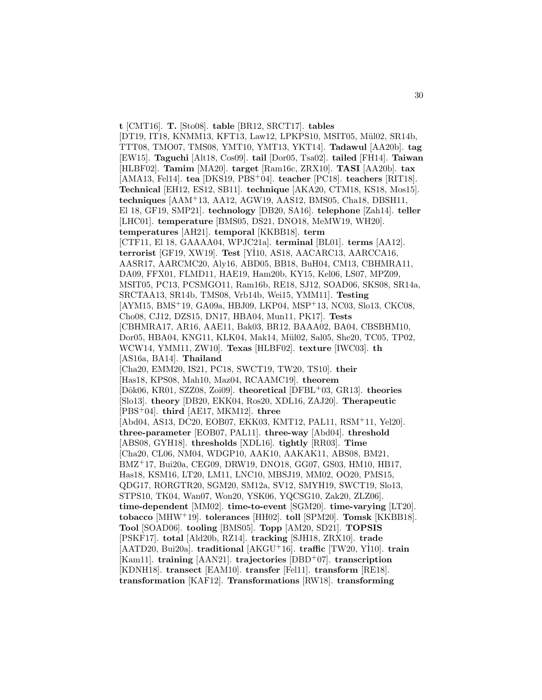**t** [CMT16]. **T.** [Sto08]. **table** [BR12, SRCT17]. **tables** [DT19, IT18, KNMM13, KFT13, Law12, LPKPS10, MSIT05, Mül02, SR14b, TTT08, TMO07, TMS08, YMT10, YMT13, YKT14]. **Tadawul** [AA20b]. **tag** [EW15]. **Taguchi** [Alt18, Cos09]. **tail** [Dor05, Tsa02]. **tailed** [FH14]. **Taiwan** [HLBF02]. **Tamim** [MA20]. **target** [Ram16c, ZRX10]. **TASI** [AA20b]. **tax** [AMA13, Fel14]. **tea** [DKS19, PBS<sup>+</sup>04]. **teacher** [PC18]. **teachers** [RIT18]. **Technical** [EH12, ES12, SB11]. **technique** [AKA20, CTM18, KS18, Mos15]. **techniques** [AAM<sup>+</sup>13, AA12, AGW19, AAS12, BMS05, Cha18, DBSH11, El 18, GF19, SMP21]. **technology** [DB20, SA16]. **telephone** [Zah14]. **teller** [LHC01]. **temperature** [BMS05, DS21, DNO18, MeMW19, WH20]. **temperatures** [AH21]. **temporal** [KKBB18]. **term** [CTF11, El 18, GAAAA04, WPJC21a]. **terminal** [BL01]. **terms** [AA12]. **terrorist** [GF19, XW19]. **Test** [Y˙ I10, AS18, AACARC13, AARCCA16, AASR17, AARCMC20, Aly16, ABD05, BB18, BuH04, CM13, CBHMRA11, DA09, FFX01, FLMD11, HAE19, Ham20b, KY15, Kel06, LS07, MPZ09, MSIT05, PC13, PCSMGO11, Ram16b, RE18, SJ12, SOAD06, SKS08, SR14a, SRCTAA13, SR14b, TMS08, Vrb14b, Wei15, YMM11]. **Testing** [AYM15, BMS<sup>+</sup>19, GA09a, HBJ09, LKP04, MSP<sup>+</sup>13, NC03, Slo13, CKC08, Cho08, CJ12, DZS15, DN17, HBA04, Mun11, PK17]. **Tests** [CBHMRA17, AR16, AAE11, Bak03, BR12, BAAA02, BA04, CBSBHM10, Dor05, HBA04, KNG11, KLK04, Mak14, Mül02, Sal05, She20, TC05, TP02, WCW14, YMM11, ZW10]. **Texas** [HLBF02]. **texture** [IWC03]. **th** [AS16a, BA14]. **Thailand** [Cha20, EMM20, IS21, PC18, SWCT19, TW20, TS10]. **their** [Has18, KPS08, Mah10, Maz04, RCAAMC19]. **theorem** [Dˆok06, KR01, SZZ08, Zoi09]. **theoretical** [DFBL<sup>+</sup>03, GR13]. **theories** [Slo13]. **theory** [DB20, EKK04, Ros20, XDL16, ZAJ20]. **Therapeutic** [PBS<sup>+</sup>04]. **third** [AE17, MKM12]. **three** [Abd04, AS13, DC20, EOB07, EKK03, KMT12, PAL11, RSM<sup>+</sup>11, Yel20]. **three-parameter** [EOB07, PAL11]. **three-way** [Abd04]. **threshold** [ABS08, GYH18]. **thresholds** [XDL16]. **tightly** [RR03]. **Time** [Cha20, CL06, NM04, WDGP10, AAK10, AAKAK11, ABS08, BM21, BMZ<sup>+</sup>17, Bui20a, CEG09, DRW19, DNO18, GG07, GS03, HM10, HB17, Has18, KSM16, LT20, LM11, LNC10, MBSJ19, MM02, OO20, PMS15, QDG17, RORGTR20, SGM20, SM12a, SV12, SMYH19, SWCT19, Slo13, STPS10, TK04, Wan07, Won20, YSK06, YQCSG10, Zak20, ZLZ06]. **time-dependent** [MM02]. **time-to-event** [SGM20]. **time-varying** [LT20]. **tobacco** [MHW<sup>+</sup>19]. **tolerances** [HH02]. **toll** [SPM20]. **Tomsk** [KKBB18]. **Tool** [SOAD06]. **tooling** [BMS05]. **Topp** [AM20, SD21]. **TOPSIS** [PSKF17]. **total** [Ald20b, RZ14]. **tracking** [SJH18, ZRX10]. **trade** [AATD20, Bui20a]. **traditional** [AKGU<sup>+</sup>16]. **traffic** [TW20, Y˙ I10]. **train** [Kam11]. **training** [AAN21]. **trajectories** [DBD<sup>+</sup>07]. **transcription** [KDNH18]. **transect** [EAM10]. **transfer** [Fel11]. **transform** [RE18]. **transformation** [KAF12]. **Transformations** [RW18]. **transforming**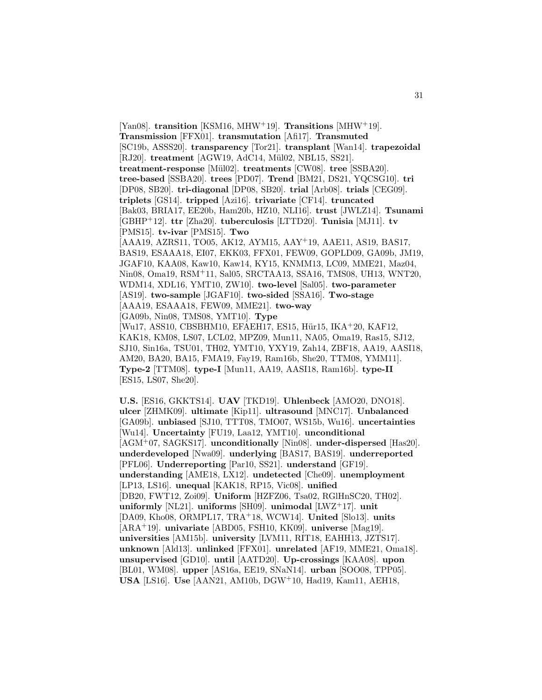[Yan08]. **transition** [KSM16, MHW<sup>+</sup>19]. **Transitions** [MHW<sup>+</sup>19]. **Transmission** [FFX01]. **transmutation** [Afi17]. **Transmuted** [SC19b, ASSS20]. **transparency** [Tor21]. **transplant** [Wan14]. **trapezoidal** [RJ20]. **treatment** [AGW19, AdC14, Mül02, NBL15, SS21]. **treatment-response** [M¨ul02]. **treatments** [CW08]. **tree** [SSBA20]. **tree-based** [SSBA20]. **trees** [PD07]. **Trend** [BM21, DS21, YQCSG10]. **tri** [DP08, SB20]. **tri-diagonal** [DP08, SB20]. **trial** [Arb08]. **trials** [CEG09]. **triplets** [GS14]. **tripped** [Azi16]. **trivariate** [CF14]. **truncated** [Bak03, BRIA17, EE20b, Ham20b, HZ10, NLI16]. **trust** [JWLZ14]. **Tsunami** [GBHP<sup>+</sup>12]. **ttr** [Zha20]. **tuberculosis** [LTTD20]. **Tunisia** [MJ11]. **tv** [PMS15]. **tv-ivar** [PMS15]. **Two** [AAA19, AZRS11, TO05, AK12, AYM15, AAY<sup>+</sup>19, AAE11, AS19, BAS17, BAS19, ESAAA18, EI07, EKK03, FFX01, FEW09, GOPLD09, GA09b, JM19, JGAF10, KAA08, Kaw10, Kaw14, KY15, KNMM13, LC09, MME21, Maz04, Nin08, Oma19, RSM<sup>+</sup>11, Sal05, SRCTAA13, SSA16, TMS08, UH13, WNT20, WDM14, XDL16, YMT10, ZW10]. **two-level** [Sal05]. **two-parameter** [AS19]. **two-sample** [JGAF10]. **two-sided** [SSA16]. **Two-stage** [AAA19, ESAAA18, FEW09, MME21]. **two-way** [GA09b, Nin08, TMS08, YMT10]. **Type** [Wu17, ASS10, CBSBHM10, EFAEH17, ES15, Hür15, IKA+20, KAF12, KAK18, KM08, LS07, LCL02, MPZ09, Mun11, NA05, Oma19, Ras15, SJ12, SJ10, Sin16a, TSU01, TH02, YMT10, YXY19, Zah14, ZBF18, AA19, AASI18, AM20, BA20, BA15, FMA19, Fay19, Ram16b, She20, TTM08, YMM11]. **Type-2** [TTM08]. **type-I** [Mun11, AA19, AASI18, Ram16b]. **type-II** [ES15, LS07, She20].

**U.S.** [ES16, GKKTS14]. **UAV** [TKD19]. **Uhlenbeck** [AMO20, DNO18]. **ulcer** [ZHMK09]. **ultimate** [Kip11]. **ultrasound** [MNC17]. **Unbalanced** [GA09b]. **unbiased** [SJ10, TTT08, TMO07, WS15b, Wu16]. **uncertainties** [Wu14]. **Uncertainty** [FU19, Laa12, YMT10]. **unconditional** [AGM<sup>+</sup>07, SAGKS17]. **unconditionally** [Nin08]. **under-dispersed** [Has20]. **underdeveloped** [Nwa09]. **underlying** [BAS17, BAS19]. **underreported** [PFL06]. **Underreporting** [Par10, SS21]. **understand** [GF19]. **understanding** [AME18, LX12]. **undetected** [Che09]. **unemployment** [LP13, LS16]. **unequal** [KAK18, RP15, Vic08]. **unified** [DB20, FWT12, Zoi09]. **Uniform** [HZFZ06, Tsa02, RGlHnSC20, TH02]. **uniformly** [NL21]. **uniforms** [SH09]. **unimodal** [LWZ<sup>+</sup>17]. **unit** [DA09, Kho08, ORMPL17, TRA<sup>+</sup>18, WCW14]. **United** [Slo13]. **units** [ARA<sup>+</sup>19]. **univariate** [ABD05, FSH10, KK09]. **universe** [Mag19]. **universities** [AM15b]. **university** [LVM11, RIT18, EAHH13, JZTS17]. **unknown** [Ald13]. **unlinked** [FFX01]. **unrelated** [AF19, MME21, Oma18]. **unsupervised** [GD10]. **until** [AATD20]. **Up-crossings** [KAA08]. **upon** [BL01, WM08]. **upper** [AS16a, EE19, SNaN14]. **urban** [SOO08, TPP05]. **USA** [LS16]. **Use** [AAN21, AM10b, DGW<sup>+</sup>10, Had19, Kam11, AEH18,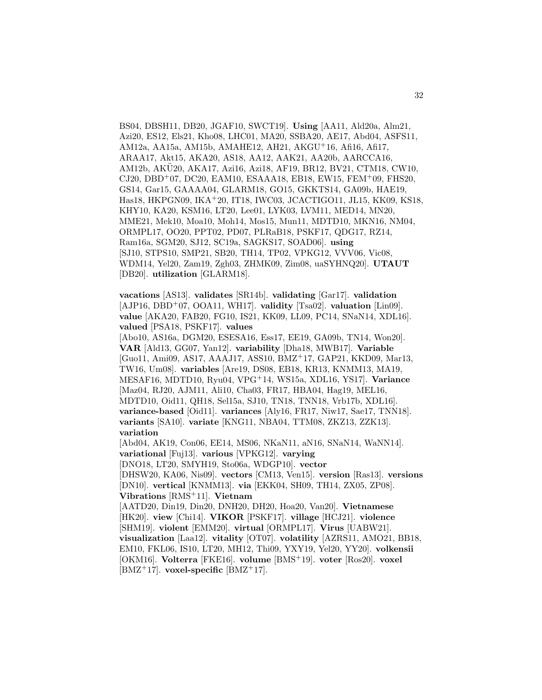BS04, DBSH11, DB20, JGAF10, SWCT19]. **Using** [AA11, Ald20a, Alm21, Azi20, ES12, Els21, Kho08, LHC01, MA20, SSBA20, AE17, Abd04, ASFS11, AM12a, AA15a, AM15b, AMAHE12, AH21, AKGU<sup>+</sup>16, Afi16, Afi17, ARAA17, Akt15, AKA20, AS18, AA12, AAK21, AA20b, AARCCA16, AM12b, AKU20, AKA17, Azi16, Azi18, AF19, BR12, BV21, CTM18, CW10, ¨  $CJ20, DBD+07, DC20, EAM10, ESAAA18, EB18, EW15, FEM+09, FHS20,$ GS14, Gar15, GAAAA04, GLARM18, GO15, GKKTS14, GA09b, HAE19, Has18, HKPGN09, IKA<sup>+</sup>20, IT18, IWC03, JCACTIGO11, JL15, KK09, KS18, KHY10, KA20, KSM16, LT20, Lee01, LYK03, LVM11, MED14, MN20, MME21, Mek10, Moa10, Moh14, Mos15, Mun11, MDTD10, MKN16, NM04, ORMPL17, OO20, PPT02, PD07, PLRaB18, PSKF17, QDG17, RZ14, Ram16a, SGM20, SJ12, SC19a, SAGKS17, SOAD06]. **using** [SJ10, STPS10, SMP21, SB20, TH14, TP02, VPKG12, VVV06, Vic08, WDM14, Yel20, Zam19, Zgh03, ZHMK09, Zim08, uaSYHNQ20]. **UTAUT** [DB20]. **utilization** [GLARM18].

**vacations** [AS13]. **validates** [SR14b]. **validating** [Gar17]. **validation** [AJP16, DBD<sup>+</sup>07, OOA11, WH17]. **validity** [Tsa02]. **valuation** [Lin09]. **value** [AKA20, FAB20, FG10, IS21, KK09, LL09, PC14, SNaN14, XDL16]. **valued** [PSA18, PSKF17]. **values**

[Abo10, AS16a, DGM20, ESESA16, Ess17, EE19, GA09b, TN14, Won20]. **VAR** [Ald13, GG07, Yan12]. **variability** [Dha18, MWB17]. **Variable** [Guo11, Ami09, AS17, AAAJ17, ASS10, BMZ<sup>+</sup>17, GAP21, KKD09, Mar13, TW16, Um08]. **variables** [Are19, DS08, EB18, KR13, KNMM13, MA19, MESAF16, MDTD10, Ryu04, VPG<sup>+</sup>14, WS15a, XDL16, YS17]. **Variance** [Maz04, RJ20, AJM11, Ali10, Cha03, FR17, HBA04, Hag19, MEL16, MDTD10, Oid11, QH18, Sel15a, SJ10, TN18, TNN18, Vrb17b, XDL16]. **variance-based** [Oid11]. **variances** [Aly16, FR17, Niw17, Sae17, TNN18]. **variants** [SA10]. **variate** [KNG11, NBA04, TTM08, ZKZ13, ZZK13]. **variation**

[Abd04, AK19, Con06, EE14, MS06, NKaN11, aN16, SNaN14, WaNN14]. **variational** [Fuj13]. **various** [VPKG12]. **varying**

[DNO18, LT20, SMYH19, Sto06a, WDGP10]. **vector**

[DHSW20, KA06, Nis09]. **vectors** [CM13, Ven15]. **version** [Ras13]. **versions** [DN10]. **vertical** [KNMM13]. **via** [EKK04, SH09, TH14, ZX05, ZP08]. **Vibrations** [RMS<sup>+</sup>11]. **Vietnam**

[AATD20, Din19, Din20, DNH20, DH20, Hoa20, Van20]. **Vietnamese** [HK20]. **view** [Chi14]. **VIKOR** [PSKF17]. **village** [HCJ21]. **violence** [SHM19]. **violent** [EMM20]. **virtual** [ORMPL17]. **Virus** [UABW21]. **visualization** [Laa12]. **vitality** [OT07]. **volatility** [AZRS11, AMO21, BB18, EM10, FKL06, IS10, LT20, MH12, Thi09, YXY19, Yel20, YY20]. **volkensii** [OKM16]. **Volterra** [FKE16]. **volume** [BMS<sup>+</sup>19]. **voter** [Ros20]. **voxel**  $[BMZ^+17]$ . **voxel-specific**  $[BMZ^+17]$ .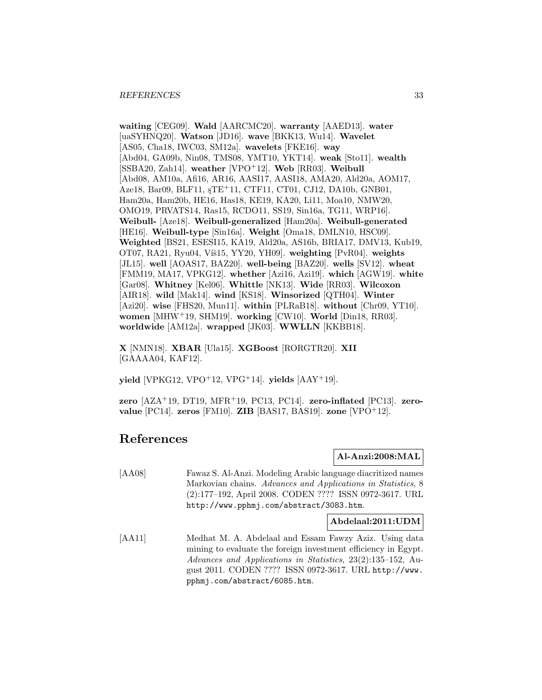**waiting** [CEG09]. **Wald** [AARCMC20]. **warranty** [AAED13]. **water** [uaSYHNQ20]. **Watson** [JD16]. **wave** [BKK13, Wu14]. **Wavelet** [AS05, Cha18, IWC03, SM12a]. **wavelets** [FKE16]. **way** [Abd04, GA09b, Nin08, TMS08, YMT10, YKT14]. **weak** [Sto11]. **wealth** [SSBA20, Zah14]. **weather** [VPO<sup>+</sup>12]. **Web** [RR03]. **Weibull** [Abd08, AM10a, Afi16, AR16, AASI17, AASI18, AMA20, Ald20a, AOM17, Aze18, Bar09, BLF11, <sub>S</sub>TE<sup>+</sup>11, CTF11, CT01, CJ12, DA10b, GNB01, Ham20a, Ham20b, HE16, Has18, KE19, KA20, Li11, Moa10, NMW20, OMO19, PRVATS14, Ras15, RCDO11, SS19, Sin16a, TG11, WRP16]. **Weibull-** [Aze18]. **Weibull-generalized** [Ham20a]. **Weibull-generated** [HE16]. **Weibull-type** [Sin16a]. **Weight** [Oma18, DMLN10, HSC09]. **Weighted** [BS21, ESESI15, KA19, Ald20a, AS16b, BRIA17, DMV13, Kub19, OT07, RA21, Ryu04, Víš15, YY20, YH09]. weighting [PvR04]. weights [JL15]. **well** [AOAS17, BAZ20]. **well-being** [BAZ20]. **wells** [SV12]. **wheat** [FMM19, MA17, VPKG12]. **whether** [Azi16, Azi19]. **which** [AGW19]. **white** [Gar08]. **Whitney** [Kel06]. **Whittle** [NK13]. **Wide** [RR03]. **Wilcoxon** [AIR18]. **wild** [Mak14]. **wind** [KS18]. **Winsorized** [QTH04]. **Winter** [Azi20]. **wise** [FHS20, Mun11]. **within** [PLRaB18]. **without** [Chr09, YT10]. **women** [MHW<sup>+</sup>19, SHM19]. **working** [CW10]. **World** [Din18, RR03]. **worldwide** [AM12a]. **wrapped** [JK03]. **WWLLN** [KKBB18].

**X** [NMN18]. **XBAR** [Ula15]. **XGBoost** [RORGTR20]. **XII** [GAAAA04, KAF12].

 $yield [VPKG12, VPO<sup>+</sup>12, VPG<sup>+</sup>14]$ .  $yields [AAY<sup>+</sup>19]$ .

**zero** [AZA<sup>+</sup>19, DT19, MFR<sup>+</sup>19, PC13, PC14]. **zero-inflated** [PC13]. **zerovalue** [PC14]. **zeros** [FM10]. **ZIB** [BAS17, BAS19]. **zone** [VPO<sup>+</sup>12].

# **References**

#### **Al-Anzi:2008:MAL**

[AA08] Fawaz S. Al-Anzi. Modeling Arabic language diacritized names Markovian chains. Advances and Applications in Statistics, 8 (2):177–192, April 2008. CODEN ???? ISSN 0972-3617. URL http://www.pphmj.com/abstract/3083.htm.

**Abdelaal:2011:UDM**

[AA11] Medhat M. A. Abdelaal and Essam Fawzy Aziz. Using data mining to evaluate the foreign investment efficiency in Egypt. Advances and Applications in Statistics, 23(2):135–152, August 2011. CODEN ???? ISSN 0972-3617. URL http://www. pphmj.com/abstract/6085.htm.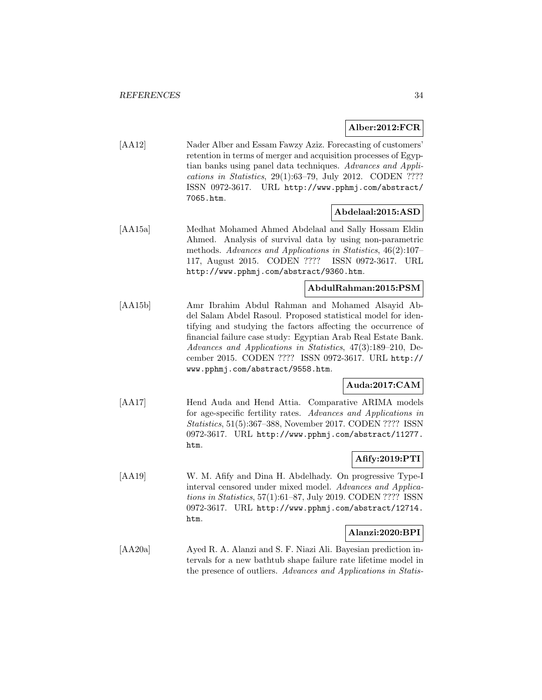#### **Alber:2012:FCR**

[AA12] Nader Alber and Essam Fawzy Aziz. Forecasting of customers' retention in terms of merger and acquisition processes of Egyptian banks using panel data techniques. Advances and Applications in Statistics, 29(1):63–79, July 2012. CODEN ???? ISSN 0972-3617. URL http://www.pphmj.com/abstract/ 7065.htm.

#### **Abdelaal:2015:ASD**

[AA15a] Medhat Mohamed Ahmed Abdelaal and Sally Hossam Eldin Ahmed. Analysis of survival data by using non-parametric methods. Advances and Applications in Statistics, 46(2):107– 117, August 2015. CODEN ???? ISSN 0972-3617. URL http://www.pphmj.com/abstract/9360.htm.

#### **AbdulRahman:2015:PSM**

[AA15b] Amr Ibrahim Abdul Rahman and Mohamed Alsayid Abdel Salam Abdel Rasoul. Proposed statistical model for identifying and studying the factors affecting the occurrence of financial failure case study: Egyptian Arab Real Estate Bank. Advances and Applications in Statistics, 47(3):189–210, December 2015. CODEN ???? ISSN 0972-3617. URL http:// www.pphmj.com/abstract/9558.htm.

### **Auda:2017:CAM**

[AA17] Hend Auda and Hend Attia. Comparative ARIMA models for age-specific fertility rates. Advances and Applications in Statistics, 51(5):367–388, November 2017. CODEN ???? ISSN 0972-3617. URL http://www.pphmj.com/abstract/11277. htm.

#### **Afify:2019:PTI**

[AA19] W. M. Afify and Dina H. Abdelhady. On progressive Type-I interval censored under mixed model. Advances and Applications in Statistics, 57(1):61–87, July 2019. CODEN ???? ISSN 0972-3617. URL http://www.pphmj.com/abstract/12714. htm.

#### **Alanzi:2020:BPI**

[AA20a] Ayed R. A. Alanzi and S. F. Niazi Ali. Bayesian prediction intervals for a new bathtub shape failure rate lifetime model in the presence of outliers. Advances and Applications in Statis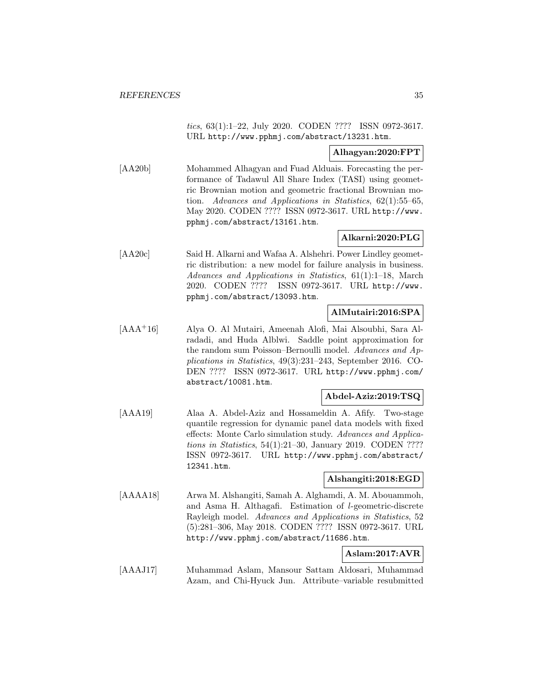tics, 63(1):1–22, July 2020. CODEN ???? ISSN 0972-3617. URL http://www.pphmj.com/abstract/13231.htm.

#### **Alhagyan:2020:FPT**

[AA20b] Mohammed Alhagyan and Fuad Alduais. Forecasting the performance of Tadawul All Share Index (TASI) using geometric Brownian motion and geometric fractional Brownian motion. Advances and Applications in Statistics, 62(1):55–65, May 2020. CODEN ???? ISSN 0972-3617. URL http://www. pphmj.com/abstract/13161.htm.

#### **Alkarni:2020:PLG**

[AA20c] Said H. Alkarni and Wafaa A. Alshehri. Power Lindley geometric distribution: a new model for failure analysis in business. Advances and Applications in Statistics, 61(1):1–18, March 2020. CODEN ???? ISSN 0972-3617. URL http://www. pphmj.com/abstract/13093.htm.

#### **AlMutairi:2016:SPA**

[AAA<sup>+</sup>16] Alya O. Al Mutairi, Ameenah Alofi, Mai Alsoubhi, Sara Alradadi, and Huda Alblwi. Saddle point approximation for the random sum Poisson–Bernoulli model. Advances and Applications in Statistics, 49(3):231–243, September 2016. CO-DEN ???? ISSN 0972-3617. URL http://www.pphmj.com/ abstract/10081.htm.

### **Abdel-Aziz:2019:TSQ**

[AAA19] Alaa A. Abdel-Aziz and Hossameldin A. Afify. Two-stage quantile regression for dynamic panel data models with fixed effects: Monte Carlo simulation study. Advances and Applications in Statistics, 54(1):21–30, January 2019. CODEN ???? ISSN 0972-3617. URL http://www.pphmj.com/abstract/ 12341.htm.

#### **Alshangiti:2018:EGD**

[AAAA18] Arwa M. Alshangiti, Samah A. Alghamdi, A. M. Abouammoh, and Asma H. Althagafi. Estimation of l-geometric-discrete Rayleigh model. Advances and Applications in Statistics, 52 (5):281–306, May 2018. CODEN ???? ISSN 0972-3617. URL http://www.pphmj.com/abstract/11686.htm.

#### **Aslam:2017:AVR**

[AAAJ17] Muhammad Aslam, Mansour Sattam Aldosari, Muhammad Azam, and Chi-Hyuck Jun. Attribute–variable resubmitted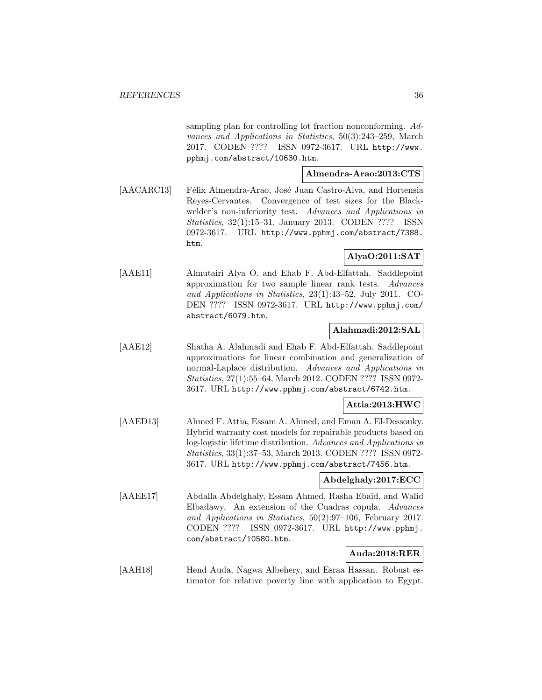sampling plan for controlling lot fraction nonconforming. Advances and Applications in Statistics, 50(3):243–259, March 2017. CODEN ???? ISSN 0972-3617. URL http://www. pphmj.com/abstract/10630.htm.

#### **Almendra-Arao:2013:CTS**

[AACARC13] Félix Almendra-Arao, José Juan Castro-Alva, and Hortensia Reyes-Cervantes. Convergence of test sizes for the Blackwelder's non-inferiority test. Advances and Applications in Statistics, 32(1):15–31, January 2013. CODEN ???? ISSN 0972-3617. URL http://www.pphmj.com/abstract/7388. htm.

## **AlyaO:2011:SAT**

[AAE11] Almutairi Alya O. and Ehab F. Abd-Elfattah. Saddlepoint approximation for two sample linear rank tests. Advances and Applications in Statistics, 23(1):43–52, July 2011. CO-DEN ???? ISSN 0972-3617. URL http://www.pphmj.com/ abstract/6079.htm.

### **Alahmadi:2012:SAL**

[AAE12] Shatha A. Alahmadi and Ehab F. Abd-Elfattah. Saddlepoint approximations for linear combination and generalization of normal-Laplace distribution. Advances and Applications in Statistics, 27(1):55–64, March 2012. CODEN ???? ISSN 0972- 3617. URL http://www.pphmj.com/abstract/6742.htm.

## **Attia:2013:HWC**

[AAED13] Ahmed F. Attia, Essam A. Ahmed, and Eman A. El-Dessouky. Hybrid warranty cost models for repairable products based on log-logistic lifetime distribution. Advances and Applications in Statistics, 33(1):37–53, March 2013. CODEN ???? ISSN 0972- 3617. URL http://www.pphmj.com/abstract/7456.htm.

#### **Abdelghaly:2017:ECC**

[AAEE17] Abdalla Abdelghaly, Essam Ahmed, Rasha Ebaid, and Walid Elbadawy. An extension of the Cuadras copula. Advances and Applications in Statistics, 50(2):97–106, February 2017. CODEN ???? ISSN 0972-3617. URL http://www.pphmj. com/abstract/10580.htm.

### **Auda:2018:RER**

[AAH18] Hend Auda, Nagwa Albehery, and Esraa Hassan. Robust estimator for relative poverty line with application to Egypt.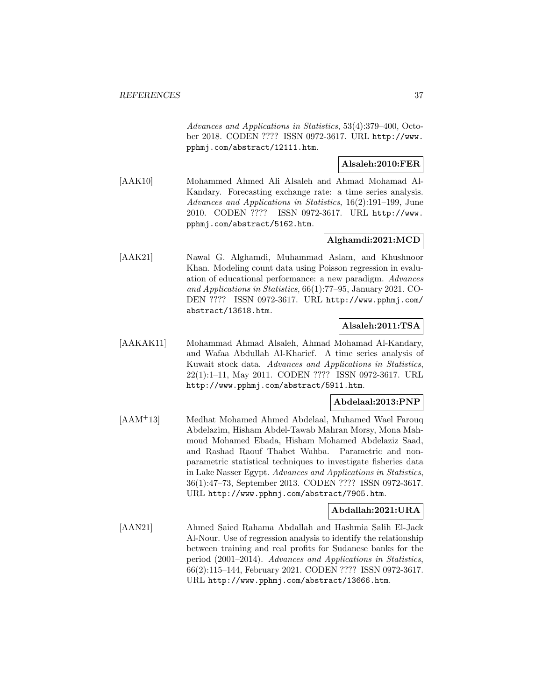Advances and Applications in Statistics, 53(4):379–400, October 2018. CODEN ???? ISSN 0972-3617. URL http://www. pphmj.com/abstract/12111.htm.

### **Alsaleh:2010:FER**

[AAK10] Mohammed Ahmed Ali Alsaleh and Ahmad Mohamad Al-Kandary. Forecasting exchange rate: a time series analysis. Advances and Applications in Statistics, 16(2):191–199, June 2010. CODEN ???? ISSN 0972-3617. URL http://www. pphmj.com/abstract/5162.htm.

## **Alghamdi:2021:MCD**

[AAK21] Nawal G. Alghamdi, Muhammad Aslam, and Khushnoor Khan. Modeling count data using Poisson regression in evaluation of educational performance: a new paradigm. Advances and Applications in Statistics, 66(1):77–95, January 2021. CO-DEN ???? ISSN 0972-3617. URL http://www.pphmj.com/ abstract/13618.htm.

## **Alsaleh:2011:TSA**

[AAKAK11] Mohammad Ahmad Alsaleh, Ahmad Mohamad Al-Kandary, and Wafaa Abdullah Al-Kharief. A time series analysis of Kuwait stock data. Advances and Applications in Statistics, 22(1):1–11, May 2011. CODEN ???? ISSN 0972-3617. URL http://www.pphmj.com/abstract/5911.htm.

### **Abdelaal:2013:PNP**

[AAM<sup>+</sup>13] Medhat Mohamed Ahmed Abdelaal, Muhamed Wael Farouq Abdelazim, Hisham Abdel-Tawab Mahran Morsy, Mona Mahmoud Mohamed Ebada, Hisham Mohamed Abdelaziz Saad, and Rashad Raouf Thabet Wahba. Parametric and nonparametric statistical techniques to investigate fisheries data in Lake Nasser Egypt. Advances and Applications in Statistics, 36(1):47–73, September 2013. CODEN ???? ISSN 0972-3617. URL http://www.pphmj.com/abstract/7905.htm.

## **Abdallah:2021:URA**

[AAN21] Ahmed Saied Rahama Abdallah and Hashmia Salih El-Jack Al-Nour. Use of regression analysis to identify the relationship between training and real profits for Sudanese banks for the period (2001–2014). Advances and Applications in Statistics, 66(2):115–144, February 2021. CODEN ???? ISSN 0972-3617. URL http://www.pphmj.com/abstract/13666.htm.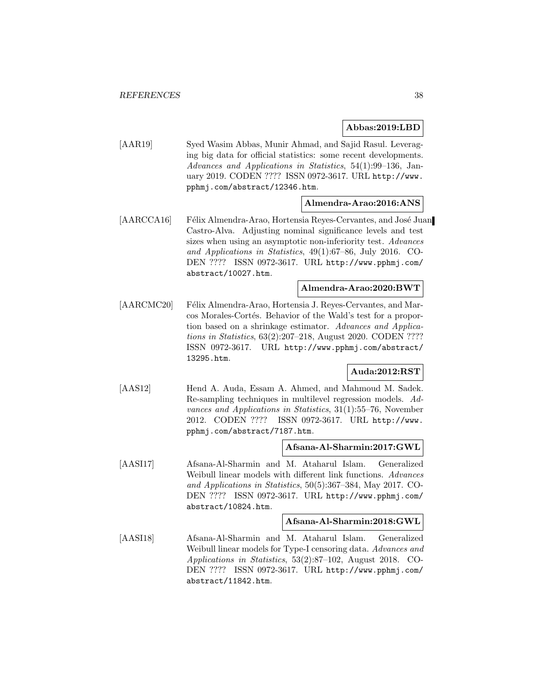#### **Abbas:2019:LBD**

[AAR19] Syed Wasim Abbas, Munir Ahmad, and Sajid Rasul. Leveraging big data for official statistics: some recent developments. Advances and Applications in Statistics, 54(1):99–136, January 2019. CODEN ???? ISSN 0972-3617. URL http://www. pphmj.com/abstract/12346.htm.

#### **Almendra-Arao:2016:ANS**

[AARCCA16] Félix Almendra-Arao, Hortensia Reyes-Cervantes, and José Juan Castro-Alva. Adjusting nominal significance levels and test sizes when using an asymptotic non-inferiority test. Advances and Applications in Statistics, 49(1):67–86, July 2016. CO-DEN ???? ISSN 0972-3617. URL http://www.pphmj.com/ abstract/10027.htm.

#### **Almendra-Arao:2020:BWT**

[AARCMC20] Félix Almendra-Arao, Hortensia J. Reyes-Cervantes, and Marcos Morales-Cortés. Behavior of the Wald's test for a proportion based on a shrinkage estimator. Advances and Applications in Statistics, 63(2):207–218, August 2020. CODEN ???? ISSN 0972-3617. URL http://www.pphmj.com/abstract/ 13295.htm.

### **Auda:2012:RST**

[AAS12] Hend A. Auda, Essam A. Ahmed, and Mahmoud M. Sadek. Re-sampling techniques in multilevel regression models. Advances and Applications in Statistics, 31(1):55–76, November 2012. CODEN ???? ISSN 0972-3617. URL http://www. pphmj.com/abstract/7187.htm.

### **Afsana-Al-Sharmin:2017:GWL**

[AASI17] Afsana-Al-Sharmin and M. Ataharul Islam. Generalized Weibull linear models with different link functions. Advances and Applications in Statistics, 50(5):367–384, May 2017. CO-DEN ???? ISSN 0972-3617. URL http://www.pphmj.com/ abstract/10824.htm.

#### **Afsana-Al-Sharmin:2018:GWL**

[AASI18] Afsana-Al-Sharmin and M. Ataharul Islam. Generalized Weibull linear models for Type-I censoring data. Advances and Applications in Statistics, 53(2):87–102, August 2018. CO-DEN ???? ISSN 0972-3617. URL http://www.pphmj.com/ abstract/11842.htm.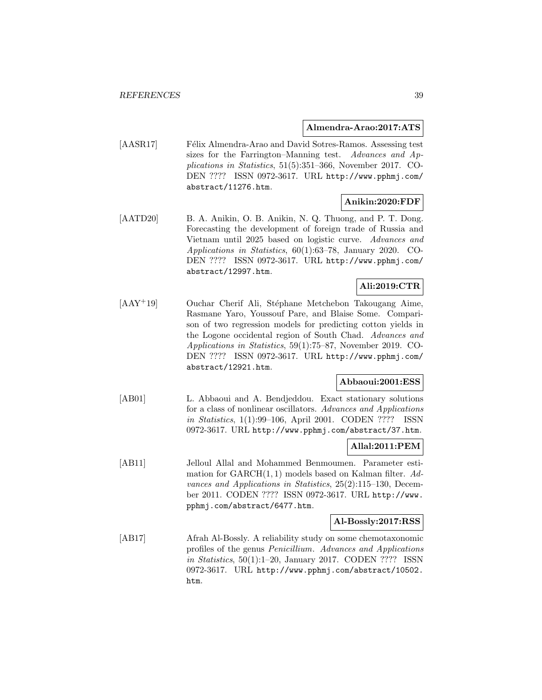#### **Almendra-Arao:2017:ATS**

[AASR17] Félix Almendra-Arao and David Sotres-Ramos. Assessing test sizes for the Farrington–Manning test. Advances and Applications in Statistics, 51(5):351–366, November 2017. CO-DEN ???? ISSN 0972-3617. URL http://www.pphmj.com/ abstract/11276.htm.

## **Anikin:2020:FDF**

[AATD20] B. A. Anikin, O. B. Anikin, N. Q. Thuong, and P. T. Dong. Forecasting the development of foreign trade of Russia and Vietnam until 2025 based on logistic curve. Advances and Applications in Statistics, 60(1):63–78, January 2020. CO-DEN ???? ISSN 0972-3617. URL http://www.pphmj.com/ abstract/12997.htm.

# **Ali:2019:CTR**

[AAY+19] Ouchar Cherif Ali, Stéphane Metchebon Takougang Aime, Rasmane Yaro, Youssouf Pare, and Blaise Some. Comparison of two regression models for predicting cotton yields in the Logone occidental region of South Chad. Advances and Applications in Statistics, 59(1):75–87, November 2019. CO-DEN ???? ISSN 0972-3617. URL http://www.pphmj.com/ abstract/12921.htm.

# **Abbaoui:2001:ESS**

[AB01] L. Abbaoui and A. Bendjeddou. Exact stationary solutions for a class of nonlinear oscillators. Advances and Applications in Statistics, 1(1):99–106, April 2001. CODEN ???? ISSN 0972-3617. URL http://www.pphmj.com/abstract/37.htm.

### **Allal:2011:PEM**

[AB11] Jelloul Allal and Mohammed Benmoumen. Parameter estimation for  $GARCH(1, 1)$  models based on Kalman filter. Advances and Applications in Statistics, 25(2):115–130, December 2011. CODEN ???? ISSN 0972-3617. URL http://www. pphmj.com/abstract/6477.htm.

#### **Al-Bossly:2017:RSS**

[AB17] Afrah Al-Bossly. A reliability study on some chemotaxonomic profiles of the genus Penicillium. Advances and Applications in Statistics, 50(1):1–20, January 2017. CODEN ???? ISSN 0972-3617. URL http://www.pphmj.com/abstract/10502. htm.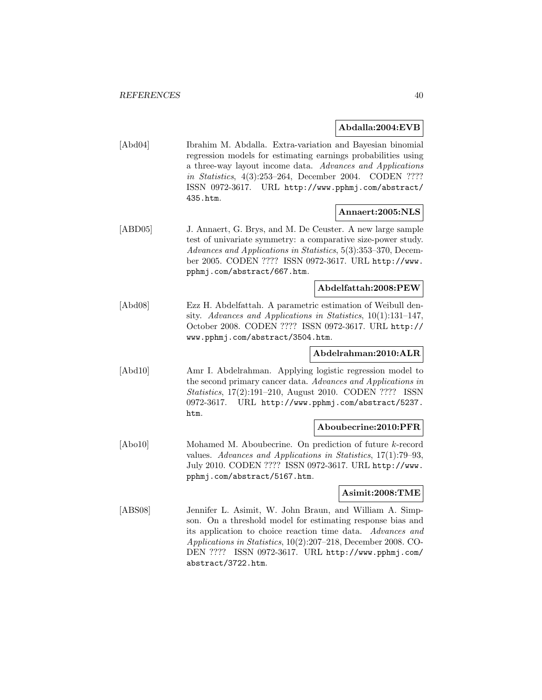#### **Abdalla:2004:EVB**

[Abd04] Ibrahim M. Abdalla. Extra-variation and Bayesian binomial regression models for estimating earnings probabilities using a three-way layout income data. Advances and Applications in Statistics, 4(3):253–264, December 2004. CODEN ???? ISSN 0972-3617. URL http://www.pphmj.com/abstract/ 435.htm.

#### **Annaert:2005:NLS**

[ABD05] J. Annaert, G. Brys, and M. De Ceuster. A new large sample test of univariate symmetry: a comparative size-power study. Advances and Applications in Statistics, 5(3):353–370, December 2005. CODEN ???? ISSN 0972-3617. URL http://www. pphmj.com/abstract/667.htm.

#### **Abdelfattah:2008:PEW**

[Abd08] Ezz H. Abdelfattah. A parametric estimation of Weibull density. Advances and Applications in Statistics, 10(1):131–147, October 2008. CODEN ???? ISSN 0972-3617. URL http:// www.pphmj.com/abstract/3504.htm.

## **Abdelrahman:2010:ALR**

[Abd10] Amr I. Abdelrahman. Applying logistic regression model to the second primary cancer data. Advances and Applications in Statistics, 17(2):191–210, August 2010. CODEN ???? ISSN 0972-3617. URL http://www.pphmj.com/abstract/5237. htm.

### **Aboubecrine:2010:PFR**

[Abo10] Mohamed M. Aboubecrine. On prediction of future k-record values. Advances and Applications in Statistics, 17(1):79–93, July 2010. CODEN ???? ISSN 0972-3617. URL http://www. pphmj.com/abstract/5167.htm.

#### **Asimit:2008:TME**

[ABS08] Jennifer L. Asimit, W. John Braun, and William A. Simpson. On a threshold model for estimating response bias and its application to choice reaction time data. Advances and Applications in Statistics, 10(2):207–218, December 2008. CO-DEN ???? ISSN 0972-3617. URL http://www.pphmj.com/ abstract/3722.htm.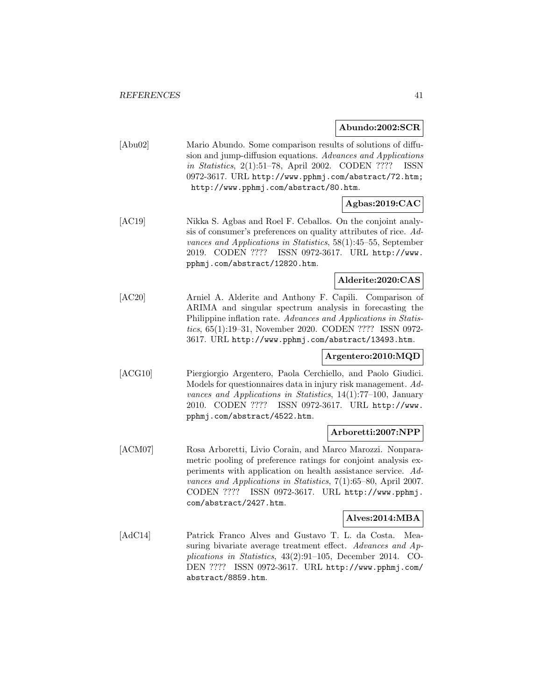**Abundo:2002:SCR**

|         | ADUI100.2002.5UR                                                                                                                                                                                                                                                                                                                               |
|---------|------------------------------------------------------------------------------------------------------------------------------------------------------------------------------------------------------------------------------------------------------------------------------------------------------------------------------------------------|
| [Abu02] | Mario Abundo. Some comparison results of solutions of diffu-<br>sion and jump-diffusion equations. Advances and Applications<br><i>in Statistics</i> , 2(1):51-78, April 2002. CODEN ????<br>ISSN<br>0972-3617. URL http://www.pphmj.com/abstract/72.htm;<br>http://www.pphmj.com/abstract/80.htm.                                             |
|         | Agbas:2019:CAC                                                                                                                                                                                                                                                                                                                                 |
| [AC19]  | Nikka S. Agbas and Roel F. Ceballos. On the conjoint analy-<br>sis of consumer's preferences on quality attributes of rice. Ad-<br>vances and Applications in Statistics, 58(1):45-55, September<br>ISSN 0972-3617. URL http://www.<br>2019. CODEN ????<br>pphmj.com/abstract/12820.htm.                                                       |
|         | Alderite:2020:CAS                                                                                                                                                                                                                                                                                                                              |
| [AC20]  | Arniel A. Alderite and Anthony F. Capili. Comparison of<br>ARIMA and singular spectrum analysis in forecasting the<br>Philippine inflation rate. Advances and Applications in Statis-<br>tics, 65(1):19-31, November 2020. CODEN ???? ISSN 0972-<br>3617. URL http://www.pphmj.com/abstract/13493.htm.                                         |
|         | Argentero:2010:MQD                                                                                                                                                                                                                                                                                                                             |
| [ACG10] | Piergiorgio Argentero, Paola Cerchiello, and Paolo Giudici.<br>Models for questionnaires data in injury risk management. Ad-<br>vances and Applications in Statistics, $14(1)$ :77-100, January<br>ISSN 0972-3617. URL http://www.<br>2010. CODEN ????<br>pphmj.com/abstract/4522.htm.                                                         |
|         | Arboretti:2007:NPP                                                                                                                                                                                                                                                                                                                             |
| [ACM07] | Rosa Arboretti, Livio Corain, and Marco Marozzi. Nonpara-<br>metric pooling of preference ratings for conjoint analysis ex-<br>periments with application on health assistance service. Ad-<br>vances and Applications in Statistics, $7(1):65-80$ , April 2007.<br>CODEN ???? ISSN 0972-3617. URL http://www.pphmj.<br>com/abstract/2427.htm. |
|         | Alves:2014:MBA                                                                                                                                                                                                                                                                                                                                 |
| [AdC14] | Patrick Franco Alves and Gustavo T. L. da Costa.<br>Mea-<br>suring bivariate average treatment effect. Advances and Ap-<br>plications in Statistics, $43(2):91-105$ , December 2014.<br>CO-<br>DEN ????<br>ISSN 0972-3617. URL http://www.pphmj.com/<br>abstract/8859.htm.                                                                     |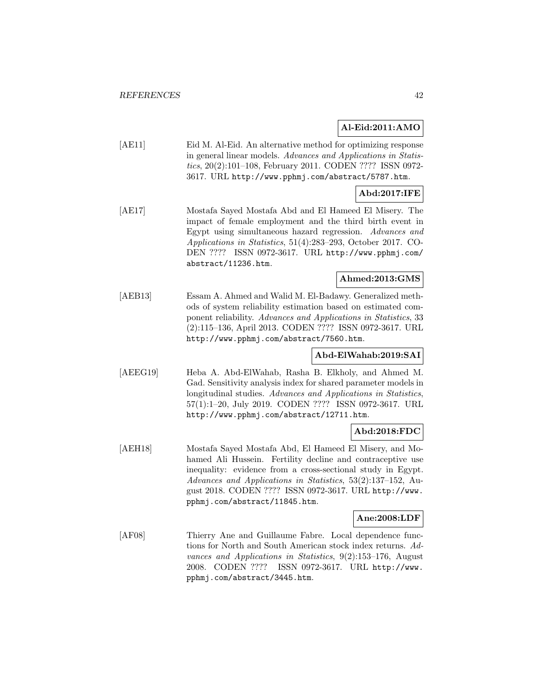### **Al-Eid:2011:AMO**

[AE11] Eid M. Al-Eid. An alternative method for optimizing response in general linear models. Advances and Applications in Statistics, 20(2):101–108, February 2011. CODEN ???? ISSN 0972- 3617. URL http://www.pphmj.com/abstract/5787.htm.

## **Abd:2017:IFE**

[AE17] Mostafa Sayed Mostafa Abd and El Hameed El Misery. The impact of female employment and the third birth event in Egypt using simultaneous hazard regression. Advances and Applications in Statistics, 51(4):283–293, October 2017. CO-DEN ???? ISSN 0972-3617. URL http://www.pphmj.com/ abstract/11236.htm.

## **Ahmed:2013:GMS**

[AEB13] Essam A. Ahmed and Walid M. El-Badawy. Generalized methods of system reliability estimation based on estimated component reliability. Advances and Applications in Statistics, 33 (2):115–136, April 2013. CODEN ???? ISSN 0972-3617. URL http://www.pphmj.com/abstract/7560.htm.

## **Abd-ElWahab:2019:SAI**

[AEEG19] Heba A. Abd-ElWahab, Rasha B. Elkholy, and Ahmed M. Gad. Sensitivity analysis index for shared parameter models in longitudinal studies. Advances and Applications in Statistics, 57(1):1–20, July 2019. CODEN ???? ISSN 0972-3617. URL http://www.pphmj.com/abstract/12711.htm.

### **Abd:2018:FDC**

[AEH18] Mostafa Sayed Mostafa Abd, El Hameed El Misery, and Mohamed Ali Hussein. Fertility decline and contraceptive use inequality: evidence from a cross-sectional study in Egypt. Advances and Applications in Statistics, 53(2):137–152, August 2018. CODEN ???? ISSN 0972-3617. URL http://www. pphmj.com/abstract/11845.htm.

### **Ane:2008:LDF**

[AF08] Thierry Ane and Guillaume Fabre. Local dependence functions for North and South American stock index returns. Advances and Applications in Statistics, 9(2):153–176, August 2008. CODEN ???? ISSN 0972-3617. URL http://www. pphmj.com/abstract/3445.htm.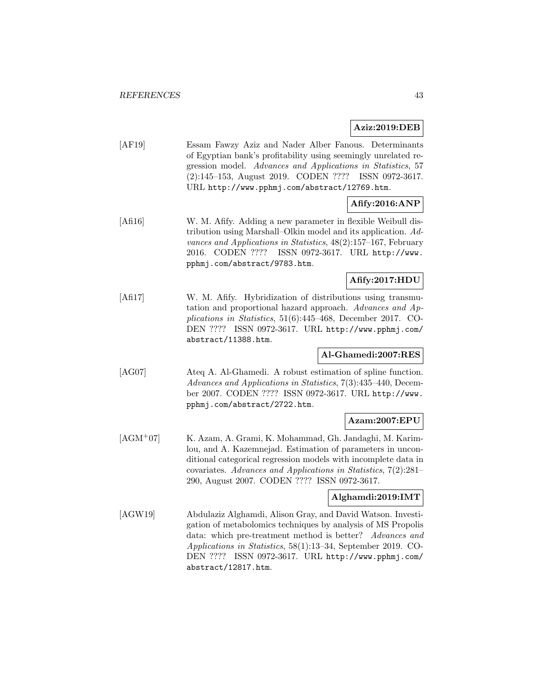## **Aziz:2019:DEB**

[AF19] Essam Fawzy Aziz and Nader Alber Fanous. Determinants of Egyptian bank's profitability using seemingly unrelated regression model. Advances and Applications in Statistics, 57 (2):145–153, August 2019. CODEN ???? ISSN 0972-3617. URL http://www.pphmj.com/abstract/12769.htm.

# **Afify:2016:ANP**

[Afi16] W. M. Afify. Adding a new parameter in flexible Weibull distribution using Marshall–Olkin model and its application. Advances and Applications in Statistics, 48(2):157–167, February 2016. CODEN ???? ISSN 0972-3617. URL http://www. pphmj.com/abstract/9783.htm.

# **Afify:2017:HDU**

[Afi17] W. M. Afify. Hybridization of distributions using transmutation and proportional hazard approach. Advances and Applications in Statistics, 51(6):445–468, December 2017. CO-DEN ???? ISSN 0972-3617. URL http://www.pphmj.com/ abstract/11388.htm.

### **Al-Ghamedi:2007:RES**

[AG07] Ateq A. Al-Ghamedi. A robust estimation of spline function. Advances and Applications in Statistics, 7(3):435–440, December 2007. CODEN ???? ISSN 0972-3617. URL http://www. pphmj.com/abstract/2722.htm.

## **Azam:2007:EPU**

[AGM<sup>+</sup>07] K. Azam, A. Grami, K. Mohammad, Gh. Jandaghi, M. Karimlou, and A. Kazemnejad. Estimation of parameters in unconditional categorical regression models with incomplete data in covariates. Advances and Applications in Statistics, 7(2):281– 290, August 2007. CODEN ???? ISSN 0972-3617.

### **Alghamdi:2019:IMT**

[AGW19] Abdulaziz Alghamdi, Alison Gray, and David Watson. Investigation of metabolomics techniques by analysis of MS Propolis data: which pre-treatment method is better? Advances and Applications in Statistics, 58(1):13–34, September 2019. CO-DEN ???? ISSN 0972-3617. URL http://www.pphmj.com/ abstract/12817.htm.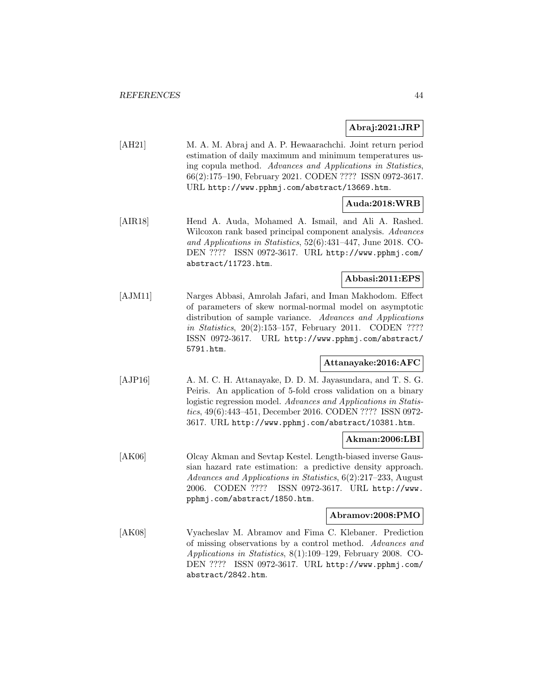## **Abraj:2021:JRP**

[AH21] M. A. M. Abraj and A. P. Hewaarachchi. Joint return period estimation of daily maximum and minimum temperatures using copula method. Advances and Applications in Statistics, 66(2):175–190, February 2021. CODEN ???? ISSN 0972-3617. URL http://www.pphmj.com/abstract/13669.htm.

# **Auda:2018:WRB**

[AIR18] Hend A. Auda, Mohamed A. Ismail, and Ali A. Rashed. Wilcoxon rank based principal component analysis. Advances and Applications in Statistics, 52(6):431–447, June 2018. CO-DEN ???? ISSN 0972-3617. URL http://www.pphmj.com/ abstract/11723.htm.

### **Abbasi:2011:EPS**

[AJM11] Narges Abbasi, Amrolah Jafari, and Iman Makhodom. Effect of parameters of skew normal-normal model on asymptotic distribution of sample variance. Advances and Applications in Statistics, 20(2):153–157, February 2011. CODEN ???? ISSN 0972-3617. URL http://www.pphmj.com/abstract/ 5791.htm.

## **Attanayake:2016:AFC**

[AJP16] A. M. C. H. Attanayake, D. D. M. Jayasundara, and T. S. G. Peiris. An application of 5-fold cross validation on a binary logistic regression model. Advances and Applications in Statistics, 49(6):443–451, December 2016. CODEN ???? ISSN 0972- 3617. URL http://www.pphmj.com/abstract/10381.htm.

### **Akman:2006:LBI**

[AK06] Olcay Akman and Sevtap Kestel. Length-biased inverse Gaussian hazard rate estimation: a predictive density approach. Advances and Applications in Statistics, 6(2):217–233, August 2006. CODEN ???? ISSN 0972-3617. URL http://www. pphmj.com/abstract/1850.htm.

### **Abramov:2008:PMO**

[AK08] Vyacheslav M. Abramov and Fima C. Klebaner. Prediction of missing observations by a control method. Advances and Applications in Statistics, 8(1):109–129, February 2008. CO-DEN ???? ISSN 0972-3617. URL http://www.pphmj.com/ abstract/2842.htm.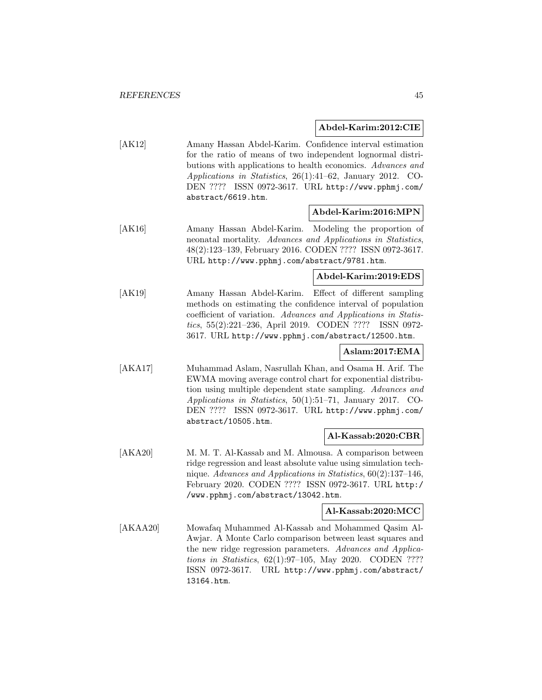#### **Abdel-Karim:2012:CIE**

[AK12] Amany Hassan Abdel-Karim. Confidence interval estimation for the ratio of means of two independent lognormal distributions with applications to health economics. Advances and Applications in Statistics, 26(1):41–62, January 2012. CO-DEN ???? ISSN 0972-3617. URL http://www.pphmj.com/ abstract/6619.htm.

## **Abdel-Karim:2016:MPN**

[AK16] Amany Hassan Abdel-Karim. Modeling the proportion of neonatal mortality. Advances and Applications in Statistics, 48(2):123–139, February 2016. CODEN ???? ISSN 0972-3617. URL http://www.pphmj.com/abstract/9781.htm.

# **Abdel-Karim:2019:EDS**

[AK19] Amany Hassan Abdel-Karim. Effect of different sampling methods on estimating the confidence interval of population coefficient of variation. Advances and Applications in Statistics, 55(2):221–236, April 2019. CODEN ???? ISSN 0972- 3617. URL http://www.pphmj.com/abstract/12500.htm.

## **Aslam:2017:EMA**

[AKA17] Muhammad Aslam, Nasrullah Khan, and Osama H. Arif. The EWMA moving average control chart for exponential distribution using multiple dependent state sampling. Advances and Applications in Statistics, 50(1):51–71, January 2017. CO-DEN ???? ISSN 0972-3617. URL http://www.pphmj.com/ abstract/10505.htm.

#### **Al-Kassab:2020:CBR**

[AKA20] M. M. T. Al-Kassab and M. Almousa. A comparison between ridge regression and least absolute value using simulation technique. Advances and Applications in Statistics, 60(2):137–146, February 2020. CODEN ???? ISSN 0972-3617. URL http:/ /www.pphmj.com/abstract/13042.htm.

## **Al-Kassab:2020:MCC**

[AKAA20] Mowafaq Muhammed Al-Kassab and Mohammed Qasim Al-Awjar. A Monte Carlo comparison between least squares and the new ridge regression parameters. Advances and Applications in Statistics, 62(1):97–105, May 2020. CODEN ???? ISSN 0972-3617. URL http://www.pphmj.com/abstract/ 13164.htm.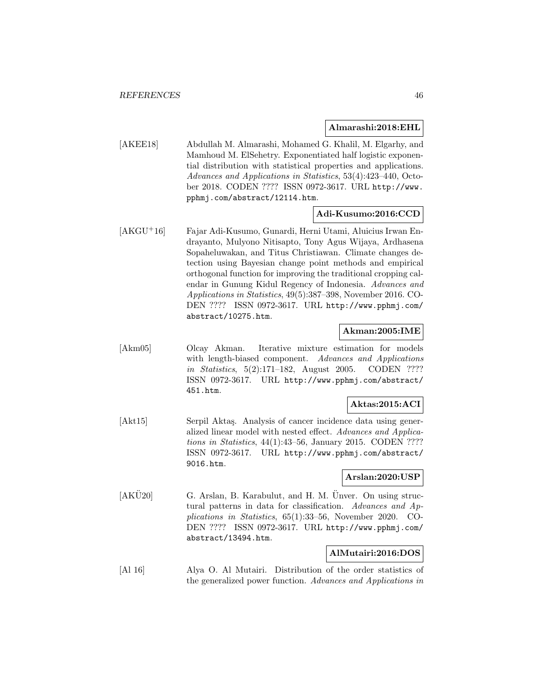#### **Almarashi:2018:EHL**

[AKEE18] Abdullah M. Almarashi, Mohamed G. Khalil, M. Elgarhy, and Mamhoud M. ElSehetry. Exponentiated half logistic exponential distribution with statistical properties and applications. Advances and Applications in Statistics, 53(4):423–440, October 2018. CODEN ???? ISSN 0972-3617. URL http://www. pphmj.com/abstract/12114.htm.

## **Adi-Kusumo:2016:CCD**

[AKGU<sup>+</sup>16] Fajar Adi-Kusumo, Gunardi, Herni Utami, Aluicius Irwan Endrayanto, Mulyono Nitisapto, Tony Agus Wijaya, Ardhasena Sopaheluwakan, and Titus Christiawan. Climate changes detection using Bayesian change point methods and empirical orthogonal function for improving the traditional cropping calendar in Gunung Kidul Regency of Indonesia. Advances and Applications in Statistics, 49(5):387–398, November 2016. CO-DEN ???? ISSN 0972-3617. URL http://www.pphmj.com/ abstract/10275.htm.

## **Akman:2005:IME**

[Akm05] Olcay Akman. Iterative mixture estimation for models with length-biased component. Advances and Applications in Statistics, 5(2):171–182, August 2005. CODEN ???? ISSN 0972-3617. URL http://www.pphmj.com/abstract/ 451.htm.

### **Aktas:2015:ACI**

[Akt15] Serpil Aktaş. Analysis of cancer incidence data using generalized linear model with nested effect. Advances and Applications in Statistics, 44(1):43–56, January 2015. CODEN ???? ISSN 0972-3617. URL http://www.pphmj.com/abstract/ 9016.htm.

## **Arslan:2020:USP**

 $[AKÜ20]$  G. Arslan, B. Karabulut, and H. M. Ünver. On using structural patterns in data for classification. Advances and Applications in Statistics, 65(1):33–56, November 2020. CO-DEN ???? ISSN 0972-3617. URL http://www.pphmj.com/ abstract/13494.htm.

## **AlMutairi:2016:DOS**

[Al 16] Alya O. Al Mutairi. Distribution of the order statistics of the generalized power function. Advances and Applications in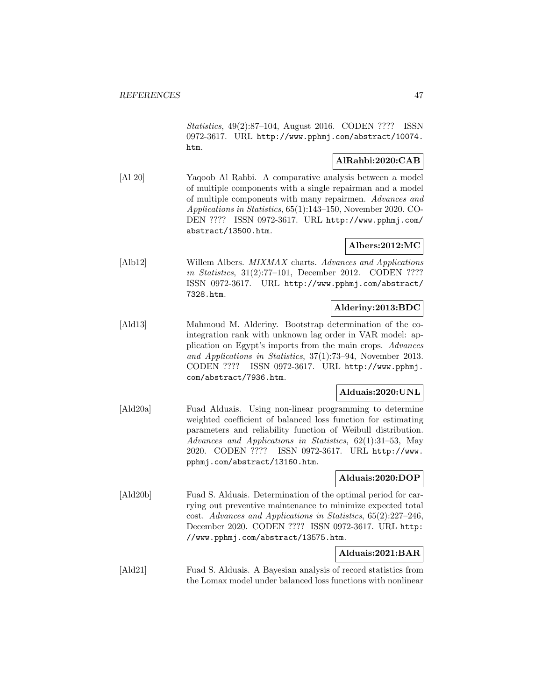Statistics, 49(2):87–104, August 2016. CODEN ???? ISSN 0972-3617. URL http://www.pphmj.com/abstract/10074. htm.

### **AlRahbi:2020:CAB**

[Al 20] Yaqoob Al Rahbi. A comparative analysis between a model of multiple components with a single repairman and a model of multiple components with many repairmen. Advances and Applications in Statistics, 65(1):143–150, November 2020. CO-DEN ???? ISSN 0972-3617. URL http://www.pphmj.com/ abstract/13500.htm.

## **Albers:2012:MC**

[Alb12] Willem Albers. MIXMAX charts. Advances and Applications in Statistics, 31(2):77–101, December 2012. CODEN ???? ISSN 0972-3617. URL http://www.pphmj.com/abstract/ 7328.htm.

### **Alderiny:2013:BDC**

[Ald13] Mahmoud M. Alderiny. Bootstrap determination of the cointegration rank with unknown lag order in VAR model: application on Egypt's imports from the main crops. Advances and Applications in Statistics, 37(1):73–94, November 2013. CODEN ???? ISSN 0972-3617. URL http://www.pphmj. com/abstract/7936.htm.

### **Alduais:2020:UNL**

[Ald20a] Fuad Alduais. Using non-linear programming to determine weighted coefficient of balanced loss function for estimating parameters and reliability function of Weibull distribution. Advances and Applications in Statistics, 62(1):31–53, May 2020. CODEN ???? ISSN 0972-3617. URL http://www. pphmj.com/abstract/13160.htm.

#### **Alduais:2020:DOP**

[Ald20b] Fuad S. Alduais. Determination of the optimal period for carrying out preventive maintenance to minimize expected total cost. Advances and Applications in Statistics, 65(2):227–246, December 2020. CODEN ???? ISSN 0972-3617. URL http: //www.pphmj.com/abstract/13575.htm.

## **Alduais:2021:BAR**

[Ald21] Fuad S. Alduais. A Bayesian analysis of record statistics from the Lomax model under balanced loss functions with nonlinear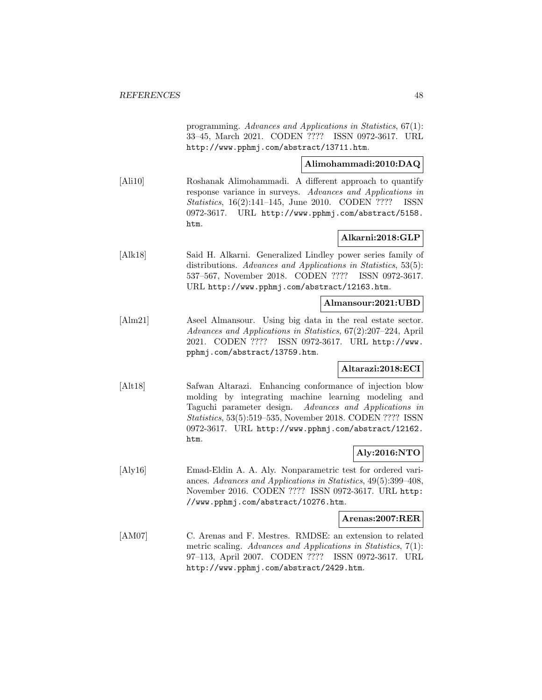programming. Advances and Applications in Statistics, 67(1): 33–45, March 2021. CODEN ???? ISSN 0972-3617. URL http://www.pphmj.com/abstract/13711.htm.

# **Alimohammadi:2010:DAQ**

[Ali10] Roshanak Alimohammadi. A different approach to quantify response variance in surveys. Advances and Applications in Statistics, 16(2):141–145, June 2010. CODEN ???? ISSN 0972-3617. URL http://www.pphmj.com/abstract/5158. htm.

## **Alkarni:2018:GLP**

[Alk18] Said H. Alkarni. Generalized Lindley power series family of distributions. Advances and Applications in Statistics, 53(5): 537–567, November 2018. CODEN ???? ISSN 0972-3617. URL http://www.pphmj.com/abstract/12163.htm.

#### **Almansour:2021:UBD**

[Alm21] Aseel Almansour. Using big data in the real estate sector. Advances and Applications in Statistics, 67(2):207–224, April 2021. CODEN ???? ISSN 0972-3617. URL http://www. pphmj.com/abstract/13759.htm.

### **Altarazi:2018:ECI**

[Alt18] Safwan Altarazi. Enhancing conformance of injection blow molding by integrating machine learning modeling and Taguchi parameter design. Advances and Applications in Statistics, 53(5):519–535, November 2018. CODEN ???? ISSN 0972-3617. URL http://www.pphmj.com/abstract/12162. htm.

## **Aly:2016:NTO**

[Aly16] Emad-Eldin A. A. Aly. Nonparametric test for ordered variances. Advances and Applications in Statistics, 49(5):399–408, November 2016. CODEN ???? ISSN 0972-3617. URL http: //www.pphmj.com/abstract/10276.htm.

#### **Arenas:2007:RER**

[AM07] C. Arenas and F. Mestres. RMDSE: an extension to related metric scaling. Advances and Applications in Statistics, 7(1): 97–113, April 2007. CODEN ???? ISSN 0972-3617. URL http://www.pphmj.com/abstract/2429.htm.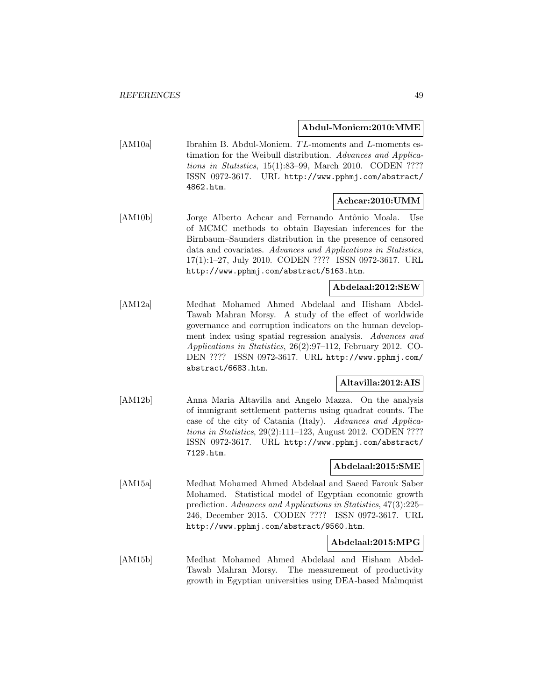#### **Abdul-Moniem:2010:MME**

[AM10a] Ibrahim B. Abdul-Moniem. TL-moments and L-moments estimation for the Weibull distribution. Advances and Applications in Statistics, 15(1):83–99, March 2010. CODEN ???? ISSN 0972-3617. URL http://www.pphmj.com/abstract/ 4862.htm.

## **Achcar:2010:UMM**

[AM10b] Jorge Alberto Achcar and Fernando Antônio Moala. Use of MCMC methods to obtain Bayesian inferences for the Birnbaum–Saunders distribution in the presence of censored data and covariates. Advances and Applications in Statistics, 17(1):1–27, July 2010. CODEN ???? ISSN 0972-3617. URL http://www.pphmj.com/abstract/5163.htm.

## **Abdelaal:2012:SEW**

[AM12a] Medhat Mohamed Ahmed Abdelaal and Hisham Abdel-Tawab Mahran Morsy. A study of the effect of worldwide governance and corruption indicators on the human development index using spatial regression analysis. Advances and Applications in Statistics, 26(2):97–112, February 2012. CO-DEN ???? ISSN 0972-3617. URL http://www.pphmj.com/ abstract/6683.htm.

### **Altavilla:2012:AIS**

[AM12b] Anna Maria Altavilla and Angelo Mazza. On the analysis of immigrant settlement patterns using quadrat counts. The case of the city of Catania (Italy). Advances and Applications in Statistics, 29(2):111–123, August 2012. CODEN ???? ISSN 0972-3617. URL http://www.pphmj.com/abstract/ 7129.htm.

## **Abdelaal:2015:SME**

[AM15a] Medhat Mohamed Ahmed Abdelaal and Saeed Farouk Saber Mohamed. Statistical model of Egyptian economic growth prediction. Advances and Applications in Statistics, 47(3):225– 246, December 2015. CODEN ???? ISSN 0972-3617. URL http://www.pphmj.com/abstract/9560.htm.

### **Abdelaal:2015:MPG**

[AM15b] Medhat Mohamed Ahmed Abdelaal and Hisham Abdel-Tawab Mahran Morsy. The measurement of productivity growth in Egyptian universities using DEA-based Malmquist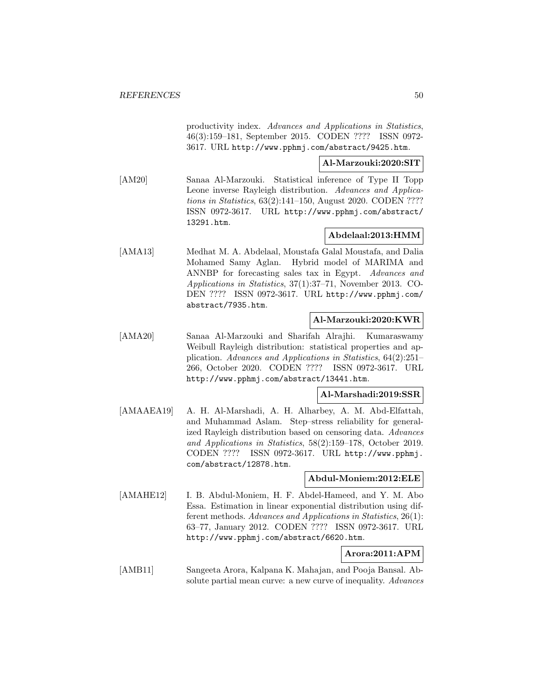productivity index. Advances and Applications in Statistics, 46(3):159–181, September 2015. CODEN ???? ISSN 0972- 3617. URL http://www.pphmj.com/abstract/9425.htm.

**Al-Marzouki:2020:SIT**

[AM20] Sanaa Al-Marzouki. Statistical inference of Type II Topp Leone inverse Rayleigh distribution. Advances and Applications in Statistics, 63(2):141–150, August 2020. CODEN ???? ISSN 0972-3617. URL http://www.pphmj.com/abstract/ 13291.htm.

### **Abdelaal:2013:HMM**

[AMA13] Medhat M. A. Abdelaal, Moustafa Galal Moustafa, and Dalia Mohamed Samy Aglan. Hybrid model of MARIMA and ANNBP for forecasting sales tax in Egypt. Advances and Applications in Statistics, 37(1):37–71, November 2013. CO-DEN ???? ISSN 0972-3617. URL http://www.pphmj.com/ abstract/7935.htm.

## **Al-Marzouki:2020:KWR**

[AMA20] Sanaa Al-Marzouki and Sharifah Alrajhi. Kumaraswamy Weibull Rayleigh distribution: statistical properties and application. Advances and Applications in Statistics, 64(2):251– 266, October 2020. CODEN ???? ISSN 0972-3617. URL http://www.pphmj.com/abstract/13441.htm.

### **Al-Marshadi:2019:SSR**

[AMAAEA19] A. H. Al-Marshadi, A. H. Alharbey, A. M. Abd-Elfattah, and Muhammad Aslam. Step–stress reliability for generalized Rayleigh distribution based on censoring data. Advances and Applications in Statistics, 58(2):159–178, October 2019. CODEN ???? ISSN 0972-3617. URL http://www.pphmj. com/abstract/12878.htm.

#### **Abdul-Moniem:2012:ELE**

[AMAHE12] I. B. Abdul-Moniem, H. F. Abdel-Hameed, and Y. M. Abo Essa. Estimation in linear exponential distribution using different methods. Advances and Applications in Statistics, 26(1): 63–77, January 2012. CODEN ???? ISSN 0972-3617. URL http://www.pphmj.com/abstract/6620.htm.

# **Arora:2011:APM**

[AMB11] Sangeeta Arora, Kalpana K. Mahajan, and Pooja Bansal. Absolute partial mean curve: a new curve of inequality. Advances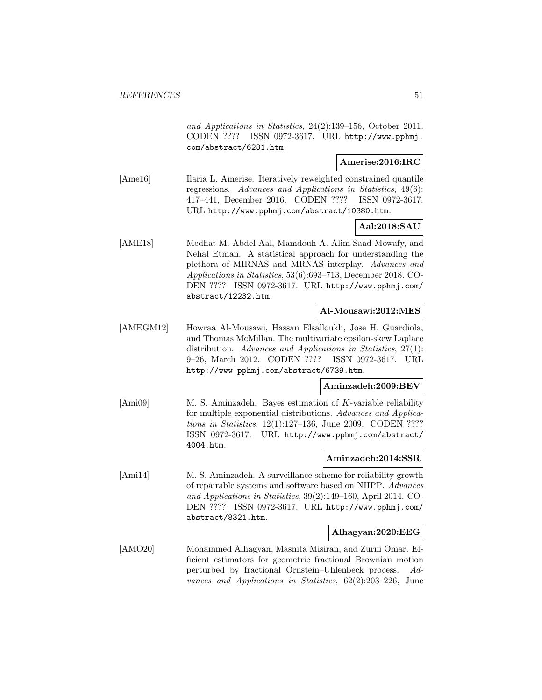and Applications in Statistics, 24(2):139–156, October 2011. CODEN ???? ISSN 0972-3617. URL http://www.pphmj. com/abstract/6281.htm.

#### **Amerise:2016:IRC**

[Ame16] Ilaria L. Amerise. Iteratively reweighted constrained quantile regressions. Advances and Applications in Statistics, 49(6): 417–441, December 2016. CODEN ???? ISSN 0972-3617. URL http://www.pphmj.com/abstract/10380.htm.

## **Aal:2018:SAU**

[AME18] Medhat M. Abdel Aal, Mamdouh A. Alim Saad Mowafy, and Nehal Etman. A statistical approach for understanding the plethora of MIRNAS and MRNAS interplay. Advances and Applications in Statistics, 53(6):693–713, December 2018. CO-DEN ???? ISSN 0972-3617. URL http://www.pphmj.com/ abstract/12232.htm.

### **Al-Mousawi:2012:MES**

[AMEGM12] Howraa Al-Mousawi, Hassan Elsalloukh, Jose H. Guardiola, and Thomas McMillan. The multivariate epsilon-skew Laplace distribution. Advances and Applications in Statistics, 27(1): 9–26, March 2012. CODEN ???? ISSN 0972-3617. URL http://www.pphmj.com/abstract/6739.htm.

### **Aminzadeh:2009:BEV**

[Ami09] M. S. Aminzadeh. Bayes estimation of K-variable reliability for multiple exponential distributions. Advances and Applications in Statistics, 12(1):127–136, June 2009. CODEN ???? ISSN 0972-3617. URL http://www.pphmj.com/abstract/ 4004.htm.

#### **Aminzadeh:2014:SSR**

[Ami14] M. S. Aminzadeh. A surveillance scheme for reliability growth of repairable systems and software based on NHPP. Advances and Applications in Statistics, 39(2):149–160, April 2014. CO-DEN ???? ISSN 0972-3617. URL http://www.pphmj.com/ abstract/8321.htm.

#### **Alhagyan:2020:EEG**

[AMO20] Mohammed Alhagyan, Masnita Misiran, and Zurni Omar. Efficient estimators for geometric fractional Brownian motion perturbed by fractional Ornstein–Uhlenbeck process. Advances and Applications in Statistics, 62(2):203–226, June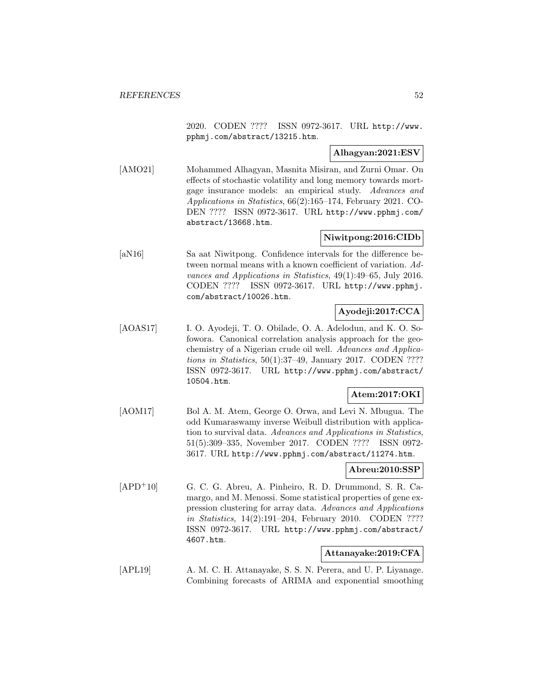2020. CODEN ???? ISSN 0972-3617. URL http://www. pphmj.com/abstract/13215.htm.

### **Alhagyan:2021:ESV**

[AMO21] Mohammed Alhagyan, Masnita Misiran, and Zurni Omar. On effects of stochastic volatility and long memory towards mortgage insurance models: an empirical study. Advances and Applications in Statistics, 66(2):165–174, February 2021. CO-DEN ???? ISSN 0972-3617. URL http://www.pphmj.com/ abstract/13668.htm.

## **Niwitpong:2016:CIDb**

[aN16] Sa aat Niwitpong. Confidence intervals for the difference between normal means with a known coefficient of variation. Advances and Applications in Statistics, 49(1):49–65, July 2016. CODEN ???? ISSN 0972-3617. URL http://www.pphmj. com/abstract/10026.htm.

## **Ayodeji:2017:CCA**

[AOAS17] I. O. Ayodeji, T. O. Obilade, O. A. Adelodun, and K. O. Sofowora. Canonical correlation analysis approach for the geochemistry of a Nigerian crude oil well. Advances and Applications in Statistics, 50(1):37–49, January 2017. CODEN ???? ISSN 0972-3617. URL http://www.pphmj.com/abstract/ 10504.htm.

# **Atem:2017:OKI**

[AOM17] Bol A. M. Atem, George O. Orwa, and Levi N. Mbugua. The odd Kumaraswamy inverse Weibull distribution with application to survival data. Advances and Applications in Statistics, 51(5):309–335, November 2017. CODEN ???? ISSN 0972- 3617. URL http://www.pphmj.com/abstract/11274.htm.

# **Abreu:2010:SSP**

[APD<sup>+</sup>10] G. C. G. Abreu, A. Pinheiro, R. D. Drummond, S. R. Camargo, and M. Menossi. Some statistical properties of gene expression clustering for array data. Advances and Applications in Statistics, 14(2):191–204, February 2010. CODEN ???? ISSN 0972-3617. URL http://www.pphmj.com/abstract/ 4607.htm.

## **Attanayake:2019:CFA**

[APL19] A. M. C. H. Attanayake, S. S. N. Perera, and U. P. Liyanage. Combining forecasts of ARIMA and exponential smoothing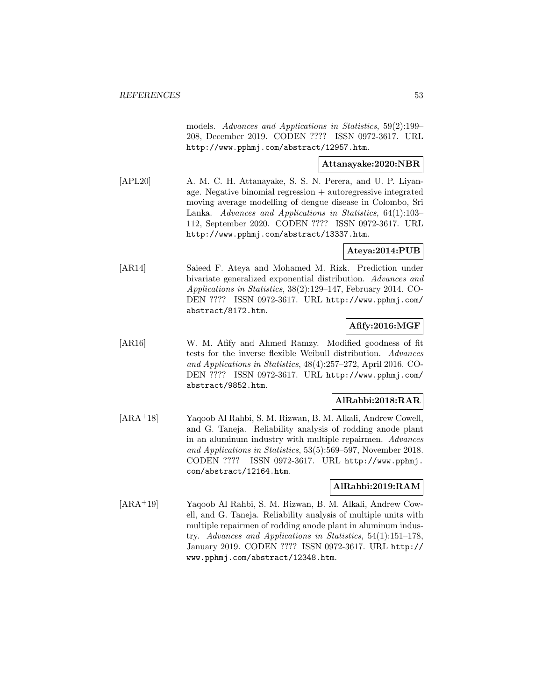models. Advances and Applications in Statistics, 59(2):199– 208, December 2019. CODEN ???? ISSN 0972-3617. URL http://www.pphmj.com/abstract/12957.htm.

## **Attanayake:2020:NBR**

[APL20] A. M. C. H. Attanayake, S. S. N. Perera, and U. P. Liyanage. Negative binomial regression + autoregressive integrated moving average modelling of dengue disease in Colombo, Sri Lanka. Advances and Applications in Statistics, 64(1):103– 112, September 2020. CODEN ???? ISSN 0972-3617. URL http://www.pphmj.com/abstract/13337.htm.

### **Ateya:2014:PUB**

[AR14] Saieed F. Ateya and Mohamed M. Rizk. Prediction under bivariate generalized exponential distribution. Advances and Applications in Statistics, 38(2):129–147, February 2014. CO-DEN ???? ISSN 0972-3617. URL http://www.pphmj.com/ abstract/8172.htm.

# **Afify:2016:MGF**

[AR16] W. M. Afify and Ahmed Ramzy. Modified goodness of fit tests for the inverse flexible Weibull distribution. Advances and Applications in Statistics, 48(4):257–272, April 2016. CO-DEN ???? ISSN 0972-3617. URL http://www.pphmj.com/ abstract/9852.htm.

### **AlRahbi:2018:RAR**

[ARA<sup>+</sup>18] Yaqoob Al Rahbi, S. M. Rizwan, B. M. Alkali, Andrew Cowell, and G. Taneja. Reliability analysis of rodding anode plant in an aluminum industry with multiple repairmen. Advances and Applications in Statistics, 53(5):569–597, November 2018. CODEN ???? ISSN 0972-3617. URL http://www.pphmj. com/abstract/12164.htm.

## **AlRahbi:2019:RAM**

[ARA<sup>+</sup>19] Yaqoob Al Rahbi, S. M. Rizwan, B. M. Alkali, Andrew Cowell, and G. Taneja. Reliability analysis of multiple units with multiple repairmen of rodding anode plant in aluminum industry. Advances and Applications in Statistics, 54(1):151–178, January 2019. CODEN ???? ISSN 0972-3617. URL http:// www.pphmj.com/abstract/12348.htm.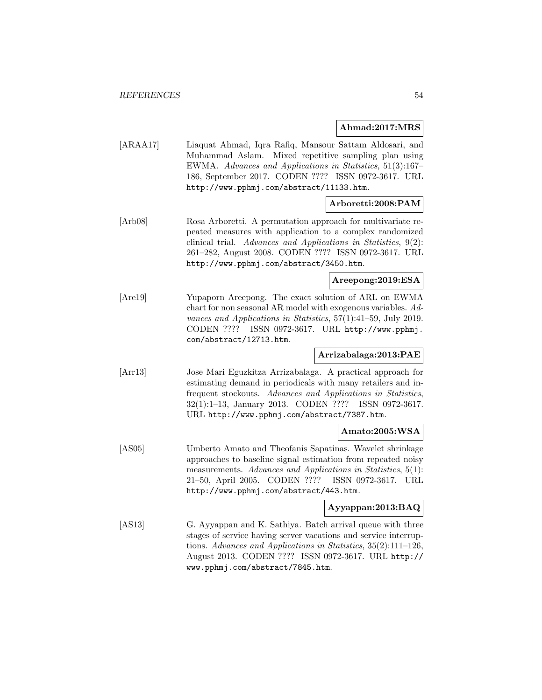#### **Ahmad:2017:MRS**

[ARAA17] Liaquat Ahmad, Iqra Rafiq, Mansour Sattam Aldosari, and Muhammad Aslam. Mixed repetitive sampling plan using EWMA. Advances and Applications in Statistics, 51(3):167– 186, September 2017. CODEN ???? ISSN 0972-3617. URL http://www.pphmj.com/abstract/11133.htm.

## **Arboretti:2008:PAM**

[Arb08] Rosa Arboretti. A permutation approach for multivariate repeated measures with application to a complex randomized clinical trial. Advances and Applications in Statistics, 9(2): 261–282, August 2008. CODEN ???? ISSN 0972-3617. URL http://www.pphmj.com/abstract/3450.htm.

## **Areepong:2019:ESA**

[Are19] Yupaporn Areepong. The exact solution of ARL on EWMA chart for non seasonal AR model with exogenous variables. Advances and Applications in Statistics, 57(1):41–59, July 2019. CODEN ???? ISSN 0972-3617. URL http://www.pphmj. com/abstract/12713.htm.

### **Arrizabalaga:2013:PAE**

[Arr13] Jose Mari Eguzkitza Arrizabalaga. A practical approach for estimating demand in periodicals with many retailers and infrequent stockouts. Advances and Applications in Statistics, 32(1):1–13, January 2013. CODEN ???? ISSN 0972-3617. URL http://www.pphmj.com/abstract/7387.htm.

### **Amato:2005:WSA**

[AS05] Umberto Amato and Theofanis Sapatinas. Wavelet shrinkage approaches to baseline signal estimation from repeated noisy measurements. Advances and Applications in Statistics, 5(1): 21–50, April 2005. CODEN ???? ISSN 0972-3617. URL http://www.pphmj.com/abstract/443.htm.

## **Ayyappan:2013:BAQ**

[AS13] G. Ayyappan and K. Sathiya. Batch arrival queue with three stages of service having server vacations and service interruptions. Advances and Applications in Statistics, 35(2):111–126, August 2013. CODEN ???? ISSN 0972-3617. URL http:// www.pphmj.com/abstract/7845.htm.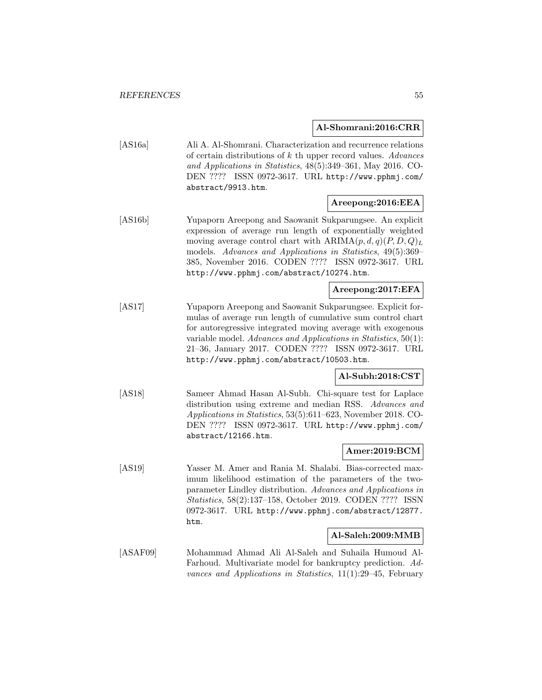**Al-Shomrani:2016:CRR**

[AS16a] Ali A. Al-Shomrani. Characterization and recurrence relations of certain distributions of  $k$  th upper record values. Advances and Applications in Statistics, 48(5):349–361, May 2016. CO-DEN ???? ISSN 0972-3617. URL http://www.pphmj.com/ abstract/9913.htm.

## **Areepong:2016:EEA**

[AS16b] Yupaporn Areepong and Saowanit Sukparungsee. An explicit expression of average run length of exponentially weighted moving average control chart with  $ARIMA(p, d, q)(P, D, Q)_L$ models. Advances and Applications in Statistics, 49(5):369– 385, November 2016. CODEN ???? ISSN 0972-3617. URL http://www.pphmj.com/abstract/10274.htm.

## **Areepong:2017:EFA**

[AS17] Yupaporn Areepong and Saowanit Sukparungsee. Explicit formulas of average run length of cumulative sum control chart for autoregressive integrated moving average with exogenous variable model. Advances and Applications in Statistics, 50(1): 21–36, January 2017. CODEN ???? ISSN 0972-3617. URL http://www.pphmj.com/abstract/10503.htm.

### **Al-Subh:2018:CST**

[AS18] Sameer Ahmad Hasan Al-Subh. Chi-square test for Laplace distribution using extreme and median RSS. Advances and Applications in Statistics, 53(5):611–623, November 2018. CO-DEN ???? ISSN 0972-3617. URL http://www.pphmj.com/ abstract/12166.htm.

# **Amer:2019:BCM**

[AS19] Yasser M. Amer and Rania M. Shalabi. Bias-corrected maximum likelihood estimation of the parameters of the twoparameter Lindley distribution. Advances and Applications in Statistics, 58(2):137–158, October 2019. CODEN ???? ISSN 0972-3617. URL http://www.pphmj.com/abstract/12877. htm.

#### **Al-Saleh:2009:MMB**

[ASAF09] Mohammad Ahmad Ali Al-Saleh and Suhaila Humoud Al-Farhoud. Multivariate model for bankruptcy prediction. Advances and Applications in Statistics, 11(1):29–45, February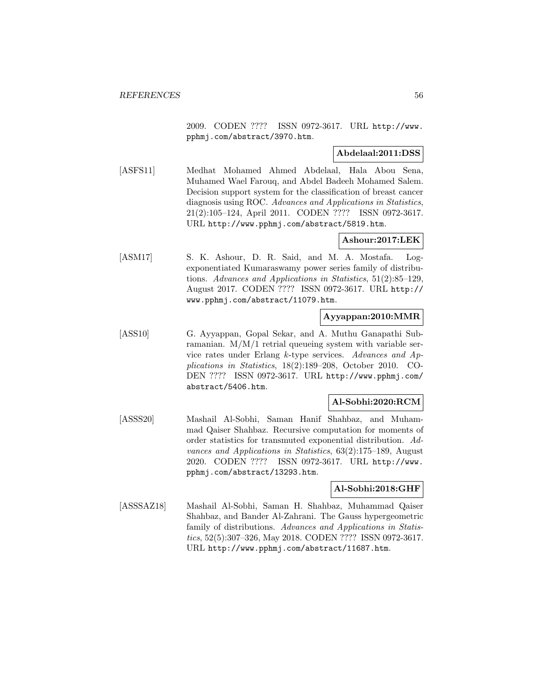2009. CODEN ???? ISSN 0972-3617. URL http://www. pphmj.com/abstract/3970.htm.

#### **Abdelaal:2011:DSS**

[ASFS11] Medhat Mohamed Ahmed Abdelaal, Hala Abou Sena, Muhamed Wael Farouq, and Abdel Badeeh Mohamed Salem. Decision support system for the classification of breast cancer diagnosis using ROC. Advances and Applications in Statistics, 21(2):105–124, April 2011. CODEN ???? ISSN 0972-3617. URL http://www.pphmj.com/abstract/5819.htm.

# **Ashour:2017:LEK**

[ASM17] S. K. Ashour, D. R. Said, and M. A. Mostafa. Logexponentiated Kumaraswamy power series family of distributions. Advances and Applications in Statistics, 51(2):85–129, August 2017. CODEN ???? ISSN 0972-3617. URL http:// www.pphmj.com/abstract/11079.htm.

### **Ayyappan:2010:MMR**

[ASS10] G. Ayyappan, Gopal Sekar, and A. Muthu Ganapathi Subramanian. M/M/1 retrial queueing system with variable service rates under Erlang k-type services. Advances and Applications in Statistics, 18(2):189–208, October 2010. CO-DEN ???? ISSN 0972-3617. URL http://www.pphmj.com/ abstract/5406.htm.

#### **Al-Sobhi:2020:RCM**

[ASSS20] Mashail Al-Sobhi, Saman Hanif Shahbaz, and Muhammad Qaiser Shahbaz. Recursive computation for moments of order statistics for transmuted exponential distribution. Advances and Applications in Statistics, 63(2):175–189, August 2020. CODEN ???? ISSN 0972-3617. URL http://www. pphmj.com/abstract/13293.htm.

#### **Al-Sobhi:2018:GHF**

[ASSSAZ18] Mashail Al-Sobhi, Saman H. Shahbaz, Muhammad Qaiser Shahbaz, and Bander Al-Zahrani. The Gauss hypergeometric family of distributions. Advances and Applications in Statistics, 52(5):307–326, May 2018. CODEN ???? ISSN 0972-3617. URL http://www.pphmj.com/abstract/11687.htm.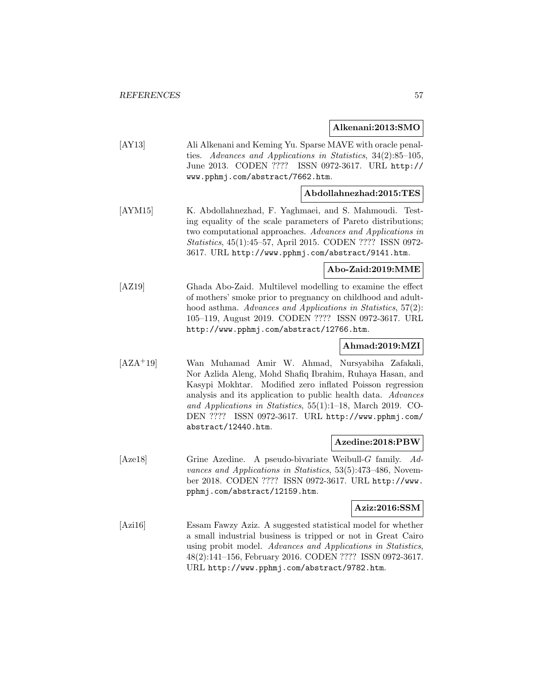#### **Alkenani:2013:SMO**

[AY13] Ali Alkenani and Keming Yu. Sparse MAVE with oracle penalties. Advances and Applications in Statistics, 34(2):85–105, June 2013. CODEN ???? ISSN 0972-3617. URL http:// www.pphmj.com/abstract/7662.htm.

### **Abdollahnezhad:2015:TES**

[AYM15] K. Abdollahnezhad, F. Yaghmaei, and S. Mahmoudi. Testing equality of the scale parameters of Pareto distributions; two computational approaches. Advances and Applications in Statistics, 45(1):45–57, April 2015. CODEN ???? ISSN 0972- 3617. URL http://www.pphmj.com/abstract/9141.htm.

### **Abo-Zaid:2019:MME**

[AZ19] Ghada Abo-Zaid. Multilevel modelling to examine the effect of mothers' smoke prior to pregnancy on childhood and adulthood asthma. Advances and Applications in Statistics, 57(2): 105–119, August 2019. CODEN ???? ISSN 0972-3617. URL http://www.pphmj.com/abstract/12766.htm.

## **Ahmad:2019:MZI**

[AZA<sup>+</sup>19] Wan Muhamad Amir W. Ahmad, Nursyabiha Zafakali, Nor Azlida Aleng, Mohd Shafiq Ibrahim, Ruhaya Hasan, and Kasypi Mokhtar. Modified zero inflated Poisson regression analysis and its application to public health data. Advances and Applications in Statistics, 55(1):1–18, March 2019. CO-DEN ???? ISSN 0972-3617. URL http://www.pphmj.com/ abstract/12440.htm.

#### **Azedine:2018:PBW**

[Aze18] Grine Azedine. A pseudo-bivariate Weibull-G family. Advances and Applications in Statistics, 53(5):473–486, November 2018. CODEN ???? ISSN 0972-3617. URL http://www. pphmj.com/abstract/12159.htm.

#### **Aziz:2016:SSM**

[Azi16] Essam Fawzy Aziz. A suggested statistical model for whether a small industrial business is tripped or not in Great Cairo using probit model. Advances and Applications in Statistics, 48(2):141–156, February 2016. CODEN ???? ISSN 0972-3617. URL http://www.pphmj.com/abstract/9782.htm.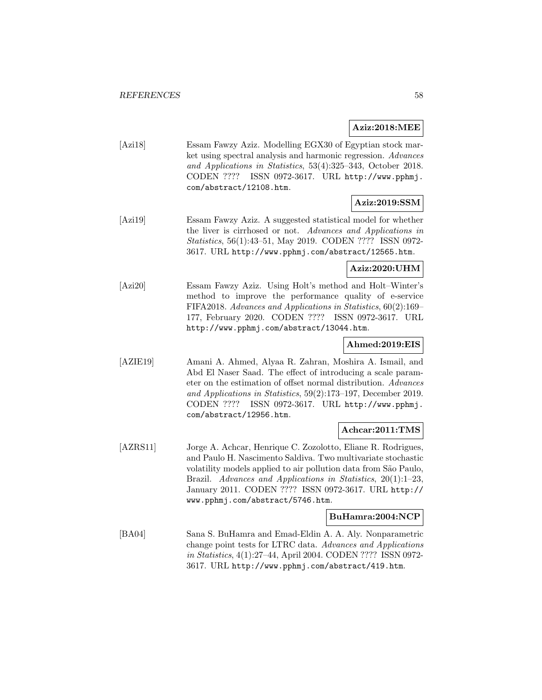#### **Aziz:2018:MEE**

| [Azi18] | Essam Fawzy Aziz. Modelling EGX30 of Egyptian stock mar-      |
|---------|---------------------------------------------------------------|
|         | ket using spectral analysis and harmonic regression. Advances |
|         | and Applications in Statistics, 53(4):325-343, October 2018.  |
|         | CODEN ???? ISSN 0972-3617. URL http://www.pphmj.              |
|         | com/abstract/12108.htm.                                       |

# **Aziz:2019:SSM**

[Azi19] Essam Fawzy Aziz. A suggested statistical model for whether the liver is cirrhosed or not. Advances and Applications in Statistics, 56(1):43–51, May 2019. CODEN ???? ISSN 0972- 3617. URL http://www.pphmj.com/abstract/12565.htm.

## **Aziz:2020:UHM**

[Azi20] Essam Fawzy Aziz. Using Holt's method and Holt–Winter's method to improve the performance quality of e-service FIFA2018. Advances and Applications in Statistics, 60(2):169– 177, February 2020. CODEN ???? ISSN 0972-3617. URL http://www.pphmj.com/abstract/13044.htm.

## **Ahmed:2019:EIS**

[AZIE19] Amani A. Ahmed, Alyaa R. Zahran, Moshira A. Ismail, and Abd El Naser Saad. The effect of introducing a scale parameter on the estimation of offset normal distribution. Advances and Applications in Statistics, 59(2):173–197, December 2019. CODEN ???? ISSN 0972-3617. URL http://www.pphmj. com/abstract/12956.htm.

#### **Achcar:2011:TMS**

[AZRS11] Jorge A. Achcar, Henrique C. Zozolotto, Eliane R. Rodrigues, and Paulo H. Nascimento Saldiva. Two multivariate stochastic volatility models applied to air pollution data from São Paulo, Brazil. Advances and Applications in Statistics, 20(1):1–23, January 2011. CODEN ???? ISSN 0972-3617. URL http:// www.pphmj.com/abstract/5746.htm.

#### **BuHamra:2004:NCP**

[BA04] Sana S. BuHamra and Emad-Eldin A. A. Aly. Nonparametric change point tests for LTRC data. Advances and Applications in Statistics, 4(1):27–44, April 2004. CODEN ???? ISSN 0972- 3617. URL http://www.pphmj.com/abstract/419.htm.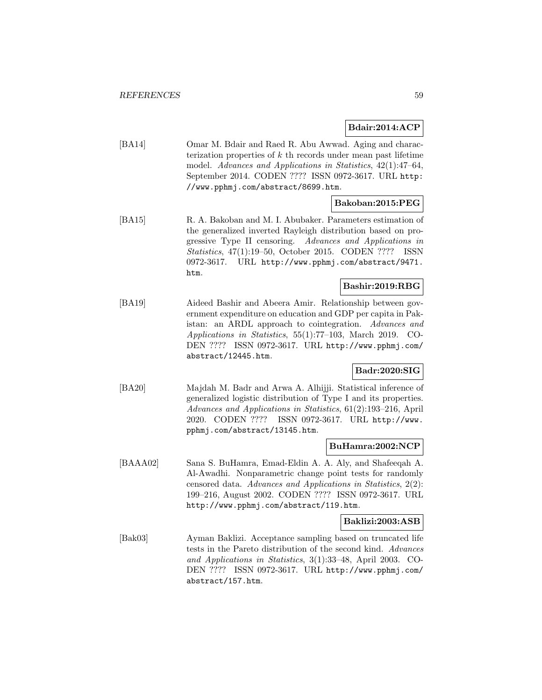## **Bdair:2014:ACP**

[BA14] Omar M. Bdair and Raed R. Abu Awwad. Aging and characterization properties of  $k$  th records under mean past lifetime model. Advances and Applications in Statistics, 42(1):47–64, September 2014. CODEN ???? ISSN 0972-3617. URL http: //www.pphmj.com/abstract/8699.htm.

### **Bakoban:2015:PEG**

[BA15] R. A. Bakoban and M. I. Abubaker. Parameters estimation of the generalized inverted Rayleigh distribution based on progressive Type II censoring. Advances and Applications in Statistics, 47(1):19–50, October 2015. CODEN ???? ISSN 0972-3617. URL http://www.pphmj.com/abstract/9471. htm.

### **Bashir:2019:RBG**

[BA19] Aideed Bashir and Abeera Amir. Relationship between government expenditure on education and GDP per capita in Pakistan: an ARDL approach to cointegration. Advances and Applications in Statistics, 55(1):77–103, March 2019. CO-DEN ???? ISSN 0972-3617. URL http://www.pphmj.com/ abstract/12445.htm.

### **Badr:2020:SIG**

[BA20] Majdah M. Badr and Arwa A. Alhijji. Statistical inference of generalized logistic distribution of Type I and its properties. Advances and Applications in Statistics, 61(2):193–216, April 2020. CODEN ???? ISSN 0972-3617. URL http://www. pphmj.com/abstract/13145.htm.

### **BuHamra:2002:NCP**

[BAAA02] Sana S. BuHamra, Emad-Eldin A. A. Aly, and Shafeeqah A. Al-Awadhi. Nonparametric change point tests for randomly censored data. Advances and Applications in Statistics, 2(2): 199–216, August 2002. CODEN ???? ISSN 0972-3617. URL http://www.pphmj.com/abstract/119.htm.

### **Baklizi:2003:ASB**

[Bak03] Ayman Baklizi. Acceptance sampling based on truncated life tests in the Pareto distribution of the second kind. Advances and Applications in Statistics, 3(1):33–48, April 2003. CO-DEN ???? ISSN 0972-3617. URL http://www.pphmj.com/ abstract/157.htm.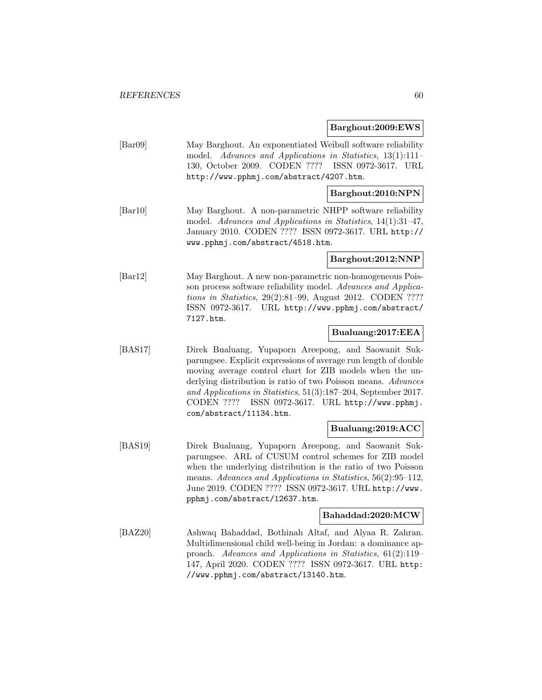### **Barghout:2009:EWS**

[Bar09] May Barghout. An exponentiated Weibull software reliability model. Advances and Applications in Statistics, 13(1):111-130, October 2009. CODEN ???? ISSN 0972-3617. URL http://www.pphmj.com/abstract/4207.htm.

## **Barghout:2010:NPN**

[Bar10] May Barghout. A non-parametric NHPP software reliability model. Advances and Applications in Statistics, 14(1):31–47, January 2010. CODEN ???? ISSN 0972-3617. URL http:// www.pphmj.com/abstract/4518.htm.

### **Barghout:2012:NNP**

[Bar12] May Barghout. A new non-parametric non-homogeneous Poisson process software reliability model. Advances and Applications in Statistics, 29(2):81–99, August 2012. CODEN ???? ISSN 0972-3617. URL http://www.pphmj.com/abstract/ 7127.htm.

### **Bualuang:2017:EEA**

[BAS17] Direk Bualuang, Yupaporn Areepong, and Saowanit Sukparungsee. Explicit expressions of average run length of double moving average control chart for ZIB models when the underlying distribution is ratio of two Poisson means. Advances and Applications in Statistics, 51(3):187–204, September 2017. CODEN ???? ISSN 0972-3617. URL http://www.pphmj. com/abstract/11134.htm.

#### **Bualuang:2019:ACC**

[BAS19] Direk Bualuang, Yupaporn Areepong, and Saowanit Sukparungsee. ARL of CUSUM control schemes for ZIB model when the underlying distribution is the ratio of two Poisson means. Advances and Applications in Statistics, 56(2):95–112, June 2019. CODEN ???? ISSN 0972-3617. URL http://www. pphmj.com/abstract/12637.htm.

#### **Bahaddad:2020:MCW**

[BAZ20] Ashwaq Bahaddad, Bothinah Altaf, and Alyaa R. Zahran. Multidimensional child well-being in Jordan: a dominance approach. Advances and Applications in Statistics, 61(2):119– 147, April 2020. CODEN ???? ISSN 0972-3617. URL http: //www.pphmj.com/abstract/13140.htm.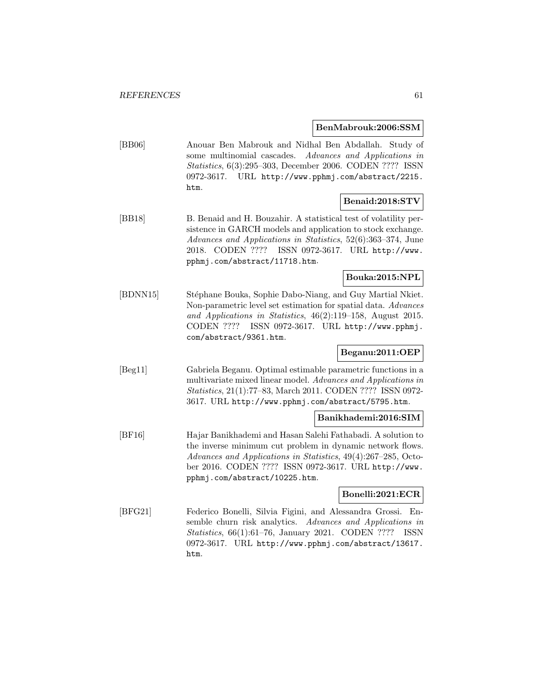#### **BenMabrouk:2006:SSM**

[BB06] Anouar Ben Mabrouk and Nidhal Ben Abdallah. Study of some multinomial cascades. Advances and Applications in Statistics, 6(3):295–303, December 2006. CODEN ???? ISSN 0972-3617. URL http://www.pphmj.com/abstract/2215. htm.

### **Benaid:2018:STV**

[BB18] B. Benaid and H. Bouzahir. A statistical test of volatility persistence in GARCH models and application to stock exchange. Advances and Applications in Statistics, 52(6):363–374, June 2018. CODEN ???? ISSN 0972-3617. URL http://www. pphmj.com/abstract/11718.htm.

## **Bouka:2015:NPL**

[BDNN15] Stéphane Bouka, Sophie Dabo-Niang, and Guy Martial Nkiet. Non-parametric level set estimation for spatial data. Advances and Applications in Statistics, 46(2):119–158, August 2015. CODEN ???? ISSN 0972-3617. URL http://www.pphmj. com/abstract/9361.htm.

## **Beganu:2011:OEP**

[Beg11] Gabriela Beganu. Optimal estimable parametric functions in a multivariate mixed linear model. Advances and Applications in Statistics, 21(1):77–83, March 2011. CODEN ???? ISSN 0972- 3617. URL http://www.pphmj.com/abstract/5795.htm.

## **Banikhademi:2016:SIM**

[BF16] Hajar Banikhademi and Hasan Salehi Fathabadi. A solution to the inverse minimum cut problem in dynamic network flows. Advances and Applications in Statistics, 49(4):267–285, October 2016. CODEN ???? ISSN 0972-3617. URL http://www. pphmj.com/abstract/10225.htm.

### **Bonelli:2021:ECR**

[BFG21] Federico Bonelli, Silvia Figini, and Alessandra Grossi. Ensemble churn risk analytics. Advances and Applications in Statistics, 66(1):61–76, January 2021. CODEN ???? ISSN 0972-3617. URL http://www.pphmj.com/abstract/13617. htm.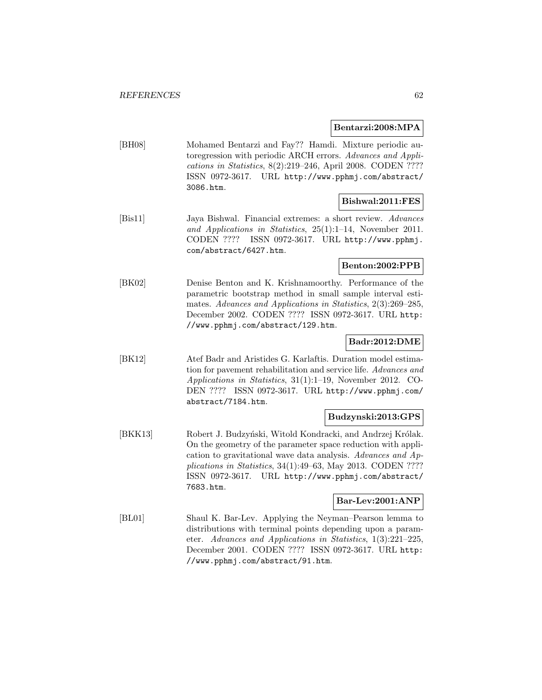#### **Bentarzi:2008:MPA**

[BH08] Mohamed Bentarzi and Fay?? Hamdi. Mixture periodic autoregression with periodic ARCH errors. Advances and Applications in Statistics, 8(2):219–246, April 2008. CODEN ???? ISSN 0972-3617. URL http://www.pphmj.com/abstract/ 3086.htm.

### **Bishwal:2011:FES**

[Bis11] Jaya Bishwal. Financial extremes: a short review. Advances and Applications in Statistics, 25(1):1–14, November 2011. CODEN ???? ISSN 0972-3617. URL http://www.pphmj. com/abstract/6427.htm.

### **Benton:2002:PPB**

[BK02] Denise Benton and K. Krishnamoorthy. Performance of the parametric bootstrap method in small sample interval estimates. Advances and Applications in Statistics, 2(3):269–285, December 2002. CODEN ???? ISSN 0972-3617. URL http: //www.pphmj.com/abstract/129.htm.

## **Badr:2012:DME**

[BK12] Atef Badr and Aristides G. Karlaftis. Duration model estimation for pavement rehabilitation and service life. Advances and Applications in Statistics, 31(1):1–19, November 2012. CO-DEN ???? ISSN 0972-3617. URL http://www.pphmj.com/ abstract/7184.htm.

### **Budzynski:2013:GPS**

[BKK13] Robert J. Budzyński, Witold Kondracki, and Andrzej Królak. On the geometry of the parameter space reduction with application to gravitational wave data analysis. Advances and Applications in Statistics, 34(1):49–63, May 2013. CODEN ???? ISSN 0972-3617. URL http://www.pphmj.com/abstract/ 7683.htm.

### **Bar-Lev:2001:ANP**

[BL01] Shaul K. Bar-Lev. Applying the Neyman–Pearson lemma to distributions with terminal points depending upon a parameter. Advances and Applications in Statistics, 1(3):221–225, December 2001. CODEN ???? ISSN 0972-3617. URL http: //www.pphmj.com/abstract/91.htm.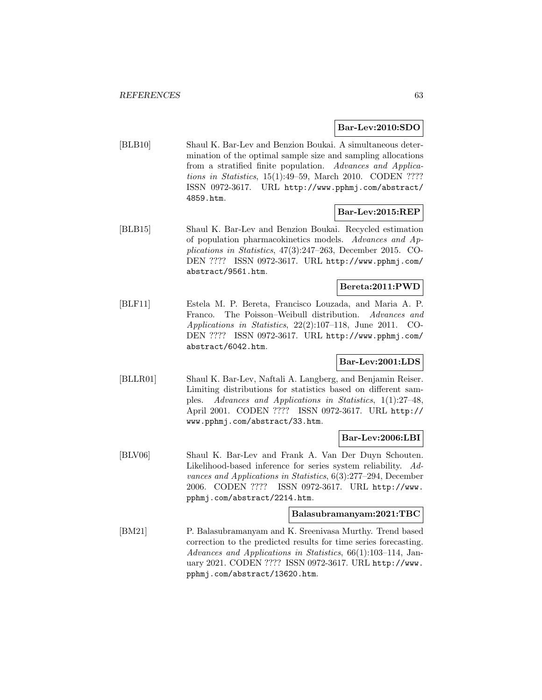### **Bar-Lev:2010:SDO**

[BLB10] Shaul K. Bar-Lev and Benzion Boukai. A simultaneous determination of the optimal sample size and sampling allocations from a stratified finite population. Advances and Applications in Statistics, 15(1):49–59, March 2010. CODEN ???? ISSN 0972-3617. URL http://www.pphmj.com/abstract/ 4859.htm.

## **Bar-Lev:2015:REP**

[BLB15] Shaul K. Bar-Lev and Benzion Boukai. Recycled estimation of population pharmacokinetics models. Advances and Applications in Statistics, 47(3):247–263, December 2015. CO-DEN ???? ISSN 0972-3617. URL http://www.pphmj.com/ abstract/9561.htm.

### **Bereta:2011:PWD**

[BLF11] Estela M. P. Bereta, Francisco Louzada, and Maria A. P. Franco. The Poisson–Weibull distribution. Advances and Applications in Statistics, 22(2):107–118, June 2011. CO-DEN ???? ISSN 0972-3617. URL http://www.pphmj.com/ abstract/6042.htm.

### **Bar-Lev:2001:LDS**

[BLLR01] Shaul K. Bar-Lev, Naftali A. Langberg, and Benjamin Reiser. Limiting distributions for statistics based on different samples. Advances and Applications in Statistics, 1(1):27–48, April 2001. CODEN ???? ISSN 0972-3617. URL http:// www.pphmj.com/abstract/33.htm.

### **Bar-Lev:2006:LBI**

[BLV06] Shaul K. Bar-Lev and Frank A. Van Der Duyn Schouten. Likelihood-based inference for series system reliability. Advances and Applications in Statistics, 6(3):277–294, December 2006. CODEN ???? ISSN 0972-3617. URL http://www. pphmj.com/abstract/2214.htm.

#### **Balasubramanyam:2021:TBC**

[BM21] P. Balasubramanyam and K. Sreenivasa Murthy. Trend based correction to the predicted results for time series forecasting. Advances and Applications in Statistics, 66(1):103–114, January 2021. CODEN ???? ISSN 0972-3617. URL http://www. pphmj.com/abstract/13620.htm.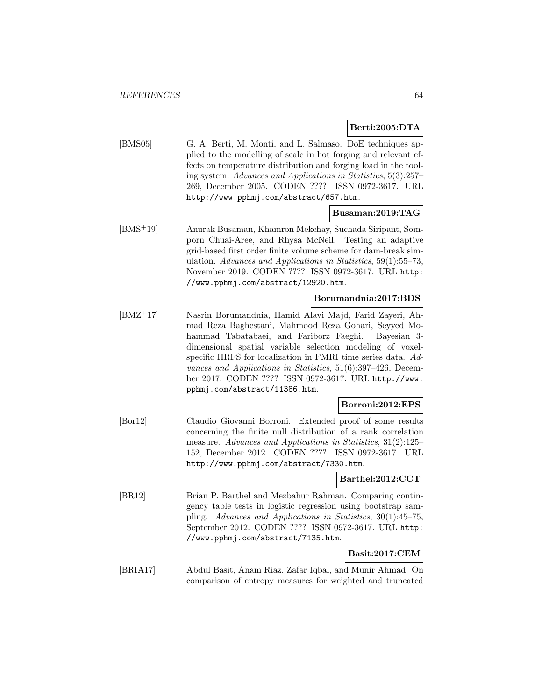## **Berti:2005:DTA**

[BMS05] G. A. Berti, M. Monti, and L. Salmaso. DoE techniques applied to the modelling of scale in hot forging and relevant effects on temperature distribution and forging load in the tooling system. Advances and Applications in Statistics, 5(3):257– 269, December 2005. CODEN ???? ISSN 0972-3617. URL http://www.pphmj.com/abstract/657.htm.

## **Busaman:2019:TAG**

[BMS<sup>+</sup>19] Anurak Busaman, Khamron Mekchay, Suchada Siripant, Somporn Chuai-Aree, and Rhysa McNeil. Testing an adaptive grid-based first order finite volume scheme for dam-break simulation. Advances and Applications in Statistics, 59(1):55–73, November 2019. CODEN ???? ISSN 0972-3617. URL http: //www.pphmj.com/abstract/12920.htm.

### **Borumandnia:2017:BDS**

[BMZ<sup>+</sup>17] Nasrin Borumandnia, Hamid Alavi Majd, Farid Zayeri, Ahmad Reza Baghestani, Mahmood Reza Gohari, Seyyed Mohammad Tabatabaei, and Fariborz Faeghi. Bayesian 3 dimensional spatial variable selection modeling of voxelspecific HRFS for localization in FMRI time series data. Advances and Applications in Statistics, 51(6):397–426, December 2017. CODEN ???? ISSN 0972-3617. URL http://www. pphmj.com/abstract/11386.htm.

#### **Borroni:2012:EPS**

[Bor12] Claudio Giovanni Borroni. Extended proof of some results concerning the finite null distribution of a rank correlation measure. Advances and Applications in Statistics, 31(2):125– 152, December 2012. CODEN ???? ISSN 0972-3617. URL http://www.pphmj.com/abstract/7330.htm.

### **Barthel:2012:CCT**

[BR12] Brian P. Barthel and Mezbahur Rahman. Comparing contingency table tests in logistic regression using bootstrap sampling. Advances and Applications in Statistics, 30(1):45–75, September 2012. CODEN ???? ISSN 0972-3617. URL http: //www.pphmj.com/abstract/7135.htm.

## **Basit:2017:CEM**

[BRIA17] Abdul Basit, Anam Riaz, Zafar Iqbal, and Munir Ahmad. On comparison of entropy measures for weighted and truncated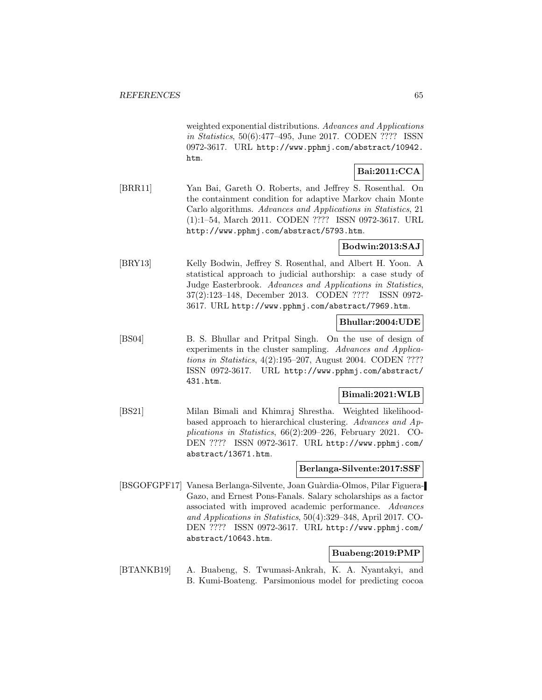weighted exponential distributions. Advances and Applications in Statistics, 50(6):477–495, June 2017. CODEN ???? ISSN 0972-3617. URL http://www.pphmj.com/abstract/10942. htm.

# **Bai:2011:CCA**

[BRR11] Yan Bai, Gareth O. Roberts, and Jeffrey S. Rosenthal. On the containment condition for adaptive Markov chain Monte Carlo algorithms. Advances and Applications in Statistics, 21 (1):1–54, March 2011. CODEN ???? ISSN 0972-3617. URL http://www.pphmj.com/abstract/5793.htm.

## **Bodwin:2013:SAJ**

[BRY13] Kelly Bodwin, Jeffrey S. Rosenthal, and Albert H. Yoon. A statistical approach to judicial authorship: a case study of Judge Easterbrook. Advances and Applications in Statistics, 37(2):123–148, December 2013. CODEN ???? ISSN 0972- 3617. URL http://www.pphmj.com/abstract/7969.htm.

## **Bhullar:2004:UDE**

[BS04] B. S. Bhullar and Pritpal Singh. On the use of design of experiments in the cluster sampling. Advances and Applications in Statistics, 4(2):195–207, August 2004. CODEN ???? ISSN 0972-3617. URL http://www.pphmj.com/abstract/ 431.htm.

## **Bimali:2021:WLB**

[BS21] Milan Bimali and Khimraj Shrestha. Weighted likelihoodbased approach to hierarchical clustering. Advances and Applications in Statistics, 66(2):209–226, February 2021. CO-DEN ???? ISSN 0972-3617. URL http://www.pphmj.com/ abstract/13671.htm.

#### **Berlanga-Silvente:2017:SSF**

[BSGOFGPF17] Vanesa Berlanga-Silvente, Joan Guàrdia-Olmos, Pilar Figuera-Gazo, and Ernest Pons-Fanals. Salary scholarships as a factor associated with improved academic performance. Advances and Applications in Statistics, 50(4):329–348, April 2017. CO-DEN ???? ISSN 0972-3617. URL http://www.pphmj.com/ abstract/10643.htm.

## **Buabeng:2019:PMP**

[BTANKB19] A. Buabeng, S. Twumasi-Ankrah, K. A. Nyantakyi, and B. Kumi-Boateng. Parsimonious model for predicting cocoa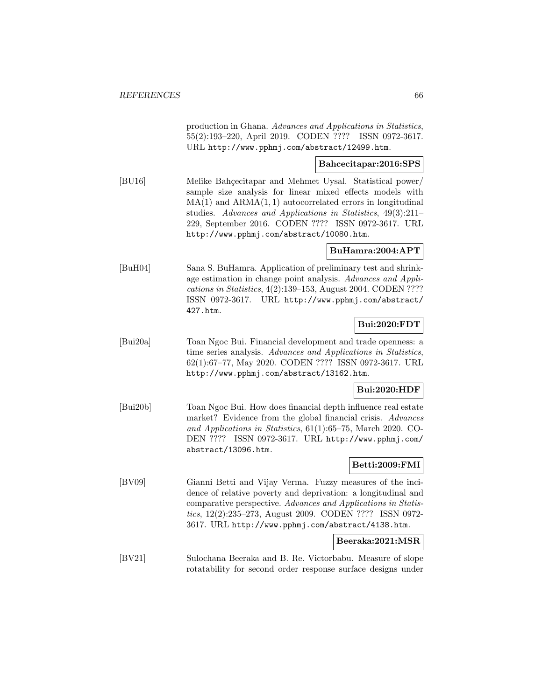production in Ghana. Advances and Applications in Statistics, 55(2):193–220, April 2019. CODEN ???? ISSN 0972-3617. URL http://www.pphmj.com/abstract/12499.htm.

## **Bahcecitapar:2016:SPS**

[BU16] Melike Bahçecitapar and Mehmet Uysal. Statistical power/ sample size analysis for linear mixed effects models with  $MA(1)$  and  $ARMA(1, 1)$  autocorrelated errors in longitudinal studies. Advances and Applications in Statistics, 49(3):211– 229, September 2016. CODEN ???? ISSN 0972-3617. URL http://www.pphmj.com/abstract/10080.htm.

### **BuHamra:2004:APT**

[BuH04] Sana S. BuHamra. Application of preliminary test and shrinkage estimation in change point analysis. Advances and Applications in Statistics, 4(2):139–153, August 2004. CODEN ???? ISSN 0972-3617. URL http://www.pphmj.com/abstract/ 427.htm.

#### **Bui:2020:FDT**

[Bui20a] Toan Ngoc Bui. Financial development and trade openness: a time series analysis. Advances and Applications in Statistics, 62(1):67–77, May 2020. CODEN ???? ISSN 0972-3617. URL http://www.pphmj.com/abstract/13162.htm.

### **Bui:2020:HDF**

[Bui20b] Toan Ngoc Bui. How does financial depth influence real estate market? Evidence from the global financial crisis. Advances and Applications in Statistics, 61(1):65–75, March 2020. CO-DEN ???? ISSN 0972-3617. URL http://www.pphmj.com/ abstract/13096.htm.

### **Betti:2009:FMI**

[BV09] Gianni Betti and Vijay Verma. Fuzzy measures of the incidence of relative poverty and deprivation: a longitudinal and comparative perspective. Advances and Applications in Statistics, 12(2):235–273, August 2009. CODEN ???? ISSN 0972- 3617. URL http://www.pphmj.com/abstract/4138.htm.

#### **Beeraka:2021:MSR**

[BV21] Sulochana Beeraka and B. Re. Victorbabu. Measure of slope rotatability for second order response surface designs under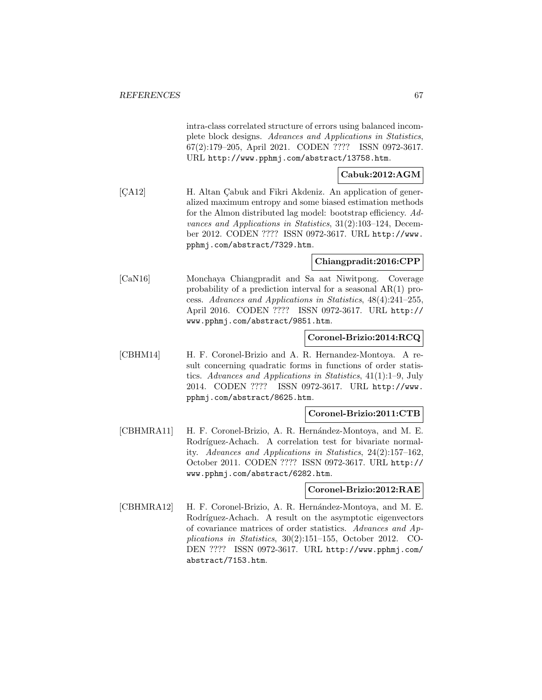intra-class correlated structure of errors using balanced incomplete block designs. Advances and Applications in Statistics, 67(2):179–205, April 2021. CODEN ???? ISSN 0972-3617. URL http://www.pphmj.com/abstract/13758.htm.

## **Cabuk:2012:AGM**

[CA12] H. Altan Çabuk and Fikri Akdeniz. An application of generalized maximum entropy and some biased estimation methods for the Almon distributed lag model: bootstrap efficiency. Advances and Applications in Statistics, 31(2):103–124, December 2012. CODEN ???? ISSN 0972-3617. URL http://www. pphmj.com/abstract/7329.htm.

## **Chiangpradit:2016:CPP**

[CaN16] Monchaya Chiangpradit and Sa aat Niwitpong. Coverage probability of a prediction interval for a seasonal AR(1) process. Advances and Applications in Statistics, 48(4):241–255, April 2016. CODEN ???? ISSN 0972-3617. URL http:// www.pphmj.com/abstract/9851.htm.

### **Coronel-Brizio:2014:RCQ**

[CBHM14] H. F. Coronel-Brizio and A. R. Hernandez-Montoya. A result concerning quadratic forms in functions of order statistics. Advances and Applications in Statistics, 41(1):1–9, July 2014. CODEN ???? ISSN 0972-3617. URL http://www. pphmj.com/abstract/8625.htm.

### **Coronel-Brizio:2011:CTB**

[CBHMRA11] H. F. Coronel-Brizio, A. R. Hernández-Montoya, and M. E. Rodríguez-Achach. A correlation test for bivariate normality. Advances and Applications in Statistics, 24(2):157–162, October 2011. CODEN ???? ISSN 0972-3617. URL http:// www.pphmj.com/abstract/6282.htm.

### **Coronel-Brizio:2012:RAE**

[CBHMRA12] H. F. Coronel-Brizio, A. R. Hernández-Montoya, and M. E. Rodríguez-Achach. A result on the asymptotic eigenvectors of covariance matrices of order statistics. Advances and Applications in Statistics, 30(2):151–155, October 2012. CO-DEN ???? ISSN 0972-3617. URL http://www.pphmj.com/ abstract/7153.htm.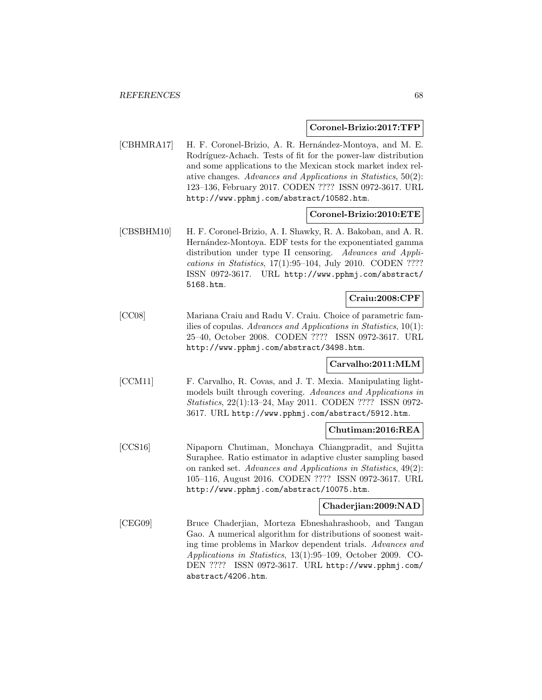#### **Coronel-Brizio:2017:TFP**

[CBHMRA17] H. F. Coronel-Brizio, A. R. Hernández-Montoya, and M. E. Rodríguez-Achach. Tests of fit for the power-law distribution and some applications to the Mexican stock market index relative changes. Advances and Applications in Statistics, 50(2): 123–136, February 2017. CODEN ???? ISSN 0972-3617. URL http://www.pphmj.com/abstract/10582.htm.

### **Coronel-Brizio:2010:ETE**

[CBSBHM10] H. F. Coronel-Brizio, A. I. Shawky, R. A. Bakoban, and A. R. Hernández-Montoya. EDF tests for the exponentiated gamma distribution under type II censoring. Advances and Applications in Statistics, 17(1):95–104, July 2010. CODEN ???? ISSN 0972-3617. URL http://www.pphmj.com/abstract/ 5168.htm.

### **Craiu:2008:CPF**

[CC08] Mariana Craiu and Radu V. Craiu. Choice of parametric families of copulas. Advances and Applications in Statistics, 10(1): 25–40, October 2008. CODEN ???? ISSN 0972-3617. URL http://www.pphmj.com/abstract/3498.htm.

# **Carvalho:2011:MLM**

[CCM11] F. Carvalho, R. Covas, and J. T. Mexia. Manipulating lightmodels built through covering. Advances and Applications in Statistics, 22(1):13–24, May 2011. CODEN ???? ISSN 0972- 3617. URL http://www.pphmj.com/abstract/5912.htm.

### **Chutiman:2016:REA**

[CCS16] Nipaporn Chutiman, Monchaya Chiangpradit, and Sujitta Suraphee. Ratio estimator in adaptive cluster sampling based on ranked set. Advances and Applications in Statistics, 49(2): 105–116, August 2016. CODEN ???? ISSN 0972-3617. URL http://www.pphmj.com/abstract/10075.htm.

### **Chaderjian:2009:NAD**

[CEG09] Bruce Chaderjian, Morteza Ebneshahrashoob, and Tangan Gao. A numerical algorithm for distributions of soonest waiting time problems in Markov dependent trials. Advances and Applications in Statistics, 13(1):95–109, October 2009. CO-DEN ???? ISSN 0972-3617. URL http://www.pphmj.com/ abstract/4206.htm.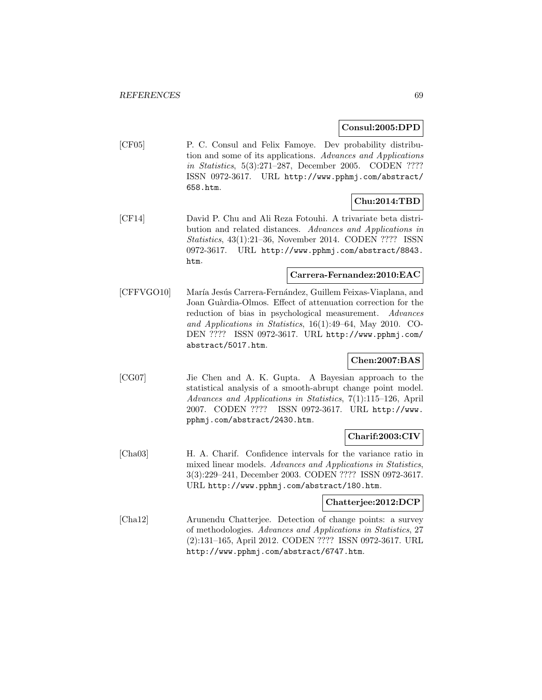#### **Consul:2005:DPD**

[CF05] P. C. Consul and Felix Famoye. Dev probability distribution and some of its applications. Advances and Applications in Statistics, 5(3):271–287, December 2005. CODEN ???? ISSN 0972-3617. URL http://www.pphmj.com/abstract/ 658.htm.

## **Chu:2014:TBD**

[CF14] David P. Chu and Ali Reza Fotouhi. A trivariate beta distribution and related distances. Advances and Applications in Statistics, 43(1):21–36, November 2014. CODEN ???? ISSN 0972-3617. URL http://www.pphmj.com/abstract/8843. htm.

#### **Carrera-Fernandez:2010:EAC**

[CFFVGO10] María Jesús Carrera-Fernández, Guillem Feixas-Viaplana, and Joan Guàrdia-Olmos. Effect of attenuation correction for the reduction of bias in psychological measurement. Advances and Applications in Statistics, 16(1):49–64, May 2010. CO-DEN ???? ISSN 0972-3617. URL http://www.pphmj.com/ abstract/5017.htm.

# **Chen:2007:BAS**

[CG07] Jie Chen and A. K. Gupta. A Bayesian approach to the statistical analysis of a smooth-abrupt change point model. Advances and Applications in Statistics, 7(1):115–126, April 2007. CODEN ???? ISSN 0972-3617. URL http://www. pphmj.com/abstract/2430.htm.

# **Charif:2003:CIV**

[Cha03] H. A. Charif. Confidence intervals for the variance ratio in mixed linear models. Advances and Applications in Statistics, 3(3):229–241, December 2003. CODEN ???? ISSN 0972-3617. URL http://www.pphmj.com/abstract/180.htm.

### **Chatterjee:2012:DCP**

[Cha12] Arunendu Chatterjee. Detection of change points: a survey of methodologies. Advances and Applications in Statistics, 27 (2):131–165, April 2012. CODEN ???? ISSN 0972-3617. URL http://www.pphmj.com/abstract/6747.htm.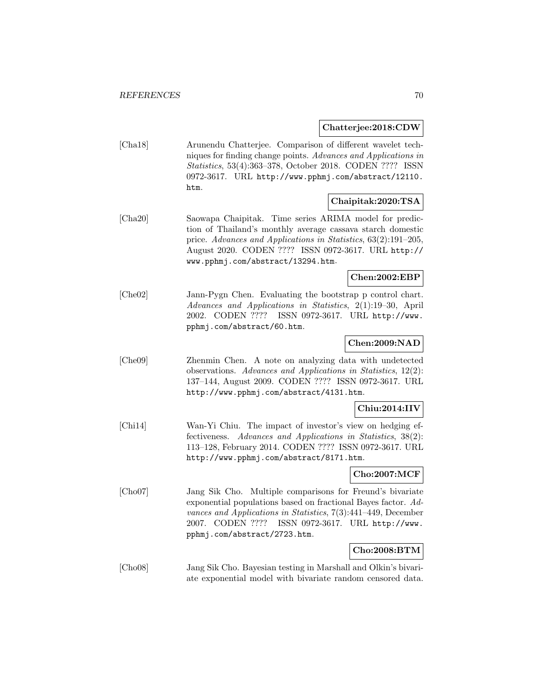**Chatterjee:2018:CDW**

[Cha18] Arunendu Chatterjee. Comparison of different wavelet techniques for finding change points. Advances and Applications in Statistics, 53(4):363–378, October 2018. CODEN ???? ISSN 0972-3617. URL http://www.pphmj.com/abstract/12110. htm.

## **Chaipitak:2020:TSA**

[Cha20] Saowapa Chaipitak. Time series ARIMA model for prediction of Thailand's monthly average cassava starch domestic price. Advances and Applications in Statistics, 63(2):191–205, August 2020. CODEN ???? ISSN 0972-3617. URL http:// www.pphmj.com/abstract/13294.htm.

## **Chen:2002:EBP**

[Che02] Jann-Pygn Chen. Evaluating the bootstrap p control chart. Advances and Applications in Statistics, 2(1):19–30, April 2002. CODEN ???? ISSN 0972-3617. URL http://www. pphmj.com/abstract/60.htm.

### **Chen:2009:NAD**

[Che09] Zhenmin Chen. A note on analyzing data with undetected observations. Advances and Applications in Statistics, 12(2): 137–144, August 2009. CODEN ???? ISSN 0972-3617. URL http://www.pphmj.com/abstract/4131.htm.

## **Chiu:2014:IIV**

[Chi14] Wan-Yi Chiu. The impact of investor's view on hedging effectiveness. Advances and Applications in Statistics, 38(2): 113–128, February 2014. CODEN ???? ISSN 0972-3617. URL http://www.pphmj.com/abstract/8171.htm.

### **Cho:2007:MCF**

[Cho07] Jang Sik Cho. Multiple comparisons for Freund's bivariate exponential populations based on fractional Bayes factor. Advances and Applications in Statistics, 7(3):441–449, December 2007. CODEN ???? ISSN 0972-3617. URL http://www. pphmj.com/abstract/2723.htm.

### **Cho:2008:BTM**

[Cho08] Jang Sik Cho. Bayesian testing in Marshall and Olkin's bivariate exponential model with bivariate random censored data.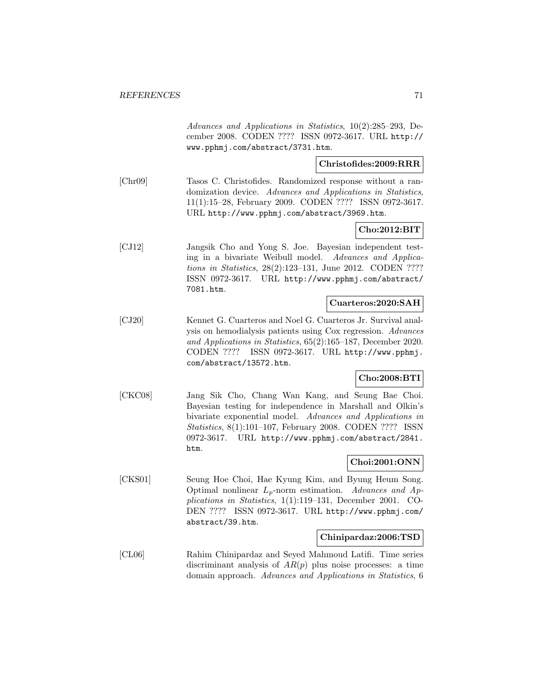Advances and Applications in Statistics, 10(2):285–293, December 2008. CODEN ???? ISSN 0972-3617. URL http:// www.pphmj.com/abstract/3731.htm.

### **Christofides:2009:RRR**

[Chr09] Tasos C. Christofides. Randomized response without a randomization device. Advances and Applications in Statistics, 11(1):15–28, February 2009. CODEN ???? ISSN 0972-3617. URL http://www.pphmj.com/abstract/3969.htm.

## **Cho:2012:BIT**

[CJ12] Jangsik Cho and Yong S. Joe. Bayesian independent testing in a bivariate Weibull model. Advances and Applications in Statistics, 28(2):123–131, June 2012. CODEN ???? ISSN 0972-3617. URL http://www.pphmj.com/abstract/ 7081.htm.

#### **Cuarteros:2020:SAH**

[CJ20] Kennet G. Cuarteros and Noel G. Cuarteros Jr. Survival analysis on hemodialysis patients using Cox regression. Advances and Applications in Statistics, 65(2):165–187, December 2020. CODEN ???? ISSN 0972-3617. URL http://www.pphmj. com/abstract/13572.htm.

# **Cho:2008:BTI**

[CKC08] Jang Sik Cho, Chang Wan Kang, and Seung Bae Choi. Bayesian testing for independence in Marshall and Olkin's bivariate exponential model. Advances and Applications in Statistics, 8(1):101–107, February 2008. CODEN ???? ISSN 0972-3617. URL http://www.pphmj.com/abstract/2841. htm.

### **Choi:2001:ONN**

[CKS01] Seung Hoe Choi, Hae Kyung Kim, and Byung Heum Song. Optimal nonlinear  $L_p$ -norm estimation. Advances and Applications in Statistics, 1(1):119–131, December 2001. CO-DEN ???? ISSN 0972-3617. URL http://www.pphmj.com/ abstract/39.htm.

#### **Chinipardaz:2006:TSD**

[CL06] Rahim Chinipardaz and Seyed Mahmoud Latifi. Time series discriminant analysis of  $AR(p)$  plus noise processes: a time domain approach. Advances and Applications in Statistics, 6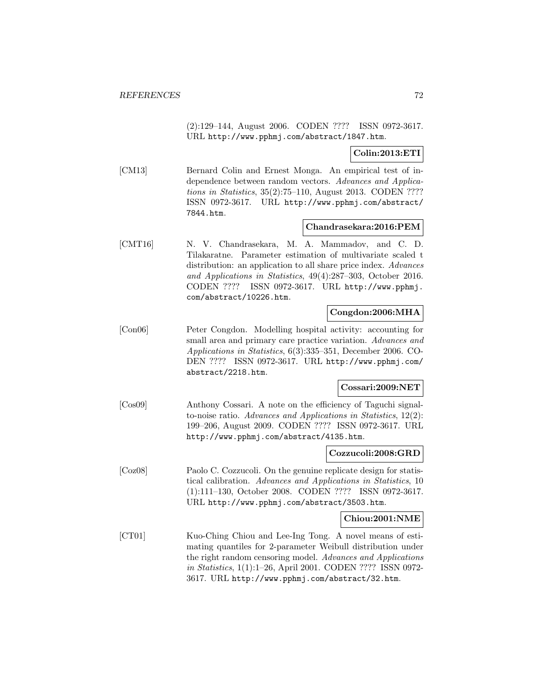(2):129–144, August 2006. CODEN ???? ISSN 0972-3617. URL http://www.pphmj.com/abstract/1847.htm.

## **Colin:2013:ETI**

[CM13] Bernard Colin and Ernest Monga. An empirical test of independence between random vectors. Advances and Applications in Statistics, 35(2):75–110, August 2013. CODEN ???? ISSN 0972-3617. URL http://www.pphmj.com/abstract/ 7844.htm.

#### **Chandrasekara:2016:PEM**

[CMT16] N. V. Chandrasekara, M. A. Mammadov, and C. D. Tilakaratne. Parameter estimation of multivariate scaled t distribution: an application to all share price index. Advances and Applications in Statistics, 49(4):287–303, October 2016. CODEN ???? ISSN 0972-3617. URL http://www.pphmj. com/abstract/10226.htm.

### **Congdon:2006:MHA**

[Con06] Peter Congdon. Modelling hospital activity: accounting for small area and primary care practice variation. Advances and Applications in Statistics, 6(3):335–351, December 2006. CO-DEN ???? ISSN 0972-3617. URL http://www.pphmj.com/ abstract/2218.htm.

### **Cossari:2009:NET**

[Cos09] Anthony Cossari. A note on the efficiency of Taguchi signalto-noise ratio. Advances and Applications in Statistics, 12(2): 199–206, August 2009. CODEN ???? ISSN 0972-3617. URL http://www.pphmj.com/abstract/4135.htm.

#### **Cozzucoli:2008:GRD**

[Coz08] Paolo C. Cozzucoli. On the genuine replicate design for statistical calibration. Advances and Applications in Statistics, 10 (1):111–130, October 2008. CODEN ???? ISSN 0972-3617. URL http://www.pphmj.com/abstract/3503.htm.

#### **Chiou:2001:NME**

[CT01] Kuo-Ching Chiou and Lee-Ing Tong. A novel means of estimating quantiles for 2-parameter Weibull distribution under the right random censoring model. Advances and Applications in Statistics, 1(1):1–26, April 2001. CODEN ???? ISSN 0972- 3617. URL http://www.pphmj.com/abstract/32.htm.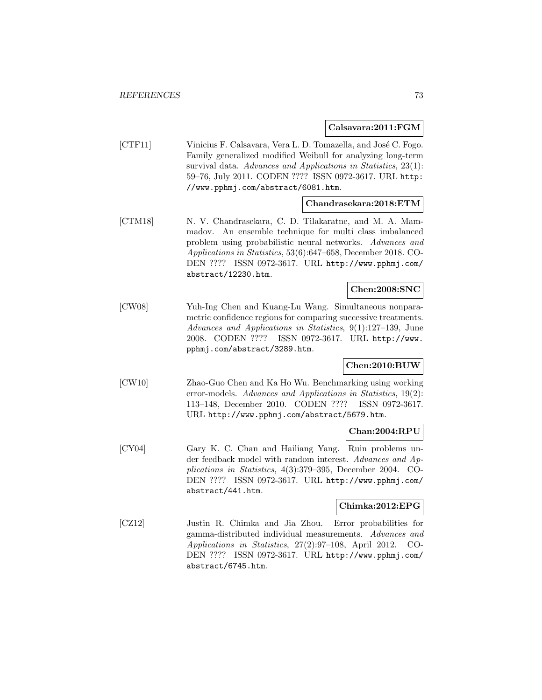#### **Calsavara:2011:FGM**

[CTF11] Vinicius F. Calsavara, Vera L. D. Tomazella, and José C. Fogo. Family generalized modified Weibull for analyzing long-term survival data. Advances and Applications in Statistics, 23(1): 59–76, July 2011. CODEN ???? ISSN 0972-3617. URL http: //www.pphmj.com/abstract/6081.htm.

#### **Chandrasekara:2018:ETM**

[CTM18] N. V. Chandrasekara, C. D. Tilakaratne, and M. A. Mammadov. An ensemble technique for multi class imbalanced problem using probabilistic neural networks. Advances and Applications in Statistics, 53(6):647–658, December 2018. CO-DEN ???? ISSN 0972-3617. URL http://www.pphmj.com/ abstract/12230.htm.

### **Chen:2008:SNC**

[CW08] Yuh-Ing Chen and Kuang-Lu Wang. Simultaneous nonparametric confidence regions for comparing successive treatments. Advances and Applications in Statistics, 9(1):127–139, June 2008. CODEN ???? ISSN 0972-3617. URL http://www. pphmj.com/abstract/3289.htm.

### **Chen:2010:BUW**

[CW10] Zhao-Guo Chen and Ka Ho Wu. Benchmarking using working error-models. Advances and Applications in Statistics, 19(2): 113–148, December 2010. CODEN ???? ISSN 0972-3617. URL http://www.pphmj.com/abstract/5679.htm.

#### **Chan:2004:RPU**

[CY04] Gary K. C. Chan and Hailiang Yang. Ruin problems under feedback model with random interest. Advances and Applications in Statistics, 4(3):379–395, December 2004. CO-DEN ???? ISSN 0972-3617. URL http://www.pphmj.com/ abstract/441.htm.

#### **Chimka:2012:EPG**

[CZ12] Justin R. Chimka and Jia Zhou. Error probabilities for gamma-distributed individual measurements. Advances and Applications in Statistics, 27(2):97–108, April 2012. CO-DEN ???? ISSN 0972-3617. URL http://www.pphmj.com/ abstract/6745.htm.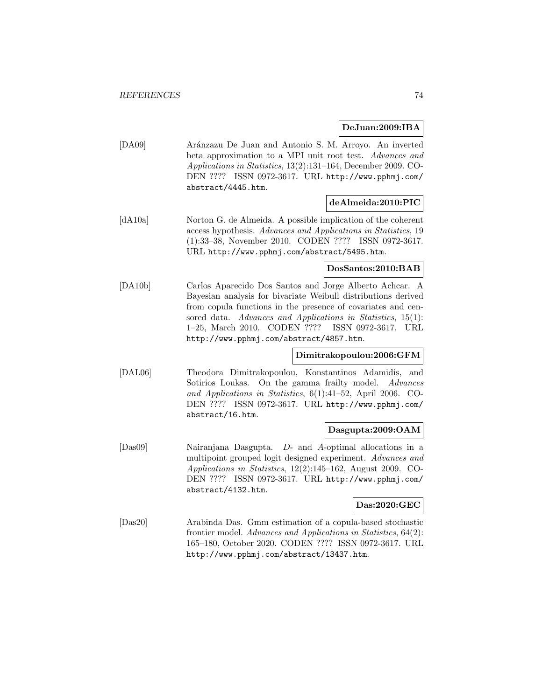**DeJuan:2009:IBA**

| [DA09] | Aránzazu De Juan and Antonio S. M. Arroyo. An inverted           |
|--------|------------------------------------------------------------------|
|        | beta approximation to a MPI unit root test. Advances and         |
|        | Applications in Statistics, $13(2):131-164$ , December 2009. CO- |
|        | DEN ???? ISSN 0972-3617. URL http://www.pphmj.com/               |
|        | abstract/4445.htm.                                               |

#### **deAlmeida:2010:PIC**

[dA10a] Norton G. de Almeida. A possible implication of the coherent access hypothesis. Advances and Applications in Statistics, 19 (1):33–38, November 2010. CODEN ???? ISSN 0972-3617. URL http://www.pphmj.com/abstract/5495.htm.

#### **DosSantos:2010:BAB**

[DA10b] Carlos Aparecido Dos Santos and Jorge Alberto Achcar. A Bayesian analysis for bivariate Weibull distributions derived from copula functions in the presence of covariates and censored data. Advances and Applications in Statistics, 15(1): 1–25, March 2010. CODEN ???? ISSN 0972-3617. URL http://www.pphmj.com/abstract/4857.htm.

#### **Dimitrakopoulou:2006:GFM**

[DAL06] Theodora Dimitrakopoulou, Konstantinos Adamidis, and Sotirios Loukas. On the gamma frailty model. Advances and Applications in Statistics, 6(1):41–52, April 2006. CO-DEN ???? ISSN 0972-3617. URL http://www.pphmj.com/ abstract/16.htm.

#### **Dasgupta:2009:OAM**

[Das09] Nairanjana Dasgupta. D- and A-optimal allocations in a multipoint grouped logit designed experiment. Advances and Applications in Statistics, 12(2):145–162, August 2009. CO-DEN ???? ISSN 0972-3617. URL http://www.pphmj.com/ abstract/4132.htm.

### **Das:2020:GEC**

[Das20] Arabinda Das. Gmm estimation of a copula-based stochastic frontier model. Advances and Applications in Statistics, 64(2): 165–180, October 2020. CODEN ???? ISSN 0972-3617. URL http://www.pphmj.com/abstract/13437.htm.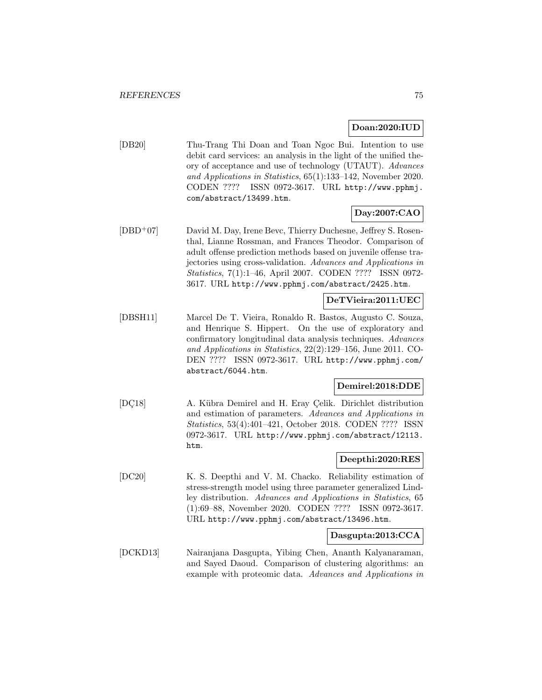#### **Doan:2020:IUD**

[DB20] Thu-Trang Thi Doan and Toan Ngoc Bui. Intention to use debit card services: an analysis in the light of the unified theory of acceptance and use of technology (UTAUT). Advances and Applications in Statistics, 65(1):133–142, November 2020. CODEN ???? ISSN 0972-3617. URL http://www.pphmj. com/abstract/13499.htm.

### **Day:2007:CAO**

[DBD<sup>+</sup>07] David M. Day, Irene Bevc, Thierry Duchesne, Jeffrey S. Rosenthal, Lianne Rossman, and Frances Theodor. Comparison of adult offense prediction methods based on juvenile offense trajectories using cross-validation. Advances and Applications in Statistics, 7(1):1–46, April 2007. CODEN ???? ISSN 0972- 3617. URL http://www.pphmj.com/abstract/2425.htm.

#### **DeTVieira:2011:UEC**

[DBSH11] Marcel De T. Vieira, Ronaldo R. Bastos, Augusto C. Souza, and Henrique S. Hippert. On the use of exploratory and confirmatory longitudinal data analysis techniques. Advances and Applications in Statistics, 22(2):129–156, June 2011. CO-DEN ???? ISSN 0972-3617. URL http://www.pphmj.com/ abstract/6044.htm.

#### **Demirel:2018:DDE**

[DC18] A. Kübra Demirel and H. Eray Çelik. Dirichlet distribution and estimation of parameters. Advances and Applications in Statistics, 53(4):401–421, October 2018. CODEN ???? ISSN 0972-3617. URL http://www.pphmj.com/abstract/12113. htm.

#### **Deepthi:2020:RES**

[DC20] K. S. Deepthi and V. M. Chacko. Reliability estimation of stress-strength model using three parameter generalized Lindley distribution. Advances and Applications in Statistics, 65 (1):69–88, November 2020. CODEN ???? ISSN 0972-3617. URL http://www.pphmj.com/abstract/13496.htm.

### **Dasgupta:2013:CCA**

[DCKD13] Nairanjana Dasgupta, Yibing Chen, Ananth Kalyanaraman, and Sayed Daoud. Comparison of clustering algorithms: an example with proteomic data. Advances and Applications in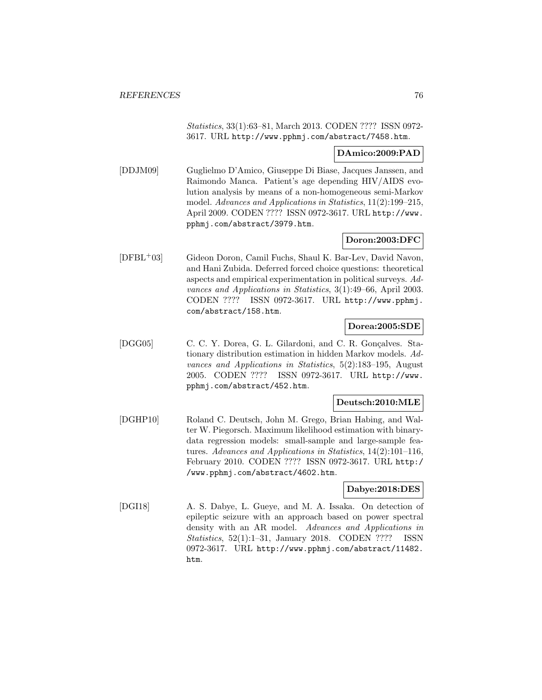Statistics, 33(1):63–81, March 2013. CODEN ???? ISSN 0972- 3617. URL http://www.pphmj.com/abstract/7458.htm.

#### **DAmico:2009:PAD**

[DDJM09] Guglielmo D'Amico, Giuseppe Di Biase, Jacques Janssen, and Raimondo Manca. Patient's age depending HIV/AIDS evolution analysis by means of a non-homogeneous semi-Markov model. Advances and Applications in Statistics, 11(2):199–215, April 2009. CODEN ???? ISSN 0972-3617. URL http://www. pphmj.com/abstract/3979.htm.

### **Doron:2003:DFC**

[DFBL<sup>+</sup>03] Gideon Doron, Camil Fuchs, Shaul K. Bar-Lev, David Navon, and Hani Zubida. Deferred forced choice questions: theoretical aspects and empirical experimentation in political surveys. Advances and Applications in Statistics, 3(1):49–66, April 2003. CODEN ???? ISSN 0972-3617. URL http://www.pphmj. com/abstract/158.htm.

#### **Dorea:2005:SDE**

[DGG05] C. C. Y. Dorea, G. L. Gilardoni, and C. R. Gonçalves. Stationary distribution estimation in hidden Markov models. Advances and Applications in Statistics, 5(2):183–195, August 2005. CODEN ???? ISSN 0972-3617. URL http://www. pphmj.com/abstract/452.htm.

#### **Deutsch:2010:MLE**

[DGHP10] Roland C. Deutsch, John M. Grego, Brian Habing, and Walter W. Piegorsch. Maximum likelihood estimation with binarydata regression models: small-sample and large-sample features. Advances and Applications in Statistics, 14(2):101–116, February 2010. CODEN ???? ISSN 0972-3617. URL http:/ /www.pphmj.com/abstract/4602.htm.

#### **Dabye:2018:DES**

[DGI18] A. S. Dabye, L. Gueye, and M. A. Issaka. On detection of epileptic seizure with an approach based on power spectral density with an AR model. Advances and Applications in Statistics, 52(1):1–31, January 2018. CODEN ???? ISSN 0972-3617. URL http://www.pphmj.com/abstract/11482. htm.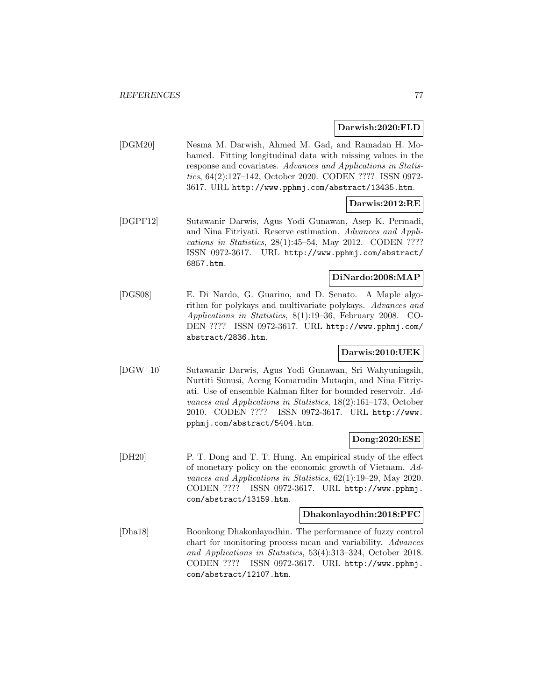#### **Darwish:2020:FLD**

[DGM20] Nesma M. Darwish, Ahmed M. Gad, and Ramadan H. Mohamed. Fitting longitudinal data with missing values in the response and covariates. Advances and Applications in Statistics, 64(2):127–142, October 2020. CODEN ???? ISSN 0972- 3617. URL http://www.pphmj.com/abstract/13435.htm.

### **Darwis:2012:RE**

[DGPF12] Sutawanir Darwis, Agus Yodi Gunawan, Asep K. Permadi, and Nina Fitriyati. Reserve estimation. Advances and Applications in Statistics, 28(1):45–54, May 2012. CODEN ???? ISSN 0972-3617. URL http://www.pphmj.com/abstract/ 6857.htm.

### **DiNardo:2008:MAP**

[DGS08] E. Di Nardo, G. Guarino, and D. Senato. A Maple algorithm for polykays and multivariate polykays. Advances and Applications in Statistics, 8(1):19–36, February 2008. CO-DEN ???? ISSN 0972-3617. URL http://www.pphmj.com/ abstract/2836.htm.

### **Darwis:2010:UEK**

[DGW<sup>+</sup>10] Sutawanir Darwis, Agus Yodi Gunawan, Sri Wahyuningsih, Nurtiti Sunusi, Aceng Komarudin Mutaqin, and Nina Fitriyati. Use of ensemble Kalman filter for bounded reservoir. Advances and Applications in Statistics, 18(2):161–173, October 2010. CODEN ???? ISSN 0972-3617. URL http://www. pphmj.com/abstract/5404.htm.

#### **Dong:2020:ESE**

[DH20] P. T. Dong and T. T. Hung. An empirical study of the effect of monetary policy on the economic growth of Vietnam. Advances and Applications in Statistics, 62(1):19–29, May 2020. CODEN ???? ISSN 0972-3617. URL http://www.pphmj. com/abstract/13159.htm.

### **Dhakonlayodhin:2018:PFC**

[Dha18] Boonkong Dhakonlayodhin. The performance of fuzzy control chart for monitoring process mean and variability. Advances and Applications in Statistics, 53(4):313–324, October 2018. CODEN ???? ISSN 0972-3617. URL http://www.pphmj. com/abstract/12107.htm.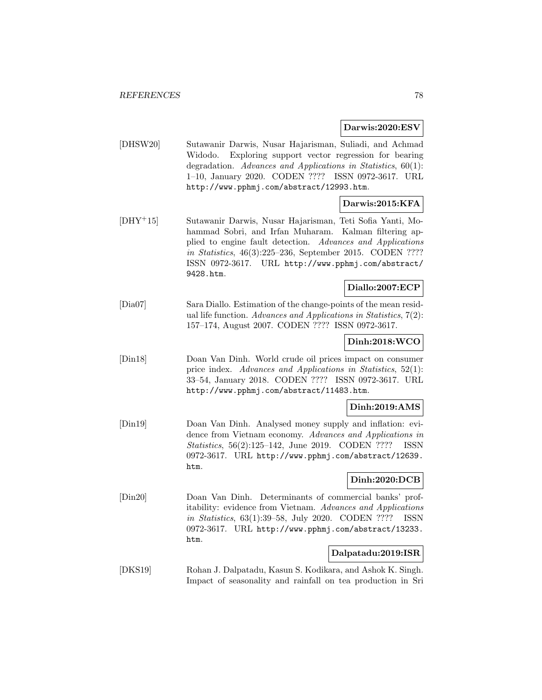**Darwis:2020:ESV**

[DHSW20] Sutawanir Darwis, Nusar Hajarisman, Suliadi, and Achmad Widodo. Exploring support vector regression for bearing degradation. Advances and Applications in Statistics, 60(1): 1–10, January 2020. CODEN ???? ISSN 0972-3617. URL http://www.pphmj.com/abstract/12993.htm.

# **Darwis:2015:KFA**

[DHY<sup>+</sup>15] Sutawanir Darwis, Nusar Hajarisman, Teti Sofia Yanti, Mohammad Sobri, and Irfan Muharam. Kalman filtering applied to engine fault detection. Advances and Applications in Statistics, 46(3):225–236, September 2015. CODEN ???? ISSN 0972-3617. URL http://www.pphmj.com/abstract/ 9428.htm.

# **Diallo:2007:ECP**

[Dia07] Sara Diallo. Estimation of the change-points of the mean residual life function. Advances and Applications in Statistics,  $7(2)$ : 157–174, August 2007. CODEN ???? ISSN 0972-3617.

# **Dinh:2018:WCO**

[Din18] Doan Van Dinh. World crude oil prices impact on consumer price index. Advances and Applications in Statistics, 52(1): 33–54, January 2018. CODEN ???? ISSN 0972-3617. URL http://www.pphmj.com/abstract/11483.htm.

### **Dinh:2019:AMS**

[Din19] Doan Van Dinh. Analysed money supply and inflation: evidence from Vietnam economy. Advances and Applications in Statistics, 56(2):125–142, June 2019. CODEN ???? ISSN 0972-3617. URL http://www.pphmj.com/abstract/12639. htm.

### **Dinh:2020:DCB**

[Din20] Doan Van Dinh. Determinants of commercial banks' profitability: evidence from Vietnam. Advances and Applications in Statistics, 63(1):39–58, July 2020. CODEN ???? ISSN 0972-3617. URL http://www.pphmj.com/abstract/13233. htm.

### **Dalpatadu:2019:ISR**

[DKS19] Rohan J. Dalpatadu, Kasun S. Kodikara, and Ashok K. Singh. Impact of seasonality and rainfall on tea production in Sri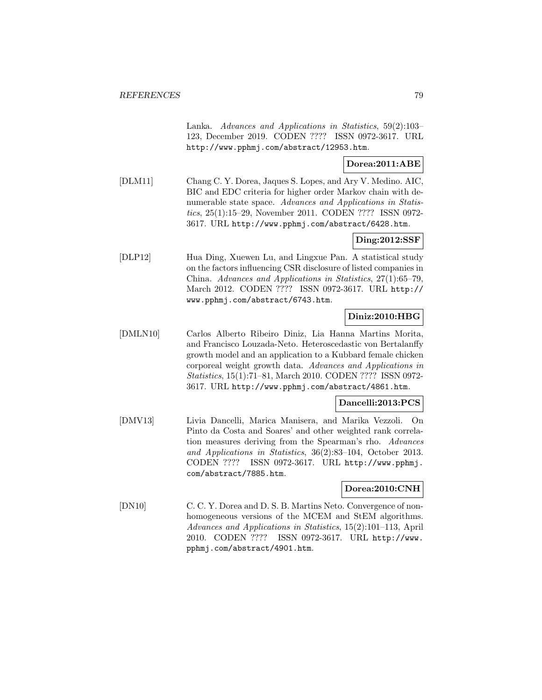Lanka. Advances and Applications in Statistics, 59(2):103– 123, December 2019. CODEN ???? ISSN 0972-3617. URL http://www.pphmj.com/abstract/12953.htm.

# **Dorea:2011:ABE**

[DLM11] Chang C. Y. Dorea, Jaques S. Lopes, and Ary V. Medino. AIC, BIC and EDC criteria for higher order Markov chain with denumerable state space. Advances and Applications in Statistics, 25(1):15–29, November 2011. CODEN ???? ISSN 0972- 3617. URL http://www.pphmj.com/abstract/6428.htm.

#### **Ding:2012:SSF**

[DLP12] Hua Ding, Xuewen Lu, and Lingxue Pan. A statistical study on the factors influencing CSR disclosure of listed companies in China. Advances and Applications in Statistics, 27(1):65–79, March 2012. CODEN ???? ISSN 0972-3617. URL http:// www.pphmj.com/abstract/6743.htm.

### **Diniz:2010:HBG**

[DMLN10] Carlos Alberto Ribeiro Diniz, Lia Hanna Martins Morita, and Francisco Louzada-Neto. Heteroscedastic von Bertalanffy growth model and an application to a Kubbard female chicken corporeal weight growth data. Advances and Applications in Statistics, 15(1):71–81, March 2010. CODEN ???? ISSN 0972- 3617. URL http://www.pphmj.com/abstract/4861.htm.

#### **Dancelli:2013:PCS**

[DMV13] Livia Dancelli, Marica Manisera, and Marika Vezzoli. On Pinto da Costa and Soares' and other weighted rank correlation measures deriving from the Spearman's rho. Advances and Applications in Statistics, 36(2):83–104, October 2013. CODEN ???? ISSN 0972-3617. URL http://www.pphmj. com/abstract/7885.htm.

#### **Dorea:2010:CNH**

[DN10] C. C. Y. Dorea and D. S. B. Martins Neto. Convergence of nonhomogeneous versions of the MCEM and StEM algorithms. Advances and Applications in Statistics, 15(2):101–113, April 2010. CODEN ???? ISSN 0972-3617. URL http://www. pphmj.com/abstract/4901.htm.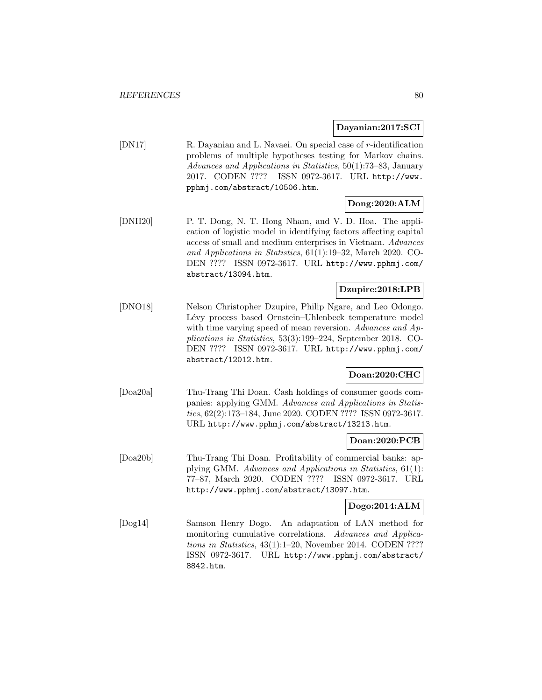#### **Dayanian:2017:SCI**

[DN17] R. Dayanian and L. Navaei. On special case of r-identification problems of multiple hypotheses testing for Markov chains. Advances and Applications in Statistics, 50(1):73–83, January 2017. CODEN ???? ISSN 0972-3617. URL http://www. pphmj.com/abstract/10506.htm.

# **Dong:2020:ALM**

[DNH20] P. T. Dong, N. T. Hong Nham, and V. D. Hoa. The application of logistic model in identifying factors affecting capital access of small and medium enterprises in Vietnam. Advances and Applications in Statistics, 61(1):19–32, March 2020. CO-DEN ???? ISSN 0972-3617. URL http://www.pphmj.com/ abstract/13094.htm.

### **Dzupire:2018:LPB**

[DNO18] Nelson Christopher Dzupire, Philip Ngare, and Leo Odongo. Lévy process based Ornstein–Uhlenbeck temperature model with time varying speed of mean reversion. Advances and Applications in Statistics, 53(3):199–224, September 2018. CO-DEN ???? ISSN 0972-3617. URL http://www.pphmj.com/ abstract/12012.htm.

### **Doan:2020:CHC**

[Doa20a] Thu-Trang Thi Doan. Cash holdings of consumer goods companies: applying GMM. Advances and Applications in Statistics, 62(2):173–184, June 2020. CODEN ???? ISSN 0972-3617. URL http://www.pphmj.com/abstract/13213.htm.

#### **Doan:2020:PCB**

[Doa20b] Thu-Trang Thi Doan. Profitability of commercial banks: applying GMM. Advances and Applications in Statistics, 61(1): 77–87, March 2020. CODEN ???? ISSN 0972-3617. URL http://www.pphmj.com/abstract/13097.htm.

### **Dogo:2014:ALM**

[Dog14] Samson Henry Dogo. An adaptation of LAN method for monitoring cumulative correlations. Advances and Applications in Statistics, 43(1):1–20, November 2014. CODEN ???? ISSN 0972-3617. URL http://www.pphmj.com/abstract/ 8842.htm.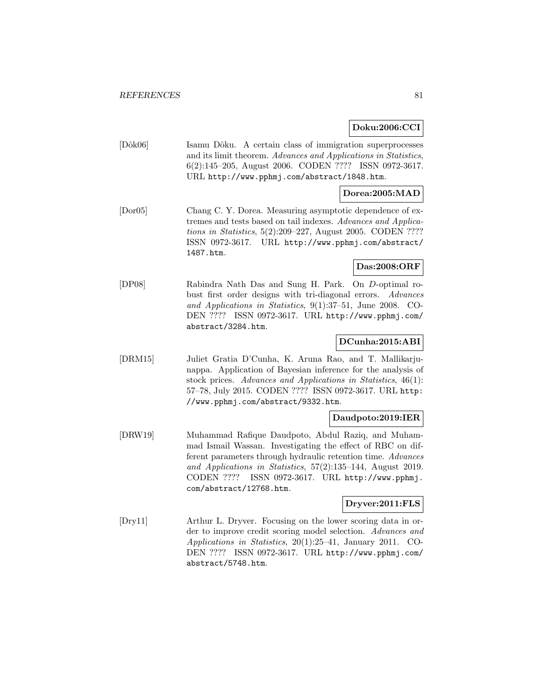#### **Doku:2006:CCI**

[Dôk06] Isamu Dôku. A certain class of immigration superprocesses and its limit theorem. Advances and Applications in Statistics, 6(2):145–205, August 2006. CODEN ???? ISSN 0972-3617. URL http://www.pphmj.com/abstract/1848.htm.

### **Dorea:2005:MAD**

[Dor05] Chang C. Y. Dorea. Measuring asymptotic dependence of extremes and tests based on tail indexes. Advances and Applications in Statistics, 5(2):209–227, August 2005. CODEN ???? ISSN 0972-3617. URL http://www.pphmj.com/abstract/ 1487.htm.

# **Das:2008:ORF**

[DP08] Rabindra Nath Das and Sung H. Park. On D-optimal robust first order designs with tri-diagonal errors. Advances and Applications in Statistics, 9(1):37–51, June 2008. CO-DEN ???? ISSN 0972-3617. URL http://www.pphmj.com/ abstract/3284.htm.

### **DCunha:2015:ABI**

[DRM15] Juliet Gratia D'Cunha, K. Aruna Rao, and T. Mallikarjunappa. Application of Bayesian inference for the analysis of stock prices. Advances and Applications in Statistics, 46(1): 57–78, July 2015. CODEN ???? ISSN 0972-3617. URL http: //www.pphmj.com/abstract/9332.htm.

#### **Daudpoto:2019:IER**

[DRW19] Muhammad Rafique Daudpoto, Abdul Raziq, and Muhammad Ismail Wassan. Investigating the effect of RBC on different parameters through hydraulic retention time. Advances and Applications in Statistics, 57(2):135–144, August 2019. CODEN ???? ISSN 0972-3617. URL http://www.pphmj. com/abstract/12768.htm.

#### **Dryver:2011:FLS**

[Dry11] Arthur L. Dryver. Focusing on the lower scoring data in order to improve credit scoring model selection. Advances and Applications in Statistics, 20(1):25–41, January 2011. CO-DEN ???? ISSN 0972-3617. URL http://www.pphmj.com/ abstract/5748.htm.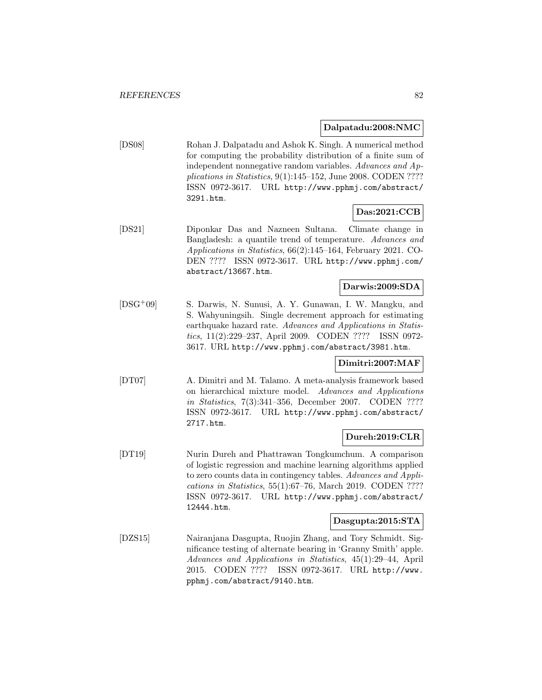#### **Dalpatadu:2008:NMC**

[DS08] Rohan J. Dalpatadu and Ashok K. Singh. A numerical method for computing the probability distribution of a finite sum of independent nonnegative random variables. Advances and Applications in Statistics,  $9(1):145-152$ , June 2008. CODEN ???? ISSN 0972-3617. URL http://www.pphmj.com/abstract/ 3291.htm.

### **Das:2021:CCB**

[DS21] Diponkar Das and Nazneen Sultana. Climate change in Bangladesh: a quantile trend of temperature. Advances and Applications in Statistics, 66(2):145–164, February 2021. CO-DEN ???? ISSN 0972-3617. URL http://www.pphmj.com/ abstract/13667.htm.

### **Darwis:2009:SDA**

[DSG<sup>+</sup>09] S. Darwis, N. Sunusi, A. Y. Gunawan, I. W. Mangku, and S. Wahyuningsih. Single decrement approach for estimating earthquake hazard rate. Advances and Applications in Statistics, 11(2):229–237, April 2009. CODEN ???? ISSN 0972- 3617. URL http://www.pphmj.com/abstract/3981.htm.

### **Dimitri:2007:MAF**

[DT07] A. Dimitri and M. Talamo. A meta-analysis framework based on hierarchical mixture model. Advances and Applications in Statistics, 7(3):341–356, December 2007. CODEN ???? ISSN 0972-3617. URL http://www.pphmj.com/abstract/ 2717.htm.

# **Dureh:2019:CLR**

[DT19] Nurin Dureh and Phattrawan Tongkumchum. A comparison of logistic regression and machine learning algorithms applied to zero counts data in contingency tables. Advances and Applications in Statistics, 55(1):67–76, March 2019. CODEN ???? ISSN 0972-3617. URL http://www.pphmj.com/abstract/ 12444.htm.

#### **Dasgupta:2015:STA**

[DZS15] Nairanjana Dasgupta, Ruojin Zhang, and Tory Schmidt. Significance testing of alternate bearing in 'Granny Smith' apple. Advances and Applications in Statistics, 45(1):29–44, April 2015. CODEN ???? ISSN 0972-3617. URL http://www. pphmj.com/abstract/9140.htm.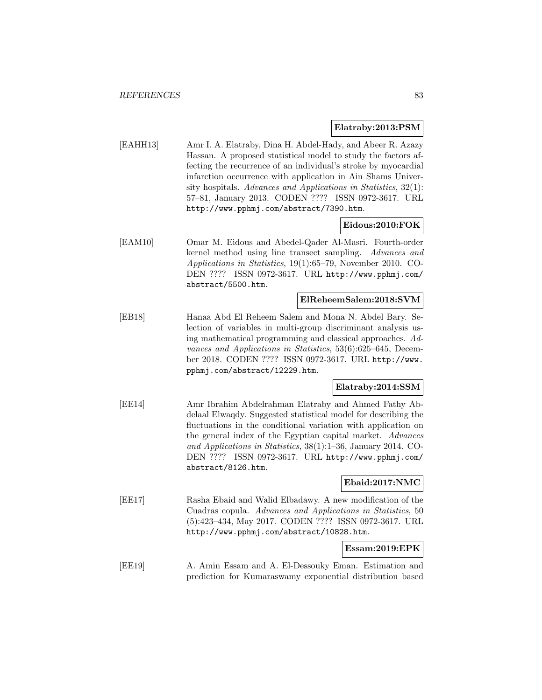#### **Elatraby:2013:PSM**

[EAHH13] Amr I. A. Elatraby, Dina H. Abdel-Hady, and Abeer R. Azazy Hassan. A proposed statistical model to study the factors affecting the recurrence of an individual's stroke by myocardial infarction occurrence with application in Ain Shams University hospitals. Advances and Applications in Statistics, 32(1): 57–81, January 2013. CODEN ???? ISSN 0972-3617. URL http://www.pphmj.com/abstract/7390.htm.

### **Eidous:2010:FOK**

[EAM10] Omar M. Eidous and Abedel-Qader Al-Masri. Fourth-order kernel method using line transect sampling. Advances and Applications in Statistics, 19(1):65–79, November 2010. CO-DEN ???? ISSN 0972-3617. URL http://www.pphmj.com/ abstract/5500.htm.

#### **ElReheemSalem:2018:SVM**

[EB18] Hanaa Abd El Reheem Salem and Mona N. Abdel Bary. Selection of variables in multi-group discriminant analysis using mathematical programming and classical approaches. Advances and Applications in Statistics, 53(6):625–645, December 2018. CODEN ???? ISSN 0972-3617. URL http://www. pphmj.com/abstract/12229.htm.

#### **Elatraby:2014:SSM**

[EE14] Amr Ibrahim Abdelrahman Elatraby and Ahmed Fathy Abdelaal Elwaqdy. Suggested statistical model for describing the fluctuations in the conditional variation with application on the general index of the Egyptian capital market. Advances and Applications in Statistics, 38(1):1–36, January 2014. CO-DEN ???? ISSN 0972-3617. URL http://www.pphmj.com/ abstract/8126.htm.

#### **Ebaid:2017:NMC**

[EE17] Rasha Ebaid and Walid Elbadawy. A new modification of the Cuadras copula. Advances and Applications in Statistics, 50 (5):423–434, May 2017. CODEN ???? ISSN 0972-3617. URL http://www.pphmj.com/abstract/10828.htm.

### **Essam:2019:EPK**

[EE19] A. Amin Essam and A. El-Dessouky Eman. Estimation and prediction for Kumaraswamy exponential distribution based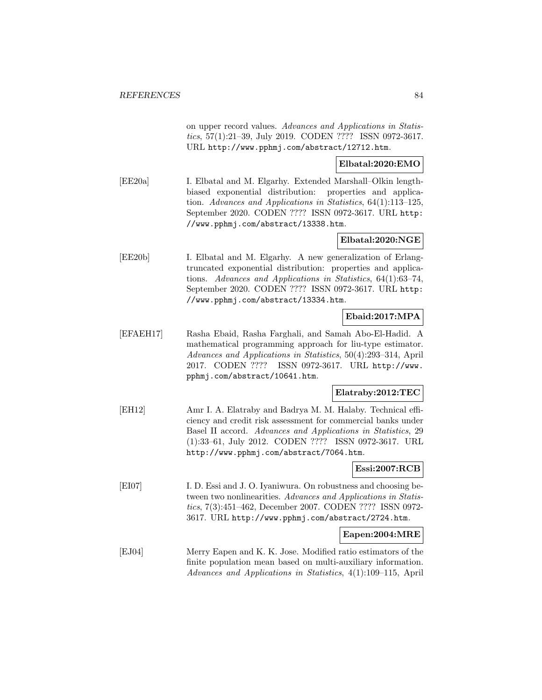on upper record values. Advances and Applications in Statistics, 57(1):21–39, July 2019. CODEN ???? ISSN 0972-3617. URL http://www.pphmj.com/abstract/12712.htm.

#### **Elbatal:2020:EMO**

[EE20a] I. Elbatal and M. Elgarhy. Extended Marshall–Olkin lengthbiased exponential distribution: properties and application. Advances and Applications in Statistics, 64(1):113–125, September 2020. CODEN ???? ISSN 0972-3617. URL http: //www.pphmj.com/abstract/13338.htm.

### **Elbatal:2020:NGE**

[EE20b] I. Elbatal and M. Elgarhy. A new generalization of Erlangtruncated exponential distribution: properties and applications. Advances and Applications in Statistics, 64(1):63–74, September 2020. CODEN ???? ISSN 0972-3617. URL http: //www.pphmj.com/abstract/13334.htm.

#### **Ebaid:2017:MPA**

[EFAEH17] Rasha Ebaid, Rasha Farghali, and Samah Abo-El-Hadid. A mathematical programming approach for liu-type estimator. Advances and Applications in Statistics, 50(4):293–314, April 2017. CODEN ???? ISSN 0972-3617. URL http://www. pphmj.com/abstract/10641.htm.

### **Elatraby:2012:TEC**

[EH12] Amr I. A. Elatraby and Badrya M. M. Halaby. Technical efficiency and credit risk assessment for commercial banks under Basel II accord. Advances and Applications in Statistics, 29 (1):33–61, July 2012. CODEN ???? ISSN 0972-3617. URL http://www.pphmj.com/abstract/7064.htm.

#### **Essi:2007:RCB**

[EI07] I. D. Essi and J. O. Iyaniwura. On robustness and choosing between two nonlinearities. Advances and Applications in Statistics, 7(3):451–462, December 2007. CODEN ???? ISSN 0972- 3617. URL http://www.pphmj.com/abstract/2724.htm.

#### **Eapen:2004:MRE**

[EJ04] Merry Eapen and K. K. Jose. Modified ratio estimators of the finite population mean based on multi-auxiliary information. Advances and Applications in Statistics, 4(1):109–115, April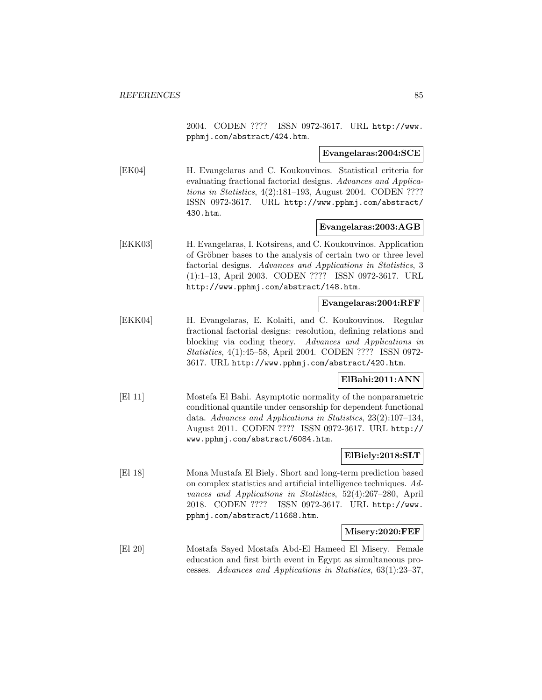2004. CODEN ???? ISSN 0972-3617. URL http://www. pphmj.com/abstract/424.htm.

**Evangelaras:2004:SCE**

[EK04] H. Evangelaras and C. Koukouvinos. Statistical criteria for evaluating fractional factorial designs. Advances and Applications in Statistics, 4(2):181–193, August 2004. CODEN ???? ISSN 0972-3617. URL http://www.pphmj.com/abstract/ 430.htm.

#### **Evangelaras:2003:AGB**

[EKK03] H. Evangelaras, I. Kotsireas, and C. Koukouvinos. Application of Gröbner bases to the analysis of certain two or three level factorial designs. Advances and Applications in Statistics, 3 (1):1–13, April 2003. CODEN ???? ISSN 0972-3617. URL http://www.pphmj.com/abstract/148.htm.

**Evangelaras:2004:RFF**

[EKK04] H. Evangelaras, E. Kolaiti, and C. Koukouvinos. Regular fractional factorial designs: resolution, defining relations and blocking via coding theory. Advances and Applications in Statistics, 4(1):45–58, April 2004. CODEN ???? ISSN 0972- 3617. URL http://www.pphmj.com/abstract/420.htm.

#### **ElBahi:2011:ANN**

[El 11] Mostefa El Bahi. Asymptotic normality of the nonparametric conditional quantile under censorship for dependent functional data. Advances and Applications in Statistics, 23(2):107–134, August 2011. CODEN ???? ISSN 0972-3617. URL http:// www.pphmj.com/abstract/6084.htm.

#### **ElBiely:2018:SLT**

[El 18] Mona Mustafa El Biely. Short and long-term prediction based on complex statistics and artificial intelligence techniques. Advances and Applications in Statistics, 52(4):267–280, April 2018. CODEN ???? ISSN 0972-3617. URL http://www. pphmj.com/abstract/11668.htm.

**Misery:2020:FEF**

[El 20] Mostafa Sayed Mostafa Abd-El Hameed El Misery. Female education and first birth event in Egypt as simultaneous processes. Advances and Applications in Statistics, 63(1):23–37,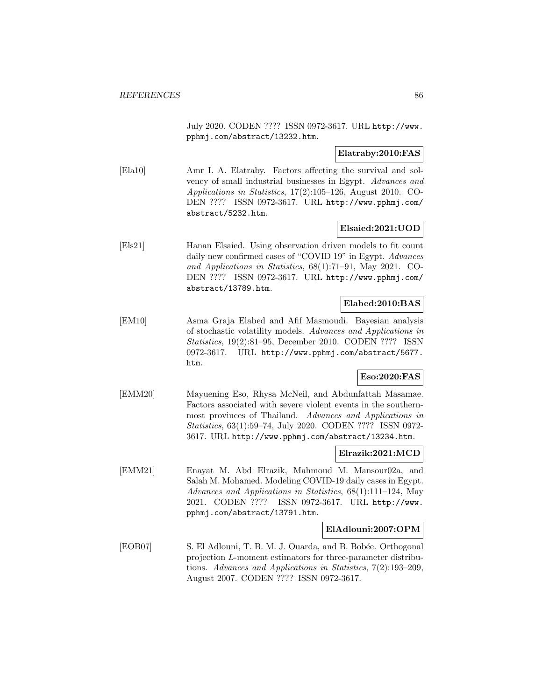July 2020. CODEN ???? ISSN 0972-3617. URL http://www. pphmj.com/abstract/13232.htm.

### **Elatraby:2010:FAS**

[Ela10] Amr I. A. Elatraby. Factors affecting the survival and solvency of small industrial businesses in Egypt. Advances and Applications in Statistics, 17(2):105–126, August 2010. CO-DEN ???? ISSN 0972-3617. URL http://www.pphmj.com/ abstract/5232.htm.

#### **Elsaied:2021:UOD**

[Els21] Hanan Elsaied. Using observation driven models to fit count daily new confirmed cases of "COVID 19" in Egypt. Advances and Applications in Statistics, 68(1):71–91, May 2021. CO-DEN ???? ISSN 0972-3617. URL http://www.pphmj.com/ abstract/13789.htm.

#### **Elabed:2010:BAS**

[EM10] Asma Graja Elabed and Afif Masmoudi. Bayesian analysis of stochastic volatility models. Advances and Applications in Statistics, 19(2):81–95, December 2010. CODEN ???? ISSN 0972-3617. URL http://www.pphmj.com/abstract/5677. htm.

### **Eso:2020:FAS**

[EMM20] Mayuening Eso, Rhysa McNeil, and Abdunfattah Masamae. Factors associated with severe violent events in the southernmost provinces of Thailand. Advances and Applications in Statistics, 63(1):59–74, July 2020. CODEN ???? ISSN 0972- 3617. URL http://www.pphmj.com/abstract/13234.htm.

#### **Elrazik:2021:MCD**

[EMM21] Enayat M. Abd Elrazik, Mahmoud M. Mansour02a, and Salah M. Mohamed. Modeling COVID-19 daily cases in Egypt. Advances and Applications in Statistics, 68(1):111–124, May 2021. CODEN ???? ISSN 0972-3617. URL http://www. pphmj.com/abstract/13791.htm.

#### **ElAdlouni:2007:OPM**

[EOB07] S. El Adlouni, T. B. M. J. Ouarda, and B. Bobée. Orthogonal projection L-moment estimators for three-parameter distributions. Advances and Applications in Statistics, 7(2):193–209, August 2007. CODEN ???? ISSN 0972-3617.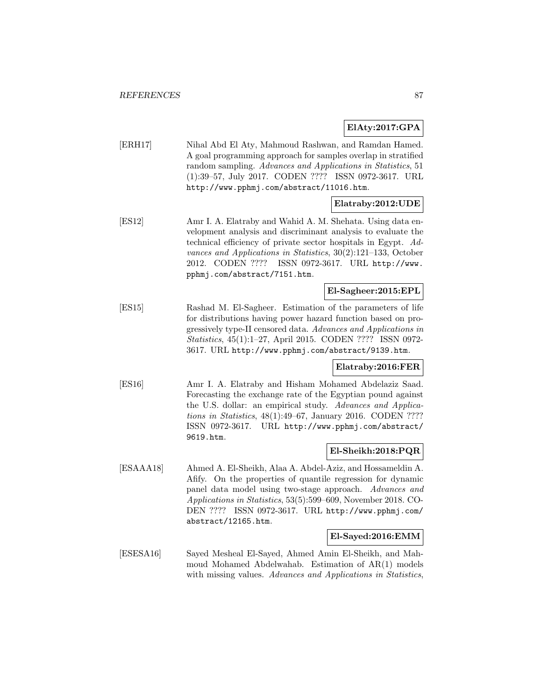### **ElAty:2017:GPA**

[ERH17] Nihal Abd El Aty, Mahmoud Rashwan, and Ramdan Hamed. A goal programming approach for samples overlap in stratified random sampling. Advances and Applications in Statistics, 51 (1):39–57, July 2017. CODEN ???? ISSN 0972-3617. URL http://www.pphmj.com/abstract/11016.htm.

### **Elatraby:2012:UDE**

[ES12] Amr I. A. Elatraby and Wahid A. M. Shehata. Using data envelopment analysis and discriminant analysis to evaluate the technical efficiency of private sector hospitals in Egypt. Advances and Applications in Statistics, 30(2):121–133, October 2012. CODEN ???? ISSN 0972-3617. URL http://www. pphmj.com/abstract/7151.htm.

### **El-Sagheer:2015:EPL**

[ES15] Rashad M. El-Sagheer. Estimation of the parameters of life for distributions having power hazard function based on progressively type-II censored data. Advances and Applications in Statistics, 45(1):1–27, April 2015. CODEN ???? ISSN 0972- 3617. URL http://www.pphmj.com/abstract/9139.htm.

#### **Elatraby:2016:FER**

[ES16] Amr I. A. Elatraby and Hisham Mohamed Abdelaziz Saad. Forecasting the exchange rate of the Egyptian pound against the U.S. dollar: an empirical study. Advances and Applications in Statistics, 48(1):49–67, January 2016. CODEN ???? ISSN 0972-3617. URL http://www.pphmj.com/abstract/ 9619.htm.

### **El-Sheikh:2018:PQR**

[ESAAA18] Ahmed A. El-Sheikh, Alaa A. Abdel-Aziz, and Hossameldin A. Afify. On the properties of quantile regression for dynamic panel data model using two-stage approach. Advances and Applications in Statistics, 53(5):599–609, November 2018. CO-DEN ???? ISSN 0972-3617. URL http://www.pphmj.com/ abstract/12165.htm.

#### **El-Sayed:2016:EMM**

[ESESA16] Sayed Mesheal El-Sayed, Ahmed Amin El-Sheikh, and Mahmoud Mohamed Abdelwahab. Estimation of AR(1) models with missing values. Advances and Applications in Statistics,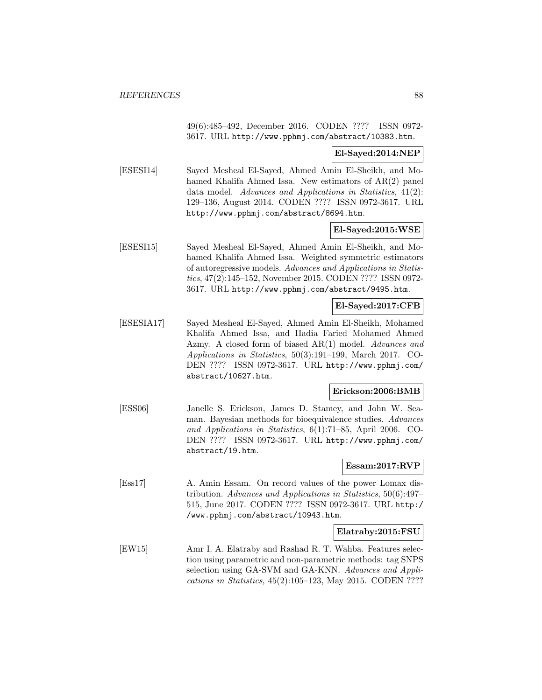49(6):485–492, December 2016. CODEN ???? ISSN 0972- 3617. URL http://www.pphmj.com/abstract/10383.htm.

#### **El-Sayed:2014:NEP**

[ESESI14] Sayed Mesheal El-Sayed, Ahmed Amin El-Sheikh, and Mohamed Khalifa Ahmed Issa. New estimators of AR(2) panel data model. Advances and Applications in Statistics, 41(2): 129–136, August 2014. CODEN ???? ISSN 0972-3617. URL http://www.pphmj.com/abstract/8694.htm.

### **El-Sayed:2015:WSE**

[ESESI15] Sayed Mesheal El-Sayed, Ahmed Amin El-Sheikh, and Mohamed Khalifa Ahmed Issa. Weighted symmetric estimators of autoregressive models. Advances and Applications in Statistics, 47(2):145–152, November 2015. CODEN ???? ISSN 0972- 3617. URL http://www.pphmj.com/abstract/9495.htm.

### **El-Sayed:2017:CFB**

[ESESIA17] Sayed Mesheal El-Sayed, Ahmed Amin El-Sheikh, Mohamed Khalifa Ahmed Issa, and Hadia Faried Mohamed Ahmed Azmy. A closed form of biased AR(1) model. Advances and Applications in Statistics, 50(3):191–199, March 2017. CO-DEN ???? ISSN 0972-3617. URL http://www.pphmj.com/ abstract/10627.htm.

#### **Erickson:2006:BMB**

[ESS06] Janelle S. Erickson, James D. Stamey, and John W. Seaman. Bayesian methods for bioequivalence studies. Advances and Applications in Statistics, 6(1):71–85, April 2006. CO-DEN ???? ISSN 0972-3617. URL http://www.pphmj.com/ abstract/19.htm.

### **Essam:2017:RVP**

[Ess17] A. Amin Essam. On record values of the power Lomax distribution. Advances and Applications in Statistics, 50(6):497– 515, June 2017. CODEN ???? ISSN 0972-3617. URL http:/ /www.pphmj.com/abstract/10943.htm.

#### **Elatraby:2015:FSU**

[EW15] Amr I. A. Elatraby and Rashad R. T. Wahba. Features selection using parametric and non-parametric methods: tag SNPS selection using GA-SVM and GA-KNN. Advances and Applications in Statistics, 45(2):105–123, May 2015. CODEN ????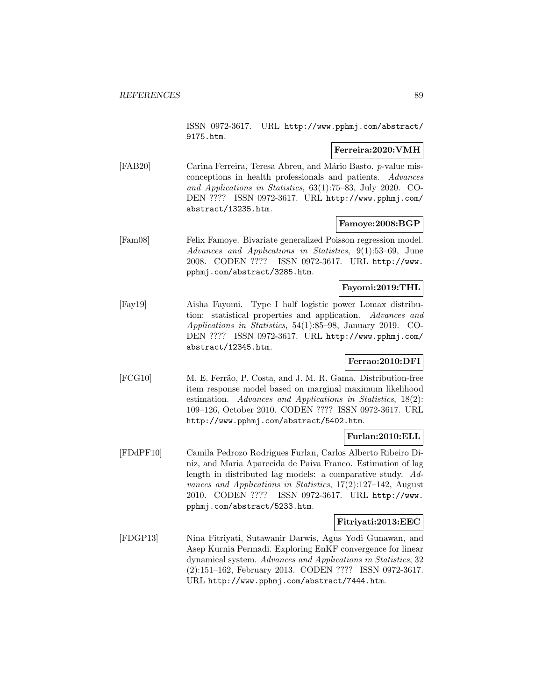ISSN 0972-3617. URL http://www.pphmj.com/abstract/ 9175.htm.

### **Ferreira:2020:VMH**

[FAB20] Carina Ferreira, Teresa Abreu, and Mário Basto. p-value misconceptions in health professionals and patients. Advances and Applications in Statistics, 63(1):75–83, July 2020. CO-DEN ???? ISSN 0972-3617. URL http://www.pphmj.com/ abstract/13235.htm.

### **Famoye:2008:BGP**

[Fam08] Felix Famoye. Bivariate generalized Poisson regression model. Advances and Applications in Statistics, 9(1):53–69, June 2008. CODEN ???? ISSN 0972-3617. URL http://www. pphmj.com/abstract/3285.htm.

### **Fayomi:2019:THL**

[Fay19] Aisha Fayomi. Type I half logistic power Lomax distribution: statistical properties and application. Advances and Applications in Statistics, 54(1):85–98, January 2019. CO-DEN ???? ISSN 0972-3617. URL http://www.pphmj.com/ abstract/12345.htm.

### **Ferrao:2010:DFI**

[FCG10] M. E. Ferrão, P. Costa, and J. M. R. Gama. Distribution-free item response model based on marginal maximum likelihood estimation. Advances and Applications in Statistics, 18(2): 109–126, October 2010. CODEN ???? ISSN 0972-3617. URL http://www.pphmj.com/abstract/5402.htm.

# **Furlan:2010:ELL**

[FDdPF10] Camila Pedrozo Rodrigues Furlan, Carlos Alberto Ribeiro Diniz, and Maria Aparecida de Paiva Franco. Estimation of lag length in distributed lag models: a comparative study. Advances and Applications in Statistics, 17(2):127–142, August 2010. CODEN ???? ISSN 0972-3617. URL http://www. pphmj.com/abstract/5233.htm.

#### **Fitriyati:2013:EEC**

[FDGP13] Nina Fitriyati, Sutawanir Darwis, Agus Yodi Gunawan, and Asep Kurnia Permadi. Exploring EnKF convergence for linear dynamical system. Advances and Applications in Statistics, 32 (2):151–162, February 2013. CODEN ???? ISSN 0972-3617. URL http://www.pphmj.com/abstract/7444.htm.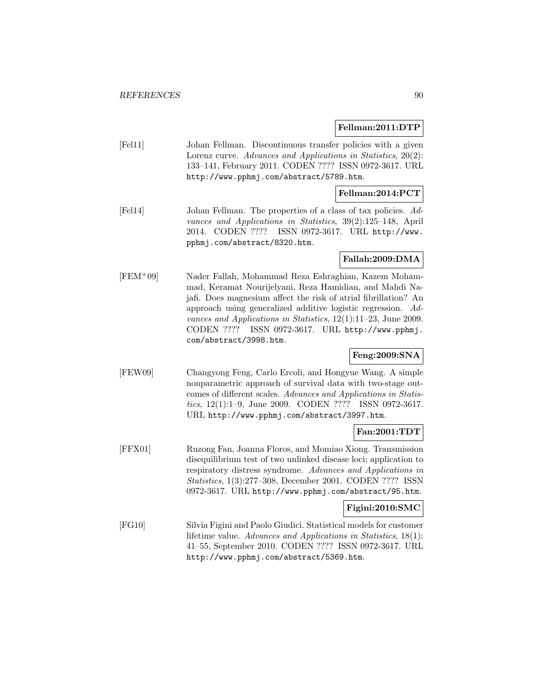#### **Fellman:2011:DTP**

[Fel11] Johan Fellman. Discontinuous transfer policies with a given Lorenz curve. Advances and Applications in Statistics, 20(2): 133–141, February 2011. CODEN ???? ISSN 0972-3617. URL http://www.pphmj.com/abstract/5789.htm.

#### **Fellman:2014:PCT**

[Fel14] Johan Fellman. The properties of a class of tax policies. Advances and Applications in Statistics, 39(2):125–148, April 2014. CODEN ???? ISSN 0972-3617. URL http://www. pphmj.com/abstract/8320.htm.

#### **Fallah:2009:DMA**

[FEM<sup>+</sup>09] Nader Fallah, Mohammad Reza Eshraghian, Kazem Mohammad, Keramat Nourijelyani, Reza Hamidian, and Mahdi Najafi. Does magnesium affect the risk of atrial fibrillation? An approach using generalized additive logistic regression. Advances and Applications in Statistics, 12(1):11–23, June 2009. CODEN ???? ISSN 0972-3617. URL http://www.pphmj. com/abstract/3998.htm.

### **Feng:2009:SNA**

[FEW09] Changyong Feng, Carlo Ercoli, and Hongyue Wang. A simple nonparametric approach of survival data with two-stage outcomes of different scales. Advances and Applications in Statistics, 12(1):1–9, June 2009. CODEN ???? ISSN 0972-3617. URL http://www.pphmj.com/abstract/3997.htm.

### **Fan:2001:TDT**

[FFX01] Ruzong Fan, Joanna Floros, and Momiao Xiong. Transmission disequilibrium test of two unlinked disease loci; application to respiratory distress syndrome. Advances and Applications in Statistics, 1(3):277–308, December 2001. CODEN ???? ISSN 0972-3617. URL http://www.pphmj.com/abstract/95.htm.

#### **Figini:2010:SMC**

[FG10] Silvia Figini and Paolo Giudici. Statistical models for customer lifetime value. Advances and Applications in Statistics, 18(1): 41–55, September 2010. CODEN ???? ISSN 0972-3617. URL http://www.pphmj.com/abstract/5369.htm.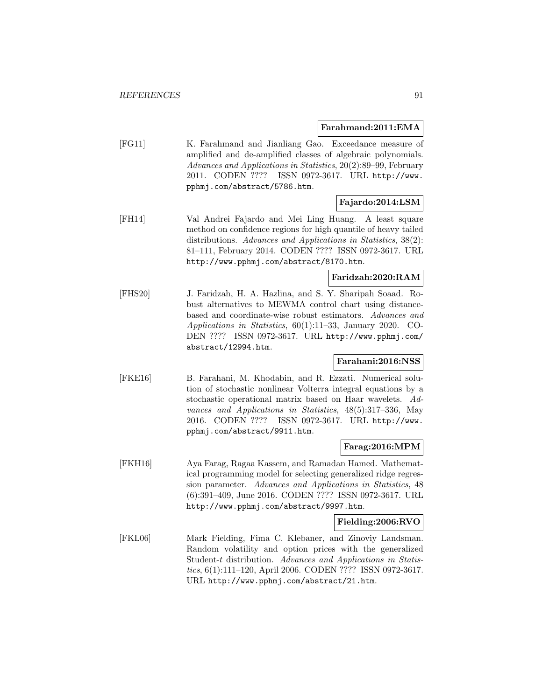#### **Farahmand:2011:EMA**

[FG11] K. Farahmand and Jianliang Gao. Exceedance measure of amplified and de-amplified classes of algebraic polynomials. Advances and Applications in Statistics, 20(2):89–99, February 2011. CODEN ???? ISSN 0972-3617. URL http://www. pphmj.com/abstract/5786.htm.

#### **Fajardo:2014:LSM**

[FH14] Val Andrei Fajardo and Mei Ling Huang. A least square method on confidence regions for high quantile of heavy tailed distributions. Advances and Applications in Statistics, 38(2): 81–111, February 2014. CODEN ???? ISSN 0972-3617. URL http://www.pphmj.com/abstract/8170.htm.

### **Faridzah:2020:RAM**

[FHS20] J. Faridzah, H. A. Hazlina, and S. Y. Sharipah Soaad. Robust alternatives to MEWMA control chart using distancebased and coordinate-wise robust estimators. Advances and Applications in Statistics, 60(1):11–33, January 2020. CO-DEN ???? ISSN 0972-3617. URL http://www.pphmj.com/ abstract/12994.htm.

#### **Farahani:2016:NSS**

[FKE16] B. Farahani, M. Khodabin, and R. Ezzati. Numerical solution of stochastic nonlinear Volterra integral equations by a stochastic operational matrix based on Haar wavelets. Advances and Applications in Statistics, 48(5):317–336, May 2016. CODEN ???? ISSN 0972-3617. URL http://www. pphmj.com/abstract/9911.htm.

#### **Farag:2016:MPM**

[FKH16] Aya Farag, Ragaa Kassem, and Ramadan Hamed. Mathematical programming model for selecting generalized ridge regression parameter. Advances and Applications in Statistics, 48 (6):391–409, June 2016. CODEN ???? ISSN 0972-3617. URL http://www.pphmj.com/abstract/9997.htm.

#### **Fielding:2006:RVO**

[FKL06] Mark Fielding, Fima C. Klebaner, and Zinoviy Landsman. Random volatility and option prices with the generalized Student-t distribution. Advances and Applications in Statistics, 6(1):111–120, April 2006. CODEN ???? ISSN 0972-3617. URL http://www.pphmj.com/abstract/21.htm.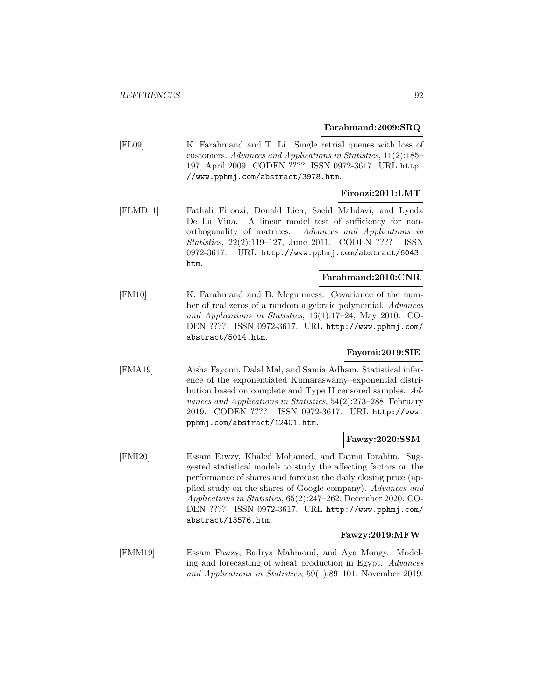#### **Farahmand:2009:SRQ**

[FL09] K. Farahmand and T. Li. Single retrial queues with loss of customers. Advances and Applications in Statistics, 11(2):185– 197, April 2009. CODEN ???? ISSN 0972-3617. URL http: //www.pphmj.com/abstract/3978.htm.

#### **Firoozi:2011:LMT**

[FLMD11] Fathali Firoozi, Donald Lien, Saeid Mahdavi, and Lynda De La Vina. A linear model test of sufficiency for nonorthogonality of matrices. Advances and Applications in Statistics, 22(2):119–127, June 2011. CODEN ???? ISSN 0972-3617. URL http://www.pphmj.com/abstract/6043. htm.

### **Farahmand:2010:CNR**

[FM10] K. Farahmand and B. Mcguinness. Covariance of the number of real zeros of a random algebraic polynomial. Advances and Applications in Statistics, 16(1):17–24, May 2010. CO-DEN ???? ISSN 0972-3617. URL http://www.pphmj.com/ abstract/5014.htm.

### **Fayomi:2019:SIE**

[FMA19] Aisha Fayomi, Dalal Mal, and Samia Adham. Statistical inference of the exponentiated Kumaraswamy–exponential distribution based on complete and Type II censored samples. Advances and Applications in Statistics, 54(2):273–288, February 2019. CODEN ???? ISSN 0972-3617. URL http://www. pphmj.com/abstract/12401.htm.

### **Fawzy:2020:SSM**

[FMI20] Essam Fawzy, Khaled Mohamed, and Fatma Ibrahim. Suggested statistical models to study the affecting factors on the performance of shares and forecast the daily closing price (applied study on the shares of Google company). Advances and Applications in Statistics, 65(2):247–262, December 2020. CO-DEN ???? ISSN 0972-3617. URL http://www.pphmj.com/ abstract/13576.htm.

### **Fawzy:2019:MFW**

[FMM19] Essam Fawzy, Badrya Mahmoud, and Aya Mongy. Modeling and forecasting of wheat production in Egypt. Advances and Applications in Statistics, 59(1):89–101, November 2019.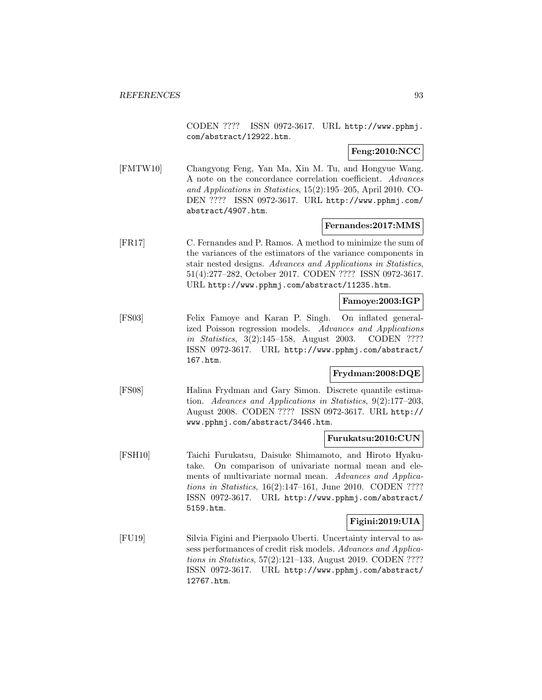CODEN ???? ISSN 0972-3617. URL http://www.pphmj. com/abstract/12922.htm.

**Feng:2010:NCC**

[FMTW10] Changyong Feng, Yan Ma, Xin M. Tu, and Hongyue Wang. A note on the concordance correlation coefficient. Advances and Applications in Statistics, 15(2):195–205, April 2010. CO-DEN ???? ISSN 0972-3617. URL http://www.pphmj.com/ abstract/4907.htm.

#### **Fernandes:2017:MMS**

[FR17] C. Fernandes and P. Ramos. A method to minimize the sum of the variances of the estimators of the variance components in stair nested designs. Advances and Applications in Statistics, 51(4):277–282, October 2017. CODEN ???? ISSN 0972-3617. URL http://www.pphmj.com/abstract/11235.htm.

#### **Famoye:2003:IGP**

[FS03] Felix Famoye and Karan P. Singh. On inflated generalized Poisson regression models. Advances and Applications in Statistics, 3(2):145–158, August 2003. CODEN ???? ISSN 0972-3617. URL http://www.pphmj.com/abstract/ 167.htm.

#### **Frydman:2008:DQE**

[FS08] Halina Frydman and Gary Simon. Discrete quantile estimation. Advances and Applications in Statistics, 9(2):177–203, August 2008. CODEN ???? ISSN 0972-3617. URL http:// www.pphmj.com/abstract/3446.htm.

#### **Furukatsu:2010:CUN**

[FSH10] Taichi Furukatsu, Daisuke Shimamoto, and Hiroto Hyakutake. On comparison of univariate normal mean and elements of multivariate normal mean. Advances and Applications in Statistics, 16(2):147–161, June 2010. CODEN ???? ISSN 0972-3617. URL http://www.pphmj.com/abstract/ 5159.htm.

### **Figini:2019:UIA**

[FU19] Silvia Figini and Pierpaolo Uberti. Uncertainty interval to assess performances of credit risk models. Advances and Applications in Statistics, 57(2):121–133, August 2019. CODEN ???? ISSN 0972-3617. URL http://www.pphmj.com/abstract/ 12767.htm.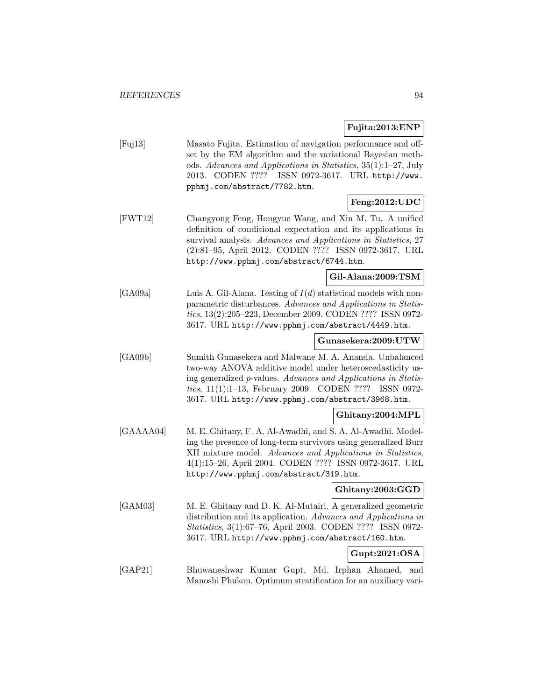**Fujita:2013:ENP**

|                 | Fujita:2013:ENP                                                                                                                                                                                                                                                                                                            |
|-----------------|----------------------------------------------------------------------------------------------------------------------------------------------------------------------------------------------------------------------------------------------------------------------------------------------------------------------------|
| [Fuj13]         | Masato Fujita. Estimation of navigation performance and off-<br>set by the EM algorithm and the variational Bayesian meth-<br>ods. Advances and Applications in Statistics, 35(1):1-27, July<br>CODEN ????<br>ISSN 0972-3617. URL http://www.<br>2013.<br>pphmj.com/abstract/7782.htm.                                     |
|                 | Feng:2012:UDC                                                                                                                                                                                                                                                                                                              |
| [FWT12]         | Changyong Feng, Hongyue Wang, and Xin M. Tu. A unified<br>definition of conditional expectation and its applications in<br>survival analysis. Advances and Applications in Statistics, 27<br>(2):81-95, April 2012. CODEN ???? ISSN 0972-3617. URL<br>http://www.pphmj.com/abstract/6744.htm.                              |
|                 | Gil-Alana:2009:TSM                                                                                                                                                                                                                                                                                                         |
| [GA09a]         | Luis A. Gil-Alana. Testing of $I(d)$ statistical models with non-<br>parametric disturbances. Advances and Applications in Statis-<br>tics, 13(2):205-223, December 2009. CODEN ???? ISSN 0972-<br>3617. URL http://www.pphmj.com/abstract/4449.htm.                                                                       |
|                 | Gunasekera:2009:UTW                                                                                                                                                                                                                                                                                                        |
| $[{\rm GA09b}]$ | Sumith Gunasekera and Malwane M. A. Ananda. Unbalanced<br>two-way ANOVA additive model under heteroscedasticity us-<br>ing generalized <i>p</i> -values. Advances and Applications in Statis-<br><i>tics</i> , $11(1):1-13$ , February 2009. CODEN ????<br>ISSN 0972-<br>3617. URL http://www.pphmj.com/abstract/3968.htm. |
|                 | Ghitany:2004:MPL                                                                                                                                                                                                                                                                                                           |
| [GAAAA04]       | M. E. Ghitany, F. A. Al-Awadhi, and S. A. Al-Awadhi. Model-<br>ing the presence of long-term survivors using generalized Burr<br>XII mixture model. Advances and Applications in Statistics,<br>4(1):15-26, April 2004. CODEN ???? ISSN 0972-3617. URL<br>http://www.pphmj.com/abstract/319.htm.                           |
|                 | Ghitany:2003:GGD                                                                                                                                                                                                                                                                                                           |
| [GAM03]         | M. E. Ghitany and D. K. Al-Mutairi. A generalized geometric<br>distribution and its application. Advances and Applications in<br>Statistics, 3(1):67-76, April 2003. CODEN ???? ISSN 0972-<br>3617. URL http://www.pphmj.com/abstract/160.htm.                                                                             |
|                 | Gupt:2021:OSA                                                                                                                                                                                                                                                                                                              |
| [GAP21]         | Bhuwaneshwar Kumar Gupt, Md. Irphan Ahamed,<br>and<br>Manoshi Phukon. Optimum stratification for an auxiliary vari-                                                                                                                                                                                                        |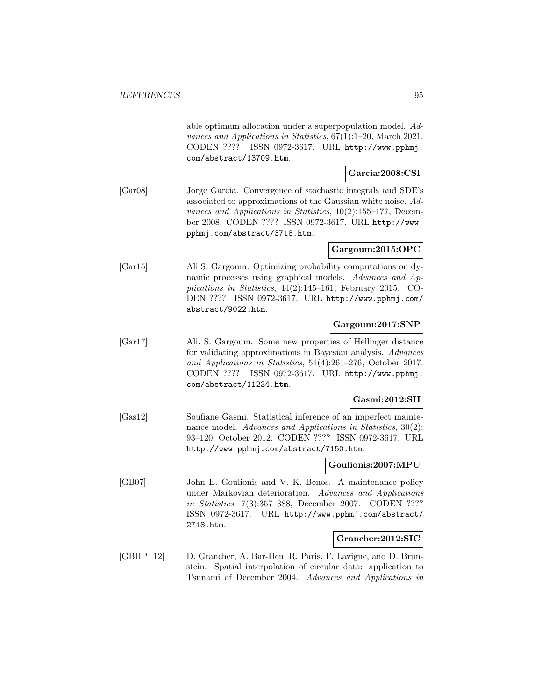able optimum allocation under a superpopulation model. Advances and Applications in Statistics, 67(1):1–20, March 2021. CODEN ???? ISSN 0972-3617. URL http://www.pphmj. com/abstract/13709.htm.

### **Garcia:2008:CSI**

[Gar08] Jorge Garcia. Convergence of stochastic integrals and SDE's associated to approximations of the Gaussian white noise. Advances and Applications in Statistics, 10(2):155–177, December 2008. CODEN ???? ISSN 0972-3617. URL http://www. pphmj.com/abstract/3718.htm.

### **Gargoum:2015:OPC**

[Gar15] Ali S. Gargoum. Optimizing probability computations on dynamic processes using graphical models. Advances and Applications in Statistics, 44(2):145–161, February 2015. CO-DEN ???? ISSN 0972-3617. URL http://www.pphmj.com/ abstract/9022.htm.

### **Gargoum:2017:SNP**

[Gar17] Ali. S. Gargoum. Some new properties of Hellinger distance for validating approximations in Bayesian analysis. Advances and Applications in Statistics, 51(4):261–276, October 2017. CODEN ???? ISSN 0972-3617. URL http://www.pphmj. com/abstract/11234.htm.

#### **Gasmi:2012:SII**

[Gas12] Soufiane Gasmi. Statistical inference of an imperfect maintenance model. Advances and Applications in Statistics, 30(2): 93–120, October 2012. CODEN ???? ISSN 0972-3617. URL http://www.pphmj.com/abstract/7150.htm.

#### **Goulionis:2007:MPU**

[GB07] John E. Goulionis and V. K. Benos. A maintenance policy under Markovian deterioration. Advances and Applications in Statistics, 7(3):357–388, December 2007. CODEN ???? ISSN 0972-3617. URL http://www.pphmj.com/abstract/ 2718.htm.

#### **Grancher:2012:SIC**

[GBHP<sup>+</sup>12] D. Grancher, A. Bar-Hen, R. Paris, F. Lavigne, and D. Brunstein. Spatial interpolation of circular data: application to Tsunami of December 2004. Advances and Applications in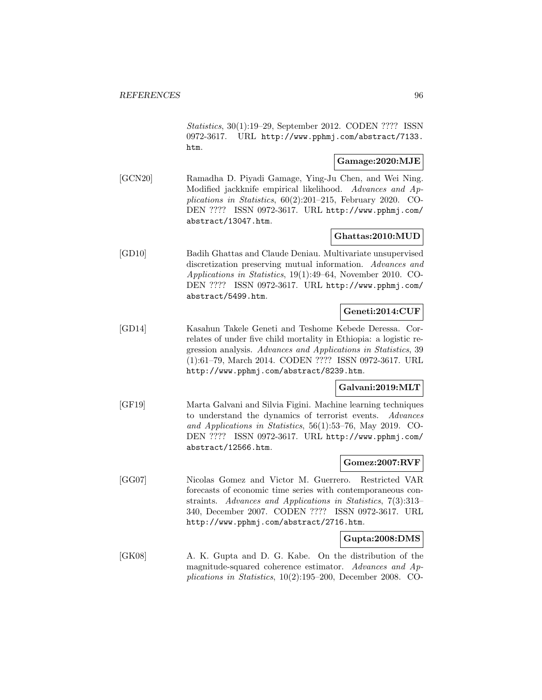Statistics, 30(1):19–29, September 2012. CODEN ???? ISSN 0972-3617. URL http://www.pphmj.com/abstract/7133. htm.

### **Gamage:2020:MJE**

[GCN20] Ramadha D. Piyadi Gamage, Ying-Ju Chen, and Wei Ning. Modified jackknife empirical likelihood. Advances and Applications in Statistics, 60(2):201–215, February 2020. CO-DEN ???? ISSN 0972-3617. URL http://www.pphmj.com/ abstract/13047.htm.

# **Ghattas:2010:MUD**

[GD10] Badih Ghattas and Claude Deniau. Multivariate unsupervised discretization preserving mutual information. Advances and Applications in Statistics, 19(1):49–64, November 2010. CO-DEN ???? ISSN 0972-3617. URL http://www.pphmj.com/ abstract/5499.htm.

# **Geneti:2014:CUF**

[GD14] Kasahun Takele Geneti and Teshome Kebede Deressa. Correlates of under five child mortality in Ethiopia: a logistic regression analysis. Advances and Applications in Statistics, 39 (1):61–79, March 2014. CODEN ???? ISSN 0972-3617. URL http://www.pphmj.com/abstract/8239.htm.

# **Galvani:2019:MLT**

[GF19] Marta Galvani and Silvia Figini. Machine learning techniques to understand the dynamics of terrorist events. Advances and Applications in Statistics, 56(1):53–76, May 2019. CO-DEN ???? ISSN 0972-3617. URL http://www.pphmj.com/ abstract/12566.htm.

#### **Gomez:2007:RVF**

[GG07] Nicolas Gomez and Victor M. Guerrero. Restricted VAR forecasts of economic time series with contemporaneous constraints. Advances and Applications in Statistics, 7(3):313– 340, December 2007. CODEN ???? ISSN 0972-3617. URL http://www.pphmj.com/abstract/2716.htm.

### **Gupta:2008:DMS**

[GK08] A. K. Gupta and D. G. Kabe. On the distribution of the magnitude-squared coherence estimator. Advances and Applications in Statistics, 10(2):195–200, December 2008. CO-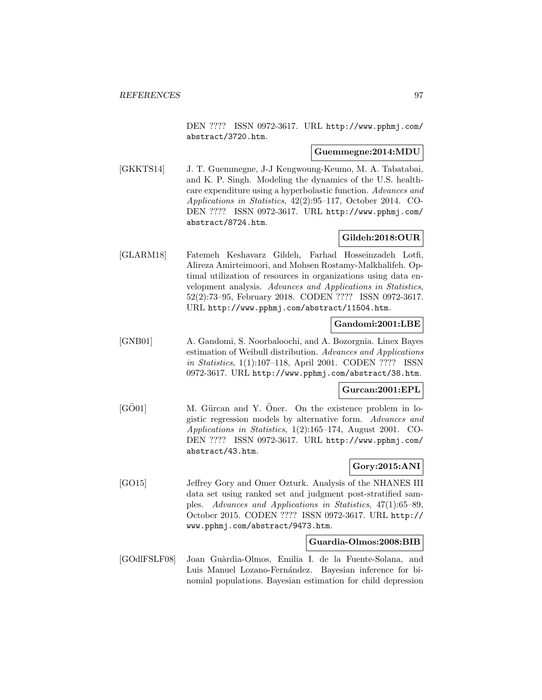DEN ???? ISSN 0972-3617. URL http://www.pphmj.com/ abstract/3720.htm.

#### **Guemmegne:2014:MDU**

[GKKTS14] J. T. Guemmegne, J-J Kengwoung-Keumo, M. A. Tabatabai, and K. P. Singh. Modeling the dynamics of the U.S. healthcare expenditure using a hyperbolastic function. Advances and Applications in Statistics, 42(2):95–117, October 2014. CO-DEN ???? ISSN 0972-3617. URL http://www.pphmj.com/ abstract/8724.htm.

### **Gildeh:2018:OUR**

[GLARM18] Fatemeh Keshavarz Gildeh, Farhad Hosseinzadeh Lotfi, Alireza Amirteimoori, and Mohsen Rostamy-Malkhalifeh. Optimal utilization of resources in organizations using data envelopment analysis. Advances and Applications in Statistics, 52(2):73–95, February 2018. CODEN ???? ISSN 0972-3617. URL http://www.pphmj.com/abstract/11504.htm.

### **Gandomi:2001:LBE**

[GNB01] A. Gandomi, S. Noorbaloochi, and A. Bozorgnia. Linex Bayes estimation of Weibull distribution. Advances and Applications in Statistics, 1(1):107–118, April 2001. CODEN ???? ISSN 0972-3617. URL http://www.pphmj.com/abstract/38.htm.

#### **Gurcan:2001:EPL**

[GÖ01] M. Gürcan and Y. Öner. On the existence problem in logistic regression models by alternative form. Advances and Applications in Statistics, 1(2):165–174, August 2001. CO-DEN ???? ISSN 0972-3617. URL http://www.pphmj.com/ abstract/43.htm.

# **Gory:2015:ANI**

[GO15] Jeffrey Gory and Omer Ozturk. Analysis of the NHANES III data set using ranked set and judgment post-stratified samples. Advances and Applications in Statistics, 47(1):65–89, October 2015. CODEN ???? ISSN 0972-3617. URL http:// www.pphmj.com/abstract/9473.htm.

#### **Guardia-Olmos:2008:BIB**

[GOdlFSLF08] Joan Guàrdia-Olmos, Emilia I. de la Fuente-Solana, and Luis Manuel Lozano-Fernández. Bayesian inference for binomial populations. Bayesian estimation for child depression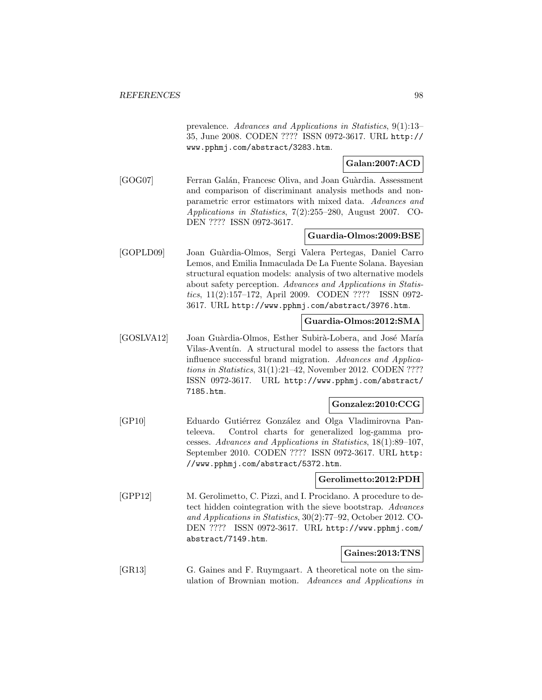prevalence. Advances and Applications in Statistics, 9(1):13– 35, June 2008. CODEN ???? ISSN 0972-3617. URL http:// www.pphmj.com/abstract/3283.htm.

# **Galan:2007:ACD**

[GOG07] Ferran Galán, Francesc Oliva, and Joan Guàrdia. Assessment and comparison of discriminant analysis methods and nonparametric error estimators with mixed data. Advances and Applications in Statistics, 7(2):255–280, August 2007. CO-DEN ???? ISSN 0972-3617.

### **Guardia-Olmos:2009:BSE**

[GOPLD09] Joan Gu`ardia-Olmos, Sergi Valera Pertegas, Daniel Carro Lemos, and Emilia Inmaculada De La Fuente Solana. Bayesian structural equation models: analysis of two alternative models about safety perception. Advances and Applications in Statistics, 11(2):157–172, April 2009. CODEN ???? ISSN 0972- 3617. URL http://www.pphmj.com/abstract/3976.htm.

### **Guardia-Olmos:2012:SMA**

[GOSLVA12] Joan Guàrdia-Olmos, Esther Subirà-Lobera, and José María Vilas-Aventín. A structural model to assess the factors that influence successful brand migration. Advances and Applications in Statistics, 31(1):21–42, November 2012. CODEN ???? ISSN 0972-3617. URL http://www.pphmj.com/abstract/ 7185.htm.

# **Gonzalez:2010:CCG**

[GP10] Eduardo Gutiérrez González and Olga Vladimirovna Panteleeva. Control charts for generalized log-gamma processes. Advances and Applications in Statistics, 18(1):89–107, September 2010. CODEN ???? ISSN 0972-3617. URL http: //www.pphmj.com/abstract/5372.htm.

### **Gerolimetto:2012:PDH**

[GPP12] M. Gerolimetto, C. Pizzi, and I. Procidano. A procedure to detect hidden cointegration with the sieve bootstrap. Advances and Applications in Statistics, 30(2):77–92, October 2012. CO-DEN ???? ISSN 0972-3617. URL http://www.pphmj.com/ abstract/7149.htm.

### **Gaines:2013:TNS**

[GR13] G. Gaines and F. Ruymgaart. A theoretical note on the simulation of Brownian motion. Advances and Applications in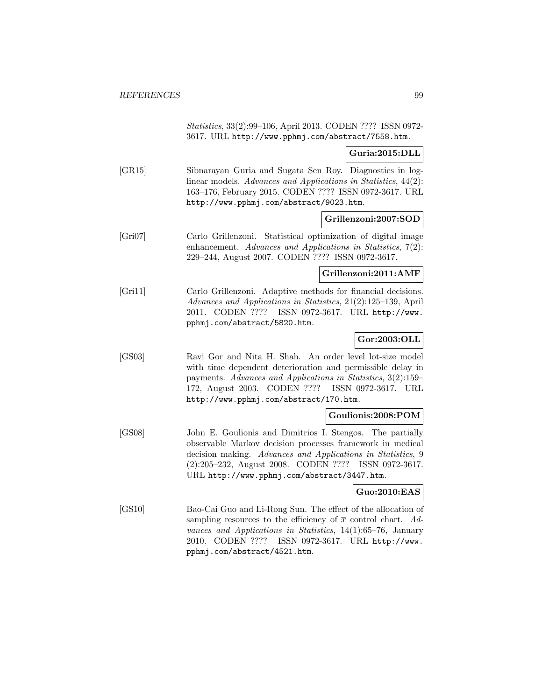Statistics, 33(2):99–106, April 2013. CODEN ???? ISSN 0972- 3617. URL http://www.pphmj.com/abstract/7558.htm.

### **Guria:2015:DLL**

[GR15] Sibnarayan Guria and Sugata Sen Roy. Diagnostics in loglinear models. Advances and Applications in Statistics, 44(2): 163–176, February 2015. CODEN ???? ISSN 0972-3617. URL http://www.pphmj.com/abstract/9023.htm.

#### **Grillenzoni:2007:SOD**

[Gri07] Carlo Grillenzoni. Statistical optimization of digital image enhancement. Advances and Applications in Statistics, 7(2): 229–244, August 2007. CODEN ???? ISSN 0972-3617.

#### **Grillenzoni:2011:AMF**

[Gri11] Carlo Grillenzoni. Adaptive methods for financial decisions. Advances and Applications in Statistics, 21(2):125–139, April 2011. CODEN ???? ISSN 0972-3617. URL http://www. pphmj.com/abstract/5820.htm.

# **Gor:2003:OLL**

[GS03] Ravi Gor and Nita H. Shah. An order level lot-size model with time dependent deterioration and permissible delay in payments. Advances and Applications in Statistics, 3(2):159– 172, August 2003. CODEN ???? ISSN 0972-3617. URL http://www.pphmj.com/abstract/170.htm.

#### **Goulionis:2008:POM**

[GS08] John E. Goulionis and Dimitrios I. Stengos. The partially observable Markov decision processes framework in medical decision making. Advances and Applications in Statistics, 9 (2):205–232, August 2008. CODEN ???? ISSN 0972-3617. URL http://www.pphmj.com/abstract/3447.htm.

### **Guo:2010:EAS**

[GS10] Bao-Cai Guo and Li-Rong Sun. The effect of the allocation of sampling resources to the efficiency of  $\bar{x}$  control chart. Advances and Applications in Statistics, 14(1):65–76, January 2010. CODEN ???? ISSN 0972-3617. URL http://www. pphmj.com/abstract/4521.htm.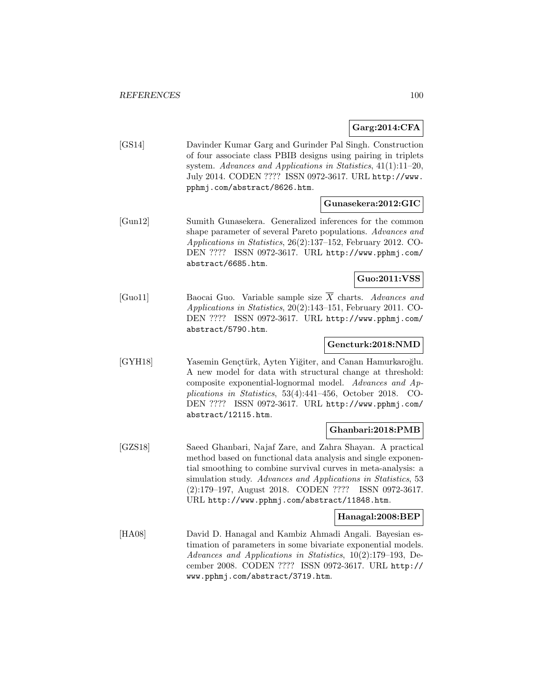#### **Garg:2014:CFA**

[GS14] Davinder Kumar Garg and Gurinder Pal Singh. Construction of four associate class PBIB designs using pairing in triplets system. Advances and Applications in Statistics, 41(1):11–20, July 2014. CODEN ???? ISSN 0972-3617. URL http://www. pphmj.com/abstract/8626.htm.

### **Gunasekera:2012:GIC**

[Gun12] Sumith Gunasekera. Generalized inferences for the common shape parameter of several Pareto populations. Advances and Applications in Statistics, 26(2):137–152, February 2012. CO-DEN ???? ISSN 0972-3617. URL http://www.pphmj.com/ abstract/6685.htm.

### **Guo:2011:VSS**

[Guo11] Baocai Guo. Variable sample size  $\overline{X}$  charts. Advances and Applications in Statistics, 20(2):143–151, February 2011. CO-DEN ???? ISSN 0972-3617. URL http://www.pphmj.com/ abstract/5790.htm.

#### **Gencturk:2018:NMD**

[GYH18] Yasemin Gençtürk, Ayten Yiğiter, and Canan Hamurkaroğlu. A new model for data with structural change at threshold: composite exponential-lognormal model. Advances and Applications in Statistics, 53(4):441–456, October 2018. CO-DEN ???? ISSN 0972-3617. URL http://www.pphmj.com/ abstract/12115.htm.

#### **Ghanbari:2018:PMB**

[GZS18] Saeed Ghanbari, Najaf Zare, and Zahra Shayan. A practical method based on functional data analysis and single exponential smoothing to combine survival curves in meta-analysis: a simulation study. Advances and Applications in Statistics, 53 (2):179–197, August 2018. CODEN ???? ISSN 0972-3617. URL http://www.pphmj.com/abstract/11848.htm.

#### **Hanagal:2008:BEP**

[HA08] David D. Hanagal and Kambiz Ahmadi Angali. Bayesian estimation of parameters in some bivariate exponential models. Advances and Applications in Statistics, 10(2):179–193, December 2008. CODEN ???? ISSN 0972-3617. URL http:// www.pphmj.com/abstract/3719.htm.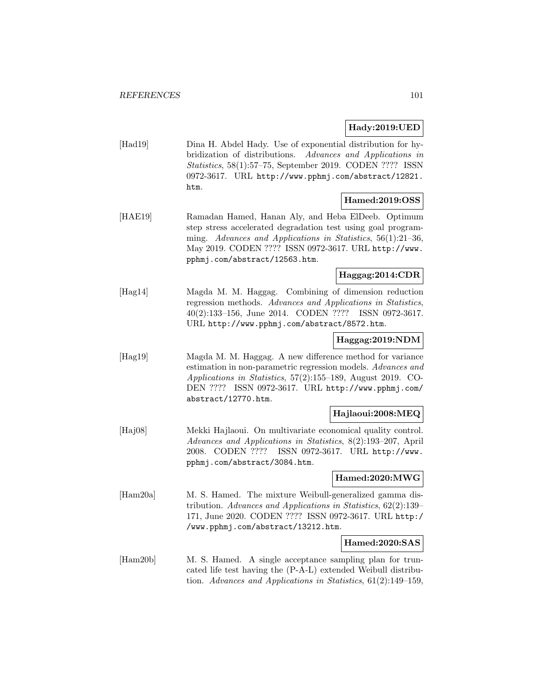### **Hady:2019:UED**

[Had19] Dina H. Abdel Hady. Use of exponential distribution for hybridization of distributions. Advances and Applications in Statistics, 58(1):57–75, September 2019. CODEN ???? ISSN 0972-3617. URL http://www.pphmj.com/abstract/12821. htm.

### **Hamed:2019:OSS**

[HAE19] Ramadan Hamed, Hanan Aly, and Heba ElDeeb. Optimum step stress accelerated degradation test using goal programming. Advances and Applications in Statistics, 56(1):21–36, May 2019. CODEN ???? ISSN 0972-3617. URL http://www. pphmj.com/abstract/12563.htm.

### **Haggag:2014:CDR**

[Hag14] Magda M. M. Haggag. Combining of dimension reduction regression methods. Advances and Applications in Statistics, 40(2):133–156, June 2014. CODEN ???? ISSN 0972-3617. URL http://www.pphmj.com/abstract/8572.htm.

#### **Haggag:2019:NDM**

[Hag19] Magda M. M. Haggag. A new difference method for variance estimation in non-parametric regression models. Advances and Applications in Statistics, 57(2):155–189, August 2019. CO-DEN ???? ISSN 0972-3617. URL http://www.pphmj.com/ abstract/12770.htm.

### **Hajlaoui:2008:MEQ**

[Haj08] Mekki Hajlaoui. On multivariate economical quality control. Advances and Applications in Statistics, 8(2):193–207, April 2008. CODEN ???? ISSN 0972-3617. URL http://www. pphmj.com/abstract/3084.htm.

#### **Hamed:2020:MWG**

[Ham20a] M. S. Hamed. The mixture Weibull-generalized gamma distribution. Advances and Applications in Statistics, 62(2):139– 171, June 2020. CODEN ???? ISSN 0972-3617. URL http:/ /www.pphmj.com/abstract/13212.htm.

### **Hamed:2020:SAS**

[Ham20b] M. S. Hamed. A single acceptance sampling plan for truncated life test having the (P-A-L) extended Weibull distribution. Advances and Applications in Statistics, 61(2):149–159,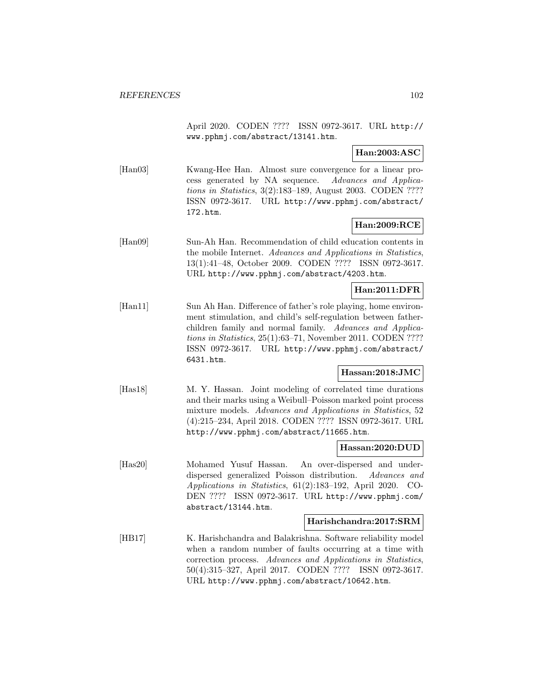April 2020. CODEN ???? ISSN 0972-3617. URL http:// www.pphmj.com/abstract/13141.htm.

### **Han:2003:ASC**

[Han03] Kwang-Hee Han. Almost sure convergence for a linear process generated by NA sequence. Advances and Applications in Statistics, 3(2):183–189, August 2003. CODEN ???? ISSN 0972-3617. URL http://www.pphmj.com/abstract/ 172.htm.

### **Han:2009:RCE**

[Han09] Sun-Ah Han. Recommendation of child education contents in the mobile Internet. Advances and Applications in Statistics, 13(1):41–48, October 2009. CODEN ???? ISSN 0972-3617. URL http://www.pphmj.com/abstract/4203.htm.

### **Han:2011:DFR**

[Han11] Sun Ah Han. Difference of father's role playing, home environment stimulation, and child's self-regulation between fatherchildren family and normal family. Advances and Applications in Statistics, 25(1):63–71, November 2011. CODEN ???? ISSN 0972-3617. URL http://www.pphmj.com/abstract/ 6431.htm.

### **Hassan:2018:JMC**

[Has18] M. Y. Hassan. Joint modeling of correlated time durations and their marks using a Weibull–Poisson marked point process mixture models. Advances and Applications in Statistics, 52 (4):215–234, April 2018. CODEN ???? ISSN 0972-3617. URL http://www.pphmj.com/abstract/11665.htm.

#### **Hassan:2020:DUD**

[Has20] Mohamed Yusuf Hassan. An over-dispersed and underdispersed generalized Poisson distribution. Advances and Applications in Statistics, 61(2):183–192, April 2020. CO-DEN ???? ISSN 0972-3617. URL http://www.pphmj.com/ abstract/13144.htm.

#### **Harishchandra:2017:SRM**

[HB17] K. Harishchandra and Balakrishna. Software reliability model when a random number of faults occurring at a time with correction process. Advances and Applications in Statistics, 50(4):315–327, April 2017. CODEN ???? ISSN 0972-3617. URL http://www.pphmj.com/abstract/10642.htm.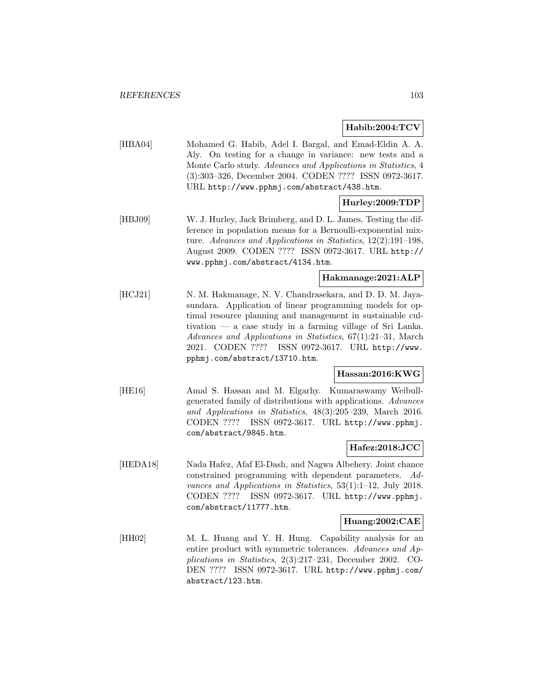### **Habib:2004:TCV**

[HBA04] Mohamed G. Habib, Adel I. Bargal, and Emad-Eldin A. A. Aly. On testing for a change in variance: new tests and a Monte Carlo study. Advances and Applications in Statistics, 4 (3):303–326, December 2004. CODEN ???? ISSN 0972-3617. URL http://www.pphmj.com/abstract/438.htm.

# **Hurley:2009:TDP**

[HBJ09] W. J. Hurley, Jack Brimberg, and D. L. James. Testing the difference in population means for a Bernoulli-exponential mixture. Advances and Applications in Statistics, 12(2):191–198, August 2009. CODEN ???? ISSN 0972-3617. URL http:// www.pphmj.com/abstract/4134.htm.

# **Hakmanage:2021:ALP**

[HCJ21] N. M. Hakmanage, N. V. Chandrasekara, and D. D. M. Jayasundara. Application of linear programming models for optimal resource planning and management in sustainable cultivation — a case study in a farming village of Sri Lanka. Advances and Applications in Statistics, 67(1):21–31, March 2021. CODEN ???? ISSN 0972-3617. URL http://www. pphmj.com/abstract/13710.htm.

# **Hassan:2016:KWG**

[HE16] Amal S. Hassan and M. Elgarhy. Kumaraswamy Weibullgenerated family of distributions with applications. Advances and Applications in Statistics, 48(3):205–239, March 2016. CODEN ???? ISSN 0972-3617. URL http://www.pphmj. com/abstract/9845.htm.

#### **Hafez:2018:JCC**

[HEDA18] Nada Hafez, Afaf El-Dash, and Nagwa Albehery. Joint chance constrained programming with dependent parameters. Advances and Applications in Statistics, 53(1):1–12, July 2018. CODEN ???? ISSN 0972-3617. URL http://www.pphmj. com/abstract/11777.htm.

#### **Huang:2002:CAE**

[HH02] M. L. Huang and Y. H. Hung. Capability analysis for an entire product with symmetric tolerances. Advances and Applications in Statistics, 2(3):217–231, December 2002. CO-DEN ???? ISSN 0972-3617. URL http://www.pphmj.com/ abstract/123.htm.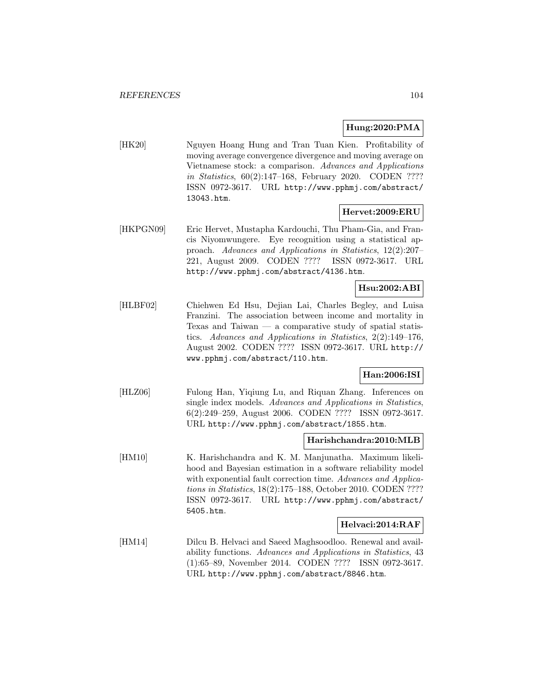#### **Hung:2020:PMA**

[HK20] Nguyen Hoang Hung and Tran Tuan Kien. Profitability of moving average convergence divergence and moving average on Vietnamese stock: a comparison. Advances and Applications in Statistics, 60(2):147–168, February 2020. CODEN ???? ISSN 0972-3617. URL http://www.pphmj.com/abstract/ 13043.htm.

#### **Hervet:2009:ERU**

[HKPGN09] Eric Hervet, Mustapha Kardouchi, Thu Pham-Gia, and Francis Niyomwungere. Eye recognition using a statistical approach. Advances and Applications in Statistics, 12(2):207– 221, August 2009. CODEN ???? ISSN 0972-3617. URL http://www.pphmj.com/abstract/4136.htm.

### **Hsu:2002:ABI**

[HLBF02] Chiehwen Ed Hsu, Dejian Lai, Charles Begley, and Luisa Franzini. The association between income and mortality in Texas and Taiwan — a comparative study of spatial statistics. Advances and Applications in Statistics, 2(2):149–176, August 2002. CODEN ???? ISSN 0972-3617. URL http:// www.pphmj.com/abstract/110.htm.

### **Han:2006:ISI**

[HLZ06] Fulong Han, Yiqiung Lu, and Riquan Zhang. Inferences on single index models. Advances and Applications in Statistics, 6(2):249–259, August 2006. CODEN ???? ISSN 0972-3617. URL http://www.pphmj.com/abstract/1855.htm.

#### **Harishchandra:2010:MLB**

[HM10] K. Harishchandra and K. M. Manjunatha. Maximum likelihood and Bayesian estimation in a software reliability model with exponential fault correction time. Advances and Applications in Statistics, 18(2):175–188, October 2010. CODEN ???? ISSN 0972-3617. URL http://www.pphmj.com/abstract/ 5405.htm.

#### **Helvaci:2014:RAF**

[HM14] Dilcu B. Helvaci and Saeed Maghsoodloo. Renewal and availability functions. Advances and Applications in Statistics, 43 (1):65–89, November 2014. CODEN ???? ISSN 0972-3617. URL http://www.pphmj.com/abstract/8846.htm.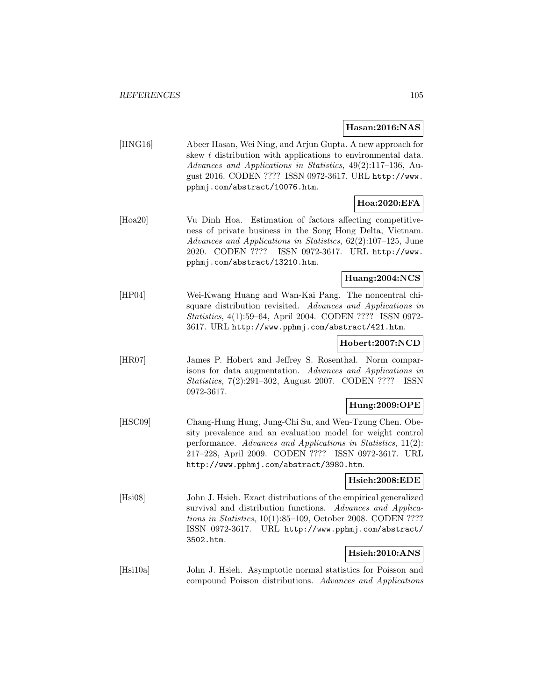### **Hasan:2016:NAS**

[HNG16] Abeer Hasan, Wei Ning, and Arjun Gupta. A new approach for skew t distribution with applications to environmental data. Advances and Applications in Statistics, 49(2):117–136, August 2016. CODEN ???? ISSN 0972-3617. URL http://www. pphmj.com/abstract/10076.htm.

# **Hoa:2020:EFA**

[Hoa20] Vu Dinh Hoa. Estimation of factors affecting competitiveness of private business in the Song Hong Delta, Vietnam. Advances and Applications in Statistics, 62(2):107–125, June 2020. CODEN ???? ISSN 0972-3617. URL http://www. pphmj.com/abstract/13210.htm.

### **Huang:2004:NCS**

[HP04] Wei-Kwang Huang and Wan-Kai Pang. The noncentral chisquare distribution revisited. Advances and Applications in Statistics, 4(1):59–64, April 2004. CODEN ???? ISSN 0972- 3617. URL http://www.pphmj.com/abstract/421.htm.

#### **Hobert:2007:NCD**

[HR07] James P. Hobert and Jeffrey S. Rosenthal. Norm comparisons for data augmentation. Advances and Applications in Statistics, 7(2):291–302, August 2007. CODEN ???? ISSN 0972-3617.

#### **Hung:2009:OPE**

[HSC09] Chang-Hung Hung, Jung-Chi Su, and Wen-Tzung Chen. Obesity prevalence and an evaluation model for weight control performance. Advances and Applications in Statistics, 11(2): 217–228, April 2009. CODEN ???? ISSN 0972-3617. URL http://www.pphmj.com/abstract/3980.htm.

### **Hsieh:2008:EDE**

[Hsi08] John J. Hsieh. Exact distributions of the empirical generalized survival and distribution functions. Advances and Applications in Statistics, 10(1):85–109, October 2008. CODEN ???? ISSN 0972-3617. URL http://www.pphmj.com/abstract/ 3502.htm.

# **Hsieh:2010:ANS**

[Hsi10a] John J. Hsieh. Asymptotic normal statistics for Poisson and compound Poisson distributions. Advances and Applications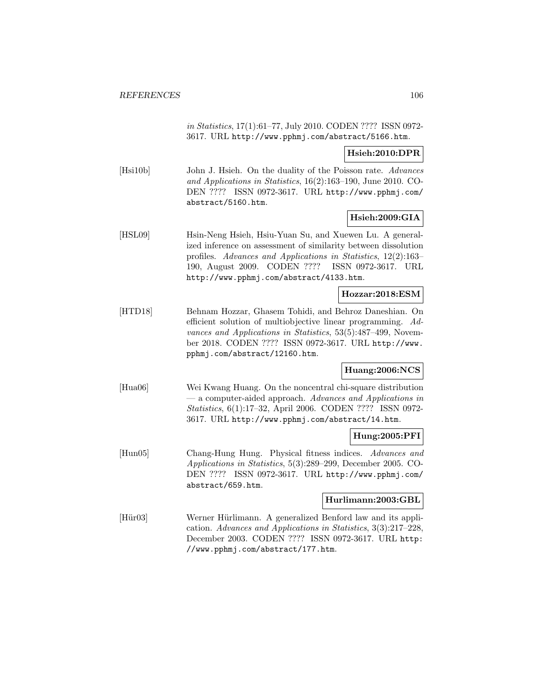in Statistics, 17(1):61–77, July 2010. CODEN ???? ISSN 0972- 3617. URL http://www.pphmj.com/abstract/5166.htm.

### **Hsieh:2010:DPR**

[Hsi10b] John J. Hsieh. On the duality of the Poisson rate. Advances and Applications in Statistics, 16(2):163–190, June 2010. CO-DEN ???? ISSN 0972-3617. URL http://www.pphmj.com/ abstract/5160.htm.

### **Hsieh:2009:GIA**

[HSL09] Hsin-Neng Hsieh, Hsiu-Yuan Su, and Xuewen Lu. A generalized inference on assessment of similarity between dissolution profiles. Advances and Applications in Statistics, 12(2):163– 190, August 2009. CODEN ???? ISSN 0972-3617. URL http://www.pphmj.com/abstract/4133.htm.

#### **Hozzar:2018:ESM**

[HTD18] Behnam Hozzar, Ghasem Tohidi, and Behroz Daneshian. On efficient solution of multiobjective linear programming. Advances and Applications in Statistics, 53(5):487–499, November 2018. CODEN ???? ISSN 0972-3617. URL http://www. pphmj.com/abstract/12160.htm.

# **Huang:2006:NCS**

[Hua06] Wei Kwang Huang. On the noncentral chi-square distribution — a computer-aided approach. Advances and Applications in Statistics, 6(1):17–32, April 2006. CODEN ???? ISSN 0972- 3617. URL http://www.pphmj.com/abstract/14.htm.

#### **Hung:2005:PFI**

[Hun05] Chang-Hung Hung. Physical fitness indices. Advances and Applications in Statistics, 5(3):289–299, December 2005. CO-DEN ???? ISSN 0972-3617. URL http://www.pphmj.com/ abstract/659.htm.

#### **Hurlimann:2003:GBL**

[Hür03] Werner Hürlimann. A generalized Benford law and its application. Advances and Applications in Statistics, 3(3):217–228, December 2003. CODEN ???? ISSN 0972-3617. URL http: //www.pphmj.com/abstract/177.htm.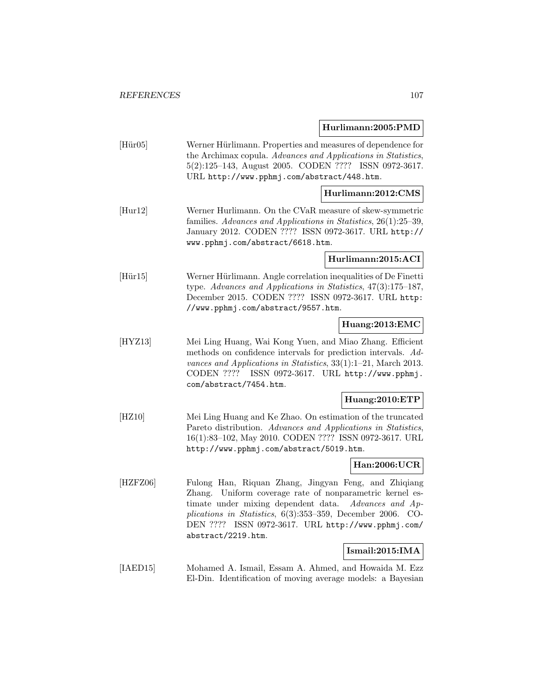# **Hurlimann:2005:PMD**

|                                       | 19111111111111200011 1111                                                                                                                                                                                                                                                                                                        |
|---------------------------------------|----------------------------------------------------------------------------------------------------------------------------------------------------------------------------------------------------------------------------------------------------------------------------------------------------------------------------------|
| $[\text{H}\ddot{\text{u}}\text{r}05]$ | Werner Hürlimann. Properties and measures of dependence for<br>the Archimax copula. Advances and Applications in Statistics,<br>5(2):125-143, August 2005. CODEN ???? ISSN 0972-3617.<br>URL http://www.pphmj.com/abstract/448.htm.                                                                                              |
|                                       | Hurlimann:2012:CMS                                                                                                                                                                                                                                                                                                               |
| [Hur12]                               | Werner Hurlimann. On the CVaR measure of skew-symmetric<br>families. Advances and Applications in Statistics, 26(1):25-39,<br>January 2012. CODEN ???? ISSN 0972-3617. URL http://<br>www.pphmj.com/abstract/6618.htm.                                                                                                           |
|                                       | Hurlimann:2015:ACI                                                                                                                                                                                                                                                                                                               |
| $[\text{Hür15}]$                      | Werner Hürlimann. Angle correlation inequalities of De Finetti<br>type. Advances and Applications in Statistics, 47(3):175-187,<br>December 2015. CODEN ???? ISSN 0972-3617. URL http:<br>//www.pphmj.com/abstract/9557.htm.                                                                                                     |
|                                       | Huang:2013:EMC                                                                                                                                                                                                                                                                                                                   |
| [HYZ13]                               | Mei Ling Huang, Wai Kong Yuen, and Miao Zhang. Efficient<br>methods on confidence intervals for prediction intervals. Ad-<br>vances and Applications in Statistics, $33(1):1-21$ , March 2013.<br>CODEN ???? ISSN 0972-3617. URL http://www.pphmj.<br>com/abstract/7454.htm.                                                     |
|                                       | Huang:2010:ETP                                                                                                                                                                                                                                                                                                                   |
| [HZ10]                                | Mei Ling Huang and Ke Zhao. On estimation of the truncated<br>Pareto distribution. Advances and Applications in Statistics,<br>16(1):83-102, May 2010. CODEN ???? ISSN 0972-3617. URL<br>http://www.pphmj.com/abstract/5019.htm.                                                                                                 |
|                                       | Han:2006:UCR                                                                                                                                                                                                                                                                                                                     |
| [HZFZ06]                              | Fulong Han, Riquan Zhang, Jingyan Feng, and Zhiqiang<br>Uniform coverage rate of nonparametric kernel es-<br>Zhang.<br>timate under mixing dependent data.<br>Advances and Ap-<br>plications in Statistics, $6(3):353-359$ , December 2006.<br>$CO-$<br>DEN ???? ISSN 0972-3617. URL http://www.pphmj.com/<br>abstract/2219.htm. |
|                                       | Ismail:2015:IMA                                                                                                                                                                                                                                                                                                                  |
| [IAED15]                              | Mohamed A. Ismail, Essam A. Ahmed, and Howaida M. Ezz                                                                                                                                                                                                                                                                            |

El-Din. Identification of moving average models: a Bayesian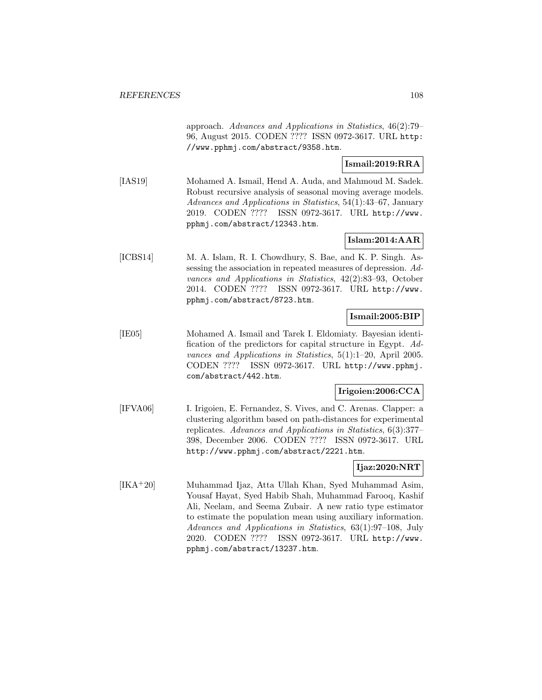approach. Advances and Applications in Statistics, 46(2):79– 96, August 2015. CODEN ???? ISSN 0972-3617. URL http: //www.pphmj.com/abstract/9358.htm.

### **Ismail:2019:RRA**

[IAS19] Mohamed A. Ismail, Hend A. Auda, and Mahmoud M. Sadek. Robust recursive analysis of seasonal moving average models. Advances and Applications in Statistics, 54(1):43–67, January 2019. CODEN ???? ISSN 0972-3617. URL http://www. pphmj.com/abstract/12343.htm.

# **Islam:2014:AAR**

[ICBS14] M. A. Islam, R. I. Chowdhury, S. Bae, and K. P. Singh. Assessing the association in repeated measures of depression. Advances and Applications in Statistics, 42(2):83–93, October 2014. CODEN ???? ISSN 0972-3617. URL http://www. pphmj.com/abstract/8723.htm.

#### **Ismail:2005:BIP**

[IE05] Mohamed A. Ismail and Tarek I. Eldomiaty. Bayesian identification of the predictors for capital structure in Egypt. Advances and Applications in Statistics, 5(1):1–20, April 2005. CODEN ???? ISSN 0972-3617. URL http://www.pphmj. com/abstract/442.htm.

#### **Irigoien:2006:CCA**

[IFVA06] I. Irigoien, E. Fernandez, S. Vives, and C. Arenas. Clapper: a clustering algorithm based on path-distances for experimental replicates. Advances and Applications in Statistics, 6(3):377– 398, December 2006. CODEN ???? ISSN 0972-3617. URL http://www.pphmj.com/abstract/2221.htm.

### **Ijaz:2020:NRT**

[IKA<sup>+</sup>20] Muhammad Ijaz, Atta Ullah Khan, Syed Muhammad Asim, Yousaf Hayat, Syed Habib Shah, Muhammad Farooq, Kashif Ali, Neelam, and Seema Zubair. A new ratio type estimator to estimate the population mean using auxiliary information. Advances and Applications in Statistics, 63(1):97–108, July 2020. CODEN ???? ISSN 0972-3617. URL http://www. pphmj.com/abstract/13237.htm.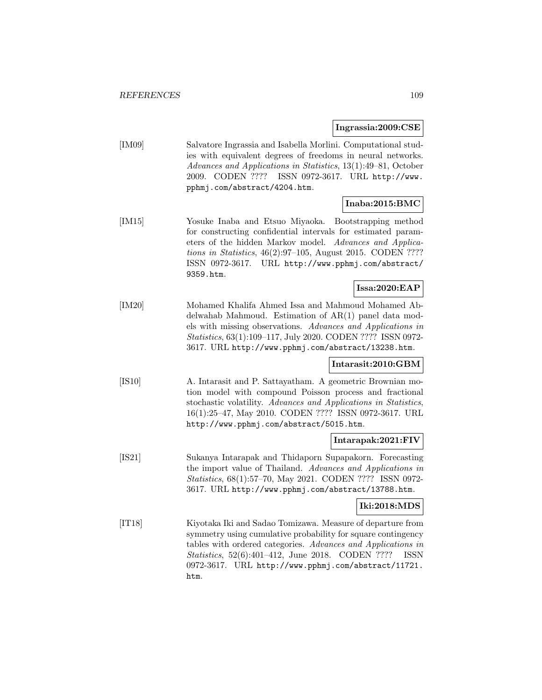**Ingrassia:2009:CSE**

|        | Ingrassia:2009:CSE                                                                                                                                                                                                                                                                                                        |
|--------|---------------------------------------------------------------------------------------------------------------------------------------------------------------------------------------------------------------------------------------------------------------------------------------------------------------------------|
| [IM09] | Salvatore Ingrassia and Isabella Morlini. Computational stud-<br>ies with equivalent degrees of freedoms in neural networks.<br>Advances and Applications in Statistics, 13(1):49-81, October<br>2009. CODEN ???? ISSN 0972-3617. URL http://www.<br>pphmj.com/abstract/4204.htm.                                         |
|        | Inaba:2015:BMC                                                                                                                                                                                                                                                                                                            |
| [IM15] | Yosuke Inaba and Etsuo Miyaoka.<br>Bootstrapping method<br>for constructing confidential intervals for estimated param-<br>eters of the hidden Markov model.<br>Advances and Applica-<br>tions in Statistics, $46(2):97-105$ , August 2015. CODEN ????<br>ISSN 0972-3617. URL http://www.pphmj.com/abstract/<br>9359.htm. |
|        | Issa:2020:EAP                                                                                                                                                                                                                                                                                                             |
| [IM20] | Mohamed Khalifa Ahmed Issa and Mahmoud Mohamed Ab-<br>delwahab Mahmoud. Estimation of $AR(1)$ panel data mod-<br>els with missing observations. Advances and Applications in<br>Statistics, 63(1):109-117, July 2020. CODEN ???? ISSN 0972-<br>3617. URL http://www.pphmj.com/abstract/13238.htm.                         |
|        | Intarasit:2010:GBM                                                                                                                                                                                                                                                                                                        |
| [IS10] | A. Intarasit and P. Sattayatham. A geometric Brownian mo-<br>tion model with compound Poisson process and fractional<br>stochastic volatility. Advances and Applications in Statistics,<br>16(1):25-47, May 2010. CODEN ???? ISSN 0972-3617. URL<br>http://www.pphmj.com/abstract/5015.htm.                               |
|        | Intarapak:2021:FIV                                                                                                                                                                                                                                                                                                        |
| [IS21] | Sukanya Intarapak and Thidaporn Supapakorn. Forecasting<br>the import value of Thailand. Advances and Applications in<br>Statistics, 68(1):57-70, May 2021. CODEN ???? ISSN 0972-<br>3617. URL http://www.pphmj.com/abstract/13788.htm.                                                                                   |
|        | Iki:2018:MDS                                                                                                                                                                                                                                                                                                              |
| [T18]  | Kiyotaka Iki and Sadao Tomizawa. Measure of departure from<br>symmetry using cumulative probability for square contingency<br>tables with ordered categories. Advances and Applications in<br><i>Statistics</i> , $52(6):401-412$ , June 2018.<br>CODEN ????<br>ISSN                                                      |

0972-3617. URL http://www.pphmj.com/abstract/11721.

htm.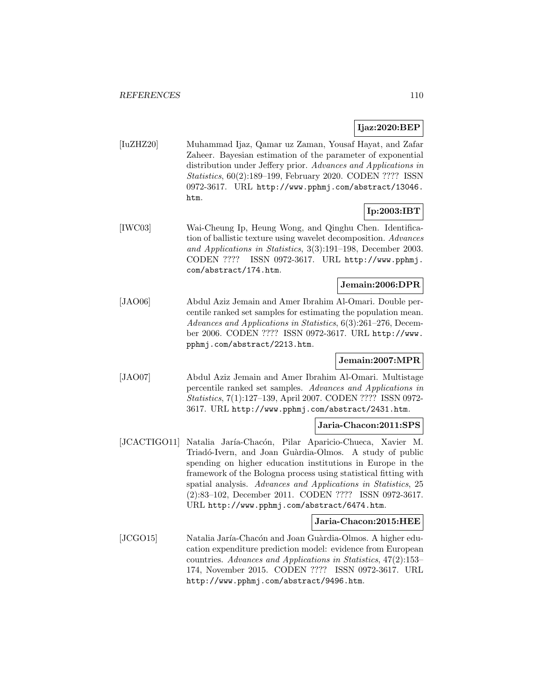## **Ijaz:2020:BEP**

[IuZHZ20] Muhammad Ijaz, Qamar uz Zaman, Yousaf Hayat, and Zafar Zaheer. Bayesian estimation of the parameter of exponential distribution under Jeffery prior. Advances and Applications in Statistics, 60(2):189–199, February 2020. CODEN ???? ISSN 0972-3617. URL http://www.pphmj.com/abstract/13046. htm.

# **Ip:2003:IBT**

[IWC03] Wai-Cheung Ip, Heung Wong, and Qinghu Chen. Identification of ballistic texture using wavelet decomposition. Advances and Applications in Statistics, 3(3):191–198, December 2003. CODEN ???? ISSN 0972-3617. URL http://www.pphmj. com/abstract/174.htm.

## **Jemain:2006:DPR**

[JAO06] Abdul Aziz Jemain and Amer Ibrahim Al-Omari. Double percentile ranked set samples for estimating the population mean. Advances and Applications in Statistics, 6(3):261–276, December 2006. CODEN ???? ISSN 0972-3617. URL http://www. pphmj.com/abstract/2213.htm.

## **Jemain:2007:MPR**

[JAO07] Abdul Aziz Jemain and Amer Ibrahim Al-Omari. Multistage percentile ranked set samples. Advances and Applications in Statistics, 7(1):127–139, April 2007. CODEN ???? ISSN 0972- 3617. URL http://www.pphmj.com/abstract/2431.htm.

### **Jaria-Chacon:2011:SPS**

[JCACTIGO11] Natalia Jaría-Chacón, Pilar Aparicio-Chueca, Xavier M. Triadó-Ivern, and Joan Guàrdia-Olmos. A study of public spending on higher education institutions in Europe in the framework of the Bologna process using statistical fitting with spatial analysis. Advances and Applications in Statistics, 25 (2):83–102, December 2011. CODEN ???? ISSN 0972-3617. URL http://www.pphmj.com/abstract/6474.htm.

### **Jaria-Chacon:2015:HEE**

[JCGO15] Natalia Jaría-Chacón and Joan Guàrdia-Olmos. A higher education expenditure prediction model: evidence from European countries. Advances and Applications in Statistics, 47(2):153– 174, November 2015. CODEN ???? ISSN 0972-3617. URL http://www.pphmj.com/abstract/9496.htm.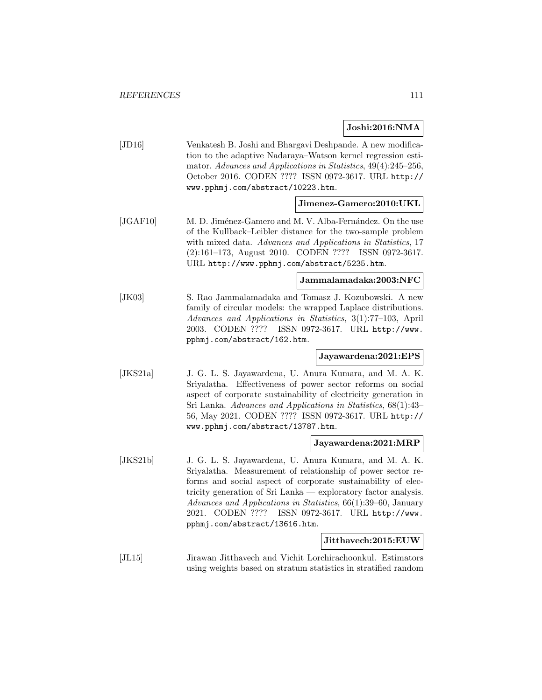# **Joshi:2016:NMA**

|          |                                                                                                                                                                                                                                                                                                                                                                               | <b>OODIII:4010.11101A</b>       |
|----------|-------------------------------------------------------------------------------------------------------------------------------------------------------------------------------------------------------------------------------------------------------------------------------------------------------------------------------------------------------------------------------|---------------------------------|
| [JD16]   | Venkatesh B. Joshi and Bhargavi Deshpande. A new modifica-<br>tion to the adaptive Nadaraya–Watson kernel regression esti-<br>mator. Advances and Applications in Statistics, 49(4):245-256,<br>October 2016. CODEN ???? ISSN 0972-3617. URL http://<br>www.pphmj.com/abstract/10223.htm.                                                                                     |                                 |
|          |                                                                                                                                                                                                                                                                                                                                                                               | Jimenez-Gamero:2010:UKL         |
| [JGAF10] | M. D. Jiménez-Gamero and M. V. Alba-Fernández. On the use<br>of the Kullback-Leibler distance for the two-sample problem<br>with mixed data. Advances and Applications in Statistics, 17<br>(2):161-173, August 2010. CODEN ????<br>URL http://www.pphmj.com/abstract/5235.htm.                                                                                               | ISSN 0972-3617.                 |
|          |                                                                                                                                                                                                                                                                                                                                                                               | Jammalamadaka:2003:NFC          |
| [JK03]   | S. Rao Jammalamadaka and Tomasz J. Kozubowski. A new<br>family of circular models: the wrapped Laplace distributions.<br>Advances and Applications in Statistics, 3(1):77-103, April<br>2003. CODEN ????<br>ISSN 0972-3617. URL http://www.<br>pphmj.com/abstract/162.htm.                                                                                                    |                                 |
|          |                                                                                                                                                                                                                                                                                                                                                                               | Jayawardena:2021:EPS            |
| [JKS21a] | J. G. L. S. Jayawardena, U. Anura Kumara, and M. A. K.<br>Sriyalatha. Effectiveness of power sector reforms on social<br>aspect of corporate sustainability of electricity generation in<br>Sri Lanka. Advances and Applications in Statistics, 68(1):43-<br>56, May 2021. CODEN ???? ISSN 0972-3617. URL http://<br>www.pphmj.com/abstract/13787.htm.                        |                                 |
|          |                                                                                                                                                                                                                                                                                                                                                                               | Jayawardena:2021:MRP            |
| [JKS21b] | J. G. L. S. Jayawardena, U. Anura Kumara, and M. A. K.<br>Sriyalatha. Measurement of relationship of power sector re-<br>forms and social aspect of corporate sustainability of elec-<br>tricity generation of Sri Lanka — exploratory factor analysis.<br>Advances and Applications in Statistics, 66(1):39-60, January<br>2021. CODEN ????<br>pphmj.com/abstract/13616.htm. | ISSN 0972-3617. URL http://www. |
|          |                                                                                                                                                                                                                                                                                                                                                                               | Jitthavech:2015:EUW             |
|          |                                                                                                                                                                                                                                                                                                                                                                               |                                 |

[JL15] Jirawan Jitthavech and Vichit Lorchirachoonkul. Estimators using weights based on stratum statistics in stratified random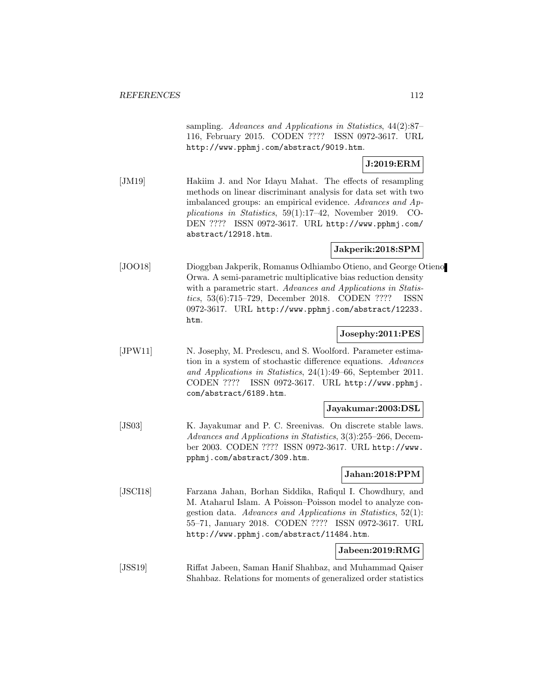sampling. Advances and Applications in Statistics, 44(2):87– 116, February 2015. CODEN ???? ISSN 0972-3617. URL http://www.pphmj.com/abstract/9019.htm.

# **J:2019:ERM**

[JM19] Hakiim J. and Nor Idayu Mahat. The effects of resampling methods on linear discriminant analysis for data set with two imbalanced groups: an empirical evidence. Advances and Applications in Statistics, 59(1):17–42, November 2019. CO-DEN ???? ISSN 0972-3617. URL http://www.pphmj.com/ abstract/12918.htm.

# **Jakperik:2018:SPM**

[JOO18] Dioggban Jakperik, Romanus Odhiambo Otieno, and George Otieno Orwa. A semi-parametric multiplicative bias reduction density with a parametric start. Advances and Applications in Statistics, 53(6):715–729, December 2018. CODEN ???? ISSN 0972-3617. URL http://www.pphmj.com/abstract/12233. htm.

### **Josephy:2011:PES**

[JPW11] N. Josephy, M. Predescu, and S. Woolford. Parameter estimation in a system of stochastic difference equations. Advances and Applications in Statistics, 24(1):49–66, September 2011. CODEN ???? ISSN 0972-3617. URL http://www.pphmj. com/abstract/6189.htm.

### **Jayakumar:2003:DSL**

[JS03] K. Jayakumar and P. C. Sreenivas. On discrete stable laws. Advances and Applications in Statistics, 3(3):255–266, December 2003. CODEN ???? ISSN 0972-3617. URL http://www. pphmj.com/abstract/309.htm.

### **Jahan:2018:PPM**

[JSCI18] Farzana Jahan, Borhan Siddika, Rafiqul I. Chowdhury, and M. Ataharul Islam. A Poisson–Poisson model to analyze congestion data. Advances and Applications in Statistics, 52(1): 55–71, January 2018. CODEN ???? ISSN 0972-3617. URL http://www.pphmj.com/abstract/11484.htm.

### **Jabeen:2019:RMG**

[JSS19] Riffat Jabeen, Saman Hanif Shahbaz, and Muhammad Qaiser Shahbaz. Relations for moments of generalized order statistics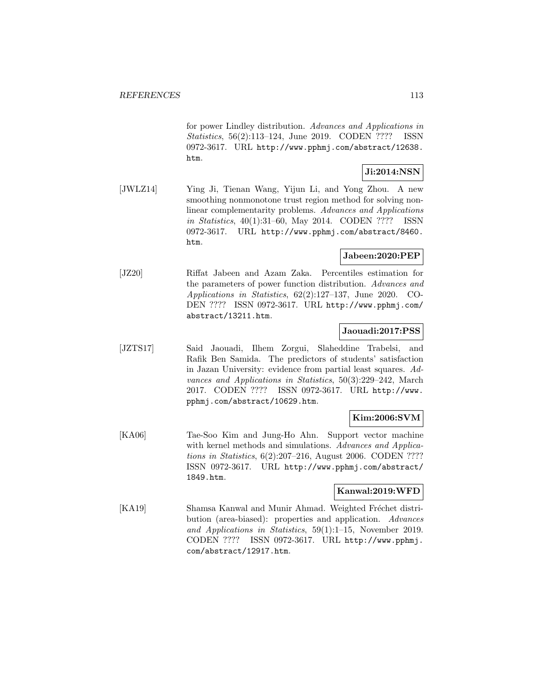for power Lindley distribution. Advances and Applications in Statistics, 56(2):113–124, June 2019. CODEN ???? ISSN 0972-3617. URL http://www.pphmj.com/abstract/12638. htm.

# **Ji:2014:NSN**

[JWLZ14] Ying Ji, Tienan Wang, Yijun Li, and Yong Zhou. A new smoothing nonmonotone trust region method for solving nonlinear complementarity problems. Advances and Applications in Statistics, 40(1):31–60, May 2014. CODEN ???? ISSN 0972-3617. URL http://www.pphmj.com/abstract/8460. htm.

## **Jabeen:2020:PEP**

[JZ20] Riffat Jabeen and Azam Zaka. Percentiles estimation for the parameters of power function distribution. Advances and Applications in Statistics, 62(2):127–137, June 2020. CO-DEN ???? ISSN 0972-3617. URL http://www.pphmj.com/ abstract/13211.htm.

### **Jaouadi:2017:PSS**

[JZTS17] Said Jaouadi, Ilhem Zorgui, Slaheddine Trabelsi, and Rafik Ben Samida. The predictors of students' satisfaction in Jazan University: evidence from partial least squares. Advances and Applications in Statistics, 50(3):229–242, March 2017. CODEN ???? ISSN 0972-3617. URL http://www. pphmj.com/abstract/10629.htm.

## **Kim:2006:SVM**

[KA06] Tae-Soo Kim and Jung-Ho Ahn. Support vector machine with kernel methods and simulations. Advances and Applications in Statistics, 6(2):207–216, August 2006. CODEN ???? ISSN 0972-3617. URL http://www.pphmj.com/abstract/ 1849.htm.

### **Kanwal:2019:WFD**

[KA19] Shamsa Kanwal and Munir Ahmad. Weighted Fréchet distribution (area-biased): properties and application. Advances and Applications in Statistics, 59(1):1–15, November 2019. CODEN ???? ISSN 0972-3617. URL http://www.pphmj. com/abstract/12917.htm.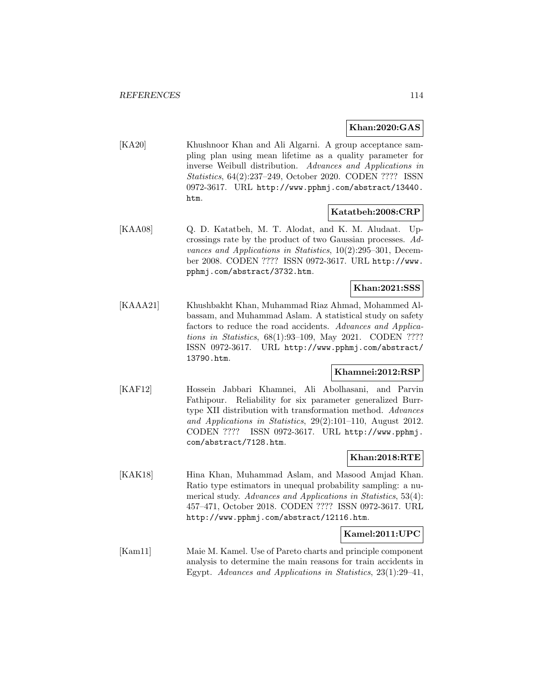## **Khan:2020:GAS**

[KA20] Khushnoor Khan and Ali Algarni. A group acceptance sampling plan using mean lifetime as a quality parameter for inverse Weibull distribution. Advances and Applications in Statistics, 64(2):237–249, October 2020. CODEN ???? ISSN 0972-3617. URL http://www.pphmj.com/abstract/13440. htm.

### **Katatbeh:2008:CRP**

[KAA08] Q. D. Katatbeh, M. T. Alodat, and K. M. Aludaat. Upcrossings rate by the product of two Gaussian processes. Advances and Applications in Statistics, 10(2):295–301, December 2008. CODEN ???? ISSN 0972-3617. URL http://www. pphmj.com/abstract/3732.htm.

## **Khan:2021:SSS**

[KAAA21] Khushbakht Khan, Muhammad Riaz Ahmad, Mohammed Albassam, and Muhammad Aslam. A statistical study on safety factors to reduce the road accidents. Advances and Applications in Statistics, 68(1):93–109, May 2021. CODEN ???? ISSN 0972-3617. URL http://www.pphmj.com/abstract/ 13790.htm.

### **Khamnei:2012:RSP**

[KAF12] Hossein Jabbari Khamnei, Ali Abolhasani, and Parvin Fathipour. Reliability for six parameter generalized Burrtype XII distribution with transformation method. Advances and Applications in Statistics, 29(2):101–110, August 2012. CODEN ???? ISSN 0972-3617. URL http://www.pphmj. com/abstract/7128.htm.

### **Khan:2018:RTE**

[KAK18] Hina Khan, Muhammad Aslam, and Masood Amjad Khan. Ratio type estimators in unequal probability sampling: a numerical study. Advances and Applications in Statistics, 53(4): 457–471, October 2018. CODEN ???? ISSN 0972-3617. URL http://www.pphmj.com/abstract/12116.htm.

### **Kamel:2011:UPC**

[Kam11] Maie M. Kamel. Use of Pareto charts and principle component analysis to determine the main reasons for train accidents in Egypt. Advances and Applications in Statistics, 23(1):29–41,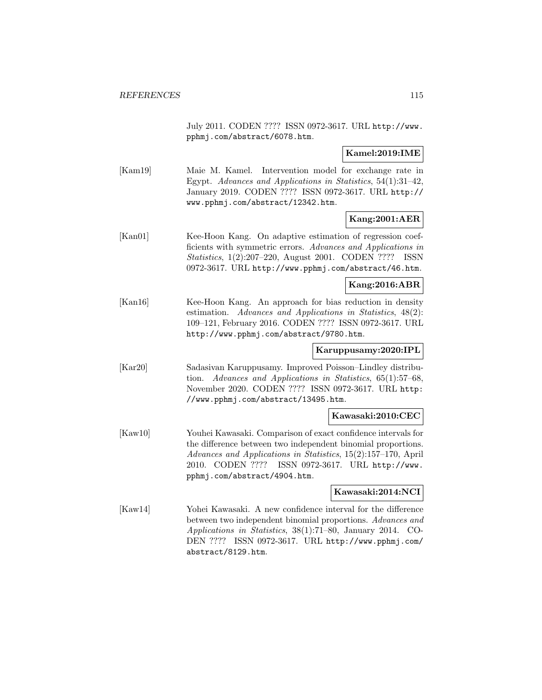July 2011. CODEN ???? ISSN 0972-3617. URL http://www. pphmj.com/abstract/6078.htm.

## **Kamel:2019:IME**

[Kam19] Maie M. Kamel. Intervention model for exchange rate in Egypt. Advances and Applications in Statistics, 54(1):31–42, January 2019. CODEN ???? ISSN 0972-3617. URL http:// www.pphmj.com/abstract/12342.htm.

# **Kang:2001:AER**

[Kan01] Kee-Hoon Kang. On adaptive estimation of regression coefficients with symmetric errors. Advances and Applications in Statistics, 1(2):207–220, August 2001. CODEN ???? ISSN 0972-3617. URL http://www.pphmj.com/abstract/46.htm.

## **Kang:2016:ABR**

[Kan16] Kee-Hoon Kang. An approach for bias reduction in density estimation. Advances and Applications in Statistics, 48(2): 109–121, February 2016. CODEN ???? ISSN 0972-3617. URL http://www.pphmj.com/abstract/9780.htm.

# **Karuppusamy:2020:IPL**

[Kar20] Sadasivan Karuppusamy. Improved Poisson–Lindley distribution. Advances and Applications in Statistics, 65(1):57–68, November 2020. CODEN ???? ISSN 0972-3617. URL http: //www.pphmj.com/abstract/13495.htm.

### **Kawasaki:2010:CEC**

[Kaw10] Youhei Kawasaki. Comparison of exact confidence intervals for the difference between two independent binomial proportions. Advances and Applications in Statistics, 15(2):157–170, April 2010. CODEN ???? ISSN 0972-3617. URL http://www. pphmj.com/abstract/4904.htm.

### **Kawasaki:2014:NCI**

[Kaw14] Yohei Kawasaki. A new confidence interval for the difference between two independent binomial proportions. Advances and Applications in Statistics, 38(1):71–80, January 2014. CO-DEN ???? ISSN 0972-3617. URL http://www.pphmj.com/ abstract/8129.htm.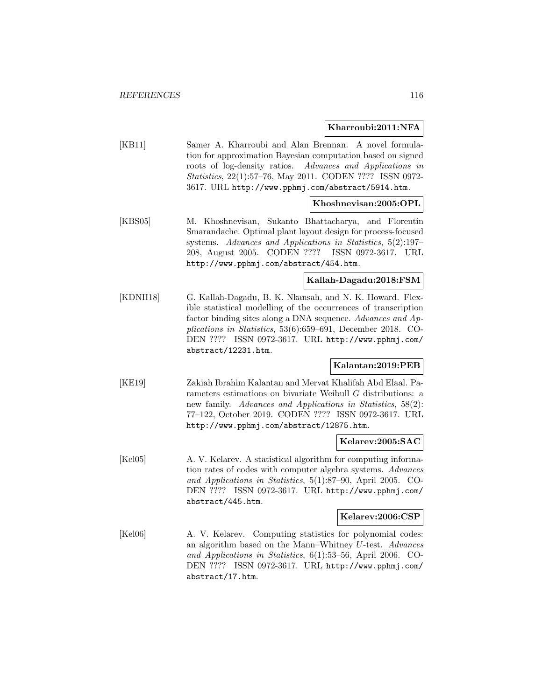### **Kharroubi:2011:NFA**

[KB11] Samer A. Kharroubi and Alan Brennan. A novel formulation for approximation Bayesian computation based on signed roots of log-density ratios. Advances and Applications in Statistics, 22(1):57–76, May 2011. CODEN ???? ISSN 0972- 3617. URL http://www.pphmj.com/abstract/5914.htm.

### **Khoshnevisan:2005:OPL**

[KBS05] M. Khoshnevisan, Sukanto Bhattacharya, and Florentin Smarandache. Optimal plant layout design for process-focused systems. Advances and Applications in Statistics, 5(2):197– 208, August 2005. CODEN ???? ISSN 0972-3617. URL http://www.pphmj.com/abstract/454.htm.

## **Kallah-Dagadu:2018:FSM**

[KDNH18] G. Kallah-Dagadu, B. K. Nkansah, and N. K. Howard. Flexible statistical modelling of the occurrences of transcription factor binding sites along a DNA sequence. Advances and Applications in Statistics, 53(6):659–691, December 2018. CO-DEN ???? ISSN 0972-3617. URL http://www.pphmj.com/ abstract/12231.htm.

# **Kalantan:2019:PEB**

[KE19] Zakiah Ibrahim Kalantan and Mervat Khalifah Abd Elaal. Parameters estimations on bivariate Weibull G distributions: a new family. Advances and Applications in Statistics, 58(2): 77–122, October 2019. CODEN ???? ISSN 0972-3617. URL http://www.pphmj.com/abstract/12875.htm.

### **Kelarev:2005:SAC**

[Kel05] A. V. Kelarev. A statistical algorithm for computing information rates of codes with computer algebra systems. Advances and Applications in Statistics, 5(1):87–90, April 2005. CO-DEN ???? ISSN 0972-3617. URL http://www.pphmj.com/ abstract/445.htm.

#### **Kelarev:2006:CSP**

[Kel06] A. V. Kelarev. Computing statistics for polynomial codes: an algorithm based on the Mann–Whitney U-test. Advances and Applications in Statistics, 6(1):53–56, April 2006. CO-DEN ???? ISSN 0972-3617. URL http://www.pphmj.com/ abstract/17.htm.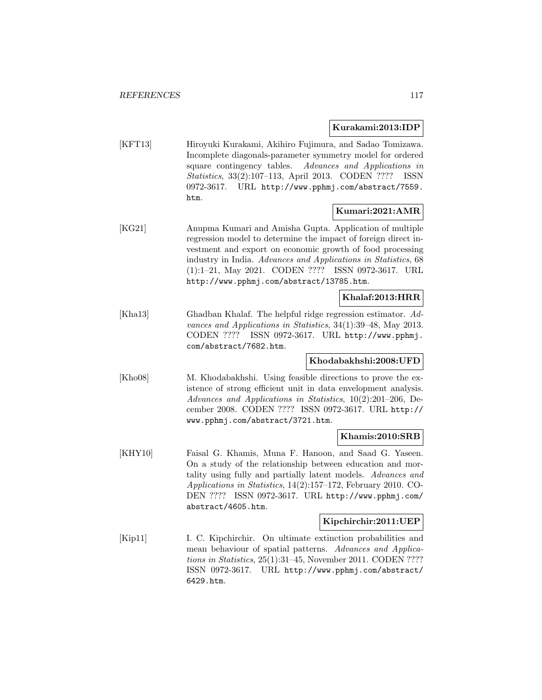### **Kurakami:2013:IDP**

[KFT13] Hiroyuki Kurakami, Akihiro Fujimura, and Sadao Tomizawa. Incomplete diagonals-parameter symmetry model for ordered square contingency tables. Advances and Applications in Statistics, 33(2):107–113, April 2013. CODEN ???? ISSN 0972-3617. URL http://www.pphmj.com/abstract/7559. htm.

# **Kumari:2021:AMR**

[KG21] Anupma Kumari and Amisha Gupta. Application of multiple regression model to determine the impact of foreign direct investment and export on economic growth of food processing industry in India. Advances and Applications in Statistics, 68 (1):1–21, May 2021. CODEN ???? ISSN 0972-3617. URL http://www.pphmj.com/abstract/13785.htm.

### **Khalaf:2013:HRR**

[Kha13] Ghadban Khalaf. The helpful ridge regression estimator. Advances and Applications in Statistics, 34(1):39–48, May 2013. CODEN ???? ISSN 0972-3617. URL http://www.pphmj. com/abstract/7682.htm.

### **Khodabakhshi:2008:UFD**

[Kho08] M. Khodabakhshi. Using feasible directions to prove the existence of strong efficient unit in data envelopment analysis. Advances and Applications in Statistics, 10(2):201–206, December 2008. CODEN ???? ISSN 0972-3617. URL http:// www.pphmj.com/abstract/3721.htm.

## **Khamis:2010:SRB**

[KHY10] Faisal G. Khamis, Muna F. Hanoon, and Saad G. Yaseen. On a study of the relationship between education and mortality using fully and partially latent models. Advances and Applications in Statistics, 14(2):157–172, February 2010. CO-DEN ???? ISSN 0972-3617. URL http://www.pphmj.com/ abstract/4605.htm.

### **Kipchirchir:2011:UEP**

[Kip11] I. C. Kipchirchir. On ultimate extinction probabilities and mean behaviour of spatial patterns. Advances and Applications in Statistics, 25(1):31–45, November 2011. CODEN ???? ISSN 0972-3617. URL http://www.pphmj.com/abstract/ 6429.htm.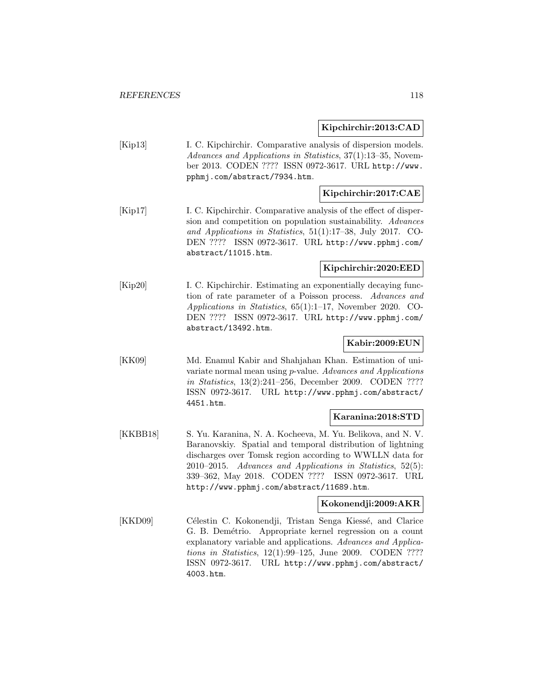## **Kipchirchir:2013:CAD**

[Kip13] I. C. Kipchirchir. Comparative analysis of dispersion models. Advances and Applications in Statistics, 37(1):13–35, November 2013. CODEN ???? ISSN 0972-3617. URL http://www. pphmj.com/abstract/7934.htm.

## **Kipchirchir:2017:CAE**

[Kip17] I. C. Kipchirchir. Comparative analysis of the effect of dispersion and competition on population sustainability. Advances and Applications in Statistics, 51(1):17–38, July 2017. CO-DEN ???? ISSN 0972-3617. URL http://www.pphmj.com/ abstract/11015.htm.

### **Kipchirchir:2020:EED**

[Kip20] I. C. Kipchirchir. Estimating an exponentially decaying function of rate parameter of a Poisson process. Advances and Applications in Statistics, 65(1):1–17, November 2020. CO-DEN ???? ISSN 0972-3617. URL http://www.pphmj.com/ abstract/13492.htm.

### **Kabir:2009:EUN**

[KK09] Md. Enamul Kabir and Shahjahan Khan. Estimation of univariate normal mean using p-value. Advances and Applications in Statistics, 13(2):241–256, December 2009. CODEN ???? ISSN 0972-3617. URL http://www.pphmj.com/abstract/ 4451.htm.

## **Karanina:2018:STD**

[KKBB18] S. Yu. Karanina, N. A. Kocheeva, M. Yu. Belikova, and N. V. Baranovskiy. Spatial and temporal distribution of lightning discharges over Tomsk region according to WWLLN data for 2010–2015. Advances and Applications in Statistics, 52(5): 339–362, May 2018. CODEN ???? ISSN 0972-3617. URL http://www.pphmj.com/abstract/11689.htm.

### **Kokonendji:2009:AKR**

[KKD09] Célestin C. Kokonendji, Tristan Senga Kiessé, and Clarice G. B. Demétrio. Appropriate kernel regression on a count explanatory variable and applications. Advances and Applications in Statistics, 12(1):99–125, June 2009. CODEN ???? ISSN 0972-3617. URL http://www.pphmj.com/abstract/ 4003.htm.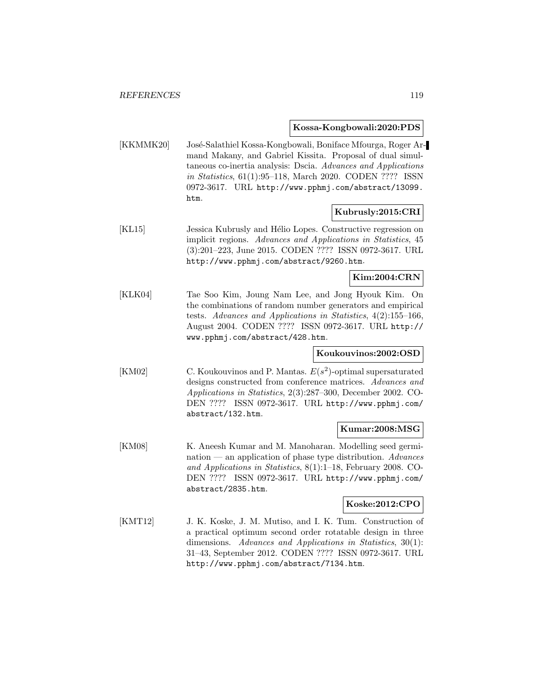**Kossa-Kongbowali:2020:PDS**

[KKMMK20] José-Salathiel Kossa-Kongbowali, Boniface Mfourga, Roger Armand Makany, and Gabriel Kissita. Proposal of dual simultaneous co-inertia analysis: Dscia. Advances and Applications in Statistics, 61(1):95–118, March 2020. CODEN ???? ISSN 0972-3617. URL http://www.pphmj.com/abstract/13099. htm.

## **Kubrusly:2015:CRI**

[KL15] Jessica Kubrusly and Hélio Lopes. Constructive regression on implicit regions. Advances and Applications in Statistics, 45 (3):201–223, June 2015. CODEN ???? ISSN 0972-3617. URL http://www.pphmj.com/abstract/9260.htm.

**Kim:2004:CRN**

[KLK04] Tae Soo Kim, Joung Nam Lee, and Jong Hyouk Kim. On the combinations of random number generators and empirical tests. Advances and Applications in Statistics, 4(2):155–166, August 2004. CODEN ???? ISSN 0972-3617. URL http:// www.pphmj.com/abstract/428.htm.

## **Koukouvinos:2002:OSD**

[KM02] C. Koukouvinos and P. Mantas.  $E(s^2)$ -optimal supersaturated designs constructed from conference matrices. Advances and Applications in Statistics, 2(3):287–300, December 2002. CO-DEN ???? ISSN 0972-3617. URL http://www.pphmj.com/ abstract/132.htm.

### **Kumar:2008:MSG**

[KM08] K. Aneesh Kumar and M. Manoharan. Modelling seed germination — an application of phase type distribution.  $Advances$ and Applications in Statistics, 8(1):1–18, February 2008. CO-DEN ???? ISSN 0972-3617. URL http://www.pphmj.com/ abstract/2835.htm.

## **Koske:2012:CPO**

[KMT12] J. K. Koske, J. M. Mutiso, and I. K. Tum. Construction of a practical optimum second order rotatable design in three dimensions. Advances and Applications in Statistics, 30(1): 31–43, September 2012. CODEN ???? ISSN 0972-3617. URL http://www.pphmj.com/abstract/7134.htm.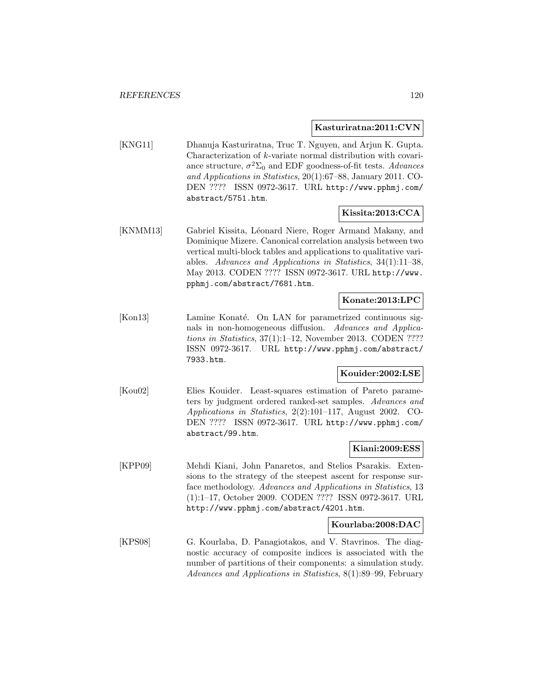### **Kasturiratna:2011:CVN**

[KNG11] Dhanuja Kasturiratna, Truc T. Nguyen, and Arjun K. Gupta. Characterization of k-variate normal distribution with covariance structure,  $\sigma^2 \Sigma_0$  and EDF goodness-of-fit tests. Advances and Applications in Statistics, 20(1):67–88, January 2011. CO-DEN ???? ISSN 0972-3617. URL http://www.pphmj.com/ abstract/5751.htm.

## **Kissita:2013:CCA**

[KNMM13] Gabriel Kissita, Léonard Niere, Roger Armand Makany, and Dominique Mizere. Canonical correlation analysis between two vertical multi-block tables and applications to qualitative variables. Advances and Applications in Statistics, 34(1):11–38, May 2013. CODEN ???? ISSN 0972-3617. URL http://www. pphmj.com/abstract/7681.htm.

## **Konate:2013:LPC**

[Kon13] Lamine Konaté. On LAN for parametrized continuous signals in non-homogeneous diffusion. Advances and Applications in Statistics, 37(1):1–12, November 2013. CODEN ???? ISSN 0972-3617. URL http://www.pphmj.com/abstract/ 7933.htm.

### **Kouider:2002:LSE**

[Kou02] Elies Kouider. Least-squares estimation of Pareto parameters by judgment ordered ranked-set samples. Advances and Applications in Statistics, 2(2):101–117, August 2002. CO-DEN ???? ISSN 0972-3617. URL http://www.pphmj.com/ abstract/99.htm.

#### **Kiani:2009:ESS**

[KPP09] Mehdi Kiani, John Panaretos, and Stelios Psarakis. Extensions to the strategy of the steepest ascent for response surface methodology. Advances and Applications in Statistics, 13 (1):1–17, October 2009. CODEN ???? ISSN 0972-3617. URL http://www.pphmj.com/abstract/4201.htm.

## **Kourlaba:2008:DAC**

[KPS08] G. Kourlaba, D. Panagiotakos, and V. Stavrinos. The diagnostic accuracy of composite indices is associated with the number of partitions of their components: a simulation study. Advances and Applications in Statistics, 8(1):89–99, February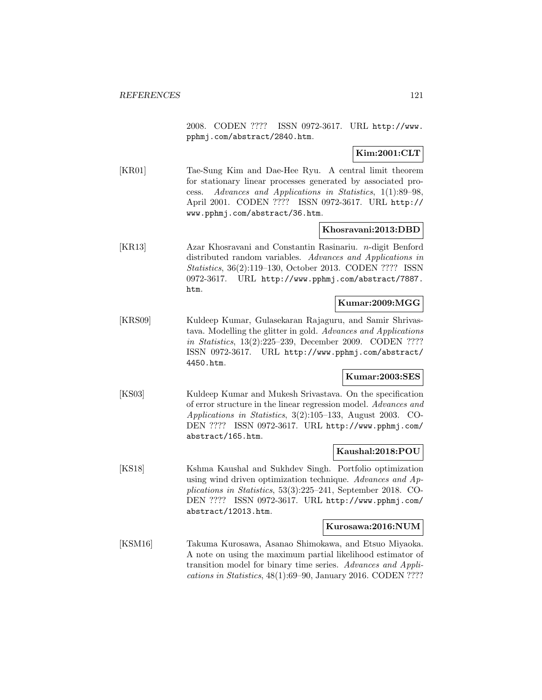2008. CODEN ???? ISSN 0972-3617. URL http://www. pphmj.com/abstract/2840.htm.

**Kim:2001:CLT**

[KR01] Tae-Sung Kim and Dae-Hee Ryu. A central limit theorem for stationary linear processes generated by associated process. Advances and Applications in Statistics, 1(1):89–98, April 2001. CODEN ???? ISSN 0972-3617. URL http:// www.pphmj.com/abstract/36.htm.

### **Khosravani:2013:DBD**

[KR13] Azar Khosravani and Constantin Rasinariu. n-digit Benford distributed random variables. Advances and Applications in Statistics, 36(2):119–130, October 2013. CODEN ???? ISSN 0972-3617. URL http://www.pphmj.com/abstract/7887. htm.

### **Kumar:2009:MGG**

[KRS09] Kuldeep Kumar, Gulasekaran Rajaguru, and Samir Shrivastava. Modelling the glitter in gold. Advances and Applications in Statistics, 13(2):225–239, December 2009. CODEN ???? ISSN 0972-3617. URL http://www.pphmj.com/abstract/ 4450.htm.

### **Kumar:2003:SES**

[KS03] Kuldeep Kumar and Mukesh Srivastava. On the specification of error structure in the linear regression model. Advances and Applications in Statistics, 3(2):105–133, August 2003. CO-DEN ???? ISSN 0972-3617. URL http://www.pphmj.com/ abstract/165.htm.

## **Kaushal:2018:POU**

[KS18] Kshma Kaushal and Sukhdev Singh. Portfolio optimization using wind driven optimization technique. Advances and Applications in Statistics, 53(3):225–241, September 2018. CO-DEN ???? ISSN 0972-3617. URL http://www.pphmj.com/ abstract/12013.htm.

#### **Kurosawa:2016:NUM**

[KSM16] Takuma Kurosawa, Asanao Shimokawa, and Etsuo Miyaoka. A note on using the maximum partial likelihood estimator of transition model for binary time series. Advances and Applications in Statistics, 48(1):69–90, January 2016. CODEN ????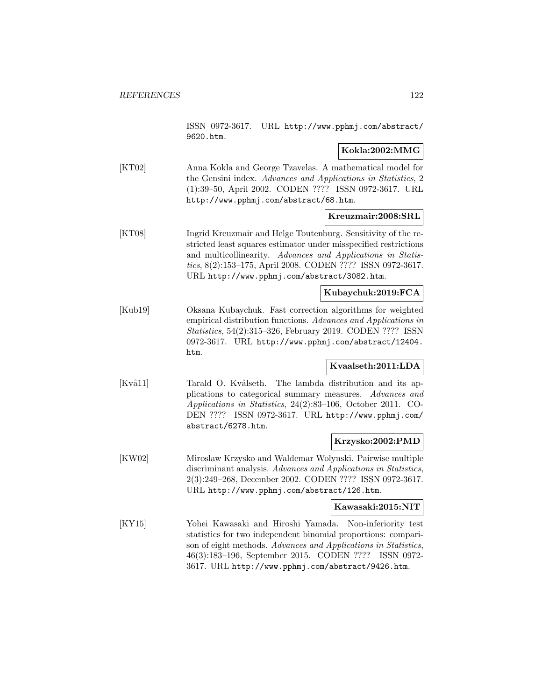ISSN 0972-3617. URL http://www.pphmj.com/abstract/ 9620.htm.

## **Kokla:2002:MMG**

[KT02] Anna Kokla and George Tzavelas. A mathematical model for the Gensini index. Advances and Applications in Statistics, 2 (1):39–50, April 2002. CODEN ???? ISSN 0972-3617. URL http://www.pphmj.com/abstract/68.htm.

### **Kreuzmair:2008:SRL**

[KT08] Ingrid Kreuzmair and Helge Toutenburg. Sensitivity of the restricted least squares estimator under misspecified restrictions and multicollinearity. Advances and Applications in Statistics, 8(2):153–175, April 2008. CODEN ???? ISSN 0972-3617. URL http://www.pphmj.com/abstract/3082.htm.

## **Kubaychuk:2019:FCA**

[Kub19] Oksana Kubaychuk. Fast correction algorithms for weighted empirical distribution functions. Advances and Applications in Statistics, 54(2):315–326, February 2019. CODEN ???? ISSN 0972-3617. URL http://www.pphmj.com/abstract/12404. htm.

# **Kvaalseth:2011:LDA**

[Kvå11] Tarald O. Kvålseth. The lambda distribution and its applications to categorical summary measures. Advances and Applications in Statistics, 24(2):83–106, October 2011. CO-DEN ???? ISSN 0972-3617. URL http://www.pphmj.com/ abstract/6278.htm.

## **Krzysko:2002:PMD**

[KW02] Miroslaw Krzysko and Waldemar Wolynski. Pairwise multiple discriminant analysis. Advances and Applications in Statistics, 2(3):249–268, December 2002. CODEN ???? ISSN 0972-3617. URL http://www.pphmj.com/abstract/126.htm.

#### **Kawasaki:2015:NIT**

[KY15] Yohei Kawasaki and Hiroshi Yamada. Non-inferiority test statistics for two independent binomial proportions: comparison of eight methods. Advances and Applications in Statistics, 46(3):183–196, September 2015. CODEN ???? ISSN 0972- 3617. URL http://www.pphmj.com/abstract/9426.htm.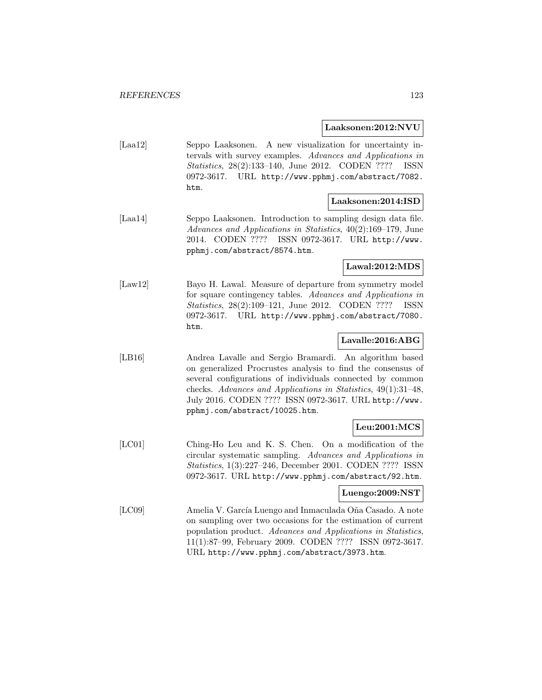### **Laaksonen:2012:NVU**

[Laa12] Seppo Laaksonen. A new visualization for uncertainty intervals with survey examples. Advances and Applications in Statistics, 28(2):133–140, June 2012. CODEN ???? ISSN 0972-3617. URL http://www.pphmj.com/abstract/7082. htm.

### **Laaksonen:2014:ISD**

[Laa14] Seppo Laaksonen. Introduction to sampling design data file. Advances and Applications in Statistics, 40(2):169–179, June 2014. CODEN ???? ISSN 0972-3617. URL http://www. pphmj.com/abstract/8574.htm.

# **Lawal:2012:MDS**

[Law12] Bayo H. Lawal. Measure of departure from symmetry model for square contingency tables. Advances and Applications in Statistics, 28(2):109–121, June 2012. CODEN ???? ISSN 0972-3617. URL http://www.pphmj.com/abstract/7080. htm.

## **Lavalle:2016:ABG**

[LB16] Andrea Lavalle and Sergio Bramardi. An algorithm based on generalized Procrustes analysis to find the consensus of several configurations of individuals connected by common checks. Advances and Applications in Statistics, 49(1):31–48, July 2016. CODEN ???? ISSN 0972-3617. URL http://www. pphmj.com/abstract/10025.htm.

## **Leu:2001:MCS**

[LC01] Ching-Ho Leu and K. S. Chen. On a modification of the circular systematic sampling. Advances and Applications in Statistics, 1(3):227–246, December 2001. CODEN ???? ISSN 0972-3617. URL http://www.pphmj.com/abstract/92.htm.

### **Luengo:2009:NST**

[LC09] Amelia V. Garc´ıa Luengo and Inmaculada O˜na Casado. A note on sampling over two occasions for the estimation of current population product. Advances and Applications in Statistics, 11(1):87–99, February 2009. CODEN ???? ISSN 0972-3617. URL http://www.pphmj.com/abstract/3973.htm.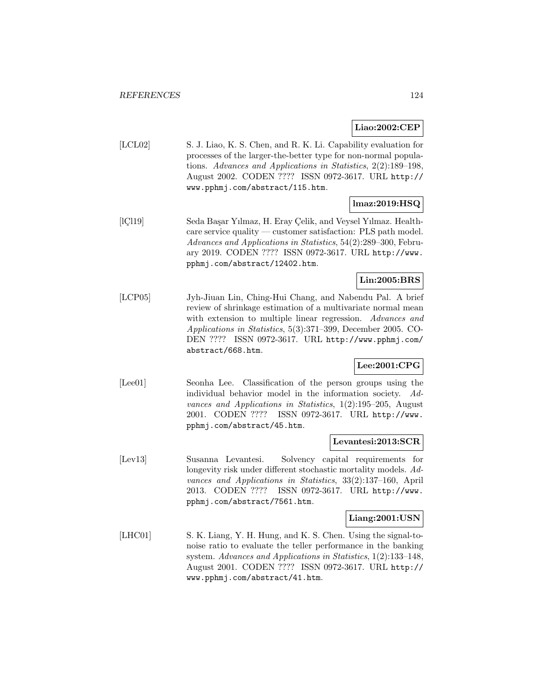## **Liao:2002:CEP**

[LCL02] S. J. Liao, K. S. Chen, and R. K. Li. Capability evaluation for processes of the larger-the-better type for non-normal populations. Advances and Applications in Statistics, 2(2):189–198, August 2002. CODEN ???? ISSN 0972-3617. URL http:// www.pphmj.com/abstract/115.htm.

## **lmaz:2019:HSQ**

[ICl19] Seda Başar Yılmaz, H. Eray Çelik, and Veysel Yılmaz. Healthcare service quality — customer satisfaction: PLS path model. Advances and Applications in Statistics, 54(2):289–300, February 2019. CODEN ???? ISSN 0972-3617. URL http://www. pphmj.com/abstract/12402.htm.

# **Lin:2005:BRS**

[LCP05] Jyh-Jiuan Lin, Ching-Hui Chang, and Nabendu Pal. A brief review of shrinkage estimation of a multivariate normal mean with extension to multiple linear regression. Advances and Applications in Statistics, 5(3):371–399, December 2005. CO-DEN ???? ISSN 0972-3617. URL http://www.pphmj.com/ abstract/668.htm.

## **Lee:2001:CPG**

[Lee01] Seonha Lee. Classification of the person groups using the individual behavior model in the information society. Advances and Applications in Statistics, 1(2):195–205, August 2001. CODEN ???? ISSN 0972-3617. URL http://www. pphmj.com/abstract/45.htm.

### **Levantesi:2013:SCR**

[Lev13] Susanna Levantesi. Solvency capital requirements for longevity risk under different stochastic mortality models. Advances and Applications in Statistics, 33(2):137–160, April 2013. CODEN ???? ISSN 0972-3617. URL http://www. pphmj.com/abstract/7561.htm.

### **Liang:2001:USN**

[LHC01] S. K. Liang, Y. H. Hung, and K. S. Chen. Using the signal-tonoise ratio to evaluate the teller performance in the banking system. Advances and Applications in Statistics, 1(2):133–148, August 2001. CODEN ???? ISSN 0972-3617. URL http:// www.pphmj.com/abstract/41.htm.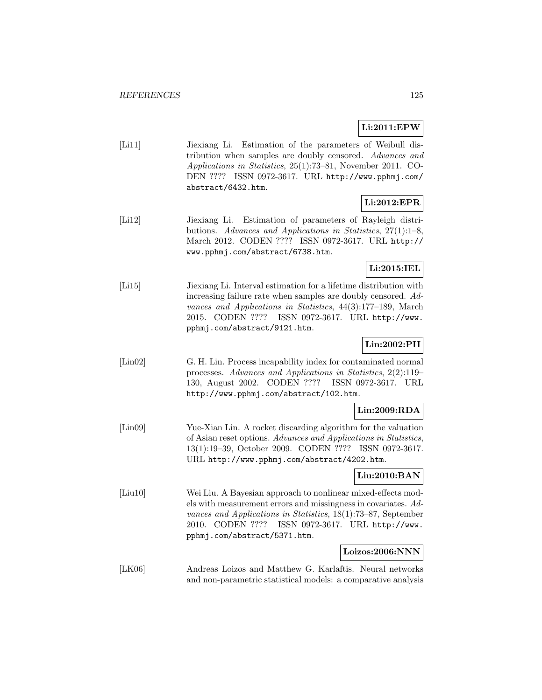## **Li:2011:EPW**

| [Li11] | Jiexiang Li. Estimation of the parameters of Weibull dis-           |
|--------|---------------------------------------------------------------------|
|        | tribution when samples are doubly censored. Advances and            |
|        | <i>Applications in Statistics</i> , 25(1):73-81, November 2011. CO- |
|        | DEN ???? ISSN 0972-3617. URL http://www.pphmj.com/                  |
|        | abstract/6432.htm.                                                  |

## **Li:2012:EPR**

[Li12] Jiexiang Li. Estimation of parameters of Rayleigh distributions. Advances and Applications in Statistics, 27(1):1–8, March 2012. CODEN ???? ISSN 0972-3617. URL http:// www.pphmj.com/abstract/6738.htm.

## **Li:2015:IEL**

[Li15] Jiexiang Li. Interval estimation for a lifetime distribution with increasing failure rate when samples are doubly censored. Advances and Applications in Statistics, 44(3):177–189, March 2015. CODEN ???? ISSN 0972-3617. URL http://www. pphmj.com/abstract/9121.htm.

# **Lin:2002:PII**

[Lin02] G. H. Lin. Process incapability index for contaminated normal processes. Advances and Applications in Statistics, 2(2):119– 130, August 2002. CODEN ???? ISSN 0972-3617. URL http://www.pphmj.com/abstract/102.htm.

### **Lin:2009:RDA**

[Lin09] Yue-Xian Lin. A rocket discarding algorithm for the valuation of Asian reset options. Advances and Applications in Statistics, 13(1):19–39, October 2009. CODEN ???? ISSN 0972-3617. URL http://www.pphmj.com/abstract/4202.htm.

### **Liu:2010:BAN**

[Liu10] Wei Liu. A Bayesian approach to nonlinear mixed-effects models with measurement errors and missingness in covariates. Advances and Applications in Statistics, 18(1):73–87, September 2010. CODEN ???? ISSN 0972-3617. URL http://www. pphmj.com/abstract/5371.htm.

#### **Loizos:2006:NNN**

[LK06] Andreas Loizos and Matthew G. Karlaftis. Neural networks and non-parametric statistical models: a comparative analysis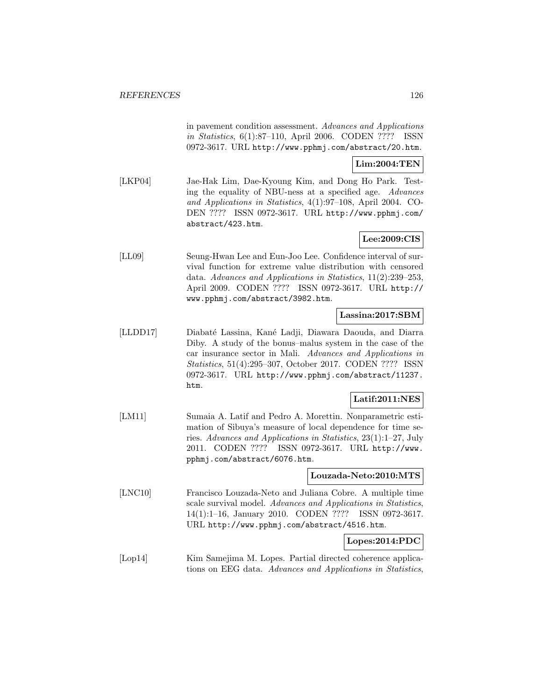in pavement condition assessment. Advances and Applications in Statistics, 6(1):87–110, April 2006. CODEN ???? ISSN 0972-3617. URL http://www.pphmj.com/abstract/20.htm.

## **Lim:2004:TEN**

[LKP04] Jae-Hak Lim, Dae-Kyoung Kim, and Dong Ho Park. Testing the equality of NBU-ness at a specified age. Advances and Applications in Statistics, 4(1):97–108, April 2004. CO-DEN ???? ISSN 0972-3617. URL http://www.pphmj.com/ abstract/423.htm.

## **Lee:2009:CIS**

[LL09] Seung-Hwan Lee and Eun-Joo Lee. Confidence interval of survival function for extreme value distribution with censored data. Advances and Applications in Statistics, 11(2):239–253, April 2009. CODEN ???? ISSN 0972-3617. URL http:// www.pphmj.com/abstract/3982.htm.

### **Lassina:2017:SBM**

[LLDD17] Diabaté Lassina, Kané Ladji, Diawara Daouda, and Diarra Diby. A study of the bonus–malus system in the case of the car insurance sector in Mali. Advances and Applications in Statistics, 51(4):295–307, October 2017. CODEN ???? ISSN 0972-3617. URL http://www.pphmj.com/abstract/11237. htm.

### **Latif:2011:NES**

[LM11] Sumaia A. Latif and Pedro A. Morettin. Nonparametric estimation of Sibuya's measure of local dependence for time series. Advances and Applications in Statistics, 23(1):1–27, July 2011. CODEN ???? ISSN 0972-3617. URL http://www. pphmj.com/abstract/6076.htm.

### **Louzada-Neto:2010:MTS**

[LNC10] Francisco Louzada-Neto and Juliana Cobre. A multiple time scale survival model. Advances and Applications in Statistics, 14(1):1–16, January 2010. CODEN ???? ISSN 0972-3617. URL http://www.pphmj.com/abstract/4516.htm.

### **Lopes:2014:PDC**

[Lop14] Kim Samejima M. Lopes. Partial directed coherence applications on EEG data. Advances and Applications in Statistics,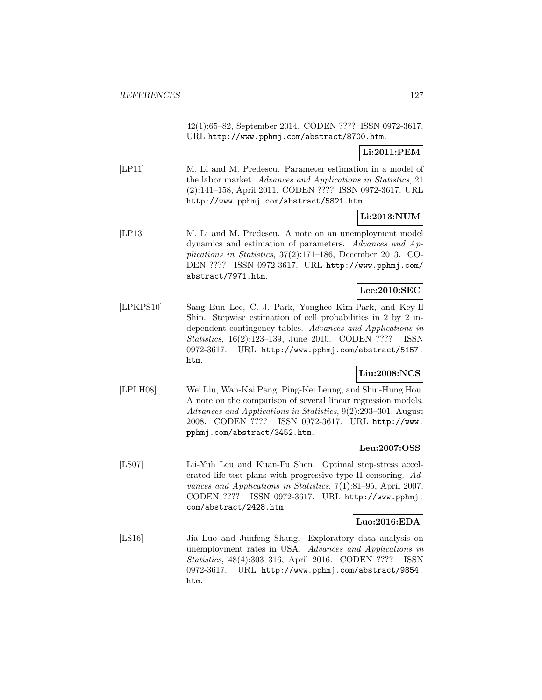42(1):65–82, September 2014. CODEN ???? ISSN 0972-3617. URL http://www.pphmj.com/abstract/8700.htm.

## **Li:2011:PEM**

[LP11] M. Li and M. Predescu. Parameter estimation in a model of the labor market. Advances and Applications in Statistics, 21 (2):141–158, April 2011. CODEN ???? ISSN 0972-3617. URL http://www.pphmj.com/abstract/5821.htm.

# **Li:2013:NUM**

[LP13] M. Li and M. Predescu. A note on an unemployment model dynamics and estimation of parameters. Advances and Applications in Statistics, 37(2):171–186, December 2013. CO-DEN ???? ISSN 0972-3617. URL http://www.pphmj.com/ abstract/7971.htm.

# **Lee:2010:SEC**

[LPKPS10] Sang Eun Lee, C. J. Park, Yonghee Kim-Park, and Key-Il Shin. Stepwise estimation of cell probabilities in 2 by 2 independent contingency tables. Advances and Applications in Statistics, 16(2):123–139, June 2010. CODEN ???? ISSN 0972-3617. URL http://www.pphmj.com/abstract/5157. htm.

# **Liu:2008:NCS**

[LPLH08] Wei Liu, Wan-Kai Pang, Ping-Kei Leung, and Shui-Hung Hou. A note on the comparison of several linear regression models. Advances and Applications in Statistics, 9(2):293–301, August 2008. CODEN ???? ISSN 0972-3617. URL http://www. pphmj.com/abstract/3452.htm.

## **Leu:2007:OSS**

[LS07] Lii-Yuh Leu and Kuan-Fu Shen. Optimal step-stress accelerated life test plans with progressive type-II censoring. Advances and Applications in Statistics, 7(1):81–95, April 2007. CODEN ???? ISSN 0972-3617. URL http://www.pphmj. com/abstract/2428.htm.

## **Luo:2016:EDA**

[LS16] Jia Luo and Junfeng Shang. Exploratory data analysis on unemployment rates in USA. Advances and Applications in Statistics, 48(4):303–316, April 2016. CODEN ???? ISSN 0972-3617. URL http://www.pphmj.com/abstract/9854. htm.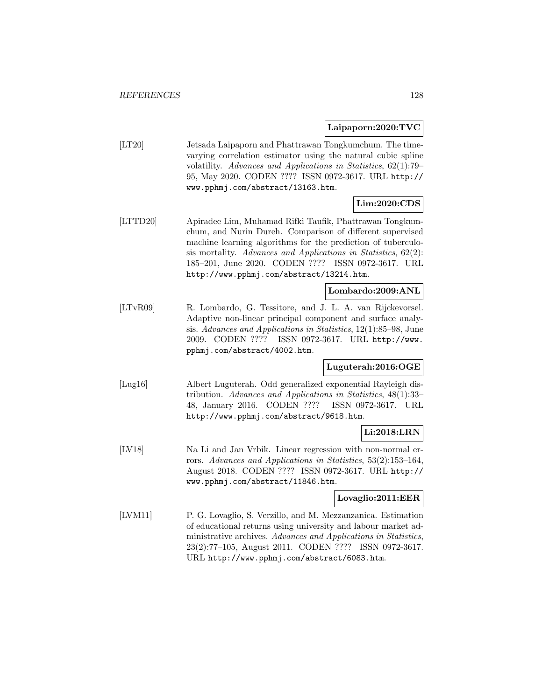**Laipaporn:2020:TVC**

[LT20] Jetsada Laipaporn and Phattrawan Tongkumchum. The timevarying correlation estimator using the natural cubic spline volatility. Advances and Applications in Statistics, 62(1):79– 95, May 2020. CODEN ???? ISSN 0972-3617. URL http:// www.pphmj.com/abstract/13163.htm.

# **Lim:2020:CDS**

[LTTD20] Apiradee Lim, Muhamad Rifki Taufik, Phattrawan Tongkumchum, and Nurin Dureh. Comparison of different supervised machine learning algorithms for the prediction of tuberculosis mortality. Advances and Applications in Statistics, 62(2): 185–201, June 2020. CODEN ???? ISSN 0972-3617. URL http://www.pphmj.com/abstract/13214.htm.

# **Lombardo:2009:ANL**

[LTvR09] R. Lombardo, G. Tessitore, and J. L. A. van Rijckevorsel. Adaptive non-linear principal component and surface analysis. Advances and Applications in Statistics, 12(1):85–98, June 2009. CODEN ???? ISSN 0972-3617. URL http://www. pphmj.com/abstract/4002.htm.

## **Luguterah:2016:OGE**

[Lug16] Albert Luguterah. Odd generalized exponential Rayleigh distribution. Advances and Applications in Statistics, 48(1):33– 48, January 2016. CODEN ???? ISSN 0972-3617. URL http://www.pphmj.com/abstract/9618.htm.

# **Li:2018:LRN**

[LV18] Na Li and Jan Vrbik. Linear regression with non-normal errors. Advances and Applications in Statistics, 53(2):153–164, August 2018. CODEN ???? ISSN 0972-3617. URL http:// www.pphmj.com/abstract/11846.htm.

### **Lovaglio:2011:EER**

[LVM11] P. G. Lovaglio, S. Verzillo, and M. Mezzanzanica. Estimation of educational returns using university and labour market administrative archives. Advances and Applications in Statistics, 23(2):77–105, August 2011. CODEN ???? ISSN 0972-3617. URL http://www.pphmj.com/abstract/6083.htm.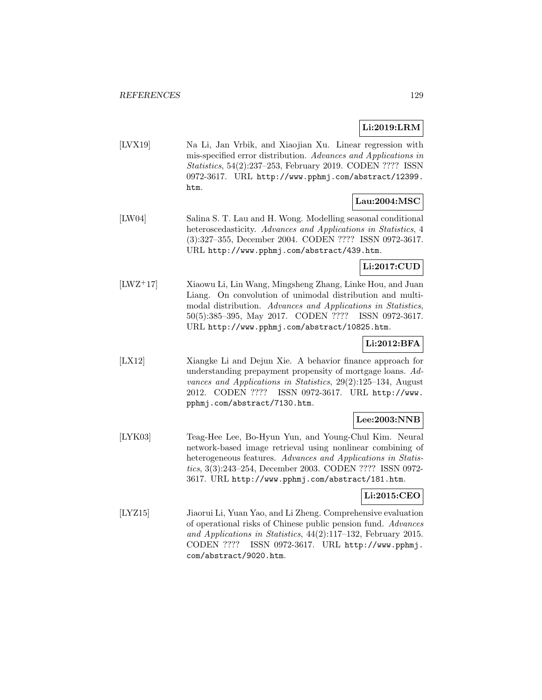# **Li:2019:LRM**

[LVX19] Na Li, Jan Vrbik, and Xiaojian Xu. Linear regression with mis-specified error distribution. Advances and Applications in Statistics, 54(2):237–253, February 2019. CODEN ???? ISSN 0972-3617. URL http://www.pphmj.com/abstract/12399. htm.

## **Lau:2004:MSC**

[LW04] Salina S. T. Lau and H. Wong. Modelling seasonal conditional heteroscedasticity. Advances and Applications in Statistics, 4 (3):327–355, December 2004. CODEN ???? ISSN 0972-3617. URL http://www.pphmj.com/abstract/439.htm.

# **Li:2017:CUD**

[LWZ<sup>+</sup>17] Xiaowu Li, Lin Wang, Mingsheng Zhang, Linke Hou, and Juan Liang. On convolution of unimodal distribution and multimodal distribution. Advances and Applications in Statistics, 50(5):385–395, May 2017. CODEN ???? ISSN 0972-3617. URL http://www.pphmj.com/abstract/10825.htm.

# **Li:2012:BFA**

[LX12] Xiangke Li and Dejun Xie. A behavior finance approach for understanding prepayment propensity of mortgage loans. Advances and Applications in Statistics, 29(2):125–134, August 2012. CODEN ???? ISSN 0972-3617. URL http://www. pphmj.com/abstract/7130.htm.

# **Lee:2003:NNB**

[LYK03] Teag-Hee Lee, Bo-Hyun Yun, and Young-Chul Kim. Neural network-based image retrieval using nonlinear combining of heterogeneous features. Advances and Applications in Statistics, 3(3):243–254, December 2003. CODEN ???? ISSN 0972- 3617. URL http://www.pphmj.com/abstract/181.htm.

## **Li:2015:CEO**

[LYZ15] Jiaorui Li, Yuan Yao, and Li Zheng. Comprehensive evaluation of operational risks of Chinese public pension fund. Advances and Applications in Statistics, 44(2):117–132, February 2015. CODEN ???? ISSN 0972-3617. URL http://www.pphmj. com/abstract/9020.htm.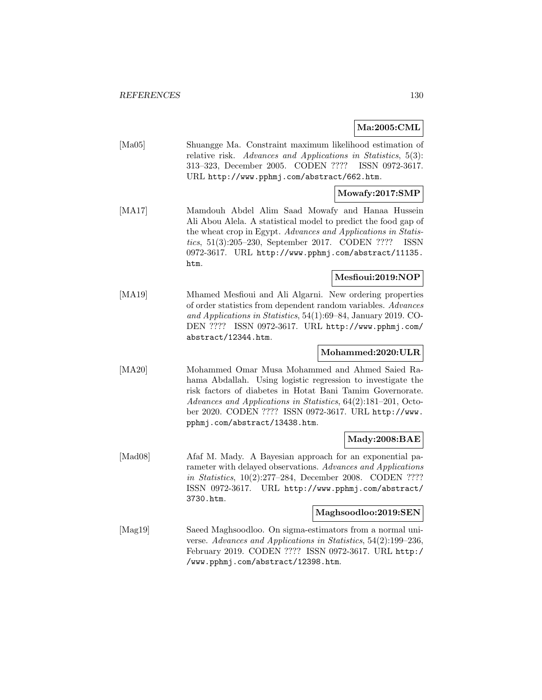**Ma:2005:CML**

[Ma05] Shuangge Ma. Constraint maximum likelihood estimation of relative risk. Advances and Applications in Statistics, 5(3): 313–323, December 2005. CODEN ???? ISSN 0972-3617. URL http://www.pphmj.com/abstract/662.htm.

### **Mowafy:2017:SMP**

[MA17] Mamdouh Abdel Alim Saad Mowafy and Hanaa Hussein Ali Abou Alela. A statistical model to predict the food gap of the wheat crop in Egypt. Advances and Applications in Statistics, 51(3):205–230, September 2017. CODEN ???? ISSN 0972-3617. URL http://www.pphmj.com/abstract/11135. htm.

## **Mesfioui:2019:NOP**

[MA19] Mhamed Mesfioui and Ali Algarni. New ordering properties of order statistics from dependent random variables. Advances and Applications in Statistics, 54(1):69–84, January 2019. CO-DEN ???? ISSN 0972-3617. URL http://www.pphmj.com/ abstract/12344.htm.

## **Mohammed:2020:ULR**

[MA20] Mohammed Omar Musa Mohammed and Ahmed Saied Rahama Abdallah. Using logistic regression to investigate the risk factors of diabetes in Hotat Bani Tamim Governorate. Advances and Applications in Statistics, 64(2):181–201, October 2020. CODEN ???? ISSN 0972-3617. URL http://www. pphmj.com/abstract/13438.htm.

## **Mady:2008:BAE**

[Mad08] Afaf M. Mady. A Bayesian approach for an exponential parameter with delayed observations. Advances and Applications in Statistics, 10(2):277–284, December 2008. CODEN ???? ISSN 0972-3617. URL http://www.pphmj.com/abstract/ 3730.htm.

### **Maghsoodloo:2019:SEN**

[Mag19] Saeed Maghsoodloo. On sigma-estimators from a normal universe. Advances and Applications in Statistics, 54(2):199–236, February 2019. CODEN ???? ISSN 0972-3617. URL http:/ /www.pphmj.com/abstract/12398.htm.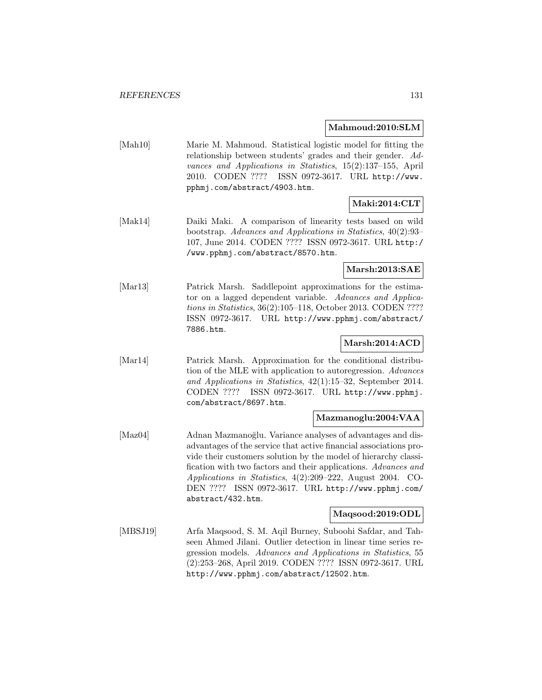### **Mahmoud:2010:SLM**

[Mah10] Marie M. Mahmoud. Statistical logistic model for fitting the relationship between students' grades and their gender. Advances and Applications in Statistics, 15(2):137–155, April 2010. CODEN ???? ISSN 0972-3617. URL http://www. pphmj.com/abstract/4903.htm.

# **Maki:2014:CLT**

[Mak14] Daiki Maki. A comparison of linearity tests based on wild bootstrap. Advances and Applications in Statistics, 40(2):93– 107, June 2014. CODEN ???? ISSN 0972-3617. URL http:/ /www.pphmj.com/abstract/8570.htm.

## **Marsh:2013:SAE**

[Mar13] Patrick Marsh. Saddlepoint approximations for the estimator on a lagged dependent variable. Advances and Applications in Statistics, 36(2):105–118, October 2013. CODEN ???? ISSN 0972-3617. URL http://www.pphmj.com/abstract/ 7886.htm.

## **Marsh:2014:ACD**

[Mar14] Patrick Marsh. Approximation for the conditional distribution of the MLE with application to autoregression. Advances and Applications in Statistics, 42(1):15–32, September 2014. CODEN ???? ISSN 0972-3617. URL http://www.pphmj. com/abstract/8697.htm.

### **Mazmanoglu:2004:VAA**

[Maz04] Adnan Mazmanoğlu. Variance analyses of advantages and disadvantages of the service that active financial associations provide their customers solution by the model of hierarchy classification with two factors and their applications. Advances and Applications in Statistics, 4(2):209–222, August 2004. CO-DEN ???? ISSN 0972-3617. URL http://www.pphmj.com/ abstract/432.htm.

## **Maqsood:2019:ODL**

[MBSJ19] Arfa Maqsood, S. M. Aqil Burney, Suboohi Safdar, and Tahseen Ahmed Jilani. Outlier detection in linear time series regression models. Advances and Applications in Statistics, 55 (2):253–268, April 2019. CODEN ???? ISSN 0972-3617. URL http://www.pphmj.com/abstract/12502.htm.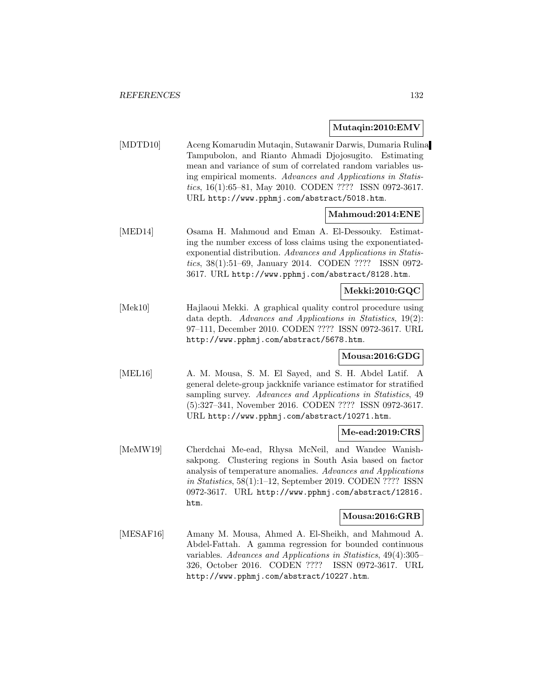## **Mutaqin:2010:EMV**

[MDTD10] Aceng Komarudin Mutaqin, Sutawanir Darwis, Dumaria Rulina Tampubolon, and Rianto Ahmadi Djojosugito. Estimating mean and variance of sum of correlated random variables using empirical moments. Advances and Applications in Statistics, 16(1):65–81, May 2010. CODEN ???? ISSN 0972-3617. URL http://www.pphmj.com/abstract/5018.htm.

## **Mahmoud:2014:ENE**

[MED14] Osama H. Mahmoud and Eman A. El-Dessouky. Estimating the number excess of loss claims using the exponentiatedexponential distribution. Advances and Applications in Statistics, 38(1):51–69, January 2014. CODEN ???? ISSN 0972- 3617. URL http://www.pphmj.com/abstract/8128.htm.

## **Mekki:2010:GQC**

[Mek10] Hajlaoui Mekki. A graphical quality control procedure using data depth. Advances and Applications in Statistics, 19(2): 97–111, December 2010. CODEN ???? ISSN 0972-3617. URL http://www.pphmj.com/abstract/5678.htm.

### **Mousa:2016:GDG**

[MEL16] A. M. Mousa, S. M. El Sayed, and S. H. Abdel Latif. A general delete-group jackknife variance estimator for stratified sampling survey. Advances and Applications in Statistics, 49 (5):327–341, November 2016. CODEN ???? ISSN 0972-3617. URL http://www.pphmj.com/abstract/10271.htm.

### **Me-ead:2019:CRS**

[MeMW19] Cherdchai Me-ead, Rhysa McNeil, and Wandee Wanishsakpong. Clustering regions in South Asia based on factor analysis of temperature anomalies. Advances and Applications in Statistics, 58(1):1–12, September 2019. CODEN ???? ISSN 0972-3617. URL http://www.pphmj.com/abstract/12816. htm.

#### **Mousa:2016:GRB**

[MESAF16] Amany M. Mousa, Ahmed A. El-Sheikh, and Mahmoud A. Abdel-Fattah. A gamma regression for bounded continuous variables. Advances and Applications in Statistics, 49(4):305– 326, October 2016. CODEN ???? ISSN 0972-3617. URL http://www.pphmj.com/abstract/10227.htm.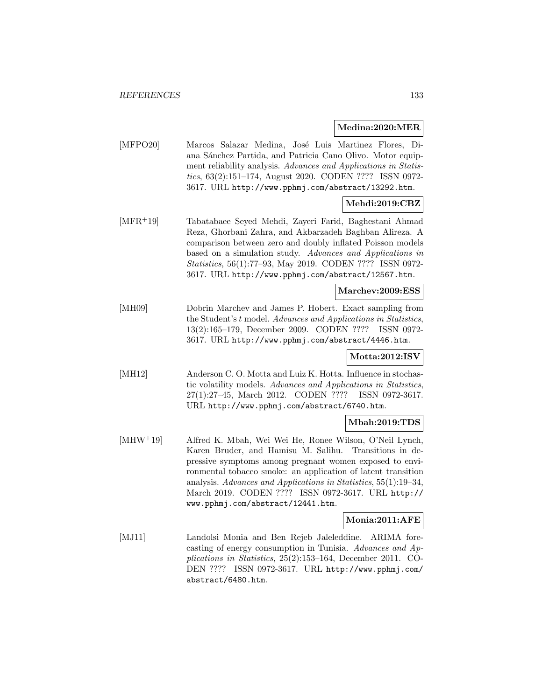### **Medina:2020:MER**

[MFPO20] Marcos Salazar Medina, José Luis Martinez Flores, Diana Sánchez Partida, and Patricia Cano Olivo. Motor equipment reliability analysis. Advances and Applications in Statistics, 63(2):151–174, August 2020. CODEN ???? ISSN 0972- 3617. URL http://www.pphmj.com/abstract/13292.htm.

# **Mehdi:2019:CBZ**

[MFR<sup>+</sup>19] Tabatabaee Seyed Mehdi, Zayeri Farid, Baghestani Ahmad Reza, Ghorbani Zahra, and Akbarzadeh Baghban Alireza. A comparison between zero and doubly inflated Poisson models based on a simulation study. Advances and Applications in Statistics, 56(1):77–93, May 2019. CODEN ???? ISSN 0972- 3617. URL http://www.pphmj.com/abstract/12567.htm.

## **Marchev:2009:ESS**

[MH09] Dobrin Marchev and James P. Hobert. Exact sampling from the Student's t model. Advances and Applications in Statistics, 13(2):165–179, December 2009. CODEN ???? ISSN 0972- 3617. URL http://www.pphmj.com/abstract/4446.htm.

### **Motta:2012:ISV**

[MH12] Anderson C. O. Motta and Luiz K. Hotta. Influence in stochastic volatility models. Advances and Applications in Statistics, 27(1):27–45, March 2012. CODEN ???? ISSN 0972-3617. URL http://www.pphmj.com/abstract/6740.htm.

### **Mbah:2019:TDS**

[MHW<sup>+</sup>19] Alfred K. Mbah, Wei Wei He, Ronee Wilson, O'Neil Lynch, Karen Bruder, and Hamisu M. Salihu. Transitions in depressive symptoms among pregnant women exposed to environmental tobacco smoke: an application of latent transition analysis. Advances and Applications in Statistics, 55(1):19–34, March 2019. CODEN ???? ISSN 0972-3617. URL http:// www.pphmj.com/abstract/12441.htm.

#### **Monia:2011:AFE**

[MJ11] Landolsi Monia and Ben Rejeb Jaleleddine. ARIMA forecasting of energy consumption in Tunisia. Advances and Applications in Statistics, 25(2):153–164, December 2011. CO-DEN ???? ISSN 0972-3617. URL http://www.pphmj.com/ abstract/6480.htm.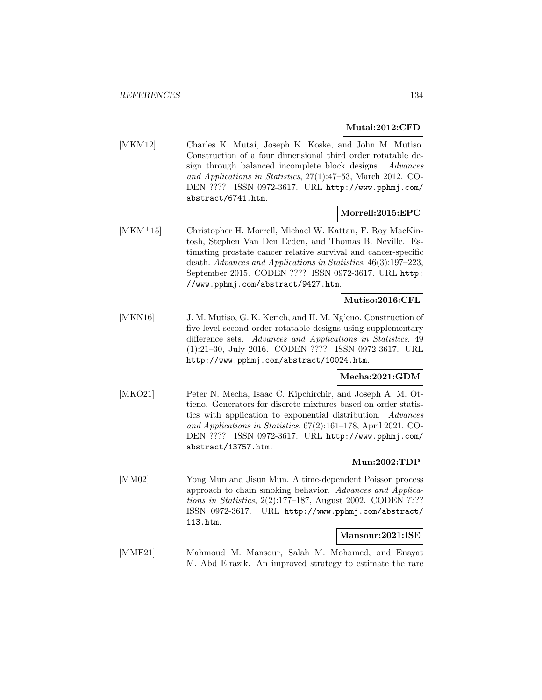### **Mutai:2012:CFD**

[MKM12] Charles K. Mutai, Joseph K. Koske, and John M. Mutiso. Construction of a four dimensional third order rotatable design through balanced incomplete block designs. Advances and Applications in Statistics, 27(1):47–53, March 2012. CO-DEN ???? ISSN 0972-3617. URL http://www.pphmj.com/ abstract/6741.htm.

## **Morrell:2015:EPC**

[MKM<sup>+</sup>15] Christopher H. Morrell, Michael W. Kattan, F. Roy MacKintosh, Stephen Van Den Eeden, and Thomas B. Neville. Estimating prostate cancer relative survival and cancer-specific death. Advances and Applications in Statistics, 46(3):197–223, September 2015. CODEN ???? ISSN 0972-3617. URL http: //www.pphmj.com/abstract/9427.htm.

## **Mutiso:2016:CFL**

[MKN16] J. M. Mutiso, G. K. Kerich, and H. M. Ng'eno. Construction of five level second order rotatable designs using supplementary difference sets. Advances and Applications in Statistics, 49 (1):21–30, July 2016. CODEN ???? ISSN 0972-3617. URL http://www.pphmj.com/abstract/10024.htm.

### **Mecha:2021:GDM**

[MKO21] Peter N. Mecha, Isaac C. Kipchirchir, and Joseph A. M. Ottieno. Generators for discrete mixtures based on order statistics with application to exponential distribution. Advances and Applications in Statistics, 67(2):161–178, April 2021. CO-DEN ???? ISSN 0972-3617. URL http://www.pphmj.com/ abstract/13757.htm.

### **Mun:2002:TDP**

[MM02] Yong Mun and Jisun Mun. A time-dependent Poisson process approach to chain smoking behavior. Advances and Applications in Statistics, 2(2):177–187, August 2002. CODEN ???? ISSN 0972-3617. URL http://www.pphmj.com/abstract/ 113.htm.

#### **Mansour:2021:ISE**

[MME21] Mahmoud M. Mansour, Salah M. Mohamed, and Enayat M. Abd Elrazik. An improved strategy to estimate the rare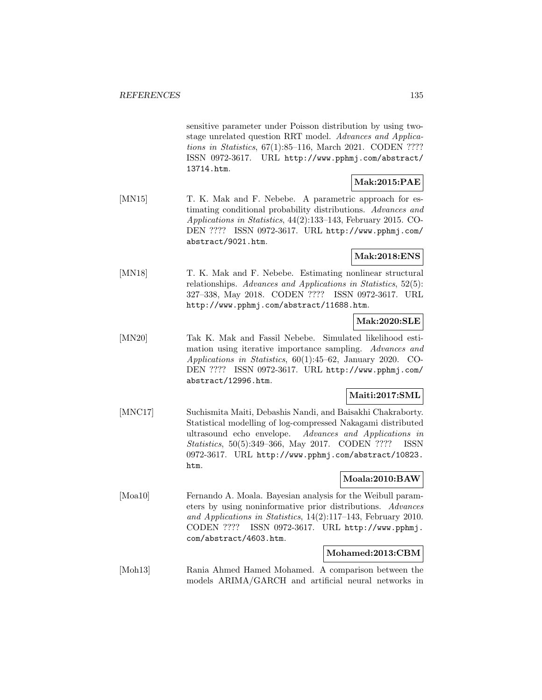sensitive parameter under Poisson distribution by using twostage unrelated question RRT model. Advances and Applications in Statistics, 67(1):85–116, March 2021. CODEN ???? ISSN 0972-3617. URL http://www.pphmj.com/abstract/ 13714.htm.

# **Mak:2015:PAE**

[MN15] T. K. Mak and F. Nebebe. A parametric approach for estimating conditional probability distributions. Advances and Applications in Statistics, 44(2):133–143, February 2015. CO-DEN ???? ISSN 0972-3617. URL http://www.pphmj.com/ abstract/9021.htm.

**Mak:2018:ENS**

[MN18] T. K. Mak and F. Nebebe. Estimating nonlinear structural relationships. Advances and Applications in Statistics, 52(5): 327–338, May 2018. CODEN ???? ISSN 0972-3617. URL http://www.pphmj.com/abstract/11688.htm.

## **Mak:2020:SLE**

[MN20] Tak K. Mak and Fassil Nebebe. Simulated likelihood estimation using iterative importance sampling. Advances and Applications in Statistics, 60(1):45–62, January 2020. CO-DEN ???? ISSN 0972-3617. URL http://www.pphmj.com/ abstract/12996.htm.

## **Maiti:2017:SML**

[MNC17] Suchismita Maiti, Debashis Nandi, and Baisakhi Chakraborty. Statistical modelling of log-compressed Nakagami distributed ultrasound echo envelope. Advances and Applications in Statistics, 50(5):349–366, May 2017. CODEN ???? ISSN 0972-3617. URL http://www.pphmj.com/abstract/10823. htm.

## **Moala:2010:BAW**

[Moa10] Fernando A. Moala. Bayesian analysis for the Weibull parameters by using noninformative prior distributions. Advances and Applications in Statistics, 14(2):117–143, February 2010. CODEN ???? ISSN 0972-3617. URL http://www.pphmj. com/abstract/4603.htm.

### **Mohamed:2013:CBM**

[Moh13] Rania Ahmed Hamed Mohamed. A comparison between the models ARIMA/GARCH and artificial neural networks in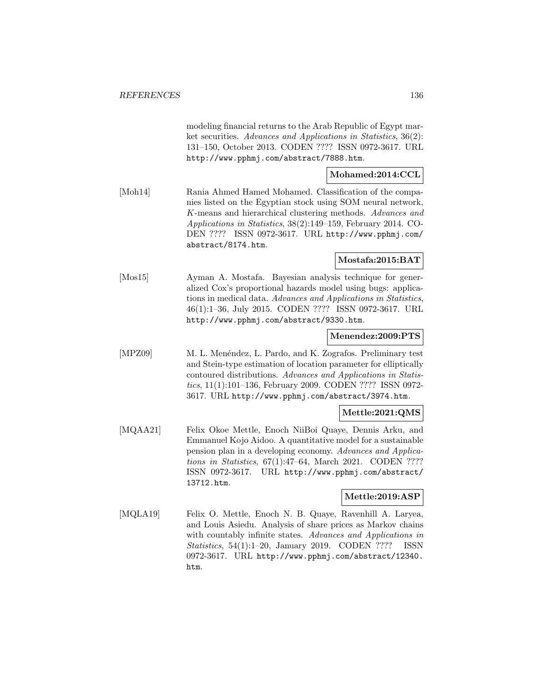modeling financial returns to the Arab Republic of Egypt market securities. Advances and Applications in Statistics, 36(2): 131–150, October 2013. CODEN ???? ISSN 0972-3617. URL http://www.pphmj.com/abstract/7888.htm.

# **Mohamed:2014:CCL**

[Moh14] Rania Ahmed Hamed Mohamed. Classification of the companies listed on the Egyptian stock using SOM neural network, K-means and hierarchical clustering methods. Advances and Applications in Statistics, 38(2):149–159, February 2014. CO-DEN ???? ISSN 0972-3617. URL http://www.pphmj.com/ abstract/8174.htm.

## **Mostafa:2015:BAT**

[Mos15] Ayman A. Mostafa. Bayesian analysis technique for generalized Cox's proportional hazards model using bugs: applications in medical data. Advances and Applications in Statistics, 46(1):1–36, July 2015. CODEN ???? ISSN 0972-3617. URL http://www.pphmj.com/abstract/9330.htm.

### **Menendez:2009:PTS**

[MPZ09] M. L. Menéndez, L. Pardo, and K. Zografos. Preliminary test and Stein-type estimation of location parameter for elliptically contoured distributions. Advances and Applications in Statistics, 11(1):101–136, February 2009. CODEN ???? ISSN 0972- 3617. URL http://www.pphmj.com/abstract/3974.htm.

### **Mettle:2021:QMS**

[MQAA21] Felix Okoe Mettle, Enoch NiiBoi Quaye, Dennis Arku, and Emmanuel Kojo Aidoo. A quantitative model for a sustainable pension plan in a developing economy. Advances and Applications in Statistics, 67(1):47–64, March 2021. CODEN ???? ISSN 0972-3617. URL http://www.pphmj.com/abstract/ 13712.htm.

## **Mettle:2019:ASP**

[MQLA19] Felix O. Mettle, Enoch N. B. Quaye, Ravenhill A. Laryea, and Louis Asiedu. Analysis of share prices as Markov chains with countably infinite states. Advances and Applications in Statistics, 54(1):1–20, January 2019. CODEN ???? ISSN 0972-3617. URL http://www.pphmj.com/abstract/12340. htm.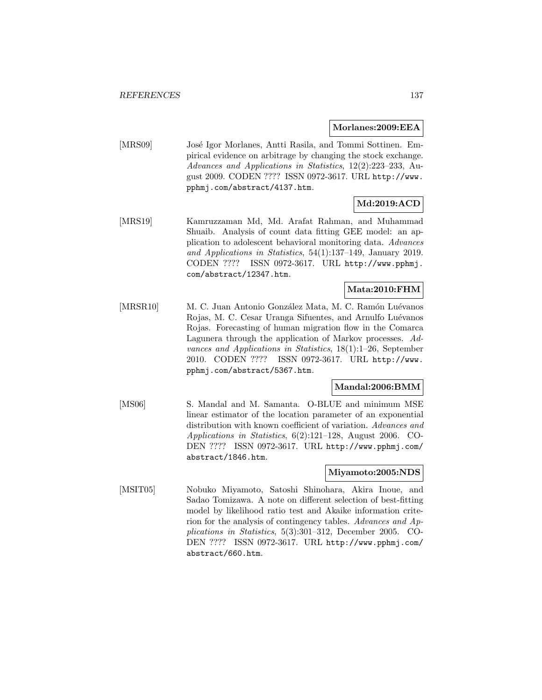**Morlanes:2009:EEA**

[MRS09] José Igor Morlanes, Antti Rasila, and Tommi Sottinen. Empirical evidence on arbitrage by changing the stock exchange. Advances and Applications in Statistics, 12(2):223–233, August 2009. CODEN ???? ISSN 0972-3617. URL http://www. pphmj.com/abstract/4137.htm.

# **Md:2019:ACD**

[MRS19] Kamruzzaman Md, Md. Arafat Rahman, and Muhammad Shuaib. Analysis of count data fitting GEE model: an application to adolescent behavioral monitoring data. Advances and Applications in Statistics, 54(1):137–149, January 2019. CODEN ???? ISSN 0972-3617. URL http://www.pphmj. com/abstract/12347.htm.

# **Mata:2010:FHM**

[MRSR10] M. C. Juan Antonio González Mata, M. C. Ramón Luévanos Rojas, M. C. Cesar Uranga Sifuentes, and Arnulfo Luévanos Rojas. Forecasting of human migration flow in the Comarca Lagunera through the application of Markov processes. Advances and Applications in Statistics, 18(1):1–26, September 2010. CODEN ???? ISSN 0972-3617. URL http://www. pphmj.com/abstract/5367.htm.

## **Mandal:2006:BMM**

[MS06] S. Mandal and M. Samanta. O-BLUE and minimum MSE linear estimator of the location parameter of an exponential distribution with known coefficient of variation. Advances and Applications in Statistics, 6(2):121–128, August 2006. CO-DEN ???? ISSN 0972-3617. URL http://www.pphmj.com/ abstract/1846.htm.

### **Miyamoto:2005:NDS**

[MSIT05] Nobuko Miyamoto, Satoshi Shinohara, Akira Inoue, and Sadao Tomizawa. A note on different selection of best-fitting model by likelihood ratio test and Akaike information criterion for the analysis of contingency tables. Advances and Applications in Statistics, 5(3):301–312, December 2005. CO-DEN ???? ISSN 0972-3617. URL http://www.pphmj.com/ abstract/660.htm.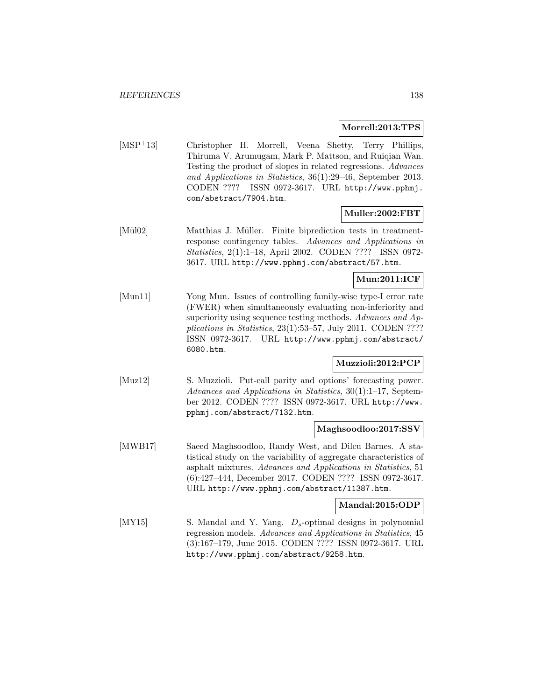### **Morrell:2013:TPS**

[MSP<sup>+</sup>13] Christopher H. Morrell, Veena Shetty, Terry Phillips, Thiruma V. Arumugam, Mark P. Mattson, and Ruiqian Wan. Testing the product of slopes in related regressions. Advances and Applications in Statistics, 36(1):29–46, September 2013. CODEN ???? ISSN 0972-3617. URL http://www.pphmj. com/abstract/7904.htm.

### **Muller:2002:FBT**

[Mül02] Matthias J. Müller. Finite biprediction tests in treatmentresponse contingency tables. Advances and Applications in Statistics, 2(1):1–18, April 2002. CODEN ???? ISSN 0972- 3617. URL http://www.pphmj.com/abstract/57.htm.

### **Mun:2011:ICF**

[Mun11] Yong Mun. Issues of controlling family-wise type-I error rate (FWER) when simultaneously evaluating non-inferiority and superiority using sequence testing methods. Advances and Applications in Statistics, 23(1):53–57, July 2011. CODEN ???? ISSN 0972-3617. URL http://www.pphmj.com/abstract/ 6080.htm.

## **Muzzioli:2012:PCP**

[Muz12] S. Muzzioli. Put-call parity and options' forecasting power. Advances and Applications in Statistics, 30(1):1–17, September 2012. CODEN ???? ISSN 0972-3617. URL http://www. pphmj.com/abstract/7132.htm.

### **Maghsoodloo:2017:SSV**

[MWB17] Saeed Maghsoodloo, Randy West, and Dilcu Barnes. A statistical study on the variability of aggregate characteristics of asphalt mixtures. Advances and Applications in Statistics, 51 (6):427–444, December 2017. CODEN ???? ISSN 0972-3617. URL http://www.pphmj.com/abstract/11387.htm.

#### **Mandal:2015:ODP**

[MY15] S. Mandal and Y. Yang.  $D_s$ -optimal designs in polynomial regression models. Advances and Applications in Statistics, 45 (3):167–179, June 2015. CODEN ???? ISSN 0972-3617. URL http://www.pphmj.com/abstract/9258.htm.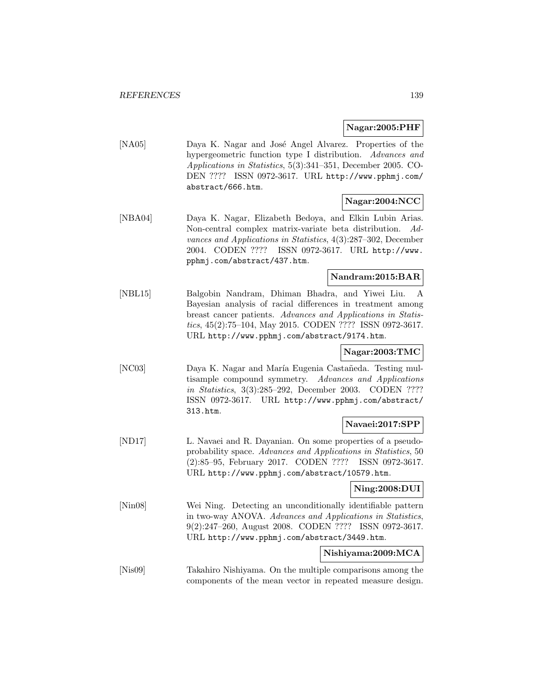### **Nagar:2005:PHF**

[NA05] Daya K. Nagar and José Angel Alvarez. Properties of the hypergeometric function type I distribution. Advances and Applications in Statistics, 5(3):341–351, December 2005. CO-DEN ???? ISSN 0972-3617. URL http://www.pphmj.com/ abstract/666.htm.

## **Nagar:2004:NCC**

[NBA04] Daya K. Nagar, Elizabeth Bedoya, and Elkin Lubin Arias. Non-central complex matrix-variate beta distribution. Advances and Applications in Statistics, 4(3):287–302, December 2004. CODEN ???? ISSN 0972-3617. URL http://www. pphmj.com/abstract/437.htm.

## **Nandram:2015:BAR**

[NBL15] Balgobin Nandram, Dhiman Bhadra, and Yiwei Liu. A Bayesian analysis of racial differences in treatment among breast cancer patients. Advances and Applications in Statistics, 45(2):75–104, May 2015. CODEN ???? ISSN 0972-3617. URL http://www.pphmj.com/abstract/9174.htm.

## **Nagar:2003:TMC**

[NC03] Daya K. Nagar and María Eugenia Castañeda. Testing multisample compound symmetry. Advances and Applications in Statistics, 3(3):285–292, December 2003. CODEN ???? ISSN 0972-3617. URL http://www.pphmj.com/abstract/ 313.htm.

## **Navaei:2017:SPP**

[ND17] L. Navaei and R. Dayanian. On some properties of a pseudoprobability space. Advances and Applications in Statistics, 50 (2):85–95, February 2017. CODEN ???? ISSN 0972-3617. URL http://www.pphmj.com/abstract/10579.htm.

## **Ning:2008:DUI**

[Nin08] Wei Ning. Detecting an unconditionally identifiable pattern in two-way ANOVA. Advances and Applications in Statistics, 9(2):247–260, August 2008. CODEN ???? ISSN 0972-3617. URL http://www.pphmj.com/abstract/3449.htm.

## **Nishiyama:2009:MCA**

[Nis09] Takahiro Nishiyama. On the multiple comparisons among the components of the mean vector in repeated measure design.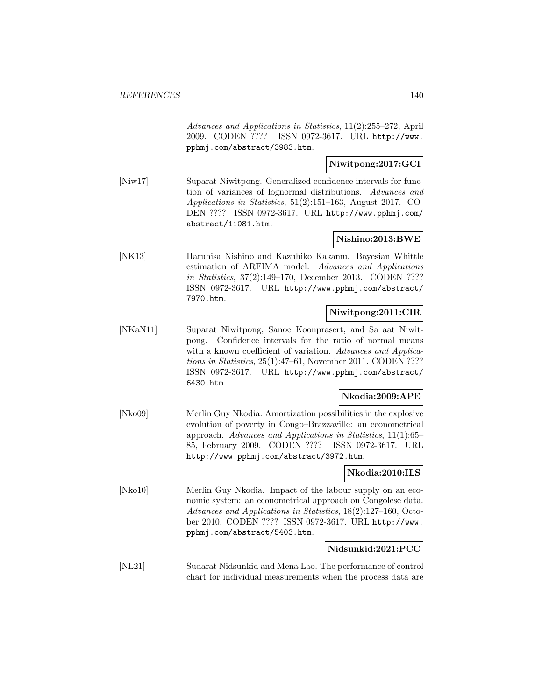Advances and Applications in Statistics, 11(2):255–272, April 2009. CODEN ???? ISSN 0972-3617. URL http://www. pphmj.com/abstract/3983.htm.

# **Niwitpong:2017:GCI**

[Niw17] Suparat Niwitpong. Generalized confidence intervals for function of variances of lognormal distributions. Advances and Applications in Statistics, 51(2):151–163, August 2017. CO-DEN ???? ISSN 0972-3617. URL http://www.pphmj.com/ abstract/11081.htm.

## **Nishino:2013:BWE**

[NK13] Haruhisa Nishino and Kazuhiko Kakamu. Bayesian Whittle estimation of ARFIMA model. Advances and Applications in Statistics, 37(2):149–170, December 2013. CODEN ???? ISSN 0972-3617. URL http://www.pphmj.com/abstract/ 7970.htm.

## **Niwitpong:2011:CIR**

[NKaN11] Suparat Niwitpong, Sanoe Koonprasert, and Sa aat Niwitpong. Confidence intervals for the ratio of normal means with a known coefficient of variation. Advances and Applications in Statistics, 25(1):47–61, November 2011. CODEN ???? ISSN 0972-3617. URL http://www.pphmj.com/abstract/ 6430.htm.

## **Nkodia:2009:APE**

[Nko09] Merlin Guy Nkodia. Amortization possibilities in the explosive evolution of poverty in Congo–Brazzaville: an econometrical approach. Advances and Applications in Statistics, 11(1):65– 85, February 2009. CODEN ???? ISSN 0972-3617. URL http://www.pphmj.com/abstract/3972.htm.

### **Nkodia:2010:ILS**

[Nko10] Merlin Guy Nkodia. Impact of the labour supply on an economic system: an econometrical approach on Congolese data. Advances and Applications in Statistics, 18(2):127–160, October 2010. CODEN ???? ISSN 0972-3617. URL http://www. pphmj.com/abstract/5403.htm.

## **Nidsunkid:2021:PCC**

[NL21] Sudarat Nidsunkid and Mena Lao. The performance of control chart for individual measurements when the process data are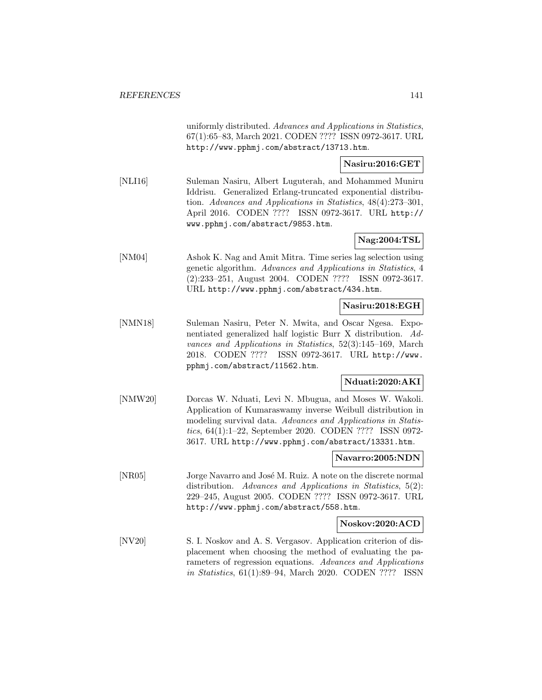uniformly distributed. Advances and Applications in Statistics, 67(1):65–83, March 2021. CODEN ???? ISSN 0972-3617. URL http://www.pphmj.com/abstract/13713.htm.

## **Nasiru:2016:GET**

[NLI16] Suleman Nasiru, Albert Luguterah, and Mohammed Muniru Iddrisu. Generalized Erlang-truncated exponential distribution. Advances and Applications in Statistics, 48(4):273–301, April 2016. CODEN ???? ISSN 0972-3617. URL http:// www.pphmj.com/abstract/9853.htm.

## **Nag:2004:TSL**

[NM04] Ashok K. Nag and Amit Mitra. Time series lag selection using genetic algorithm. Advances and Applications in Statistics, 4 (2):233–251, August 2004. CODEN ???? ISSN 0972-3617. URL http://www.pphmj.com/abstract/434.htm.

## **Nasiru:2018:EGH**

[NMN18] Suleman Nasiru, Peter N. Mwita, and Oscar Ngesa. Exponentiated generalized half logistic Burr X distribution. Advances and Applications in Statistics, 52(3):145–169, March 2018. CODEN ???? ISSN 0972-3617. URL http://www. pphmj.com/abstract/11562.htm.

### **Nduati:2020:AKI**

[NMW20] Dorcas W. Nduati, Levi N. Mbugua, and Moses W. Wakoli. Application of Kumaraswamy inverse Weibull distribution in modeling survival data. Advances and Applications in Statistics, 64(1):1–22, September 2020. CODEN ???? ISSN 0972- 3617. URL http://www.pphmj.com/abstract/13331.htm.

#### **Navarro:2005:NDN**

[NR05] Jorge Navarro and José M. Ruiz. A note on the discrete normal distribution. Advances and Applications in Statistics, 5(2): 229–245, August 2005. CODEN ???? ISSN 0972-3617. URL http://www.pphmj.com/abstract/558.htm.

### **Noskov:2020:ACD**

[NV20] S. I. Noskov and A. S. Vergasov. Application criterion of displacement when choosing the method of evaluating the parameters of regression equations. Advances and Applications in Statistics, 61(1):89–94, March 2020. CODEN ???? ISSN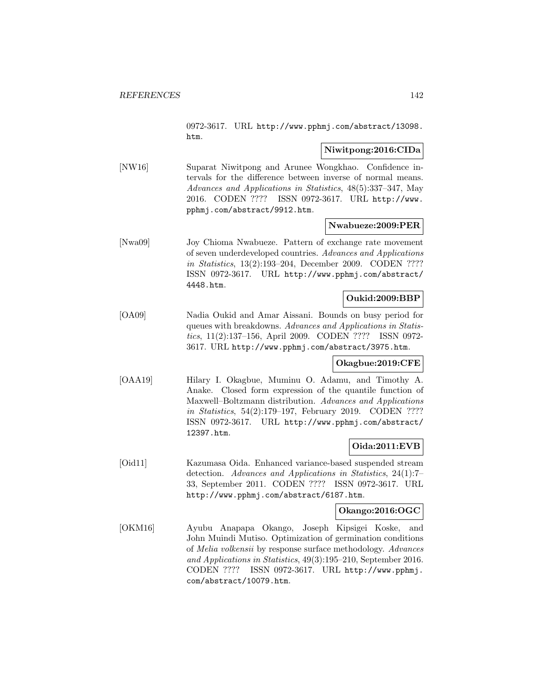0972-3617. URL http://www.pphmj.com/abstract/13098. htm.

## **Niwitpong:2016:CIDa**

[NW16] Suparat Niwitpong and Arunee Wongkhao. Confidence intervals for the difference between inverse of normal means. Advances and Applications in Statistics, 48(5):337–347, May 2016. CODEN ???? ISSN 0972-3617. URL http://www. pphmj.com/abstract/9912.htm.

### **Nwabueze:2009:PER**

[Nwa09] Joy Chioma Nwabueze. Pattern of exchange rate movement of seven underdeveloped countries. Advances and Applications in Statistics, 13(2):193–204, December 2009. CODEN ???? ISSN 0972-3617. URL http://www.pphmj.com/abstract/ 4448.htm.

### **Oukid:2009:BBP**

[OA09] Nadia Oukid and Amar Aissani. Bounds on busy period for queues with breakdowns. Advances and Applications in Statistics, 11(2):137–156, April 2009. CODEN ???? ISSN 0972- 3617. URL http://www.pphmj.com/abstract/3975.htm.

# **Okagbue:2019:CFE**

[OAA19] Hilary I. Okagbue, Muminu O. Adamu, and Timothy A. Anake. Closed form expression of the quantile function of Maxwell–Boltzmann distribution. Advances and Applications in Statistics, 54(2):179–197, February 2019. CODEN ???? ISSN 0972-3617. URL http://www.pphmj.com/abstract/ 12397.htm.

### **Oida:2011:EVB**

[Oid11] Kazumasa Oida. Enhanced variance-based suspended stream detection. Advances and Applications in Statistics, 24(1):7– 33, September 2011. CODEN ???? ISSN 0972-3617. URL http://www.pphmj.com/abstract/6187.htm.

# **Okango:2016:OGC**

[OKM16] Ayubu Anapapa Okango, Joseph Kipsigei Koske, and John Muindi Mutiso. Optimization of germination conditions of Melia volkensii by response surface methodology. Advances and Applications in Statistics, 49(3):195–210, September 2016. CODEN ???? ISSN 0972-3617. URL http://www.pphmj. com/abstract/10079.htm.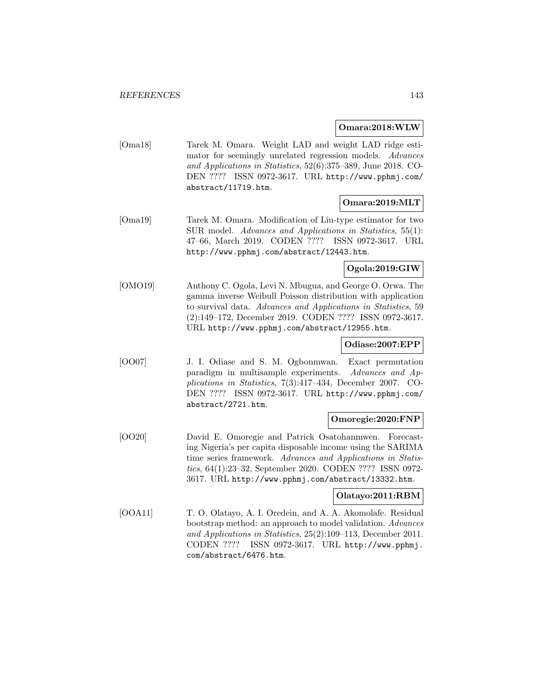#### **Omara:2018:WLW**

[Oma18] Tarek M. Omara. Weight LAD and weight LAD ridge estimator for seemingly unrelated regression models. Advances and Applications in Statistics, 52(6):375–389, June 2018. CO-DEN ???? ISSN 0972-3617. URL http://www.pphmj.com/ abstract/11719.htm.

## **Omara:2019:MLT**

[Oma19] Tarek M. Omara. Modification of Liu-type estimator for two SUR model. Advances and Applications in Statistics, 55(1): 47–66, March 2019. CODEN ???? ISSN 0972-3617. URL http://www.pphmj.com/abstract/12443.htm.

## **Ogola:2019:GIW**

[OMO19] Anthony C. Ogola, Levi N. Mbugua, and George O. Orwa. The gamma inverse Weibull Poisson distribution with application to survival data. Advances and Applications in Statistics, 59 (2):149–172, December 2019. CODEN ???? ISSN 0972-3617. URL http://www.pphmj.com/abstract/12955.htm.

### **Odiase:2007:EPP**

[OO07] J. I. Odiase and S. M. Ogbonmwan. Exact permutation paradigm in multisample experiments. Advances and Applications in Statistics, 7(3):417–434, December 2007. CO-DEN ???? ISSN 0972-3617. URL http://www.pphmj.com/ abstract/2721.htm.

### **Omoregie:2020:FNP**

[OO20] David E. Omoregie and Patrick Osatohanmwen. Forecasting Nigeria's per capita disposable income using the SARIMA time series framework. Advances and Applications in Statistics, 64(1):23–32, September 2020. CODEN ???? ISSN 0972- 3617. URL http://www.pphmj.com/abstract/13332.htm.

## **Olatayo:2011:RBM**

[OOA11] T. O. Olatayo, A. I. Oredein, and A. A. Akomolafe. Residual bootstrap method: an approach to model validation. Advances and Applications in Statistics, 25(2):109–113, December 2011. CODEN ???? ISSN 0972-3617. URL http://www.pphmj. com/abstract/6476.htm.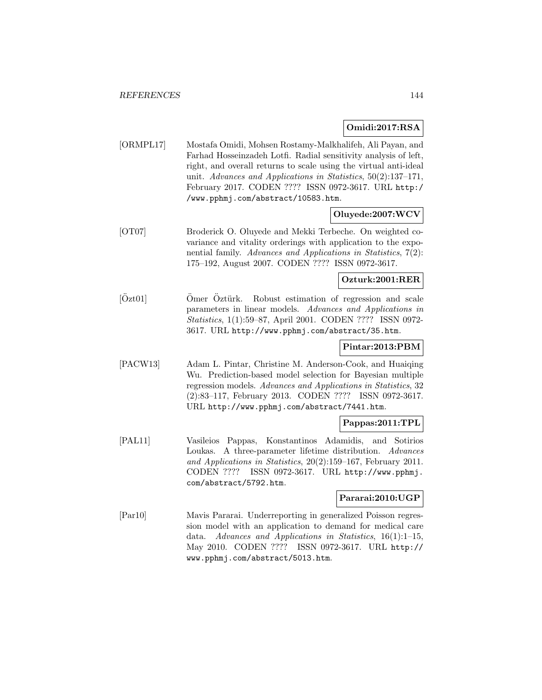## **Omidi:2017:RSA**

[ORMPL17] Mostafa Omidi, Mohsen Rostamy-Malkhalifeh, Ali Payan, and Farhad Hosseinzadeh Lotfi. Radial sensitivity analysis of left, right, and overall returns to scale using the virtual anti-ideal unit. Advances and Applications in Statistics, 50(2):137–171, February 2017. CODEN ???? ISSN 0972-3617. URL http:/ /www.pphmj.com/abstract/10583.htm.

## **Oluyede:2007:WCV**

[OT07] Broderick O. Oluyede and Mekki Terbeche. On weighted covariance and vitality orderings with application to the exponential family. Advances and Applications in Statistics, 7(2): 175–192, August 2007. CODEN ???? ISSN 0972-3617.

## **Ozturk:2001:RER**

 $[Oz t01]$  –  $Omer Oztürk$ . Robust estimation of regression and scale parameters in linear models. Advances and Applications in Statistics, 1(1):59–87, April 2001. CODEN ???? ISSN 0972- 3617. URL http://www.pphmj.com/abstract/35.htm.

## **Pintar:2013:PBM**

[PACW13] Adam L. Pintar, Christine M. Anderson-Cook, and Huaiqing Wu. Prediction-based model selection for Bayesian multiple regression models. Advances and Applications in Statistics, 32 (2):83–117, February 2013. CODEN ???? ISSN 0972-3617. URL http://www.pphmj.com/abstract/7441.htm.

## **Pappas:2011:TPL**

[PAL11] Vasileios Pappas, Konstantinos Adamidis, and Sotirios Loukas. A three-parameter lifetime distribution. Advances and Applications in Statistics, 20(2):159–167, February 2011. CODEN ???? ISSN 0972-3617. URL http://www.pphmj. com/abstract/5792.htm.

### **Pararai:2010:UGP**

[Par10] Mavis Pararai. Underreporting in generalized Poisson regression model with an application to demand for medical care data. Advances and Applications in Statistics, 16(1):1–15, May 2010. CODEN ???? ISSN 0972-3617. URL http:// www.pphmj.com/abstract/5013.htm.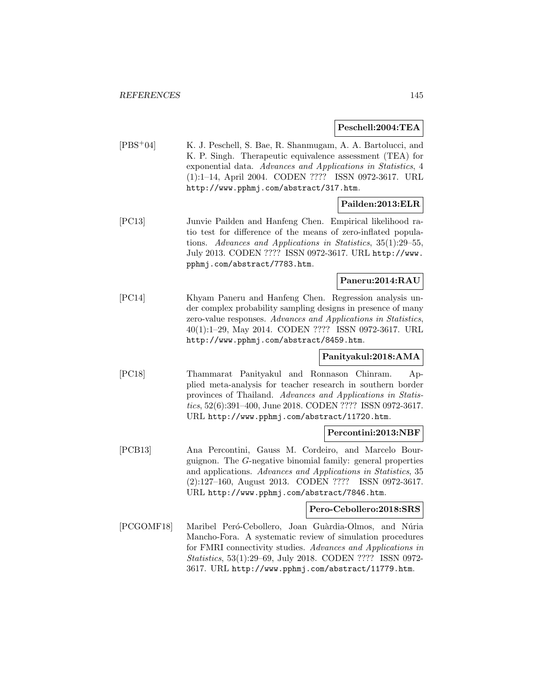#### **Peschell:2004:TEA**

[PBS<sup>+</sup>04] K. J. Peschell, S. Bae, R. Shanmugam, A. A. Bartolucci, and K. P. Singh. Therapeutic equivalence assessment (TEA) for exponential data. Advances and Applications in Statistics, 4 (1):1–14, April 2004. CODEN ???? ISSN 0972-3617. URL http://www.pphmj.com/abstract/317.htm.

## **Pailden:2013:ELR**

[PC13] Junvie Pailden and Hanfeng Chen. Empirical likelihood ratio test for difference of the means of zero-inflated populations. Advances and Applications in Statistics, 35(1):29–55, July 2013. CODEN ???? ISSN 0972-3617. URL http://www. pphmj.com/abstract/7783.htm.

## **Paneru:2014:RAU**

[PC14] Khyam Paneru and Hanfeng Chen. Regression analysis under complex probability sampling designs in presence of many zero-value responses. Advances and Applications in Statistics, 40(1):1–29, May 2014. CODEN ???? ISSN 0972-3617. URL http://www.pphmj.com/abstract/8459.htm.

### **Panityakul:2018:AMA**

[PC18] Thammarat Panityakul and Ronnason Chinram. Applied meta-analysis for teacher research in southern border provinces of Thailand. Advances and Applications in Statistics, 52(6):391–400, June 2018. CODEN ???? ISSN 0972-3617. URL http://www.pphmj.com/abstract/11720.htm.

### **Percontini:2013:NBF**

[PCB13] Ana Percontini, Gauss M. Cordeiro, and Marcelo Bourguignon. The G-negative binomial family: general properties and applications. Advances and Applications in Statistics, 35 (2):127–160, August 2013. CODEN ???? ISSN 0972-3617. URL http://www.pphmj.com/abstract/7846.htm.

#### **Pero-Cebollero:2018:SRS**

[PCGOMF18] Maribel Peró-Cebollero, Joan Guàrdia-Olmos, and Núria Mancho-Fora. A systematic review of simulation procedures for FMRI connectivity studies. Advances and Applications in Statistics, 53(1):29–69, July 2018. CODEN ???? ISSN 0972- 3617. URL http://www.pphmj.com/abstract/11779.htm.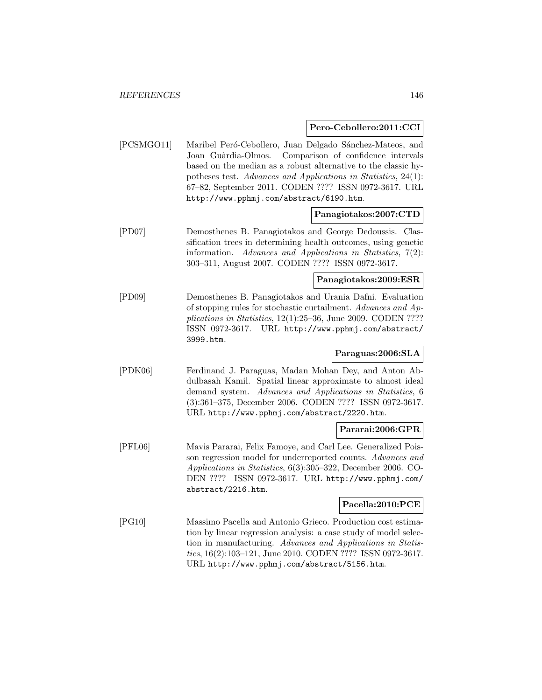### **Pero-Cebollero:2011:CCI**

[PCSMGO11] Maribel Peró-Cebollero, Juan Delgado Sánchez-Mateos, and Joan Guàrdia-Olmos. Comparison of confidence intervals based on the median as a robust alternative to the classic hypotheses test. Advances and Applications in Statistics, 24(1): 67–82, September 2011. CODEN ???? ISSN 0972-3617. URL http://www.pphmj.com/abstract/6190.htm.

### **Panagiotakos:2007:CTD**

[PD07] Demosthenes B. Panagiotakos and George Dedoussis. Classification trees in determining health outcomes, using genetic information. Advances and Applications in Statistics, 7(2): 303–311, August 2007. CODEN ???? ISSN 0972-3617.

**Panagiotakos:2009:ESR**

[PD09] Demosthenes B. Panagiotakos and Urania Dafni. Evaluation of stopping rules for stochastic curtailment. Advances and Applications in Statistics, 12(1):25–36, June 2009. CODEN ???? ISSN 0972-3617. URL http://www.pphmj.com/abstract/ 3999.htm.

## **Paraguas:2006:SLA**

[PDK06] Ferdinand J. Paraguas, Madan Mohan Dey, and Anton Abdulbasah Kamil. Spatial linear approximate to almost ideal demand system. Advances and Applications in Statistics, 6 (3):361–375, December 2006. CODEN ???? ISSN 0972-3617. URL http://www.pphmj.com/abstract/2220.htm.

#### **Pararai:2006:GPR**

[PFL06] Mavis Pararai, Felix Famoye, and Carl Lee. Generalized Poisson regression model for underreported counts. Advances and Applications in Statistics, 6(3):305–322, December 2006. CO-DEN ???? ISSN 0972-3617. URL http://www.pphmj.com/ abstract/2216.htm.

## **Pacella:2010:PCE**

[PG10] Massimo Pacella and Antonio Grieco. Production cost estimation by linear regression analysis: a case study of model selection in manufacturing. Advances and Applications in Statistics, 16(2):103–121, June 2010. CODEN ???? ISSN 0972-3617. URL http://www.pphmj.com/abstract/5156.htm.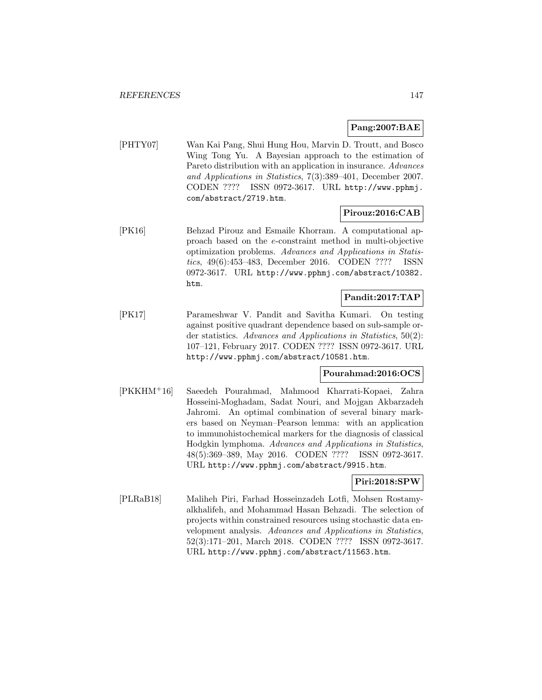### **Pang:2007:BAE**

[PHTY07] Wan Kai Pang, Shui Hung Hou, Marvin D. Troutt, and Bosco Wing Tong Yu. A Bayesian approach to the estimation of Pareto distribution with an application in insurance. Advances and Applications in Statistics, 7(3):389–401, December 2007. CODEN ???? ISSN 0972-3617. URL http://www.pphmj. com/abstract/2719.htm.

### **Pirouz:2016:CAB**

[PK16] Behzad Pirouz and Esmaile Khorram. A computational approach based on the e-constraint method in multi-objective optimization problems. Advances and Applications in Statistics, 49(6):453–483, December 2016. CODEN ???? ISSN 0972-3617. URL http://www.pphmj.com/abstract/10382. htm.

## **Pandit:2017:TAP**

[PK17] Parameshwar V. Pandit and Savitha Kumari. On testing against positive quadrant dependence based on sub-sample order statistics. Advances and Applications in Statistics, 50(2): 107–121, February 2017. CODEN ???? ISSN 0972-3617. URL http://www.pphmj.com/abstract/10581.htm.

## **Pourahmad:2016:OCS**

[PKKHM<sup>+</sup>16] Saeedeh Pourahmad, Mahmood Kharrati-Kopaei, Zahra Hosseini-Moghadam, Sadat Nouri, and Mojgan Akbarzadeh Jahromi. An optimal combination of several binary markers based on Neyman–Pearson lemma: with an application to immunohistochemical markers for the diagnosis of classical Hodgkin lymphoma. Advances and Applications in Statistics, 48(5):369–389, May 2016. CODEN ???? ISSN 0972-3617. URL http://www.pphmj.com/abstract/9915.htm.

## **Piri:2018:SPW**

[PLRaB18] Maliheh Piri, Farhad Hosseinzadeh Lotfi, Mohsen Rostamyalkhalifeh, and Mohammad Hasan Behzadi. The selection of projects within constrained resources using stochastic data envelopment analysis. Advances and Applications in Statistics, 52(3):171–201, March 2018. CODEN ???? ISSN 0972-3617. URL http://www.pphmj.com/abstract/11563.htm.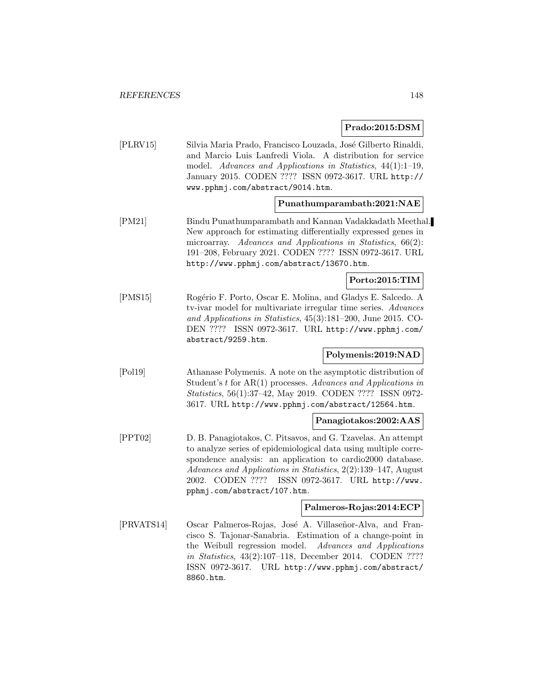# **Prado:2015:DSM**

| [PLRV15]   | Silvia Maria Prado, Francisco Louzada, José Gilberto Rinaldi,<br>and Marcio Luis Lanfredi Viola. A distribution for service<br>model. Advances and Applications in Statistics, 44(1):1-19,<br>January 2015. CODEN ???? ISSN 0972-3617. URL http://<br>www.pphmj.com/abstract/9014.htm.                                                                  |
|------------|---------------------------------------------------------------------------------------------------------------------------------------------------------------------------------------------------------------------------------------------------------------------------------------------------------------------------------------------------------|
|            | Punathumparambath:2021:NAE                                                                                                                                                                                                                                                                                                                              |
| [PM21]     | Bindu Punathumparambath and Kannan Vadakkadath Meethal.<br>New approach for estimating differentially expressed genes in<br>microarray. Advances and Applications in Statistics, 66(2):<br>191-208, February 2021. CODEN ???? ISSN 0972-3617. URL<br>http://www.pphmj.com/abstract/13670.htm.                                                           |
|            | Porto:2015:TIM                                                                                                                                                                                                                                                                                                                                          |
| [PMS15]    | Rogério F. Porto, Oscar E. Molina, and Gladys E. Salcedo. A<br>tv-ivar model for multivariate irregular time series. Advances<br>and Applications in Statistics, 45(3):181-200, June 2015. CO-<br>DEN ???? ISSN 0972-3617. URL http://www.pphmj.com/<br>abstract/9259.htm.                                                                              |
|            | Polymenis:2019:NAD                                                                                                                                                                                                                                                                                                                                      |
| [Pol19]    | Athanase Polymenis. A note on the asymptotic distribution of<br>Student's $t$ for $AR(1)$ processes. Advances and Applications in<br>Statistics, 56(1):37-42, May 2019. CODEN ???? ISSN 0972-<br>3617. URL http://www.pphmj.com/abstract/12564.htm.                                                                                                     |
|            | Panagiotakos:2002:AAS                                                                                                                                                                                                                                                                                                                                   |
| [PPT02]    | D. B. Panagiotakos, C. Pitsavos, and G. Tzavelas. An attempt<br>to analyze series of epidemiological data using multiple corre-<br>spondence analysis: an application to cardio2000 database.<br>Advances and Applications in Statistics, 2(2):139-147, August<br>CODEN ????<br>ISSN 0972-3617. URL http://www.<br>2002.<br>pphmj.com/abstract/107.htm. |
|            | Palmeros-Rojas:2014:ECP                                                                                                                                                                                                                                                                                                                                 |
| [PRVATS14] | Oscar Palmeros-Rojas, José A. Villaseñor-Alva, and Fran-<br>cisco S. Tajonar-Sanabria. Estimation of a change-point in<br>the Weibull regression model. Advances and Applications<br>in Statistics, 43(2):107-118, December 2014. CODEN ????<br>ISSN 0972-3617. URL http://www.pphmj.com/abstract/<br>8860.htm.                                         |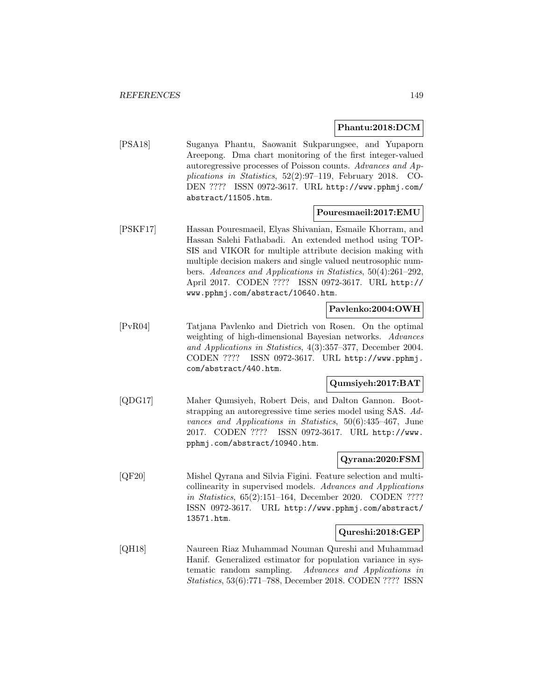## **Phantu:2018:DCM**

[PSA18] Suganya Phantu, Saowanit Sukparungsee, and Yupaporn Areepong. Dma chart monitoring of the first integer-valued autoregressive processes of Poisson counts. Advances and Applications in Statistics, 52(2):97–119, February 2018. CO-DEN ???? ISSN 0972-3617. URL http://www.pphmj.com/ abstract/11505.htm.

### **Pouresmaeil:2017:EMU**

[PSKF17] Hassan Pouresmaeil, Elyas Shivanian, Esmaile Khorram, and Hassan Salehi Fathabadi. An extended method using TOP-SIS and VIKOR for multiple attribute decision making with multiple decision makers and single valued neutrosophic numbers. Advances and Applications in Statistics, 50(4):261–292, April 2017. CODEN ???? ISSN 0972-3617. URL http:// www.pphmj.com/abstract/10640.htm.

## **Pavlenko:2004:OWH**

[PvR04] Tatjana Pavlenko and Dietrich von Rosen. On the optimal weighting of high-dimensional Bayesian networks. Advances and Applications in Statistics, 4(3):357–377, December 2004. CODEN ???? ISSN 0972-3617. URL http://www.pphmj. com/abstract/440.htm.

## **Qumsiyeh:2017:BAT**

[QDG17] Maher Qumsiyeh, Robert Deis, and Dalton Gannon. Bootstrapping an autoregressive time series model using SAS. Advances and Applications in Statistics, 50(6):435–467, June 2017. CODEN ???? ISSN 0972-3617. URL http://www. pphmj.com/abstract/10940.htm.

### **Qyrana:2020:FSM**

[QF20] Mishel Qyrana and Silvia Figini. Feature selection and multicollinearity in supervised models. Advances and Applications in Statistics, 65(2):151–164, December 2020. CODEN ???? ISSN 0972-3617. URL http://www.pphmj.com/abstract/ 13571.htm.

### **Qureshi:2018:GEP**

[QH18] Naureen Riaz Muhammad Nouman Qureshi and Muhammad Hanif. Generalized estimator for population variance in systematic random sampling. Advances and Applications in Statistics, 53(6):771–788, December 2018. CODEN ???? ISSN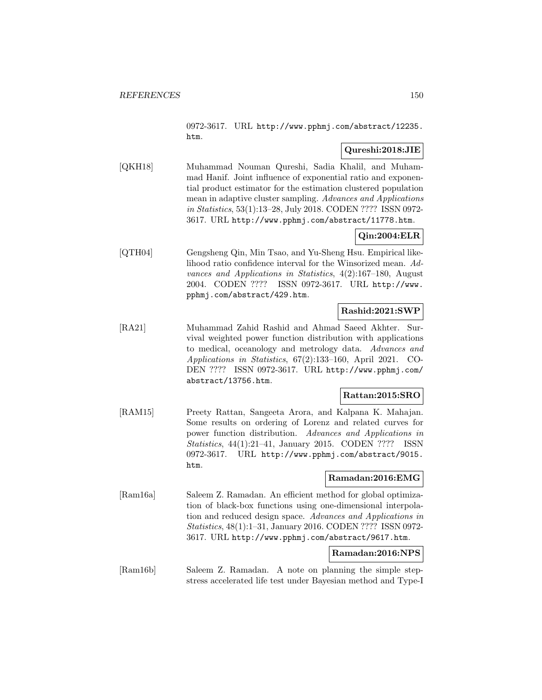0972-3617. URL http://www.pphmj.com/abstract/12235. htm.

## **Qureshi:2018:JIE**

[QKH18] Muhammad Nouman Qureshi, Sadia Khalil, and Muhammad Hanif. Joint influence of exponential ratio and exponential product estimator for the estimation clustered population mean in adaptive cluster sampling. Advances and Applications in Statistics, 53(1):13–28, July 2018. CODEN ???? ISSN 0972- 3617. URL http://www.pphmj.com/abstract/11778.htm.

## **Qin:2004:ELR**

[QTH04] Gengsheng Qin, Min Tsao, and Yu-Sheng Hsu. Empirical likelihood ratio confidence interval for the Winsorized mean. Advances and Applications in Statistics, 4(2):167–180, August 2004. CODEN ???? ISSN 0972-3617. URL http://www. pphmj.com/abstract/429.htm.

## **Rashid:2021:SWP**

[RA21] Muhammad Zahid Rashid and Ahmad Saeed Akhter. Survival weighted power function distribution with applications to medical, oceanology and metrology data. Advances and Applications in Statistics, 67(2):133–160, April 2021. CO-DEN ???? ISSN 0972-3617. URL http://www.pphmj.com/ abstract/13756.htm.

## **Rattan:2015:SRO**

[RAM15] Preety Rattan, Sangeeta Arora, and Kalpana K. Mahajan. Some results on ordering of Lorenz and related curves for power function distribution. Advances and Applications in Statistics, 44(1):21–41, January 2015. CODEN ???? ISSN 0972-3617. URL http://www.pphmj.com/abstract/9015. htm.

## **Ramadan:2016:EMG**

[Ram16a] Saleem Z. Ramadan. An efficient method for global optimization of black-box functions using one-dimensional interpolation and reduced design space. Advances and Applications in Statistics, 48(1):1–31, January 2016. CODEN ???? ISSN 0972- 3617. URL http://www.pphmj.com/abstract/9617.htm.

## **Ramadan:2016:NPS**

[Ram16b] Saleem Z. Ramadan. A note on planning the simple stepstress accelerated life test under Bayesian method and Type-I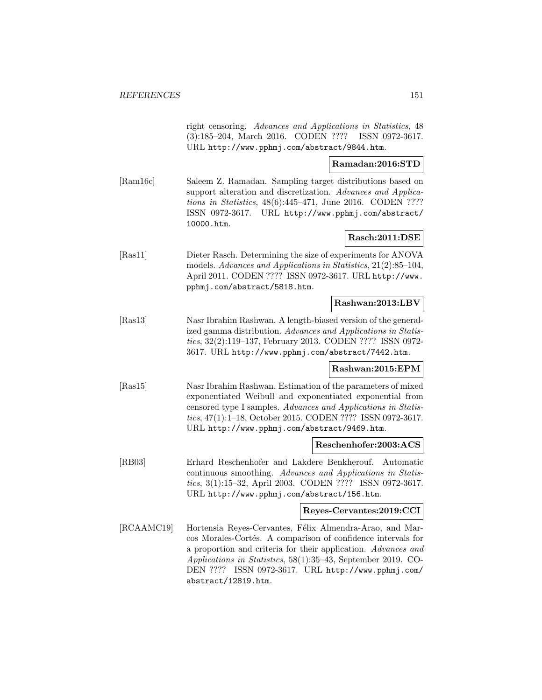right censoring. Advances and Applications in Statistics, 48 (3):185–204, March 2016. CODEN ???? ISSN 0972-3617. URL http://www.pphmj.com/abstract/9844.htm.

### **Ramadan:2016:STD**

[Ram16c] Saleem Z. Ramadan. Sampling target distributions based on support alteration and discretization. Advances and Applications in Statistics, 48(6):445–471, June 2016. CODEN ???? ISSN 0972-3617. URL http://www.pphmj.com/abstract/ 10000.htm.

## **Rasch:2011:DSE**

[Ras11] Dieter Rasch. Determining the size of experiments for ANOVA models. Advances and Applications in Statistics, 21(2):85–104, April 2011. CODEN ???? ISSN 0972-3617. URL http://www. pphmj.com/abstract/5818.htm.

### **Rashwan:2013:LBV**

[Ras13] Nasr Ibrahim Rashwan. A length-biased version of the generalized gamma distribution. Advances and Applications in Statistics, 32(2):119–137, February 2013. CODEN ???? ISSN 0972- 3617. URL http://www.pphmj.com/abstract/7442.htm.

#### **Rashwan:2015:EPM**

[Ras15] Nasr Ibrahim Rashwan. Estimation of the parameters of mixed exponentiated Weibull and exponentiated exponential from censored type I samples. Advances and Applications in Statistics, 47(1):1–18, October 2015. CODEN ???? ISSN 0972-3617. URL http://www.pphmj.com/abstract/9469.htm.

### **Reschenhofer:2003:ACS**

[RB03] Erhard Reschenhofer and Lakdere Benkherouf. Automatic continuous smoothing. Advances and Applications in Statistics, 3(1):15–32, April 2003. CODEN ???? ISSN 0972-3617. URL http://www.pphmj.com/abstract/156.htm.

## **Reyes-Cervantes:2019:CCI**

[RCAAMC19] Hortensia Reyes-Cervantes, Félix Almendra-Arao, and Marcos Morales-Cortés. A comparison of confidence intervals for a proportion and criteria for their application. Advances and Applications in Statistics, 58(1):35–43, September 2019. CO-DEN ???? ISSN 0972-3617. URL http://www.pphmj.com/ abstract/12819.htm.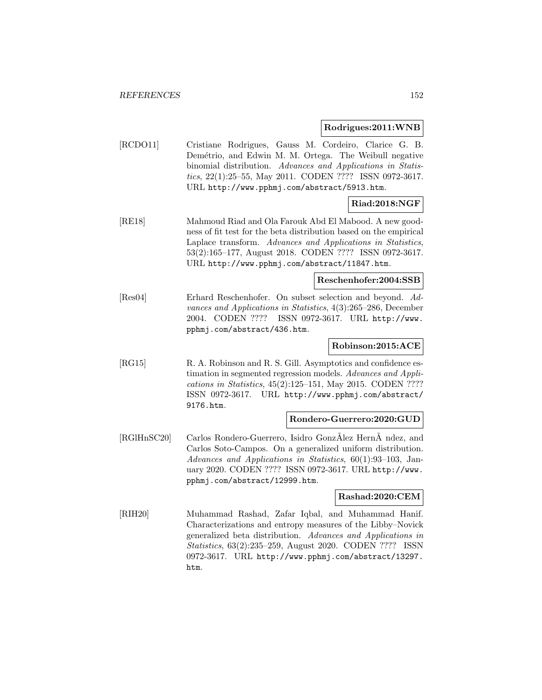#### **Rodrigues:2011:WNB**

[RCDO11] Cristiane Rodrigues, Gauss M. Cordeiro, Clarice G. B. Demétrio, and Edwin M. M. Ortega. The Weibull negative binomial distribution. Advances and Applications in Statistics, 22(1):25–55, May 2011. CODEN ???? ISSN 0972-3617. URL http://www.pphmj.com/abstract/5913.htm.

## **Riad:2018:NGF**

[RE18] Mahmoud Riad and Ola Farouk Abd El Mabood. A new goodness of fit test for the beta distribution based on the empirical Laplace transform. Advances and Applications in Statistics, 53(2):165–177, August 2018. CODEN ???? ISSN 0972-3617. URL http://www.pphmj.com/abstract/11847.htm.

## **Reschenhofer:2004:SSB**

[Res04] Erhard Reschenhofer. On subset selection and beyond. Advances and Applications in Statistics, 4(3):265–286, December 2004. CODEN ???? ISSN 0972-3617. URL http://www. pphmj.com/abstract/436.htm.

### **Robinson:2015:ACE**

[RG15] R. A. Robinson and R. S. Gill. Asymptotics and confidence estimation in segmented regression models. Advances and Applications in Statistics, 45(2):125–151, May 2015. CODEN ???? ISSN 0972-3617. URL http://www.pphmj.com/abstract/ 9176.htm.

#### **Rondero-Guerrero:2020:GUD**

[RGIHnSC20] Carlos Rondero-Guerrero, Isidro GonzAlez HernA ndez, and Carlos Soto-Campos. On a generalized uniform distribution. Advances and Applications in Statistics, 60(1):93–103, January 2020. CODEN ???? ISSN 0972-3617. URL http://www. pphmj.com/abstract/12999.htm.

#### **Rashad:2020:CEM**

[RIH20] Muhammad Rashad, Zafar Iqbal, and Muhammad Hanif. Characterizations and entropy measures of the Libby–Novick generalized beta distribution. Advances and Applications in Statistics, 63(2):235–259, August 2020. CODEN ???? ISSN 0972-3617. URL http://www.pphmj.com/abstract/13297. htm.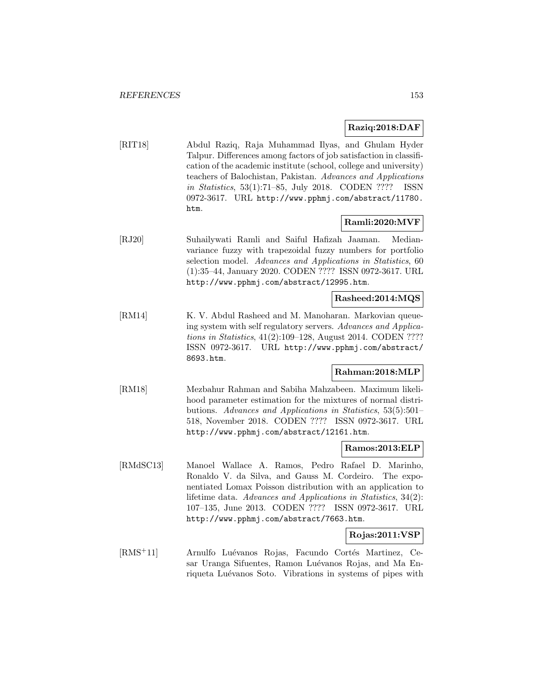## **Raziq:2018:DAF**

[RIT18] Abdul Raziq, Raja Muhammad Ilyas, and Ghulam Hyder Talpur. Differences among factors of job satisfaction in classification of the academic institute (school, college and university) teachers of Balochistan, Pakistan. Advances and Applications in Statistics, 53(1):71–85, July 2018. CODEN ???? ISSN 0972-3617. URL http://www.pphmj.com/abstract/11780. htm.

## **Ramli:2020:MVF**

[RJ20] Suhailywati Ramli and Saiful Hafizah Jaaman. Medianvariance fuzzy with trapezoidal fuzzy numbers for portfolio selection model. Advances and Applications in Statistics, 60 (1):35–44, January 2020. CODEN ???? ISSN 0972-3617. URL http://www.pphmj.com/abstract/12995.htm.

### **Rasheed:2014:MQS**

[RM14] K. V. Abdul Rasheed and M. Manoharan. Markovian queueing system with self regulatory servers. Advances and Applications in Statistics, 41(2):109–128, August 2014. CODEN ???? ISSN 0972-3617. URL http://www.pphmj.com/abstract/ 8693.htm.

### **Rahman:2018:MLP**

[RM18] Mezbahur Rahman and Sabiha Mahzabeen. Maximum likelihood parameter estimation for the mixtures of normal distributions. Advances and Applications in Statistics, 53(5):501– 518, November 2018. CODEN ???? ISSN 0972-3617. URL http://www.pphmj.com/abstract/12161.htm.

#### **Ramos:2013:ELP**

[RMdSC13] Manoel Wallace A. Ramos, Pedro Rafael D. Marinho, Ronaldo V. da Silva, and Gauss M. Cordeiro. The exponentiated Lomax Poisson distribution with an application to lifetime data. Advances and Applications in Statistics, 34(2): 107–135, June 2013. CODEN ???? ISSN 0972-3617. URL http://www.pphmj.com/abstract/7663.htm.

### **Rojas:2011:VSP**

[RMS<sup>+</sup>11] Arnulfo Luévanos Rojas, Facundo Cortés Martinez, Cesar Uranga Sifuentes, Ramon Luévanos Rojas, and Ma Enriqueta Luévanos Soto. Vibrations in systems of pipes with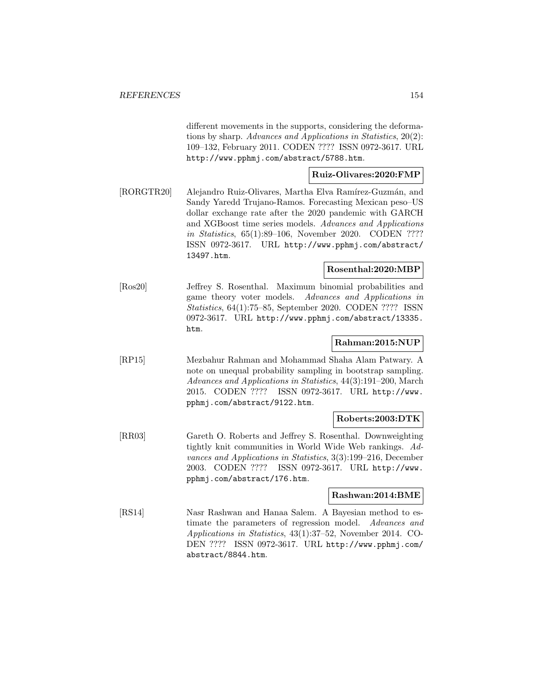different movements in the supports, considering the deformations by sharp. Advances and Applications in Statistics, 20(2): 109–132, February 2011. CODEN ???? ISSN 0972-3617. URL http://www.pphmj.com/abstract/5788.htm.

## **Ruiz-Olivares:2020:FMP**

[RORGTR20] Alejandro Ruiz-Olivares, Martha Elva Ramírez-Guzmán, and Sandy Yaredd Trujano-Ramos. Forecasting Mexican peso–US dollar exchange rate after the 2020 pandemic with GARCH and XGBoost time series models. Advances and Applications in Statistics, 65(1):89–106, November 2020. CODEN ???? ISSN 0972-3617. URL http://www.pphmj.com/abstract/ 13497.htm.

### **Rosenthal:2020:MBP**

[Ros20] Jeffrey S. Rosenthal. Maximum binomial probabilities and game theory voter models. Advances and Applications in Statistics, 64(1):75–85, September 2020. CODEN ???? ISSN 0972-3617. URL http://www.pphmj.com/abstract/13335. htm.

### **Rahman:2015:NUP**

[RP15] Mezbahur Rahman and Mohammad Shaha Alam Patwary. A note on unequal probability sampling in bootstrap sampling. Advances and Applications in Statistics, 44(3):191–200, March 2015. CODEN ???? ISSN 0972-3617. URL http://www. pphmj.com/abstract/9122.htm.

### **Roberts:2003:DTK**

[RR03] Gareth O. Roberts and Jeffrey S. Rosenthal. Downweighting tightly knit communities in World Wide Web rankings. Advances and Applications in Statistics, 3(3):199–216, December 2003. CODEN ???? ISSN 0972-3617. URL http://www. pphmj.com/abstract/176.htm.

## **Rashwan:2014:BME**

[RS14] Nasr Rashwan and Hanaa Salem. A Bayesian method to estimate the parameters of regression model. Advances and Applications in Statistics, 43(1):37–52, November 2014. CO-DEN ???? ISSN 0972-3617. URL http://www.pphmj.com/ abstract/8844.htm.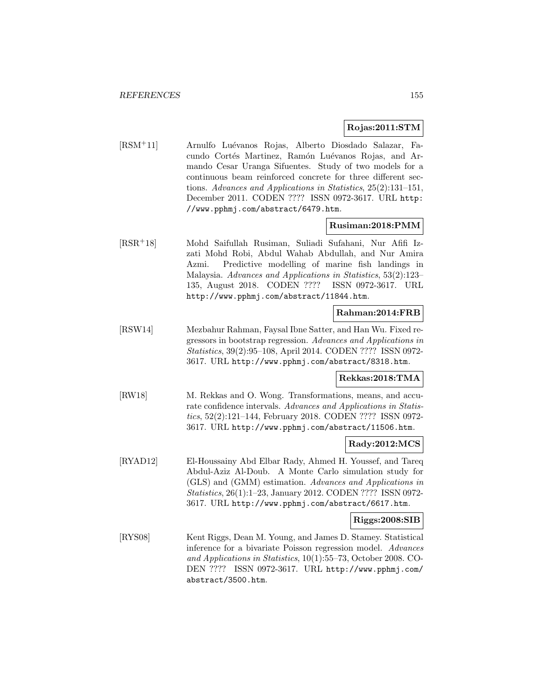### **Rojas:2011:STM**

[RSM<sup>+</sup>11] Arnulfo Lu´evanos Rojas, Alberto Diosdado Salazar, Facundo Cortés Martinez, Ramón Luévanos Rojas, and Armando Cesar Uranga Sifuentes. Study of two models for a continuous beam reinforced concrete for three different sections. Advances and Applications in Statistics, 25(2):131–151, December 2011. CODEN ???? ISSN 0972-3617. URL http: //www.pphmj.com/abstract/6479.htm.

#### **Rusiman:2018:PMM**

[RSR<sup>+</sup>18] Mohd Saifullah Rusiman, Suliadi Sufahani, Nur Afifi Izzati Mohd Robi, Abdul Wahab Abdullah, and Nur Amira Azmi. Predictive modelling of marine fish landings in Malaysia. Advances and Applications in Statistics, 53(2):123– 135, August 2018. CODEN ???? ISSN 0972-3617. URL http://www.pphmj.com/abstract/11844.htm.

## **Rahman:2014:FRB**

[RSW14] Mezbahur Rahman, Faysal Ibne Satter, and Han Wu. Fixed regressors in bootstrap regression. Advances and Applications in Statistics, 39(2):95–108, April 2014. CODEN ???? ISSN 0972- 3617. URL http://www.pphmj.com/abstract/8318.htm.

### **Rekkas:2018:TMA**

[RW18] M. Rekkas and O. Wong. Transformations, means, and accurate confidence intervals. Advances and Applications in Statistics, 52(2):121–144, February 2018. CODEN ???? ISSN 0972- 3617. URL http://www.pphmj.com/abstract/11506.htm.

### **Rady:2012:MCS**

[RYAD12] El-Houssainy Abd Elbar Rady, Ahmed H. Youssef, and Tareq Abdul-Aziz Al-Doub. A Monte Carlo simulation study for (GLS) and (GMM) estimation. Advances and Applications in Statistics, 26(1):1–23, January 2012. CODEN ???? ISSN 0972- 3617. URL http://www.pphmj.com/abstract/6617.htm.

#### **Riggs:2008:SIB**

[RYS08] Kent Riggs, Dean M. Young, and James D. Stamey. Statistical inference for a bivariate Poisson regression model. Advances and Applications in Statistics, 10(1):55–73, October 2008. CO-DEN ???? ISSN 0972-3617. URL http://www.pphmj.com/ abstract/3500.htm.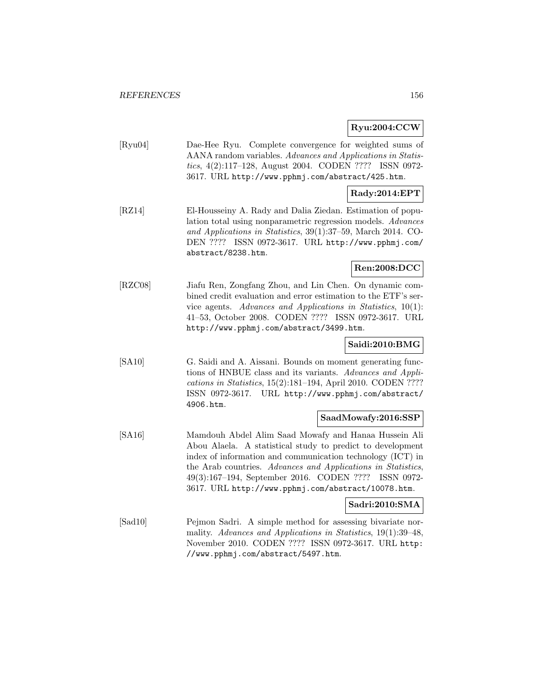## **Ryu:2004:CCW**

[Ryu04] Dae-Hee Ryu. Complete convergence for weighted sums of AANA random variables. Advances and Applications in Statistics, 4(2):117–128, August 2004. CODEN ???? ISSN 0972- 3617. URL http://www.pphmj.com/abstract/425.htm.

## **Rady:2014:EPT**

[RZ14] El-Housseiny A. Rady and Dalia Ziedan. Estimation of population total using nonparametric regression models. Advances and Applications in Statistics, 39(1):37–59, March 2014. CO-DEN ???? ISSN 0972-3617. URL http://www.pphmj.com/ abstract/8238.htm.

## **Ren:2008:DCC**

[RZC08] Jiafu Ren, Zongfang Zhou, and Lin Chen. On dynamic combined credit evaluation and error estimation to the ETF's service agents. Advances and Applications in Statistics, 10(1): 41–53, October 2008. CODEN ???? ISSN 0972-3617. URL http://www.pphmj.com/abstract/3499.htm.

### **Saidi:2010:BMG**

[SA10] G. Saidi and A. Aissani. Bounds on moment generating functions of HNBUE class and its variants. Advances and Applications in Statistics, 15(2):181–194, April 2010. CODEN ???? ISSN 0972-3617. URL http://www.pphmj.com/abstract/ 4906.htm.

## **SaadMowafy:2016:SSP**

[SA16] Mamdouh Abdel Alim Saad Mowafy and Hanaa Hussein Ali Abou Alaela. A statistical study to predict to development index of information and communication technology (ICT) in the Arab countries. Advances and Applications in Statistics, 49(3):167–194, September 2016. CODEN ???? ISSN 0972- 3617. URL http://www.pphmj.com/abstract/10078.htm.

### **Sadri:2010:SMA**

[Sad10] Pejmon Sadri. A simple method for assessing bivariate normality. Advances and Applications in Statistics, 19(1):39–48, November 2010. CODEN ???? ISSN 0972-3617. URL http: //www.pphmj.com/abstract/5497.htm.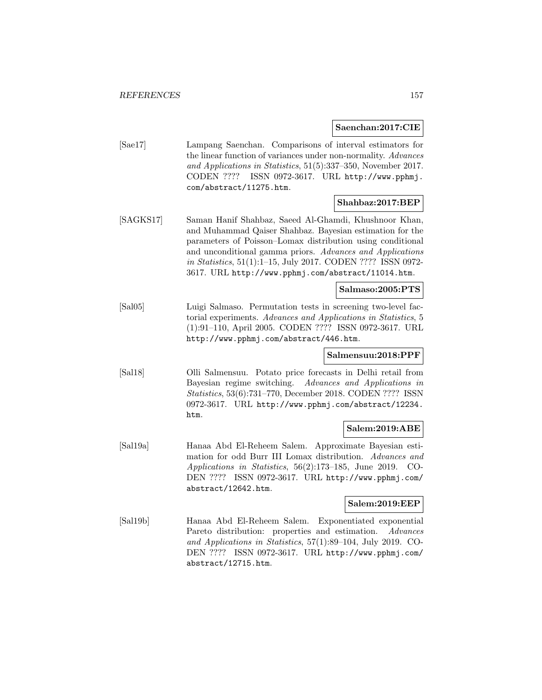**Saenchan:2017:CIE**

[Sae17] Lampang Saenchan. Comparisons of interval estimators for the linear function of variances under non-normality. Advances and Applications in Statistics, 51(5):337–350, November 2017. CODEN ???? ISSN 0972-3617. URL http://www.pphmj. com/abstract/11275.htm.

## **Shahbaz:2017:BEP**

[SAGKS17] Saman Hanif Shahbaz, Saeed Al-Ghamdi, Khushnoor Khan, and Muhammad Qaiser Shahbaz. Bayesian estimation for the parameters of Poisson–Lomax distribution using conditional and unconditional gamma priors. Advances and Applications in Statistics, 51(1):1–15, July 2017. CODEN ???? ISSN 0972- 3617. URL http://www.pphmj.com/abstract/11014.htm.

## **Salmaso:2005:PTS**

[Sal05] Luigi Salmaso. Permutation tests in screening two-level factorial experiments. Advances and Applications in Statistics, 5 (1):91–110, April 2005. CODEN ???? ISSN 0972-3617. URL http://www.pphmj.com/abstract/446.htm.

### **Salmensuu:2018:PPF**

[Sal18] Olli Salmensuu. Potato price forecasts in Delhi retail from Bayesian regime switching. Advances and Applications in Statistics, 53(6):731–770, December 2018. CODEN ???? ISSN 0972-3617. URL http://www.pphmj.com/abstract/12234. htm.

#### **Salem:2019:ABE**

[Sal19a] Hanaa Abd El-Reheem Salem. Approximate Bayesian estimation for odd Burr III Lomax distribution. Advances and Applications in Statistics, 56(2):173–185, June 2019. CO-DEN ???? ISSN 0972-3617. URL http://www.pphmj.com/ abstract/12642.htm.

### **Salem:2019:EEP**

[Sal19b] Hanaa Abd El-Reheem Salem. Exponentiated exponential Pareto distribution: properties and estimation. Advances and Applications in Statistics, 57(1):89–104, July 2019. CO-DEN ???? ISSN 0972-3617. URL http://www.pphmj.com/ abstract/12715.htm.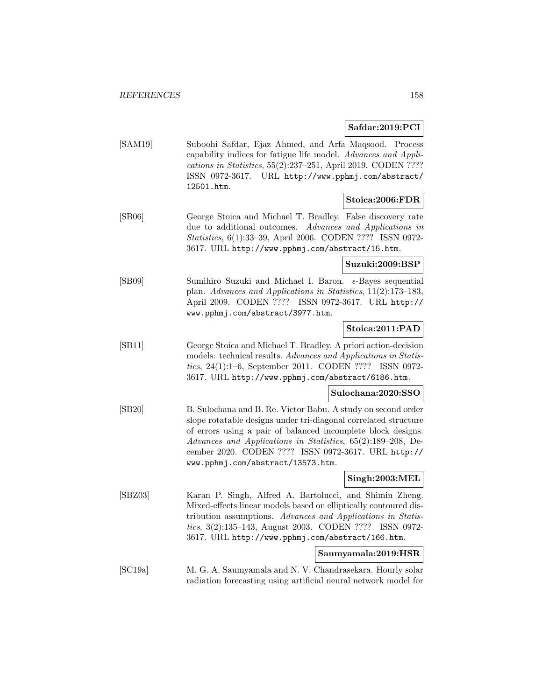## **Safdar:2019:PCI**

| [ <b>SAM19</b> ] | Suboohi Safdar, Ejaz Ahmed, and Arfa Magsood. Process           |
|------------------|-----------------------------------------------------------------|
|                  | capability indices for fatigue life model. Advances and Appli-  |
|                  | cations in Statistics, $55(2):237-251$ , April 2019. CODEN ???? |
|                  | ISSN 0972-3617. URL http://www.pphmj.com/abstract/              |
|                  | 12501.htm.                                                      |

## **Stoica:2006:FDR**

[SB06] George Stoica and Michael T. Bradley. False discovery rate due to additional outcomes. Advances and Applications in Statistics, 6(1):33–39, April 2006. CODEN ???? ISSN 0972- 3617. URL http://www.pphmj.com/abstract/15.htm.

**Suzuki:2009:BSP**

[SB09] Sumihiro Suzuki and Michael I. Baron.  $\epsilon$ -Bayes sequential plan. Advances and Applications in Statistics, 11(2):173–183, April 2009. CODEN ???? ISSN 0972-3617. URL http:// www.pphmj.com/abstract/3977.htm.

## **Stoica:2011:PAD**

[SB11] George Stoica and Michael T. Bradley. A priori action-decision models: technical results. Advances and Applications in Statistics, 24(1):1–6, September 2011. CODEN ???? ISSN 0972- 3617. URL http://www.pphmj.com/abstract/6186.htm.

## **Sulochana:2020:SSO**

[SB20] B. Sulochana and B. Re. Victor Babu. A study on second order slope rotatable designs under tri-diagonal correlated structure of errors using a pair of balanced incomplete block designs. Advances and Applications in Statistics, 65(2):189–208, December 2020. CODEN ???? ISSN 0972-3617. URL http:// www.pphmj.com/abstract/13573.htm.

### **Singh:2003:MEL**

[SBZ03] Karan P. Singh, Alfred A. Bartolucci, and Shimin Zheng. Mixed-effects linear models based on elliptically contoured distribution assumptions. Advances and Applications in Statistics, 3(2):135–143, August 2003. CODEN ???? ISSN 0972- 3617. URL http://www.pphmj.com/abstract/166.htm.

### **Saumyamala:2019:HSR**

[SC19a] M. G. A. Saumyamala and N. V. Chandrasekara. Hourly solar radiation forecasting using artificial neural network model for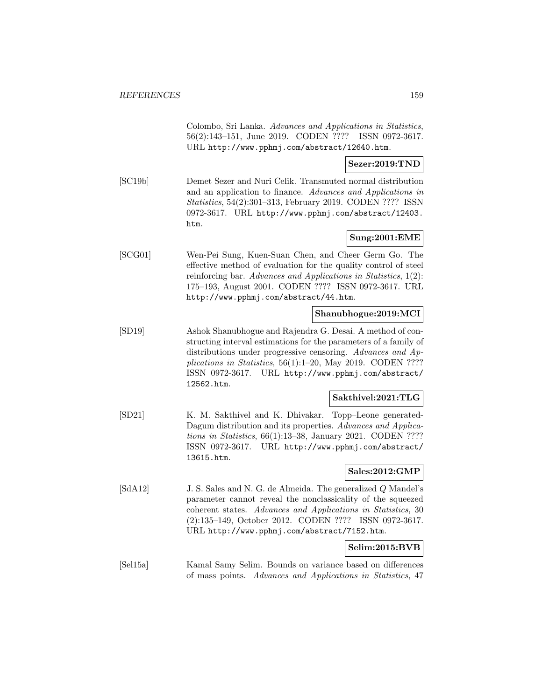Colombo, Sri Lanka. Advances and Applications in Statistics, 56(2):143–151, June 2019. CODEN ???? ISSN 0972-3617. URL http://www.pphmj.com/abstract/12640.htm.

### **Sezer:2019:TND**

[SC19b] Demet Sezer and Nuri Celik. Transmuted normal distribution and an application to finance. Advances and Applications in Statistics, 54(2):301–313, February 2019. CODEN ???? ISSN 0972-3617. URL http://www.pphmj.com/abstract/12403. htm.

## **Sung:2001:EME**

[SCG01] Wen-Pei Sung, Kuen-Suan Chen, and Cheer Germ Go. The effective method of evaluation for the quality control of steel reinforcing bar. Advances and Applications in Statistics, 1(2): 175–193, August 2001. CODEN ???? ISSN 0972-3617. URL http://www.pphmj.com/abstract/44.htm.

## **Shanubhogue:2019:MCI**

[SD19] Ashok Shanubhogue and Rajendra G. Desai. A method of constructing interval estimations for the parameters of a family of distributions under progressive censoring. Advances and Applications in Statistics, 56(1):1–20, May 2019. CODEN ???? ISSN 0972-3617. URL http://www.pphmj.com/abstract/ 12562.htm.

## **Sakthivel:2021:TLG**

[SD21] K. M. Sakthivel and K. Dhivakar. Topp–Leone generated-Dagum distribution and its properties. Advances and Applications in Statistics, 66(1):13–38, January 2021. CODEN ???? ISSN 0972-3617. URL http://www.pphmj.com/abstract/ 13615.htm.

## **Sales:2012:GMP**

[SdA12] J. S. Sales and N. G. de Almeida. The generalized Q Mandel's parameter cannot reveal the nonclassicality of the squeezed coherent states. Advances and Applications in Statistics, 30 (2):135–149, October 2012. CODEN ???? ISSN 0972-3617. URL http://www.pphmj.com/abstract/7152.htm.

### **Selim:2015:BVB**

[Sel15a] Kamal Samy Selim. Bounds on variance based on differences of mass points. Advances and Applications in Statistics, 47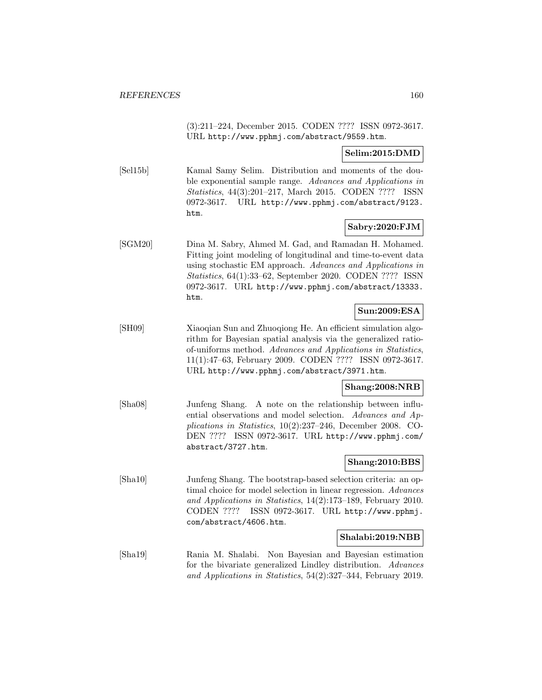(3):211–224, December 2015. CODEN ???? ISSN 0972-3617. URL http://www.pphmj.com/abstract/9559.htm.

## **Selim:2015:DMD**

[Sel15b] Kamal Samy Selim. Distribution and moments of the double exponential sample range. Advances and Applications in Statistics, 44(3):201–217, March 2015. CODEN ???? ISSN 0972-3617. URL http://www.pphmj.com/abstract/9123. htm.

## **Sabry:2020:FJM**

[SGM20] Dina M. Sabry, Ahmed M. Gad, and Ramadan H. Mohamed. Fitting joint modeling of longitudinal and time-to-event data using stochastic EM approach. Advances and Applications in Statistics, 64(1):33–62, September 2020. CODEN ???? ISSN 0972-3617. URL http://www.pphmj.com/abstract/13333. htm.

## **Sun:2009:ESA**

[SH09] Xiaoqian Sun and Zhuoqiong He. An efficient simulation algorithm for Bayesian spatial analysis via the generalized ratioof-uniforms method. Advances and Applications in Statistics, 11(1):47–63, February 2009. CODEN ???? ISSN 0972-3617. URL http://www.pphmj.com/abstract/3971.htm.

## **Shang:2008:NRB**

[Sha08] Junfeng Shang. A note on the relationship between influential observations and model selection. Advances and Applications in Statistics, 10(2):237–246, December 2008. CO-DEN ???? ISSN 0972-3617. URL http://www.pphmj.com/ abstract/3727.htm.

### **Shang:2010:BBS**

[Sha10] Junfeng Shang. The bootstrap-based selection criteria: an optimal choice for model selection in linear regression. Advances and Applications in Statistics, 14(2):173–189, February 2010. CODEN ???? ISSN 0972-3617. URL http://www.pphmj. com/abstract/4606.htm.

### **Shalabi:2019:NBB**

[Sha19] Rania M. Shalabi. Non Bayesian and Bayesian estimation for the bivariate generalized Lindley distribution. Advances and Applications in Statistics, 54(2):327–344, February 2019.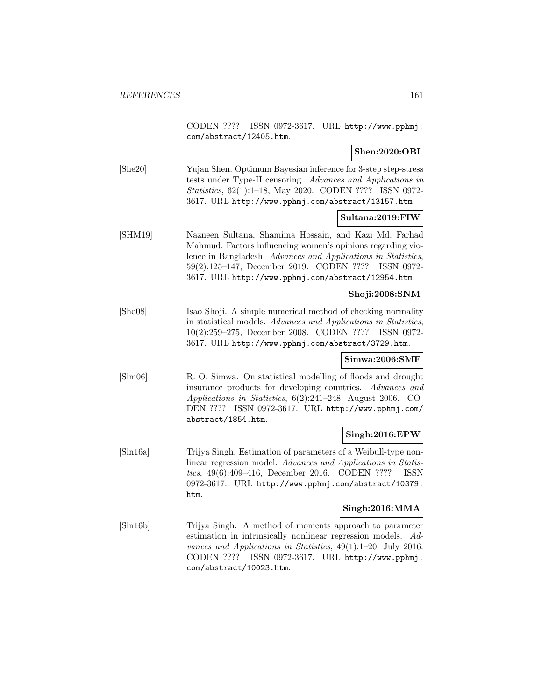CODEN ???? ISSN 0972-3617. URL http://www.pphmj. com/abstract/12405.htm.

## **Shen:2020:OBI**

[She20] Yujan Shen. Optimum Bayesian inference for 3-step step-stress tests under Type-II censoring. Advances and Applications in Statistics, 62(1):1–18, May 2020. CODEN ???? ISSN 0972- 3617. URL http://www.pphmj.com/abstract/13157.htm.

## **Sultana:2019:FIW**

[SHM19] Nazneen Sultana, Shamima Hossain, and Kazi Md. Farhad Mahmud. Factors influencing women's opinions regarding violence in Bangladesh. Advances and Applications in Statistics, 59(2):125–147, December 2019. CODEN ???? ISSN 0972- 3617. URL http://www.pphmj.com/abstract/12954.htm.

## **Shoji:2008:SNM**

[Sho08] Isao Shoji. A simple numerical method of checking normality in statistical models. Advances and Applications in Statistics, 10(2):259–275, December 2008. CODEN ???? ISSN 0972- 3617. URL http://www.pphmj.com/abstract/3729.htm.

### **Simwa:2006:SMF**

[Sim06] R. O. Simwa. On statistical modelling of floods and drought insurance products for developing countries. Advances and Applications in Statistics, 6(2):241–248, August 2006. CO-DEN ???? ISSN 0972-3617. URL http://www.pphmj.com/ abstract/1854.htm.

### **Singh:2016:EPW**

[Sin16a] Trijya Singh. Estimation of parameters of a Weibull-type nonlinear regression model. Advances and Applications in Statistics, 49(6):409–416, December 2016. CODEN ???? ISSN 0972-3617. URL http://www.pphmj.com/abstract/10379. htm.

#### **Singh:2016:MMA**

[Sin16b] Trijya Singh. A method of moments approach to parameter estimation in intrinsically nonlinear regression models. Advances and Applications in Statistics, 49(1):1–20, July 2016. CODEN ???? ISSN 0972-3617. URL http://www.pphmj. com/abstract/10023.htm.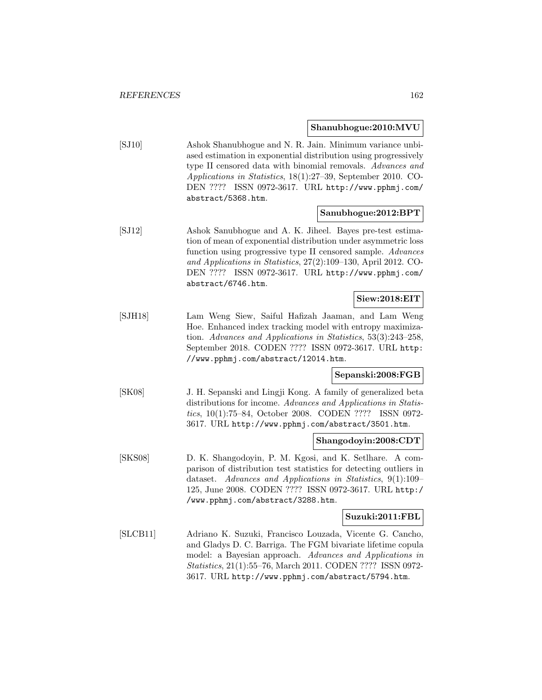#### **Shanubhogue:2010:MVU**

[SJ10] Ashok Shanubhogue and N. R. Jain. Minimum variance unbiased estimation in exponential distribution using progressively type II censored data with binomial removals. Advances and Applications in Statistics, 18(1):27–39, September 2010. CO-DEN ???? ISSN 0972-3617. URL http://www.pphmj.com/ abstract/5368.htm.

#### **Sanubhogue:2012:BPT**

[SJ12] Ashok Sanubhogue and A. K. Jiheel. Bayes pre-test estimation of mean of exponential distribution under asymmetric loss function using progressive type II censored sample. Advances and Applications in Statistics, 27(2):109–130, April 2012. CO-DEN ???? ISSN 0972-3617. URL http://www.pphmj.com/ abstract/6746.htm.

## **Siew:2018:EIT**

[SJH18] Lam Weng Siew, Saiful Hafizah Jaaman, and Lam Weng Hoe. Enhanced index tracking model with entropy maximization. Advances and Applications in Statistics, 53(3):243–258, September 2018. CODEN ???? ISSN 0972-3617. URL http: //www.pphmj.com/abstract/12014.htm.

### **Sepanski:2008:FGB**

[SK08] J. H. Sepanski and Lingji Kong. A family of generalized beta distributions for income. Advances and Applications in Statistics, 10(1):75–84, October 2008. CODEN ???? ISSN 0972- 3617. URL http://www.pphmj.com/abstract/3501.htm.

### **Shangodoyin:2008:CDT**

[SKS08] D. K. Shangodoyin, P. M. Kgosi, and K. Setlhare. A comparison of distribution test statistics for detecting outliers in dataset. Advances and Applications in Statistics, 9(1):109– 125, June 2008. CODEN ???? ISSN 0972-3617. URL http:/ /www.pphmj.com/abstract/3288.htm.

#### **Suzuki:2011:FBL**

[SLCB11] Adriano K. Suzuki, Francisco Louzada, Vicente G. Cancho, and Gladys D. C. Barriga. The FGM bivariate lifetime copula model: a Bayesian approach. Advances and Applications in Statistics, 21(1):55–76, March 2011. CODEN ???? ISSN 0972- 3617. URL http://www.pphmj.com/abstract/5794.htm.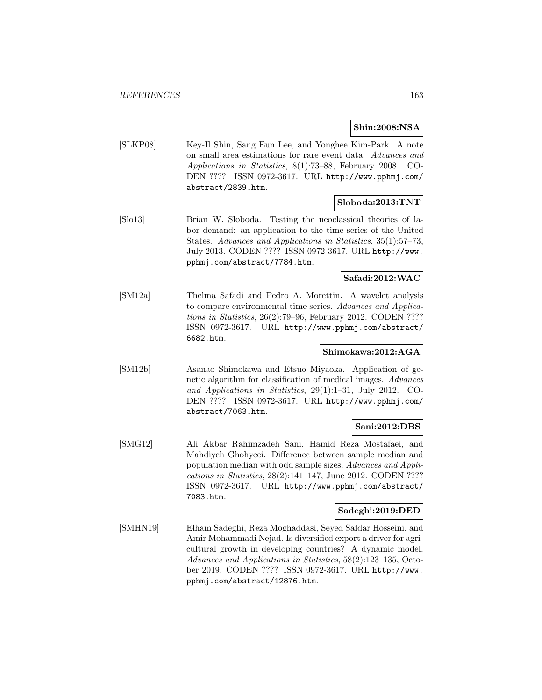**Shin:2008:NSA**

[SLKP08] Key-Il Shin, Sang Eun Lee, and Yonghee Kim-Park. A note on small area estimations for rare event data. Advances and Applications in Statistics, 8(1):73–88, February 2008. CO-DEN ???? ISSN 0972-3617. URL http://www.pphmj.com/ abstract/2839.htm.

## **Sloboda:2013:TNT**

[Slo13] Brian W. Sloboda. Testing the neoclassical theories of labor demand: an application to the time series of the United States. Advances and Applications in Statistics, 35(1):57–73, July 2013. CODEN ???? ISSN 0972-3617. URL http://www. pphmj.com/abstract/7784.htm.

## **Safadi:2012:WAC**

[SM12a] Thelma Safadi and Pedro A. Morettin. A wavelet analysis to compare environmental time series. Advances and Applications in Statistics, 26(2):79–96, February 2012. CODEN ???? ISSN 0972-3617. URL http://www.pphmj.com/abstract/ 6682.htm.

## **Shimokawa:2012:AGA**

[SM12b] Asanao Shimokawa and Etsuo Miyaoka. Application of genetic algorithm for classification of medical images. Advances and Applications in Statistics, 29(1):1–31, July 2012. CO-DEN ???? ISSN 0972-3617. URL http://www.pphmj.com/ abstract/7063.htm.

### **Sani:2012:DBS**

[SMG12] Ali Akbar Rahimzadeh Sani, Hamid Reza Mostafaei, and Mahdiyeh Ghohyeei. Difference between sample median and population median with odd sample sizes. Advances and Applications in Statistics, 28(2):141–147, June 2012. CODEN ???? ISSN 0972-3617. URL http://www.pphmj.com/abstract/ 7083.htm.

## **Sadeghi:2019:DED**

[SMHN19] Elham Sadeghi, Reza Moghaddasi, Seyed Safdar Hosseini, and Amir Mohammadi Nejad. Is diversified export a driver for agricultural growth in developing countries? A dynamic model. Advances and Applications in Statistics, 58(2):123–135, October 2019. CODEN ???? ISSN 0972-3617. URL http://www. pphmj.com/abstract/12876.htm.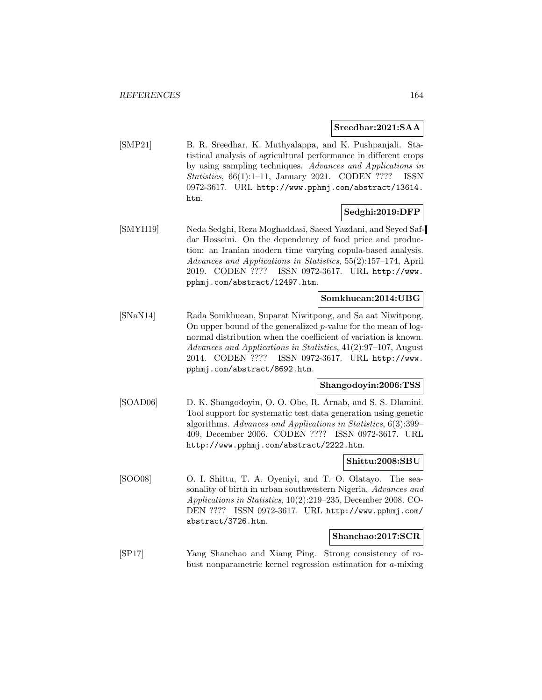### **Sreedhar:2021:SAA**

[SMP21] B. R. Sreedhar, K. Muthyalappa, and K. Pushpanjali. Statistical analysis of agricultural performance in different crops by using sampling techniques. Advances and Applications in Statistics, 66(1):1–11, January 2021. CODEN ???? ISSN 0972-3617. URL http://www.pphmj.com/abstract/13614. htm.

## **Sedghi:2019:DFP**

[SMYH19] Neda Sedghi, Reza Moghaddasi, Saeed Yazdani, and Seyed Safdar Hosseini. On the dependency of food price and production: an Iranian modern time varying copula-based analysis. Advances and Applications in Statistics, 55(2):157–174, April 2019. CODEN ???? ISSN 0972-3617. URL http://www. pphmj.com/abstract/12497.htm.

## **Somkhuean:2014:UBG**

[SNaN14] Rada Somkhuean, Suparat Niwitpong, and Sa aat Niwitpong. On upper bound of the generalized  $p$ -value for the mean of lognormal distribution when the coefficient of variation is known. Advances and Applications in Statistics, 41(2):97–107, August 2014. CODEN ???? ISSN 0972-3617. URL http://www. pphmj.com/abstract/8692.htm.

#### **Shangodoyin:2006:TSS**

[SOAD06] D. K. Shangodoyin, O. O. Obe, R. Arnab, and S. S. Dlamini. Tool support for systematic test data generation using genetic algorithms. Advances and Applications in Statistics, 6(3):399– 409, December 2006. CODEN ???? ISSN 0972-3617. URL http://www.pphmj.com/abstract/2222.htm.

#### **Shittu:2008:SBU**

[SOO08] O. I. Shittu, T. A. Oyeniyi, and T. O. Olatayo. The seasonality of birth in urban southwestern Nigeria. Advances and Applications in Statistics, 10(2):219–235, December 2008. CO-DEN ???? ISSN 0972-3617. URL http://www.pphmj.com/ abstract/3726.htm.

#### **Shanchao:2017:SCR**

[SP17] Yang Shanchao and Xiang Ping. Strong consistency of robust nonparametric kernel regression estimation for a-mixing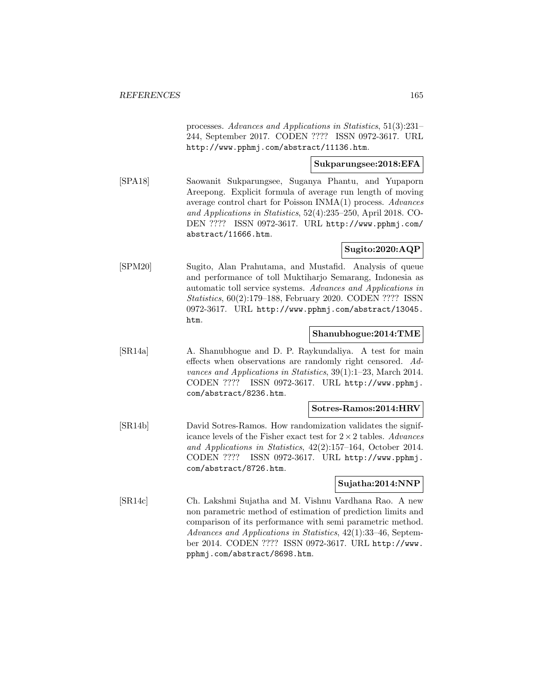processes. Advances and Applications in Statistics, 51(3):231– 244, September 2017. CODEN ???? ISSN 0972-3617. URL http://www.pphmj.com/abstract/11136.htm.

## **Sukparungsee:2018:EFA**

[SPA18] Saowanit Sukparungsee, Suganya Phantu, and Yupaporn Areepong. Explicit formula of average run length of moving average control chart for Poisson INMA(1) process. Advances and Applications in Statistics, 52(4):235–250, April 2018. CO-DEN ???? ISSN 0972-3617. URL http://www.pphmj.com/ abstract/11666.htm.

## **Sugito:2020:AQP**

[SPM20] Sugito, Alan Prahutama, and Mustafid. Analysis of queue and performance of toll Muktiharjo Semarang, Indonesia as automatic toll service systems. Advances and Applications in Statistics, 60(2):179–188, February 2020. CODEN ???? ISSN 0972-3617. URL http://www.pphmj.com/abstract/13045. htm.

### **Shanubhogue:2014:TME**

[SR14a] A. Shanubhogue and D. P. Raykundaliya. A test for main effects when observations are randomly right censored. Advances and Applications in Statistics, 39(1):1–23, March 2014. CODEN ???? ISSN 0972-3617. URL http://www.pphmj. com/abstract/8236.htm.

## **Sotres-Ramos:2014:HRV**

[SR14b] David Sotres-Ramos. How randomization validates the significance levels of the Fisher exact test for  $2 \times 2$  tables. Advances and Applications in Statistics, 42(2):157–164, October 2014. CODEN ???? ISSN 0972-3617. URL http://www.pphmj. com/abstract/8726.htm.

## **Sujatha:2014:NNP**

[SR14c] Ch. Lakshmi Sujatha and M. Vishnu Vardhana Rao. A new non parametric method of estimation of prediction limits and comparison of its performance with semi parametric method. Advances and Applications in Statistics, 42(1):33–46, September 2014. CODEN ???? ISSN 0972-3617. URL http://www. pphmj.com/abstract/8698.htm.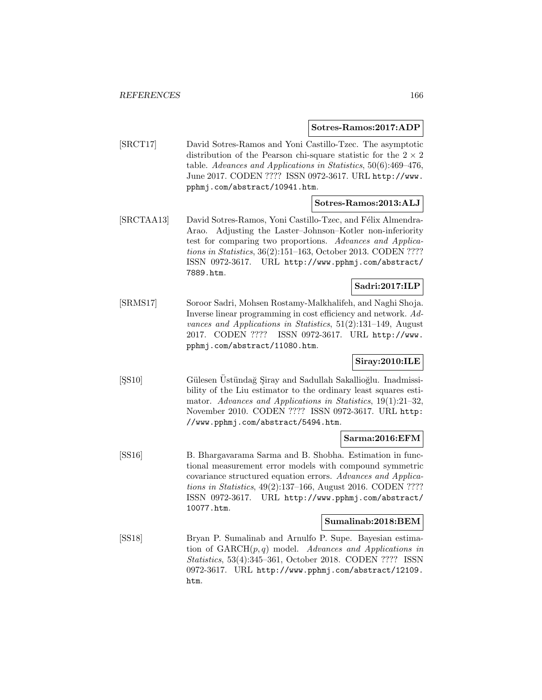#### **Sotres-Ramos:2017:ADP**

[SRCT17] David Sotres-Ramos and Yoni Castillo-Tzec. The asymptotic distribution of the Pearson chi-square statistic for the  $2 \times 2$ table. Advances and Applications in Statistics, 50(6):469–476, June 2017. CODEN ???? ISSN 0972-3617. URL http://www. pphmj.com/abstract/10941.htm.

## **Sotres-Ramos:2013:ALJ**

[SRCTAA13] David Sotres-Ramos, Yoni Castillo-Tzec, and Félix Almendra-Arao. Adjusting the Laster–Johnson–Kotler non-inferiority test for comparing two proportions. Advances and Applications in Statistics, 36(2):151–163, October 2013. CODEN ???? ISSN 0972-3617. URL http://www.pphmj.com/abstract/ 7889.htm.

## **Sadri:2017:ILP**

[SRMS17] Soroor Sadri, Mohsen Rostamy-Malkhalifeh, and Naghi Shoja. Inverse linear programming in cost efficiency and network. Advances and Applications in Statistics, 51(2):131–149, August 2017. CODEN ???? ISSN 0972-3617. URL http://www. pphmj.com/abstract/11080.htm.

## **Siray:2010:ILE**

[ $|$ SS10] Gülesen Üstündağ Şiray and Sadullah Sakallioğlu. Inadmissibility of the Liu estimator to the ordinary least squares estimator. Advances and Applications in Statistics, 19(1):21–32, November 2010. CODEN ???? ISSN 0972-3617. URL http: //www.pphmj.com/abstract/5494.htm.

## **Sarma:2016:EFM**

[SS16] B. Bhargavarama Sarma and B. Shobha. Estimation in functional measurement error models with compound symmetric covariance structured equation errors. Advances and Applications in Statistics, 49(2):137–166, August 2016. CODEN ???? ISSN 0972-3617. URL http://www.pphmj.com/abstract/ 10077.htm.

#### **Sumalinab:2018:BEM**

[SS18] Bryan P. Sumalinab and Arnulfo P. Supe. Bayesian estimation of  $GARCH(p, q)$  model. Advances and Applications in Statistics, 53(4):345–361, October 2018. CODEN ???? ISSN 0972-3617. URL http://www.pphmj.com/abstract/12109. htm.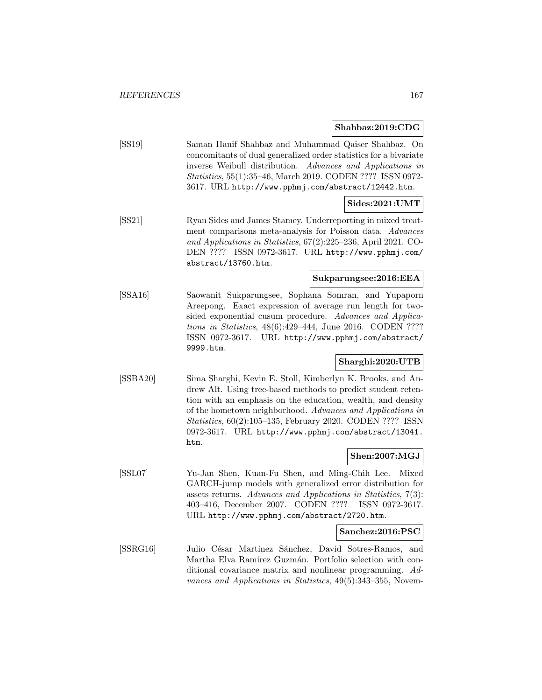### **Shahbaz:2019:CDG**

[SS19] Saman Hanif Shahbaz and Muhammad Qaiser Shahbaz. On concomitants of dual generalized order statistics for a bivariate inverse Weibull distribution. Advances and Applications in Statistics, 55(1):35–46, March 2019. CODEN ???? ISSN 0972- 3617. URL http://www.pphmj.com/abstract/12442.htm.

## **Sides:2021:UMT**

[SS21] Ryan Sides and James Stamey. Underreporting in mixed treatment comparisons meta-analysis for Poisson data. Advances and Applications in Statistics, 67(2):225–236, April 2021. CO-DEN ???? ISSN 0972-3617. URL http://www.pphmj.com/ abstract/13760.htm.

## **Sukparungsee:2016:EEA**

[SSA16] Saowanit Sukparungsee, Sophana Somran, and Yupaporn Areepong. Exact expression of average run length for twosided exponential cusum procedure. Advances and Applications in Statistics, 48(6):429–444, June 2016. CODEN ???? ISSN 0972-3617. URL http://www.pphmj.com/abstract/ 9999.htm.

## **Sharghi:2020:UTB**

[SSBA20] Sima Sharghi, Kevin E. Stoll, Kimberlyn K. Brooks, and Andrew Alt. Using tree-based methods to predict student retention with an emphasis on the education, wealth, and density of the hometown neighborhood. Advances and Applications in Statistics, 60(2):105–135, February 2020. CODEN ???? ISSN 0972-3617. URL http://www.pphmj.com/abstract/13041. htm.

## **Shen:2007:MGJ**

[SSL07] Yu-Jan Shen, Kuan-Fu Shen, and Ming-Chih Lee. Mixed GARCH-jump models with generalized error distribution for assets returns. Advances and Applications in Statistics, 7(3): 403–416, December 2007. CODEN ???? ISSN 0972-3617. URL http://www.pphmj.com/abstract/2720.htm.

## **Sanchez:2016:PSC**

[SSRG16] Julio César Martínez Sánchez, David Sotres-Ramos, and Martha Elva Ramírez Guzmán. Portfolio selection with conditional covariance matrix and nonlinear programming. Advances and Applications in Statistics, 49(5):343–355, Novem-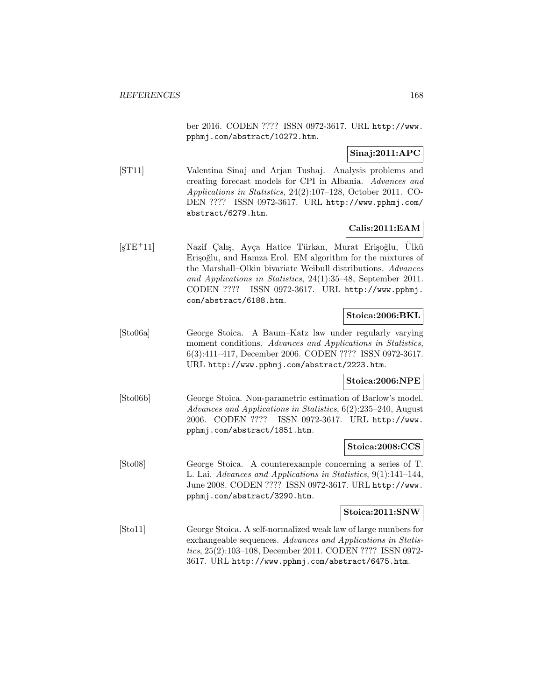ber 2016. CODEN ???? ISSN 0972-3617. URL http://www. pphmj.com/abstract/10272.htm.

## **Sinaj:2011:APC**

[ST11] Valentina Sinaj and Arjan Tushaj. Analysis problems and creating forecast models for CPI in Albania. Advances and Applications in Statistics, 24(2):107–128, October 2011. CO-DEN ???? ISSN 0972-3617. URL http://www.pphmj.com/ abstract/6279.htm.

## **Calis:2011:EAM**

[şTE<sup>+</sup>11] Nazif Çalış, Ayça Hatice Türkan, Murat Erişoğlu, Ülkü Erişoğlu, and Hamza Erol. EM algorithm for the mixtures of the Marshall–Olkin bivariate Weibull distributions. Advances and Applications in Statistics, 24(1):35–48, September 2011. CODEN ???? ISSN 0972-3617. URL http://www.pphmj. com/abstract/6188.htm.

## **Stoica:2006:BKL**

[Sto06a] George Stoica. A Baum–Katz law under regularly varying moment conditions. Advances and Applications in Statistics, 6(3):411–417, December 2006. CODEN ???? ISSN 0972-3617. URL http://www.pphmj.com/abstract/2223.htm.

### **Stoica:2006:NPE**

[Sto06b] George Stoica. Non-parametric estimation of Barlow's model. Advances and Applications in Statistics, 6(2):235–240, August 2006. CODEN ???? ISSN 0972-3617. URL http://www. pphmj.com/abstract/1851.htm.

### **Stoica:2008:CCS**

[Sto08] George Stoica. A counterexample concerning a series of T. L. Lai. Advances and Applications in Statistics, 9(1):141–144, June 2008. CODEN ???? ISSN 0972-3617. URL http://www. pphmj.com/abstract/3290.htm.

### **Stoica:2011:SNW**

[Sto11] George Stoica. A self-normalized weak law of large numbers for exchangeable sequences. Advances and Applications in Statistics, 25(2):103–108, December 2011. CODEN ???? ISSN 0972- 3617. URL http://www.pphmj.com/abstract/6475.htm.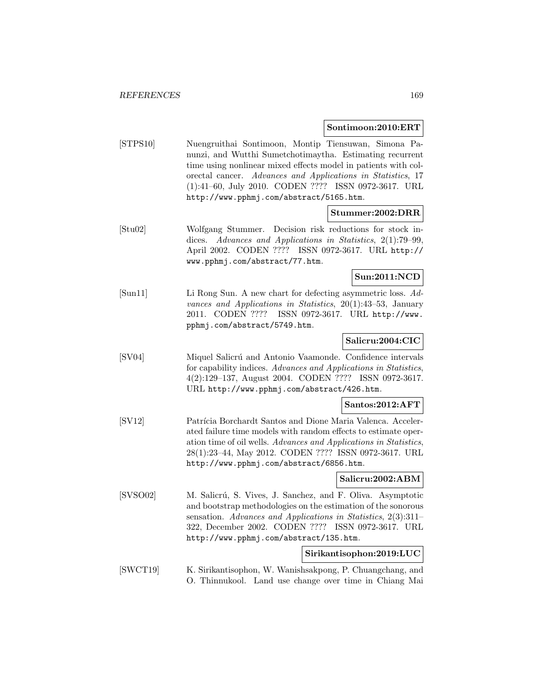#### **Sontimoon:2010:ERT**

[STPS10] Nuengruithai Sontimoon, Montip Tiensuwan, Simona Panunzi, and Wutthi Sumetchotimaytha. Estimating recurrent time using nonlinear mixed effects model in patients with colorectal cancer. Advances and Applications in Statistics, 17 (1):41–60, July 2010. CODEN ???? ISSN 0972-3617. URL http://www.pphmj.com/abstract/5165.htm.

### **Stummer:2002:DRR**

[Stu02] Wolfgang Stummer. Decision risk reductions for stock indices. Advances and Applications in Statistics, 2(1):79–99, April 2002. CODEN ???? ISSN 0972-3617. URL http:// www.pphmj.com/abstract/77.htm.

## **Sun:2011:NCD**

[Sun11] Li Rong Sun. A new chart for defecting asymmetric loss. Advances and Applications in Statistics, 20(1):43–53, January 2011. CODEN ???? ISSN 0972-3617. URL http://www. pphmj.com/abstract/5749.htm.

## **Salicru:2004:CIC**

[SV04] Miquel Salicr´u and Antonio Vaamonde. Confidence intervals for capability indices. Advances and Applications in Statistics, 4(2):129–137, August 2004. CODEN ???? ISSN 0972-3617. URL http://www.pphmj.com/abstract/426.htm.

## **Santos:2012:AFT**

[SV12] Patrícia Borchardt Santos and Dione Maria Valenca. Accelerated failure time models with random effects to estimate operation time of oil wells. Advances and Applications in Statistics, 28(1):23–44, May 2012. CODEN ???? ISSN 0972-3617. URL http://www.pphmj.com/abstract/6856.htm.

#### **Salicru:2002:ABM**

[SVSO02] M. Salicrú, S. Vives, J. Sanchez, and F. Oliva. Asymptotic and bootstrap methodologies on the estimation of the sonorous sensation. Advances and Applications in Statistics, 2(3):311– 322, December 2002. CODEN ???? ISSN 0972-3617. URL http://www.pphmj.com/abstract/135.htm.

### **Sirikantisophon:2019:LUC**

[SWCT19] K. Sirikantisophon, W. Wanishsakpong, P. Chuangchang, and O. Thinnukool. Land use change over time in Chiang Mai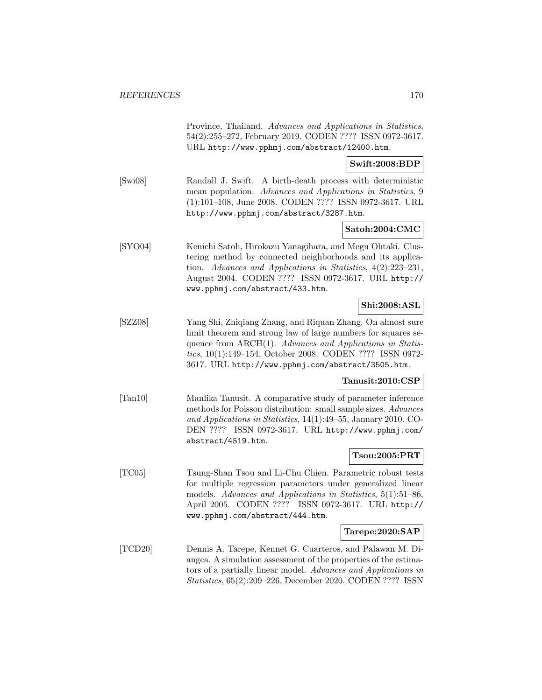Province, Thailand. Advances and Applications in Statistics, 54(2):255–272, February 2019. CODEN ???? ISSN 0972-3617. URL http://www.pphmj.com/abstract/12400.htm.

**Swift:2008:BDP**

[Swi08] Randall J. Swift. A birth-death process with deterministic mean population. Advances and Applications in Statistics, 9 (1):101–108, June 2008. CODEN ???? ISSN 0972-3617. URL http://www.pphmj.com/abstract/3287.htm.

### **Satoh:2004:CMC**

[SYO04] Kenichi Satoh, Hirokazu Yanagihara, and Megu Ohtaki. Clustering method by connected neighborhoods and its application. Advances and Applications in Statistics, 4(2):223–231, August 2004. CODEN ???? ISSN 0972-3617. URL http:// www.pphmj.com/abstract/433.htm.

## **Shi:2008:ASL**

[SZZ08] Yang Shi, Zhiqiang Zhang, and Riquan Zhang. On almost sure limit theorem and strong law of large numbers for squares sequence from ARCH(1). Advances and Applications in Statistics, 10(1):149–154, October 2008. CODEN ???? ISSN 0972- 3617. URL http://www.pphmj.com/abstract/3505.htm.

#### **Tanusit:2010:CSP**

[Tan10] Manlika Tanusit. A comparative study of parameter inference methods for Poisson distribution: small sample sizes. Advances and Applications in Statistics, 14(1):49–55, January 2010. CO-DEN ???? ISSN 0972-3617. URL http://www.pphmj.com/ abstract/4519.htm.

### **Tsou:2005:PRT**

[TC05] Tsung-Shan Tsou and Li-Chu Chien. Parametric robust tests for multiple regression parameters under generalized linear models. Advances and Applications in Statistics, 5(1):51–86, April 2005. CODEN ???? ISSN 0972-3617. URL http:// www.pphmj.com/abstract/444.htm.

#### **Tarepe:2020:SAP**

[TCD20] Dennis A. Tarepe, Kennet G. Cuarteros, and Palawan M. Diangca. A simulation assessment of the properties of the estimators of a partially linear model. Advances and Applications in Statistics, 65(2):209–226, December 2020. CODEN ???? ISSN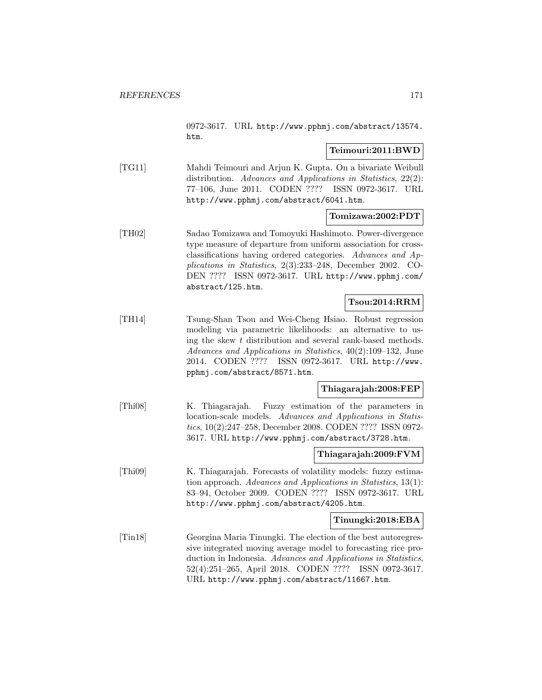0972-3617. URL http://www.pphmj.com/abstract/13574. htm.

## **Teimouri:2011:BWD**

[TG11] Mahdi Teimouri and Arjun K. Gupta. On a bivariate Weibull distribution. Advances and Applications in Statistics, 22(2): 77–106, June 2011. CODEN ???? ISSN 0972-3617. URL http://www.pphmj.com/abstract/6041.htm.

## **Tomizawa:2002:PDT**

[TH02] Sadao Tomizawa and Tomoyuki Hashimoto. Power-divergence type measure of departure from uniform association for crossclassifications having ordered categories. Advances and Applications in Statistics, 2(3):233–248, December 2002. CO-DEN ???? ISSN 0972-3617. URL http://www.pphmj.com/ abstract/125.htm.

## **Tsou:2014:RRM**

[TH14] Tsung-Shan Tsou and Wei-Cheng Hsiao. Robust regression modeling via parametric likelihoods: an alternative to using the skew t distribution and several rank-based methods. Advances and Applications in Statistics, 40(2):109–132, June 2014. CODEN ???? ISSN 0972-3617. URL http://www. pphmj.com/abstract/8571.htm.

### **Thiagarajah:2008:FEP**

[Thi08] K. Thiagarajah. Fuzzy estimation of the parameters in location-scale models. Advances and Applications in Statistics, 10(2):247–258, December 2008. CODEN ???? ISSN 0972- 3617. URL http://www.pphmj.com/abstract/3728.htm.

### **Thiagarajah:2009:FVM**

[Thi09] K. Thiagarajah. Forecasts of volatility models: fuzzy estimation approach. Advances and Applications in Statistics, 13(1): 83–94, October 2009. CODEN ???? ISSN 0972-3617. URL http://www.pphmj.com/abstract/4205.htm.

### **Tinungki:2018:EBA**

[Tin18] Georgina Maria Tinungki. The election of the best autoregressive integrated moving average model to forecasting rice production in Indonesia. Advances and Applications in Statistics, 52(4):251–265, April 2018. CODEN ???? ISSN 0972-3617. URL http://www.pphmj.com/abstract/11667.htm.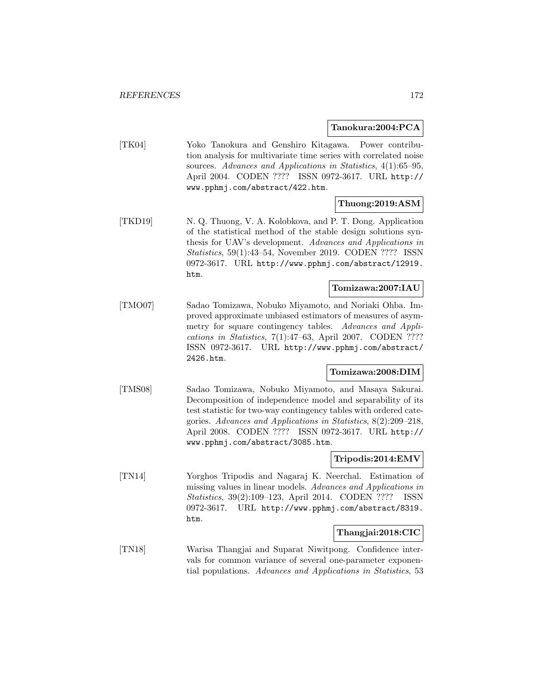#### **Tanokura:2004:PCA**

[TK04] Yoko Tanokura and Genshiro Kitagawa. Power contribution analysis for multivariate time series with correlated noise sources. Advances and Applications in Statistics, 4(1):65–95, April 2004. CODEN ???? ISSN 0972-3617. URL http:// www.pphmj.com/abstract/422.htm.

## **Thuong:2019:ASM**

[TKD19] N. Q. Thuong, V. A. Kolobkova, and P. T. Dong. Application of the statistical method of the stable design solutions synthesis for UAV's development. Advances and Applications in Statistics, 59(1):43–54, November 2019. CODEN ???? ISSN 0972-3617. URL http://www.pphmj.com/abstract/12919. htm.

## **Tomizawa:2007:IAU**

[TMO07] Sadao Tomizawa, Nobuko Miyamoto, and Noriaki Ohba. Improved approximate unbiased estimators of measures of asymmetry for square contingency tables. Advances and Applications in Statistics, 7(1):47–63, April 2007. CODEN ???? ISSN 0972-3617. URL http://www.pphmj.com/abstract/ 2426.htm.

#### **Tomizawa:2008:DIM**

[TMS08] Sadao Tomizawa, Nobuko Miyamoto, and Masaya Sakurai. Decomposition of independence model and separability of its test statistic for two-way contingency tables with ordered categories. Advances and Applications in Statistics, 8(2):209–218, April 2008. CODEN ???? ISSN 0972-3617. URL http:// www.pphmj.com/abstract/3085.htm.

## **Tripodis:2014:EMV**

[TN14] Yorghos Tripodis and Nagaraj K. Neerchal. Estimation of missing values in linear models. Advances and Applications in Statistics, 39(2):109–123, April 2014. CODEN ???? ISSN 0972-3617. URL http://www.pphmj.com/abstract/8319. htm.

## **Thangjai:2018:CIC**

[TN18] Warisa Thangjai and Suparat Niwitpong. Confidence intervals for common variance of several one-parameter exponential populations. Advances and Applications in Statistics, 53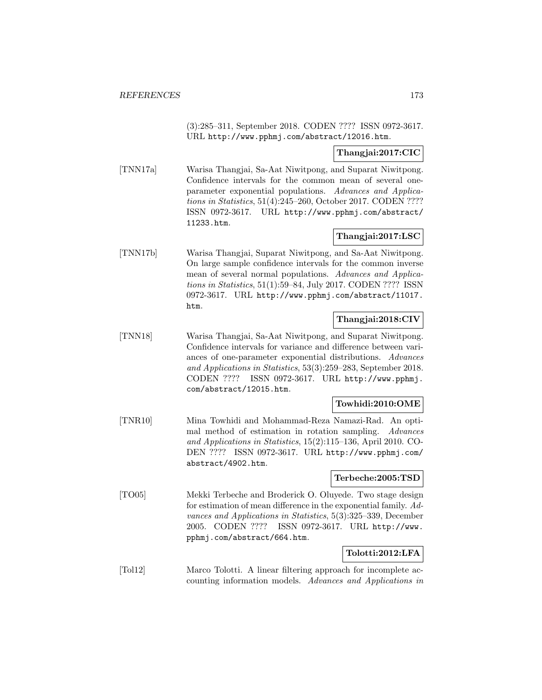(3):285–311, September 2018. CODEN ???? ISSN 0972-3617. URL http://www.pphmj.com/abstract/12016.htm.

## **Thangjai:2017:CIC**

[TNN17a] Warisa Thangjai, Sa-Aat Niwitpong, and Suparat Niwitpong. Confidence intervals for the common mean of several oneparameter exponential populations. Advances and Applications in Statistics, 51(4):245–260, October 2017. CODEN ???? ISSN 0972-3617. URL http://www.pphmj.com/abstract/ 11233.htm.

## **Thangjai:2017:LSC**

[TNN17b] Warisa Thangjai, Suparat Niwitpong, and Sa-Aat Niwitpong. On large sample confidence intervals for the common inverse mean of several normal populations. Advances and Applications in Statistics, 51(1):59–84, July 2017. CODEN ???? ISSN 0972-3617. URL http://www.pphmj.com/abstract/11017. htm.

## **Thangjai:2018:CIV**

[TNN18] Warisa Thangjai, Sa-Aat Niwitpong, and Suparat Niwitpong. Confidence intervals for variance and difference between variances of one-parameter exponential distributions. Advances and Applications in Statistics, 53(3):259–283, September 2018. CODEN ???? ISSN 0972-3617. URL http://www.pphmj. com/abstract/12015.htm.

## **Towhidi:2010:OME**

[TNR10] Mina Towhidi and Mohammad-Reza Namazi-Rad. An optimal method of estimation in rotation sampling. Advances and Applications in Statistics, 15(2):115–136, April 2010. CO-DEN ???? ISSN 0972-3617. URL http://www.pphmj.com/ abstract/4902.htm.

### **Terbeche:2005:TSD**

[TO05] Mekki Terbeche and Broderick O. Oluyede. Two stage design for estimation of mean difference in the exponential family. Advances and Applications in Statistics, 5(3):325–339, December 2005. CODEN ???? ISSN 0972-3617. URL http://www. pphmj.com/abstract/664.htm.

## **Tolotti:2012:LFA**

[Tol12] Marco Tolotti. A linear filtering approach for incomplete accounting information models. Advances and Applications in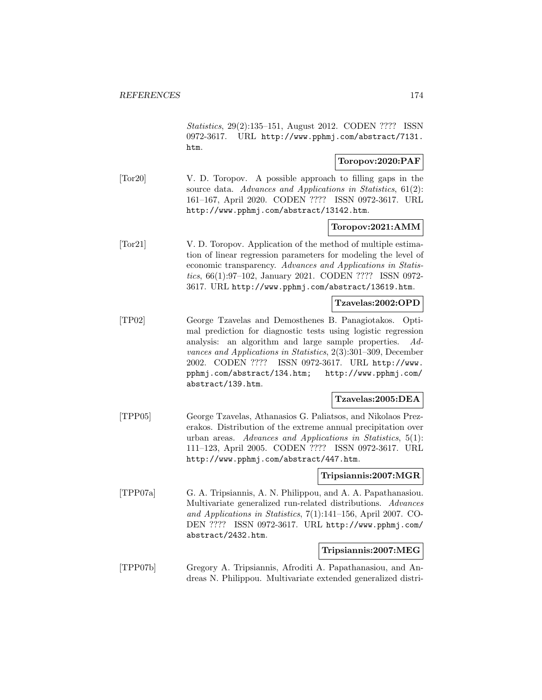Statistics, 29(2):135–151, August 2012. CODEN ???? ISSN 0972-3617. URL http://www.pphmj.com/abstract/7131. htm.

## **Toropov:2020:PAF**

[Tor20] V. D. Toropov. A possible approach to filling gaps in the source data. Advances and Applications in Statistics, 61(2): 161–167, April 2020. CODEN ???? ISSN 0972-3617. URL http://www.pphmj.com/abstract/13142.htm.

## **Toropov:2021:AMM**

[Tor21] V. D. Toropov. Application of the method of multiple estimation of linear regression parameters for modeling the level of economic transparency. Advances and Applications in Statistics, 66(1):97–102, January 2021. CODEN ???? ISSN 0972- 3617. URL http://www.pphmj.com/abstract/13619.htm.

### **Tzavelas:2002:OPD**

[TP02] George Tzavelas and Demosthenes B. Panagiotakos. Optimal prediction for diagnostic tests using logistic regression analysis: an algorithm and large sample properties. Advances and Applications in Statistics, 2(3):301–309, December 2002. CODEN ???? ISSN 0972-3617. URL http://www. pphmj.com/abstract/134.htm; http://www.pphmj.com/ abstract/139.htm.

#### **Tzavelas:2005:DEA**

[TPP05] George Tzavelas, Athanasios G. Paliatsos, and Nikolaos Prezerakos. Distribution of the extreme annual precipitation over urban areas. Advances and Applications in Statistics, 5(1): 111–123, April 2005. CODEN ???? ISSN 0972-3617. URL http://www.pphmj.com/abstract/447.htm.

#### **Tripsiannis:2007:MGR**

[TPP07a] G. A. Tripsiannis, A. N. Philippou, and A. A. Papathanasiou. Multivariate generalized run-related distributions. Advances and Applications in Statistics, 7(1):141–156, April 2007. CO-DEN ???? ISSN 0972-3617. URL http://www.pphmj.com/ abstract/2432.htm.

#### **Tripsiannis:2007:MEG**

[TPP07b] Gregory A. Tripsiannis, Afroditi A. Papathanasiou, and Andreas N. Philippou. Multivariate extended generalized distri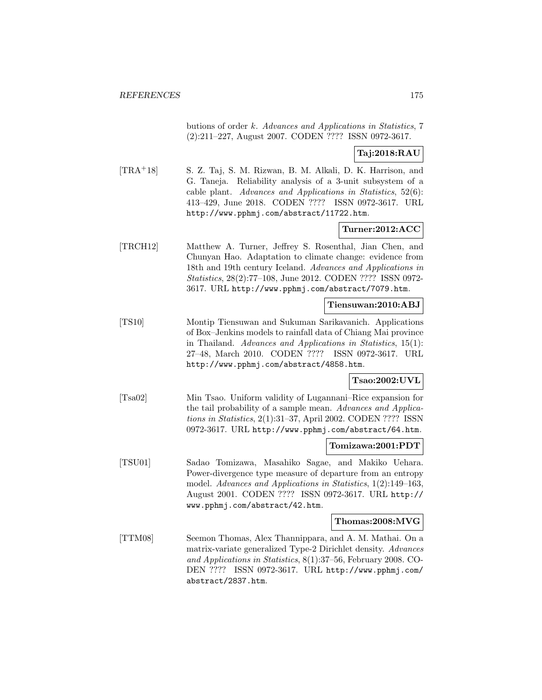butions of order k. Advances and Applications in Statistics, 7 (2):211–227, August 2007. CODEN ???? ISSN 0972-3617.

## **Taj:2018:RAU**

[TRA<sup>+</sup>18] S. Z. Taj, S. M. Rizwan, B. M. Alkali, D. K. Harrison, and G. Taneja. Reliability analysis of a 3-unit subsystem of a cable plant. Advances and Applications in Statistics, 52(6): 413–429, June 2018. CODEN ???? ISSN 0972-3617. URL http://www.pphmj.com/abstract/11722.htm.

## **Turner:2012:ACC**

[TRCH12] Matthew A. Turner, Jeffrey S. Rosenthal, Jian Chen, and Chunyan Hao. Adaptation to climate change: evidence from 18th and 19th century Iceland. Advances and Applications in Statistics, 28(2):77–108, June 2012. CODEN ???? ISSN 0972- 3617. URL http://www.pphmj.com/abstract/7079.htm.

## **Tiensuwan:2010:ABJ**

[TS10] Montip Tiensuwan and Sukuman Sarikavanich. Applications of Box–Jenkins models to rainfall data of Chiang Mai province in Thailand. Advances and Applications in Statistics, 15(1): 27–48, March 2010. CODEN ???? ISSN 0972-3617. URL http://www.pphmj.com/abstract/4858.htm.

## **Tsao:2002:UVL**

[Tsa02] Min Tsao. Uniform validity of Lugannani–Rice expansion for the tail probability of a sample mean. Advances and Applications in Statistics, 2(1):31–37, April 2002. CODEN ???? ISSN 0972-3617. URL http://www.pphmj.com/abstract/64.htm.

### **Tomizawa:2001:PDT**

[TSU01] Sadao Tomizawa, Masahiko Sagae, and Makiko Uehara. Power-divergence type measure of departure from an entropy model. Advances and Applications in Statistics, 1(2):149–163, August 2001. CODEN ???? ISSN 0972-3617. URL http:// www.pphmj.com/abstract/42.htm.

#### **Thomas:2008:MVG**

[TTM08] Seemon Thomas, Alex Thannippara, and A. M. Mathai. On a matrix-variate generalized Type-2 Dirichlet density. Advances and Applications in Statistics, 8(1):37–56, February 2008. CO-DEN ???? ISSN 0972-3617. URL http://www.pphmj.com/ abstract/2837.htm.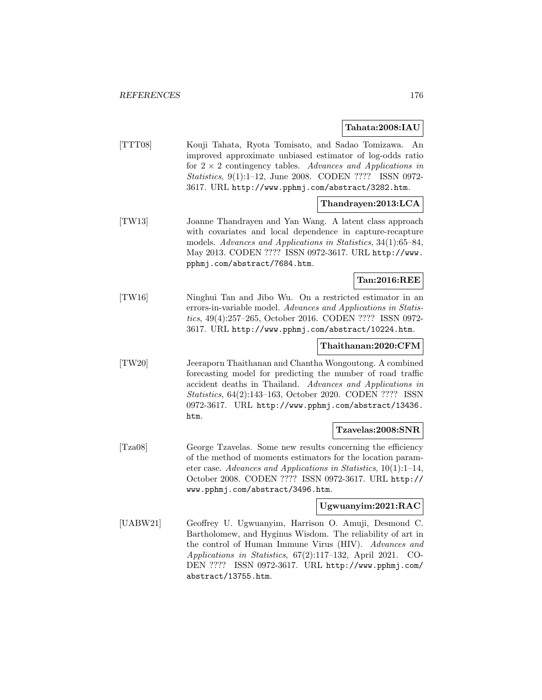**Tahata:2008:IAU**

|          | ranata:2000:1AU                                                                                                                                                                                                                                                                                                              |
|----------|------------------------------------------------------------------------------------------------------------------------------------------------------------------------------------------------------------------------------------------------------------------------------------------------------------------------------|
| [TTT08]  | Kouji Tahata, Ryota Tomisato, and Sadao Tomizawa.<br>An<br>improved approximate unbiased estimator of log-odds ratio<br>for $2 \times 2$ contingency tables. Advances and Applications in<br><i>Statistics</i> , 9(1):1-12, June 2008. CODEN ???? ISSN 0972-<br>3617. URL http://www.pphmj.com/abstract/3282.htm.            |
|          | Thandrayen:2013:LCA                                                                                                                                                                                                                                                                                                          |
| [TW13]   | Joanne Thandrayen and Yan Wang. A latent class approach<br>with covariates and local dependence in capture-recapture<br>models. Advances and Applications in Statistics, 34(1):65-84,<br>May 2013. CODEN ???? ISSN 0972-3617. URL http://www.<br>pphmj.com/abstract/7684.htm.                                                |
|          | Tan:2016:REE                                                                                                                                                                                                                                                                                                                 |
| [TW16]   | Ninghui Tan and Jibo Wu. On a restricted estimator in an<br>errors-in-variable model. Advances and Applications in Statis-<br>tics, 49(4):257-265, October 2016. CODEN ???? ISSN 0972-<br>3617. URL http://www.pphmj.com/abstract/10224.htm.                                                                                 |
|          | Thaithanan:2020:CFM                                                                                                                                                                                                                                                                                                          |
| [TW20]   | Jeeraporn Thaithanan and Chantha Wongoutong. A combined<br>forecasting model for predicting the number of road traffic<br>accident deaths in Thailand. Advances and Applications in<br>Statistics, 64(2):143-163, October 2020. CODEN ???? ISSN<br>0972-3617. URL http://www.pphmj.com/abstract/13436.<br>htm.               |
|          | Tzavelas:2008:SNR                                                                                                                                                                                                                                                                                                            |
| [Tza08]  | George Tzavelas. Some new results concerning the efficiency<br>of the method of moments estimators for the location param-<br>eter case. Advances and Applications in Statistics, $10(1):1-14$ ,<br>October 2008. CODEN ???? ISSN 0972-3617. URL http://<br>www.pphmj.com/abstract/3496.htm.                                 |
|          | Ugwuanyim:2021:RAC                                                                                                                                                                                                                                                                                                           |
| [UABW21] | Geoffrey U. Ugwuanyim, Harrison O. Amuji, Desmond C.<br>Bartholomew, and Hyginus Wisdom. The reliability of art in<br>the control of Human Immune Virus (HIV). Advances and<br>Applications in Statistics, 67(2):117-132, April 2021.<br>CO-<br>ISSN 0972-3617. URL http://www.pphmj.com/<br>DEN ????<br>abstract/13755.htm. |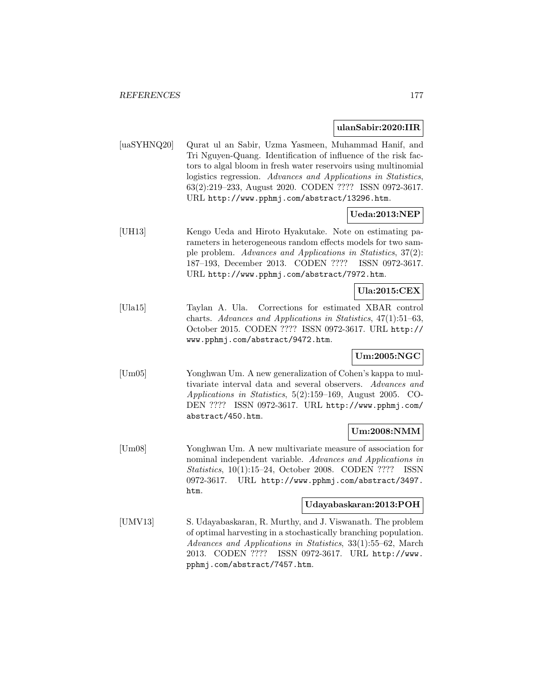#### **ulanSabir:2020:IIR**

[uaSYHNQ20] Qurat ul an Sabir, Uzma Yasmeen, Muhammad Hanif, and Tri Nguyen-Quang. Identification of influence of the risk factors to algal bloom in fresh water reservoirs using multinomial logistics regression. Advances and Applications in Statistics, 63(2):219–233, August 2020. CODEN ???? ISSN 0972-3617. URL http://www.pphmj.com/abstract/13296.htm.

## **Ueda:2013:NEP**

[UH13] Kengo Ueda and Hiroto Hyakutake. Note on estimating parameters in heterogeneous random effects models for two sample problem. Advances and Applications in Statistics, 37(2): 187–193, December 2013. CODEN ???? ISSN 0972-3617. URL http://www.pphmj.com/abstract/7972.htm.

## **Ula:2015:CEX**

[Ula15] Taylan A. Ula. Corrections for estimated XBAR control charts. Advances and Applications in Statistics, 47(1):51–63, October 2015. CODEN ???? ISSN 0972-3617. URL http:// www.pphmj.com/abstract/9472.htm.

## **Um:2005:NGC**

[Um05] Yonghwan Um. A new generalization of Cohen's kappa to multivariate interval data and several observers. Advances and Applications in Statistics, 5(2):159–169, August 2005. CO-DEN ???? ISSN 0972-3617. URL http://www.pphmj.com/ abstract/450.htm.

## **Um:2008:NMM**

[Um08] Yonghwan Um. A new multivariate measure of association for nominal independent variable. Advances and Applications in Statistics, 10(1):15–24, October 2008. CODEN ???? ISSN 0972-3617. URL http://www.pphmj.com/abstract/3497. htm.

## **Udayabaskaran:2013:POH**

[UMV13] S. Udayabaskaran, R. Murthy, and J. Viswanath. The problem of optimal harvesting in a stochastically branching population. Advances and Applications in Statistics, 33(1):55–62, March 2013. CODEN ???? ISSN 0972-3617. URL http://www. pphmj.com/abstract/7457.htm.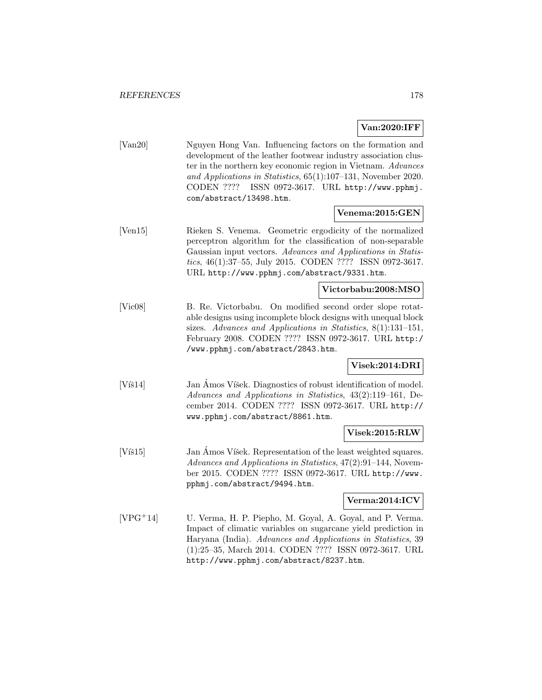## **Van:2020:IFF**

[Van20] Nguyen Hong Van. Influencing factors on the formation and development of the leather footwear industry association cluster in the northern key economic region in Vietnam. Advances and Applications in Statistics, 65(1):107–131, November 2020. CODEN ???? ISSN 0972-3617. URL http://www.pphmj. com/abstract/13498.htm.

## **Venema:2015:GEN**

[Ven15] Rieken S. Venema. Geometric ergodicity of the normalized perceptron algorithm for the classification of non-separable Gaussian input vectors. Advances and Applications in Statistics, 46(1):37–55, July 2015. CODEN ???? ISSN 0972-3617. URL http://www.pphmj.com/abstract/9331.htm.

## **Victorbabu:2008:MSO**

[Vic08] B. Re. Victorbabu. On modified second order slope rotatable designs using incomplete block designs with unequal block sizes. Advances and Applications in Statistics, 8(1):131–151, February 2008. CODEN ???? ISSN 0972-3617. URL http:/ /www.pphmj.com/abstract/2843.htm.

## **Visek:2014:DRI**

[Víš14] Jan Ámos Víšek. Diagnostics of robust identification of model. Advances and Applications in Statistics, 43(2):119–161, December 2014. CODEN ???? ISSN 0972-3617. URL http:// www.pphmj.com/abstract/8861.htm.

### **Visek:2015:RLW**

[Víš15] Jan Amos Víšek. Representation of the least weighted squares. Advances and Applications in Statistics, 47(2):91–144, November 2015. CODEN ???? ISSN 0972-3617. URL http://www. pphmj.com/abstract/9494.htm.

### **Verma:2014:ICV**

[VPG<sup>+</sup>14] U. Verma, H. P. Piepho, M. Goyal, A. Goyal, and P. Verma. Impact of climatic variables on sugarcane yield prediction in Haryana (India). Advances and Applications in Statistics, 39 (1):25–35, March 2014. CODEN ???? ISSN 0972-3617. URL http://www.pphmj.com/abstract/8237.htm.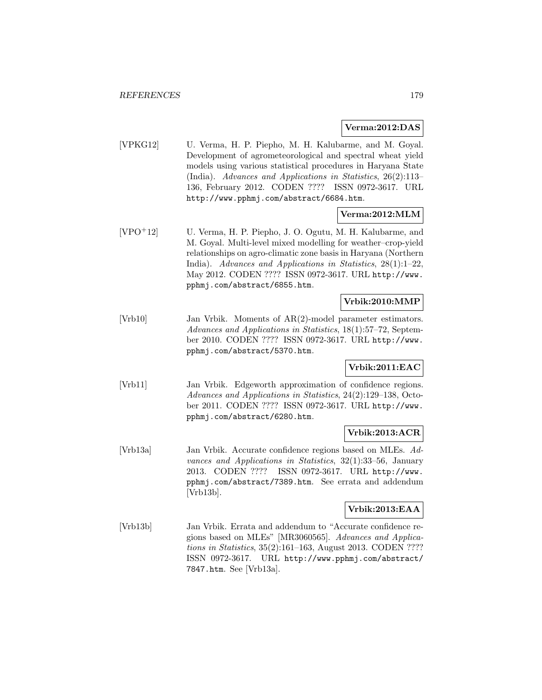### **Verma:2012:DAS**

[VPKG12] U. Verma, H. P. Piepho, M. H. Kalubarme, and M. Goyal. Development of agrometeorological and spectral wheat yield models using various statistical procedures in Haryana State (India). Advances and Applications in Statistics, 26(2):113– 136, February 2012. CODEN ???? ISSN 0972-3617. URL http://www.pphmj.com/abstract/6684.htm.

## **Verma:2012:MLM**

[VPO<sup>+</sup>12] U. Verma, H. P. Piepho, J. O. Ogutu, M. H. Kalubarme, and M. Goyal. Multi-level mixed modelling for weather–crop-yield relationships on agro-climatic zone basis in Haryana (Northern India). Advances and Applications in Statistics, 28(1):1–22, May 2012. CODEN ???? ISSN 0972-3617. URL http://www. pphmj.com/abstract/6855.htm.

## **Vrbik:2010:MMP**

[Vrb10] Jan Vrbik. Moments of AR(2)-model parameter estimators. Advances and Applications in Statistics, 18(1):57–72, September 2010. CODEN ???? ISSN 0972-3617. URL http://www. pphmj.com/abstract/5370.htm.

## **Vrbik:2011:EAC**

[Vrb11] Jan Vrbik. Edgeworth approximation of confidence regions. Advances and Applications in Statistics, 24(2):129–138, October 2011. CODEN ???? ISSN 0972-3617. URL http://www. pphmj.com/abstract/6280.htm.

## **Vrbik:2013:ACR**

[Vrb13a] Jan Vrbik. Accurate confidence regions based on MLEs. Advances and Applications in Statistics, 32(1):33–56, January 2013. CODEN ???? ISSN 0972-3617. URL http://www. pphmj.com/abstract/7389.htm. See errata and addendum [Vrb13b].

## **Vrbik:2013:EAA**

[Vrb13b] Jan Vrbik. Errata and addendum to "Accurate confidence regions based on MLEs" [MR3060565]. Advances and Applications in Statistics, 35(2):161–163, August 2013. CODEN ???? ISSN 0972-3617. URL http://www.pphmj.com/abstract/ 7847.htm. See [Vrb13a].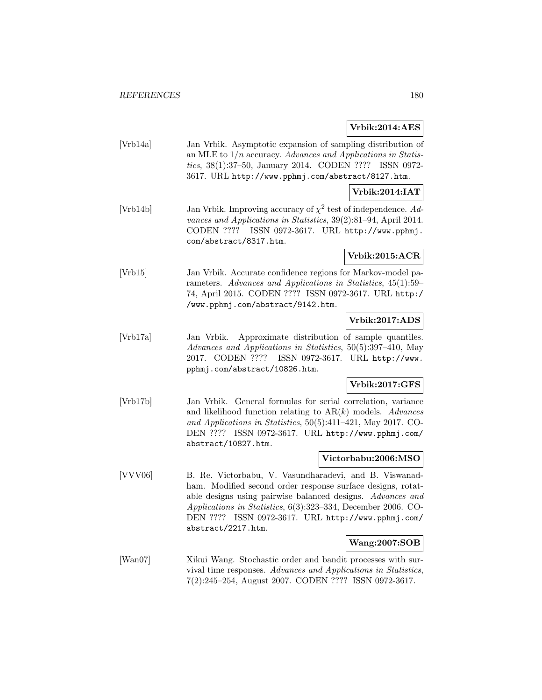**Vrbik:2014:AES**

[Vrb14a] Jan Vrbik. Asymptotic expansion of sampling distribution of an MLE to  $1/n$  accuracy. Advances and Applications in Statistics, 38(1):37–50, January 2014. CODEN ???? ISSN 0972- 3617. URL http://www.pphmj.com/abstract/8127.htm.

### **Vrbik:2014:IAT**

[Vrb14b] Jan Vrbik. Improving accuracy of  $\chi^2$  test of independence. Advances and Applications in Statistics, 39(2):81–94, April 2014. CODEN ???? ISSN 0972-3617. URL http://www.pphmj. com/abstract/8317.htm.

**Vrbik:2015:ACR**

[Vrb15] Jan Vrbik. Accurate confidence regions for Markov-model parameters. Advances and Applications in Statistics, 45(1):59– 74, April 2015. CODEN ???? ISSN 0972-3617. URL http:/ /www.pphmj.com/abstract/9142.htm.

## **Vrbik:2017:ADS**

[Vrb17a] Jan Vrbik. Approximate distribution of sample quantiles. Advances and Applications in Statistics, 50(5):397–410, May 2017. CODEN ???? ISSN 0972-3617. URL http://www. pphmj.com/abstract/10826.htm.

### **Vrbik:2017:GFS**

[Vrb17b] Jan Vrbik. General formulas for serial correlation, variance and likelihood function relating to  $AR(k)$  models. Advances and Applications in Statistics, 50(5):411–421, May 2017. CO-DEN ???? ISSN 0972-3617. URL http://www.pphmj.com/ abstract/10827.htm.

### **Victorbabu:2006:MSO**

[VVV06] B. Re. Victorbabu, V. Vasundharadevi, and B. Viswanadham. Modified second order response surface designs, rotatable designs using pairwise balanced designs. Advances and Applications in Statistics, 6(3):323–334, December 2006. CO-DEN ???? ISSN 0972-3617. URL http://www.pphmj.com/ abstract/2217.htm.

### **Wang:2007:SOB**

[Wan07] Xikui Wang. Stochastic order and bandit processes with survival time responses. Advances and Applications in Statistics, 7(2):245–254, August 2007. CODEN ???? ISSN 0972-3617.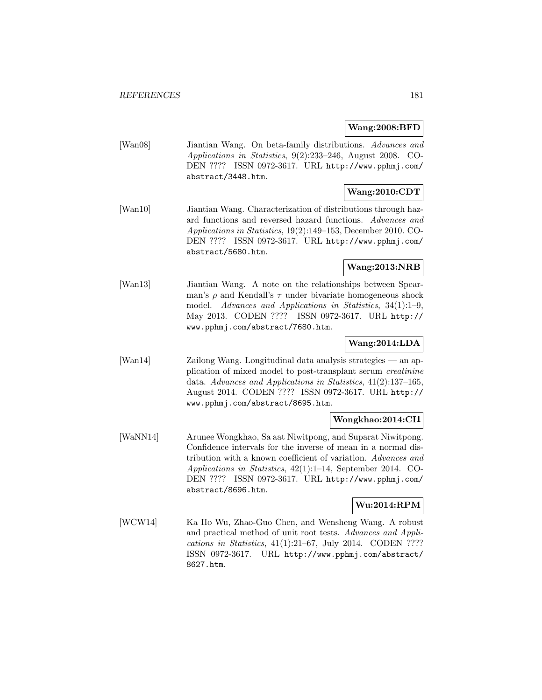#### **Wang:2008:BFD**

[Wan08] Jiantian Wang. On beta-family distributions. Advances and Applications in Statistics, 9(2):233–246, August 2008. CO-DEN ???? ISSN 0972-3617. URL http://www.pphmj.com/ abstract/3448.htm.

# **Wang:2010:CDT**

[Wan10] Jiantian Wang. Characterization of distributions through hazard functions and reversed hazard functions. Advances and Applications in Statistics, 19(2):149–153, December 2010. CO-DEN ???? ISSN 0972-3617. URL http://www.pphmj.com/ abstract/5680.htm.

# **Wang:2013:NRB**

[Wan13] Jiantian Wang. A note on the relationships between Spearman's  $\rho$  and Kendall's  $\tau$  under bivariate homogeneous shock model. Advances and Applications in Statistics, 34(1):1–9, May 2013. CODEN ???? ISSN 0972-3617. URL http:// www.pphmj.com/abstract/7680.htm.

## **Wang:2014:LDA**

[Wan14] Zailong Wang. Longitudinal data analysis strategies — an application of mixed model to post-transplant serum creatinine data. Advances and Applications in Statistics, 41(2):137–165, August 2014. CODEN ???? ISSN 0972-3617. URL http:// www.pphmj.com/abstract/8695.htm.

## **Wongkhao:2014:CII**

[WaNN14] Arunee Wongkhao, Sa aat Niwitpong, and Suparat Niwitpong. Confidence intervals for the inverse of mean in a normal distribution with a known coefficient of variation. Advances and Applications in Statistics, 42(1):1–14, September 2014. CO-DEN ???? ISSN 0972-3617. URL http://www.pphmj.com/ abstract/8696.htm.

# **Wu:2014:RPM**

[WCW14] Ka Ho Wu, Zhao-Guo Chen, and Wensheng Wang. A robust and practical method of unit root tests. Advances and Applications in Statistics, 41(1):21–67, July 2014. CODEN ???? ISSN 0972-3617. URL http://www.pphmj.com/abstract/ 8627.htm.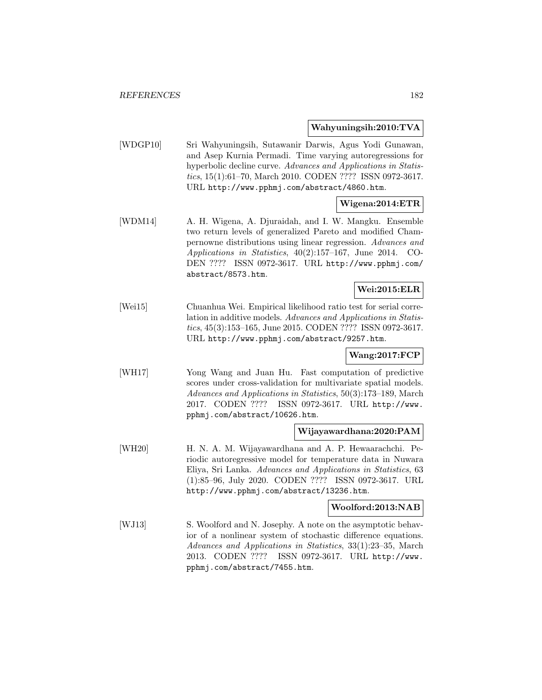#### **Wahyuningsih:2010:TVA**

[WDGP10] Sri Wahyuningsih, Sutawanir Darwis, Agus Yodi Gunawan, and Asep Kurnia Permadi. Time varying autoregressions for hyperbolic decline curve. Advances and Applications in Statistics, 15(1):61–70, March 2010. CODEN ???? ISSN 0972-3617. URL http://www.pphmj.com/abstract/4860.htm.

## **Wigena:2014:ETR**

[WDM14] A. H. Wigena, A. Djuraidah, and I. W. Mangku. Ensemble two return levels of generalized Pareto and modified Champernowne distributions using linear regression. Advances and Applications in Statistics, 40(2):157–167, June 2014. CO-DEN ???? ISSN 0972-3617. URL http://www.pphmj.com/ abstract/8573.htm.

## **Wei:2015:ELR**

[Wei15] Chuanhua Wei. Empirical likelihood ratio test for serial correlation in additive models. Advances and Applications in Statistics, 45(3):153–165, June 2015. CODEN ???? ISSN 0972-3617. URL http://www.pphmj.com/abstract/9257.htm.

#### **Wang:2017:FCP**

[WH17] Yong Wang and Juan Hu. Fast computation of predictive scores under cross-validation for multivariate spatial models. Advances and Applications in Statistics, 50(3):173–189, March 2017. CODEN ???? ISSN 0972-3617. URL http://www. pphmj.com/abstract/10626.htm.

#### **Wijayawardhana:2020:PAM**

[WH20] H. N. A. M. Wijayawardhana and A. P. Hewaarachchi. Periodic autoregressive model for temperature data in Nuwara Eliya, Sri Lanka. Advances and Applications in Statistics, 63 (1):85–96, July 2020. CODEN ???? ISSN 0972-3617. URL http://www.pphmj.com/abstract/13236.htm.

#### **Woolford:2013:NAB**

[WJ13] S. Woolford and N. Josephy. A note on the asymptotic behavior of a nonlinear system of stochastic difference equations. Advances and Applications in Statistics, 33(1):23–35, March 2013. CODEN ???? ISSN 0972-3617. URL http://www. pphmj.com/abstract/7455.htm.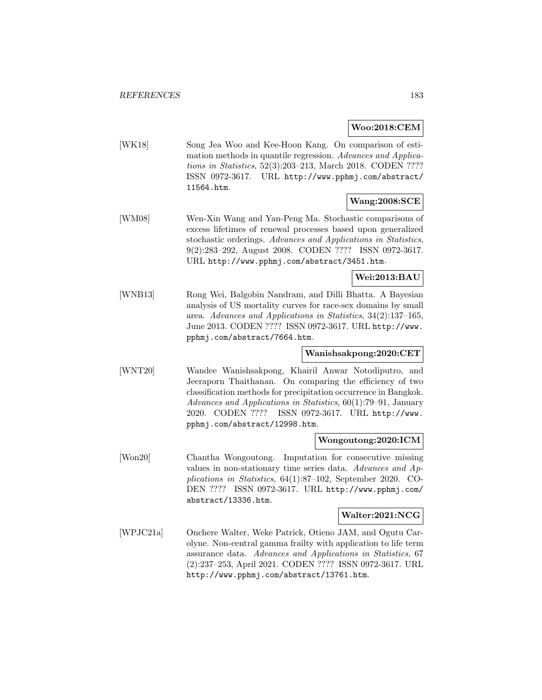**Woo:2018:CEM**

[WK18] Song Jea Woo and Kee-Hoon Kang. On comparison of estimation methods in quantile regression. Advances and Applications in Statistics, 52(3):203–213, March 2018. CODEN ???? ISSN 0972-3617. URL http://www.pphmj.com/abstract/ 11564.htm.

## **Wang:2008:SCE**

[WM08] Wen-Xin Wang and Yan-Peng Ma. Stochastic comparisons of excess lifetimes of renewal processes based upon generalized stochastic orderings. Advances and Applications in Statistics, 9(2):283–292, August 2008. CODEN ???? ISSN 0972-3617. URL http://www.pphmj.com/abstract/3451.htm.

## **Wei:2013:BAU**

[WNB13] Rong Wei, Balgobin Nandram, and Dilli Bhatta. A Bayesian analysis of US mortality curves for race-sex domains by small area. Advances and Applications in Statistics, 34(2):137–165, June 2013. CODEN ???? ISSN 0972-3617. URL http://www. pphmj.com/abstract/7664.htm.

#### **Wanishsakpong:2020:CET**

[WNT20] Wandee Wanishsakpong, Khairil Anwar Notodiputro, and Jeeraporn Thaithanan. On comparing the efficiency of two classification methods for precipitation occurrence in Bangkok. Advances and Applications in Statistics, 60(1):79–91, January 2020. CODEN ???? ISSN 0972-3617. URL http://www. pphmj.com/abstract/12998.htm.

#### **Wongoutong:2020:ICM**

[Won20] Chantha Wongoutong. Imputation for consecutive missing values in non-stationary time series data. Advances and Applications in Statistics, 64(1):87–102, September 2020. CO-DEN ???? ISSN 0972-3617. URL http://www.pphmj.com/ abstract/13336.htm.

#### **Walter:2021:NCG**

[WPJC21a] Onchere Walter, Weke Patrick, Otieno JAM, and Ogutu Carolyne. Non-central gamma frailty with application to life term assurance data. Advances and Applications in Statistics, 67 (2):237–253, April 2021. CODEN ???? ISSN 0972-3617. URL http://www.pphmj.com/abstract/13761.htm.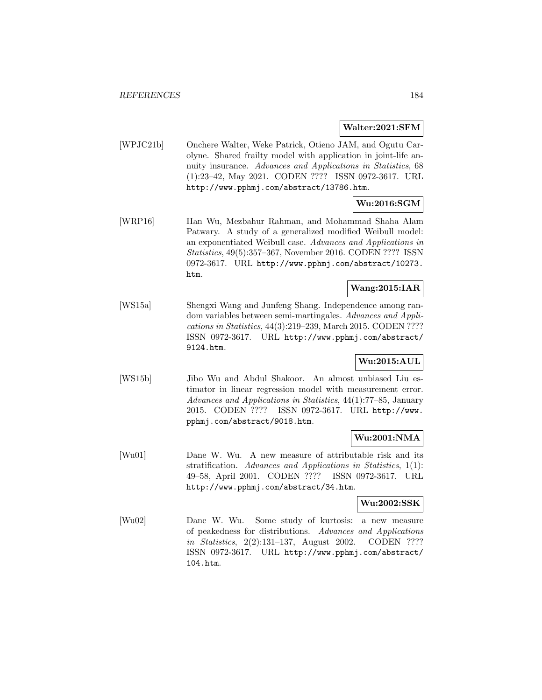#### **Walter:2021:SFM**

[WPJC21b] Onchere Walter, Weke Patrick, Otieno JAM, and Ogutu Carolyne. Shared frailty model with application in joint-life annuity insurance. Advances and Applications in Statistics, 68 (1):23–42, May 2021. CODEN ???? ISSN 0972-3617. URL http://www.pphmj.com/abstract/13786.htm.

# **Wu:2016:SGM**

[WRP16] Han Wu, Mezbahur Rahman, and Mohammad Shaha Alam Patwary. A study of a generalized modified Weibull model: an exponentiated Weibull case. Advances and Applications in Statistics, 49(5):357–367, November 2016. CODEN ???? ISSN 0972-3617. URL http://www.pphmj.com/abstract/10273. htm.

## **Wang:2015:IAR**

[WS15a] Shengxi Wang and Junfeng Shang. Independence among random variables between semi-martingales. Advances and Applications in Statistics, 44(3):219–239, March 2015. CODEN ???? ISSN 0972-3617. URL http://www.pphmj.com/abstract/ 9124.htm.

## **Wu:2015:AUL**

[WS15b] Jibo Wu and Abdul Shakoor. An almost unbiased Liu estimator in linear regression model with measurement error. Advances and Applications in Statistics, 44(1):77–85, January 2015. CODEN ???? ISSN 0972-3617. URL http://www. pphmj.com/abstract/9018.htm.

## **Wu:2001:NMA**

[Wu01] Dane W. Wu. A new measure of attributable risk and its stratification. Advances and Applications in Statistics, 1(1): 49–58, April 2001. CODEN ???? ISSN 0972-3617. URL http://www.pphmj.com/abstract/34.htm.

#### **Wu:2002:SSK**

[Wu02] Dane W. Wu. Some study of kurtosis: a new measure of peakedness for distributions. Advances and Applications in Statistics, 2(2):131–137, August 2002. CODEN ???? ISSN 0972-3617. URL http://www.pphmj.com/abstract/ 104.htm.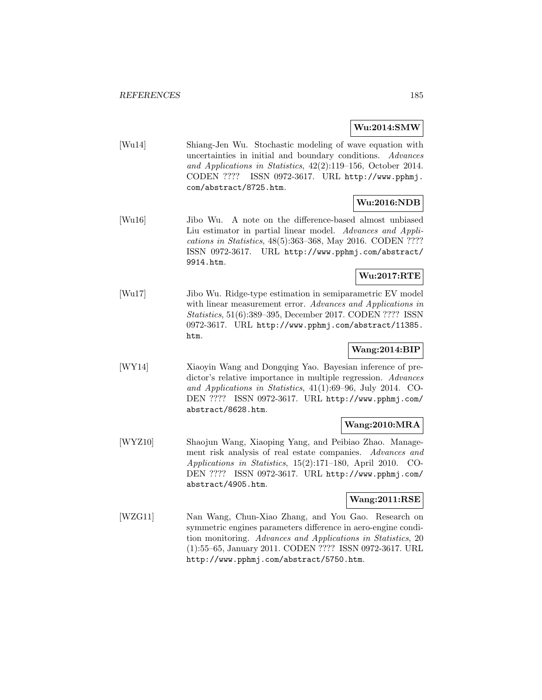#### **Wu:2014:SMW**

[Wu14] Shiang-Jen Wu. Stochastic modeling of wave equation with uncertainties in initial and boundary conditions. Advances and Applications in Statistics, 42(2):119–156, October 2014. CODEN ???? ISSN 0972-3617. URL http://www.pphmj. com/abstract/8725.htm.

#### **Wu:2016:NDB**

[Wu16] Jibo Wu. A note on the difference-based almost unbiased Liu estimator in partial linear model. Advances and Applications in Statistics, 48(5):363–368, May 2016. CODEN ???? ISSN 0972-3617. URL http://www.pphmj.com/abstract/ 9914.htm.

# **Wu:2017:RTE**

[Wu17] Jibo Wu. Ridge-type estimation in semiparametric EV model with linear measurement error. Advances and Applications in Statistics, 51(6):389–395, December 2017. CODEN ???? ISSN 0972-3617. URL http://www.pphmj.com/abstract/11385. htm.

## **Wang:2014:BIP**

[WY14] Xiaoyin Wang and Dongqing Yao. Bayesian inference of predictor's relative importance in multiple regression. Advances and Applications in Statistics, 41(1):69–96, July 2014. CO-DEN ???? ISSN 0972-3617. URL http://www.pphmj.com/ abstract/8628.htm.

## **Wang:2010:MRA**

[WYZ10] Shaojun Wang, Xiaoping Yang, and Peibiao Zhao. Management risk analysis of real estate companies. Advances and Applications in Statistics, 15(2):171–180, April 2010. CO-DEN ???? ISSN 0972-3617. URL http://www.pphmj.com/ abstract/4905.htm.

#### **Wang:2011:RSE**

[WZG11] Nan Wang, Chun-Xiao Zhang, and You Gao. Research on symmetric engines parameters difference in aero-engine condition monitoring. Advances and Applications in Statistics, 20 (1):55–65, January 2011. CODEN ???? ISSN 0972-3617. URL http://www.pphmj.com/abstract/5750.htm.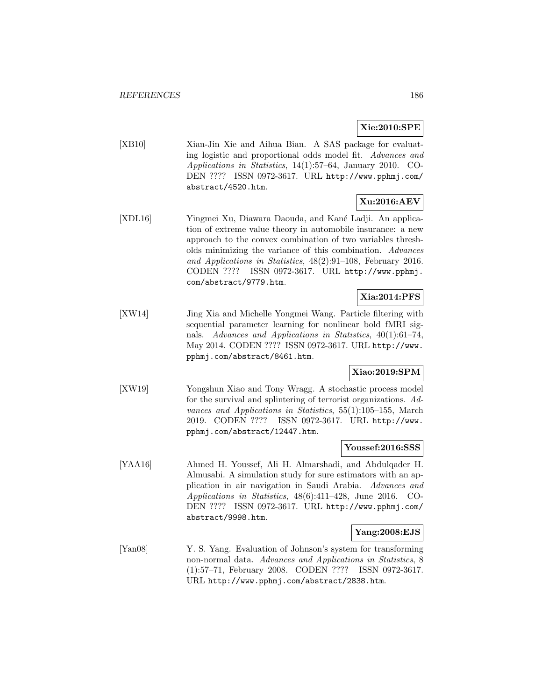## **Xie:2010:SPE**

[XB10] Xian-Jin Xie and Aihua Bian. A SAS package for evaluating logistic and proportional odds model fit. Advances and Applications in Statistics, 14(1):57–64, January 2010. CO-DEN ???? ISSN 0972-3617. URL http://www.pphmj.com/ abstract/4520.htm.

# **Xu:2016:AEV**

[XDL16] Yingmei Xu, Diawara Daouda, and Kané Ladji. An application of extreme value theory in automobile insurance: a new approach to the convex combination of two variables thresholds minimizing the variance of this combination. Advances and Applications in Statistics, 48(2):91–108, February 2016. CODEN ???? ISSN 0972-3617. URL http://www.pphmj. com/abstract/9779.htm.

# **Xia:2014:PFS**

[XW14] Jing Xia and Michelle Yongmei Wang. Particle filtering with sequential parameter learning for nonlinear bold fMRI signals. Advances and Applications in Statistics, 40(1):61–74, May 2014. CODEN ???? ISSN 0972-3617. URL http://www. pphmj.com/abstract/8461.htm.

## **Xiao:2019:SPM**

[XW19] Yongshun Xiao and Tony Wragg. A stochastic process model for the survival and splintering of terrorist organizations. Advances and Applications in Statistics, 55(1):105–155, March 2019. CODEN ???? ISSN 0972-3617. URL http://www. pphmj.com/abstract/12447.htm.

#### **Youssef:2016:SSS**

[YAA16] Ahmed H. Youssef, Ali H. Almarshadi, and Abdulqader H. Almusabi. A simulation study for sure estimators with an application in air navigation in Saudi Arabia. Advances and Applications in Statistics, 48(6):411–428, June 2016. CO-DEN ???? ISSN 0972-3617. URL http://www.pphmj.com/ abstract/9998.htm.

#### **Yang:2008:EJS**

[Yan08] Y. S. Yang. Evaluation of Johnson's system for transforming non-normal data. Advances and Applications in Statistics, 8 (1):57–71, February 2008. CODEN ???? ISSN 0972-3617. URL http://www.pphmj.com/abstract/2838.htm.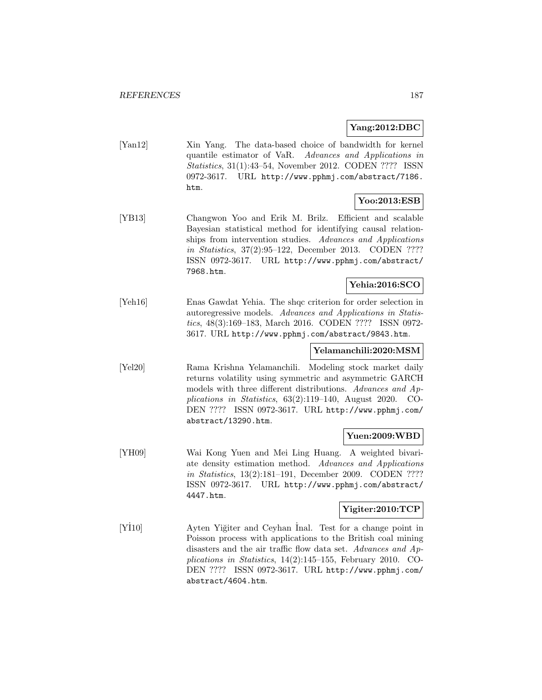## **Yang:2012:DBC**

[Yan12] Xin Yang. The data-based choice of bandwidth for kernel quantile estimator of VaR. Advances and Applications in Statistics, 31(1):43–54, November 2012. CODEN ???? ISSN 0972-3617. URL http://www.pphmj.com/abstract/7186. htm.

## **Yoo:2013:ESB**

[YB13] Changwon Yoo and Erik M. Brilz. Efficient and scalable Bayesian statistical method for identifying causal relationships from intervention studies. Advances and Applications in Statistics, 37(2):95–122, December 2013. CODEN ???? ISSN 0972-3617. URL http://www.pphmj.com/abstract/ 7968.htm.

# **Yehia:2016:SCO**

[Yeh16] Enas Gawdat Yehia. The shqc criterion for order selection in autoregressive models. Advances and Applications in Statistics, 48(3):169–183, March 2016. CODEN ???? ISSN 0972- 3617. URL http://www.pphmj.com/abstract/9843.htm.

# **Yelamanchili:2020:MSM**

[Yel20] Rama Krishna Yelamanchili. Modeling stock market daily returns volatility using symmetric and asymmetric GARCH models with three different distributions. Advances and Applications in Statistics, 63(2):119–140, August 2020. CO-DEN ???? ISSN 0972-3617. URL http://www.pphmj.com/ abstract/13290.htm.

## **Yuen:2009:WBD**

[YH09] Wai Kong Yuen and Mei Ling Huang. A weighted bivariate density estimation method. Advances and Applications in Statistics, 13(2):181–191, December 2009. CODEN ???? ISSN 0972-3617. URL http://www.pphmj.com/abstract/ 4447.htm.

## **Yigiter:2010:TCP**

 $[Y110]$ I10 Ayten Yiğiter and Ceyhan Inal. Test for a change point in Poisson process with applications to the British coal mining disasters and the air traffic flow data set. Advances and Applications in Statistics, 14(2):145–155, February 2010. CO-DEN ???? ISSN 0972-3617. URL http://www.pphmj.com/ abstract/4604.htm.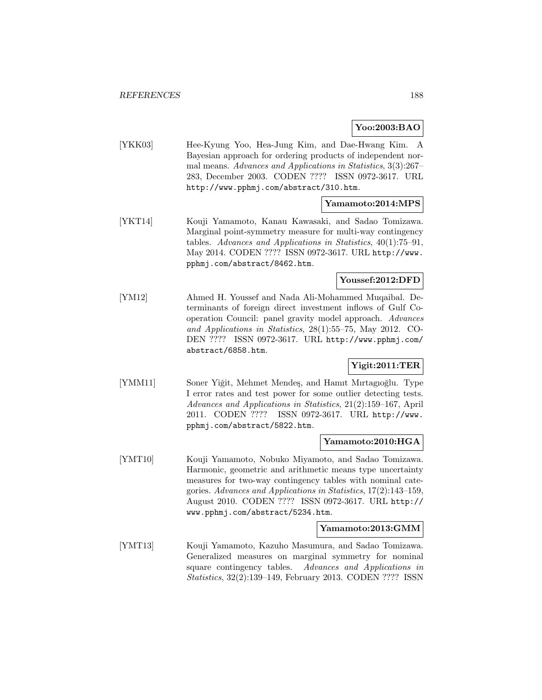**Yoo:2003:BAO**

[YKK03] Hee-Kyung Yoo, Hea-Jung Kim, and Dae-Hwang Kim. A Bayesian approach for ordering products of independent normal means. Advances and Applications in Statistics, 3(3):267– 283, December 2003. CODEN ???? ISSN 0972-3617. URL http://www.pphmj.com/abstract/310.htm.

#### **Yamamoto:2014:MPS**

[YKT14] Kouji Yamamoto, Kanau Kawasaki, and Sadao Tomizawa. Marginal point-symmetry measure for multi-way contingency tables. Advances and Applications in Statistics, 40(1):75–91, May 2014. CODEN ???? ISSN 0972-3617. URL http://www. pphmj.com/abstract/8462.htm.

## **Youssef:2012:DFD**

[YM12] Ahmed H. Youssef and Nada Ali-Mohammed Muqaibal. Determinants of foreign direct investment inflows of Gulf Cooperation Council: panel gravity model approach. Advances and Applications in Statistics, 28(1):55–75, May 2012. CO-DEN ???? ISSN 0972-3617. URL http://www.pphmj.com/ abstract/6858.htm.

## **Yigit:2011:TER**

[YMM11] Soner Yiğit, Mehmet Mendeş, and Hamit Mirtagioğlu. Type I error rates and test power for some outlier detecting tests. Advances and Applications in Statistics, 21(2):159–167, April 2011. CODEN ???? ISSN 0972-3617. URL http://www. pphmj.com/abstract/5822.htm.

#### **Yamamoto:2010:HGA**

[YMT10] Kouji Yamamoto, Nobuko Miyamoto, and Sadao Tomizawa. Harmonic, geometric and arithmetic means type uncertainty measures for two-way contingency tables with nominal categories. Advances and Applications in Statistics, 17(2):143–159, August 2010. CODEN ???? ISSN 0972-3617. URL http:// www.pphmj.com/abstract/5234.htm.

#### **Yamamoto:2013:GMM**

[YMT13] Kouji Yamamoto, Kazuho Masumura, and Sadao Tomizawa. Generalized measures on marginal symmetry for nominal square contingency tables. Advances and Applications in Statistics, 32(2):139–149, February 2013. CODEN ???? ISSN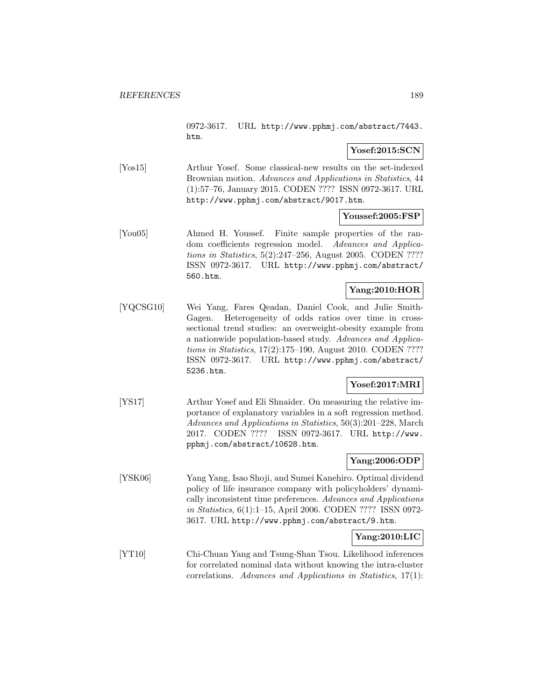0972-3617. URL http://www.pphmj.com/abstract/7443. htm.

## **Yosef:2015:SCN**

[Yos15] Arthur Yosef. Some classical-new results on the set-indexed Brownian motion. Advances and Applications in Statistics, 44 (1):57–76, January 2015. CODEN ???? ISSN 0972-3617. URL http://www.pphmj.com/abstract/9017.htm.

### **Youssef:2005:FSP**

[You05] Ahmed H. Youssef. Finite sample properties of the random coefficients regression model. Advances and Applications in Statistics, 5(2):247–256, August 2005. CODEN ???? ISSN 0972-3617. URL http://www.pphmj.com/abstract/ 560.htm.

### **Yang:2010:HOR**

[YQCSG10] Wei Yang, Fares Qeadan, Daniel Cook, and Julie Smith-Gagen. Heterogeneity of odds ratios over time in crosssectional trend studies: an overweight-obesity example from a nationwide population-based study. Advances and Applications in Statistics, 17(2):175–190, August 2010. CODEN ???? ISSN 0972-3617. URL http://www.pphmj.com/abstract/ 5236.htm.

### **Yosef:2017:MRI**

[YS17] Arthur Yosef and Eli Shnaider. On measuring the relative importance of explanatory variables in a soft regression method. Advances and Applications in Statistics, 50(3):201–228, March 2017. CODEN ???? ISSN 0972-3617. URL http://www. pphmj.com/abstract/10628.htm.

#### **Yang:2006:ODP**

[YSK06] Yang Yang, Isao Shoji, and Sumei Kanehiro. Optimal dividend policy of life insurance company with policyholders' dynamically inconsistent time preferences. Advances and Applications in Statistics, 6(1):1–15, April 2006. CODEN ???? ISSN 0972- 3617. URL http://www.pphmj.com/abstract/9.htm.

## **Yang:2010:LIC**

[YT10] Chi-Chuan Yang and Tsung-Shan Tsou. Likelihood inferences for correlated nominal data without knowing the intra-cluster correlations. Advances and Applications in Statistics, 17(1):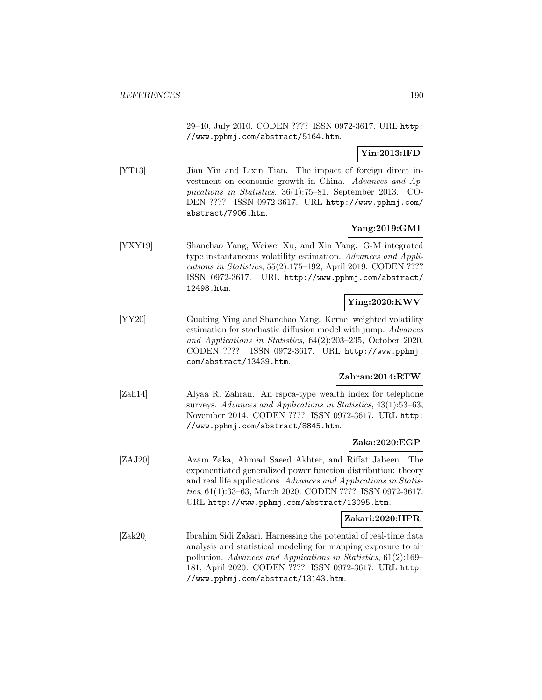29–40, July 2010. CODEN ???? ISSN 0972-3617. URL http: //www.pphmj.com/abstract/5164.htm.

## **Yin:2013:IFD**

[YT13] Jian Yin and Lixin Tian. The impact of foreign direct investment on economic growth in China. Advances and Applications in Statistics, 36(1):75–81, September 2013. CO-DEN ???? ISSN 0972-3617. URL http://www.pphmj.com/ abstract/7906.htm.

## **Yang:2019:GMI**

[YXY19] Shanchao Yang, Weiwei Xu, and Xin Yang. G-M integrated type instantaneous volatility estimation. Advances and Applications in Statistics, 55(2):175–192, April 2019. CODEN ???? ISSN 0972-3617. URL http://www.pphmj.com/abstract/ 12498.htm.

## **Ying:2020:KWV**

[YY20] Guobing Ying and Shanchao Yang. Kernel weighted volatility estimation for stochastic diffusion model with jump. Advances and Applications in Statistics, 64(2):203–235, October 2020. CODEN ???? ISSN 0972-3617. URL http://www.pphmj. com/abstract/13439.htm.

#### **Zahran:2014:RTW**

[Zah14] Alyaa R. Zahran. An rspca-type wealth index for telephone surveys. Advances and Applications in Statistics, 43(1):53–63, November 2014. CODEN ???? ISSN 0972-3617. URL http: //www.pphmj.com/abstract/8845.htm.

#### **Zaka:2020:EGP**

[ZAJ20] Azam Zaka, Ahmad Saeed Akhter, and Riffat Jabeen. The exponentiated generalized power function distribution: theory and real life applications. Advances and Applications in Statistics, 61(1):33–63, March 2020. CODEN ???? ISSN 0972-3617. URL http://www.pphmj.com/abstract/13095.htm.

#### **Zakari:2020:HPR**

[Zak20] Ibrahim Sidi Zakari. Harnessing the potential of real-time data analysis and statistical modeling for mapping exposure to air pollution. Advances and Applications in Statistics, 61(2):169– 181, April 2020. CODEN ???? ISSN 0972-3617. URL http: //www.pphmj.com/abstract/13143.htm.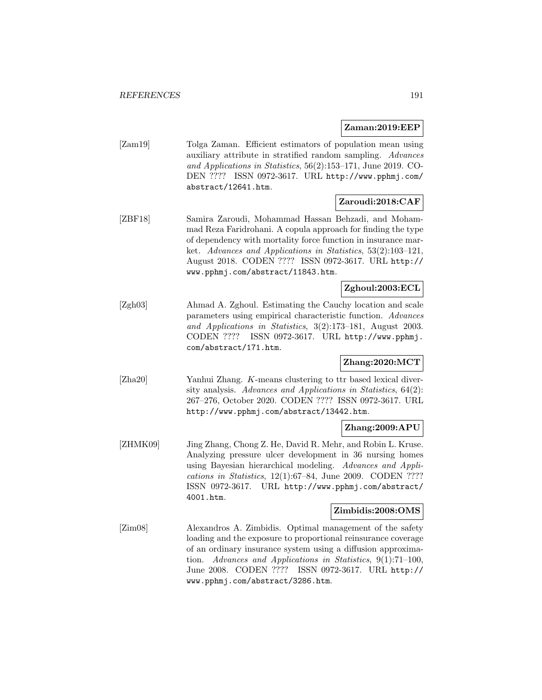**Zaman:2019:EEP**

[Zam19] Tolga Zaman. Efficient estimators of population mean using auxiliary attribute in stratified random sampling. Advances and Applications in Statistics, 56(2):153–171, June 2019. CO-DEN ???? ISSN 0972-3617. URL http://www.pphmj.com/ abstract/12641.htm.

# **Zaroudi:2018:CAF**

[ZBF18] Samira Zaroudi, Mohammad Hassan Behzadi, and Mohammad Reza Faridrohani. A copula approach for finding the type of dependency with mortality force function in insurance market. Advances and Applications in Statistics, 53(2):103–121, August 2018. CODEN ???? ISSN 0972-3617. URL http:// www.pphmj.com/abstract/11843.htm.

## **Zghoul:2003:ECL**

[Zgh03] Ahmad A. Zghoul. Estimating the Cauchy location and scale parameters using empirical characteristic function. Advances and Applications in Statistics, 3(2):173–181, August 2003. CODEN ???? ISSN 0972-3617. URL http://www.pphmj. com/abstract/171.htm.

## **Zhang:2020:MCT**

[Zha20] Yanhui Zhang. K-means clustering to ttr based lexical diversity analysis. Advances and Applications in Statistics, 64(2): 267–276, October 2020. CODEN ???? ISSN 0972-3617. URL http://www.pphmj.com/abstract/13442.htm.

## **Zhang:2009:APU**

[ZHMK09] Jing Zhang, Chong Z. He, David R. Mehr, and Robin L. Kruse. Analyzing pressure ulcer development in 36 nursing homes using Bayesian hierarchical modeling. Advances and Applications in Statistics, 12(1):67–84, June 2009. CODEN ???? ISSN 0972-3617. URL http://www.pphmj.com/abstract/ 4001.htm.

## **Zimbidis:2008:OMS**

[Zim08] Alexandros A. Zimbidis. Optimal management of the safety loading and the exposure to proportional reinsurance coverage of an ordinary insurance system using a diffusion approximation. Advances and Applications in Statistics, 9(1):71–100, June 2008. CODEN ???? ISSN 0972-3617. URL http:// www.pphmj.com/abstract/3286.htm.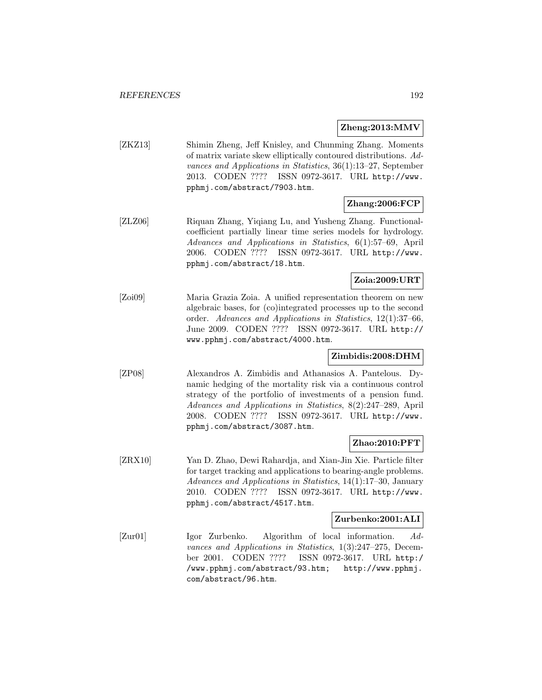#### **Zheng:2013:MMV**

[ZKZ13] Shimin Zheng, Jeff Knisley, and Chunming Zhang. Moments of matrix variate skew elliptically contoured distributions. Advances and Applications in Statistics, 36(1):13–27, September 2013. CODEN ???? ISSN 0972-3617. URL http://www. pphmj.com/abstract/7903.htm.

# **Zhang:2006:FCP**

[ZLZ06] Riquan Zhang, Yiqiang Lu, and Yusheng Zhang. Functionalcoefficient partially linear time series models for hydrology. Advances and Applications in Statistics, 6(1):57–69, April 2006. CODEN ???? ISSN 0972-3617. URL http://www. pphmj.com/abstract/18.htm.

## **Zoia:2009:URT**

[Zoi09] Maria Grazia Zoia. A unified representation theorem on new algebraic bases, for (co)integrated processes up to the second order. Advances and Applications in Statistics, 12(1):37–66, June 2009. CODEN ???? ISSN 0972-3617. URL http:// www.pphmj.com/abstract/4000.htm.

#### **Zimbidis:2008:DHM**

[ZP08] Alexandros A. Zimbidis and Athanasios A. Pantelous. Dynamic hedging of the mortality risk via a continuous control strategy of the portfolio of investments of a pension fund. Advances and Applications in Statistics, 8(2):247–289, April 2008. CODEN ???? ISSN 0972-3617. URL http://www. pphmj.com/abstract/3087.htm.

#### **Zhao:2010:PFT**

[ZRX10] Yan D. Zhao, Dewi Rahardja, and Xian-Jin Xie. Particle filter for target tracking and applications to bearing-angle problems. Advances and Applications in Statistics, 14(1):17–30, January 2010. CODEN ???? ISSN 0972-3617. URL http://www. pphmj.com/abstract/4517.htm.

#### **Zurbenko:2001:ALI**

[Zur01] Igor Zurbenko. Algorithm of local information. Advances and Applications in Statistics, 1(3):247–275, December 2001. CODEN ???? ISSN 0972-3617. URL http:/ /www.pphmj.com/abstract/93.htm; http://www.pphmj. com/abstract/96.htm.